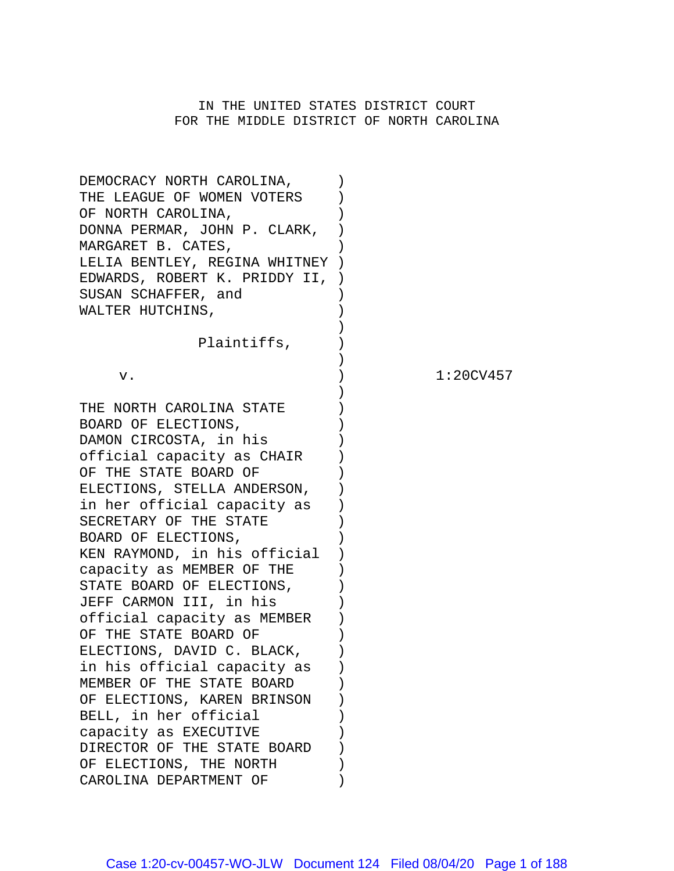# IN THE UNITED STATES DISTRICT COURT FOR THE MIDDLE DISTRICT OF NORTH CAROLINA

| DEMOCRACY NORTH CAROLINA,     |  |
|-------------------------------|--|
| THE LEAGUE OF WOMEN VOTERS    |  |
| OF NORTH CAROLINA,            |  |
| DONNA PERMAR, JOHN P. CLARK,  |  |
| MARGARET B. CATES,            |  |
| LELIA BENTLEY, REGINA WHITNEY |  |
| EDWARDS, ROBERT K. PRIDDY II, |  |
| SUSAN SCHAFFER, and           |  |
| WALTER HUTCHINS,              |  |
|                               |  |
| Plaintiffs,                   |  |
|                               |  |
| ν.                            |  |
| THE NORTH CAROLINA STATE      |  |
| BOARD OF ELECTIONS,           |  |
| DAMON CIRCOSTA, in his        |  |
| official capacity as CHAIR    |  |
| OF THE STATE BOARD OF         |  |
| ELECTIONS, STELLA ANDERSON,   |  |
| in her official capacity as   |  |
| SECRETARY OF THE STATE        |  |
| BOARD OF ELECTIONS,           |  |
| KEN RAYMOND, in his official  |  |
| capacity as MEMBER OF THE     |  |
| STATE BOARD OF ELECTIONS,     |  |
| JEFF CARMON III, in his       |  |
| official capacity as MEMBER   |  |
| OF THE STATE BOARD OF         |  |
| ELECTIONS, DAVID C. BLACK,    |  |
| in his official capacity as   |  |
| MEMBER OF THE STATE BOARD     |  |
| OF ELECTIONS, KAREN BRINSON   |  |
| BELL, in her official         |  |
| capacity as EXECUTIVE         |  |
| DIRECTOR OF THE STATE BOARD   |  |
| OF ELECTIONS, THE NORTH       |  |
| CAROLINA DEPARTMENT OF        |  |

 $1:20CV457$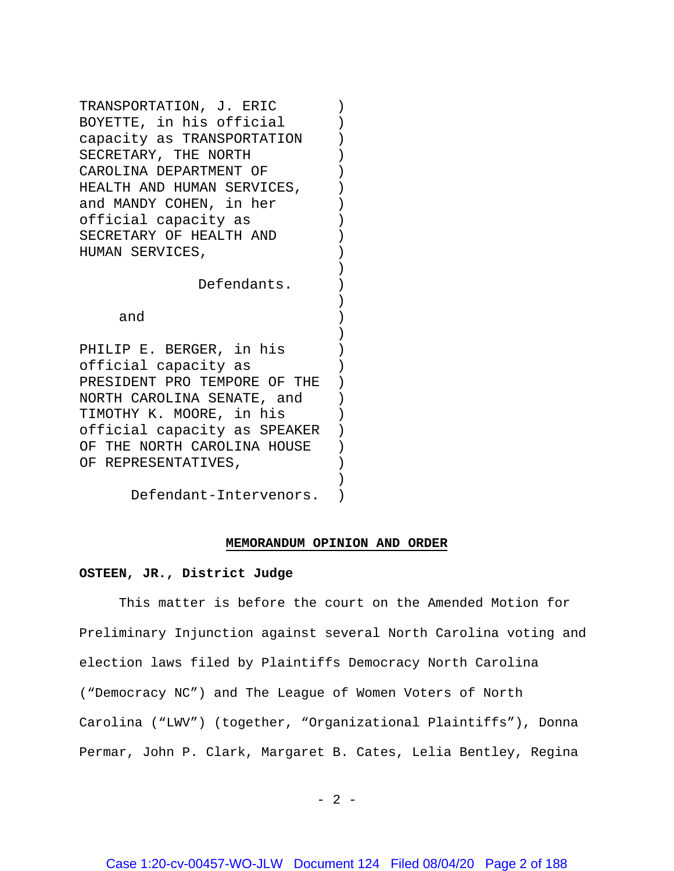TRANSPORTATION, J. ERIC ) BOYETTE, in his official (1) capacity as TRANSPORTATION ) SECRETARY, THE NORTH  $)$ CAROLINA DEPARTMENT OF ) HEALTH AND HUMAN SERVICES, and MANDY COHEN, in her ) official capacity as ) SECRETARY OF HEALTH AND ) HUMAN SERVICES,

Defendants. )

and )

PHILIP E. BERGER, in his official capacity as ) PRESIDENT PRO TEMPORE OF THE ) NORTH CAROLINA SENATE, and ) TIMOTHY K. MOORE, in his ) official capacity as SPEAKER ) OF THE NORTH CAROLINA HOUSE ) OF REPRESENTATIVES,

Defendant-Intervenors. )

#### **MEMORANDUM OPINION AND ORDER**

)

)

)

)

#### **OSTEEN, JR., District Judge**

This matter is before the court on the Amended Motion for Preliminary Injunction against several North Carolina voting and election laws filed by Plaintiffs Democracy North Carolina ("Democracy NC") and The League of Women Voters of North Carolina ("LWV") (together, "Organizational Plaintiffs"), Donna Permar, John P. Clark, Margaret B. Cates, Lelia Bentley, Regina

 $- 2 -$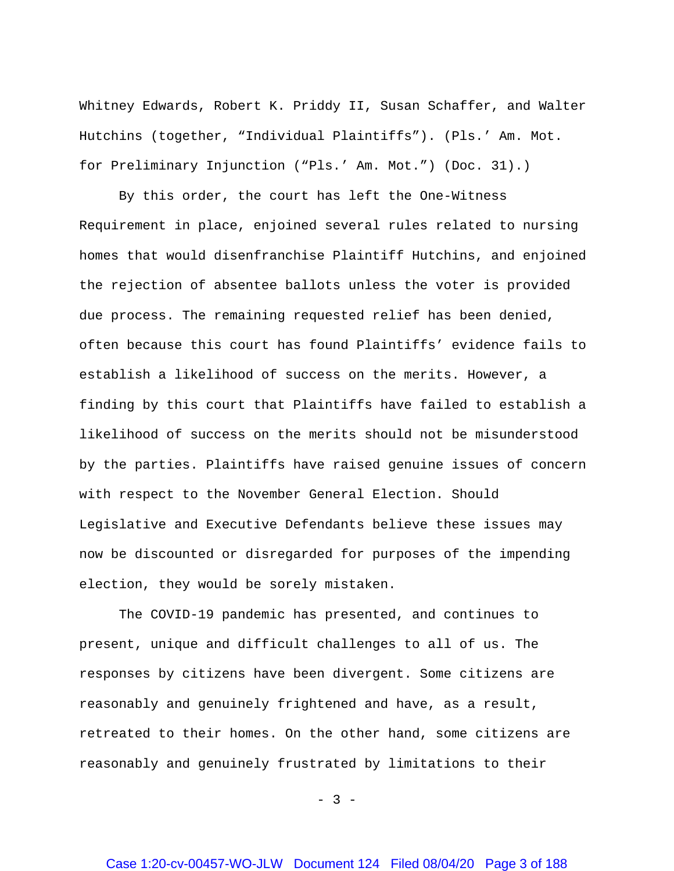Whitney Edwards, Robert K. Priddy II, Susan Schaffer, and Walter Hutchins (together, "Individual Plaintiffs"). (Pls.' Am. Mot. for Preliminary Injunction ("Pls.' Am. Mot.") (Doc. 31).)

By this order, the court has left the One-Witness Requirement in place, enjoined several rules related to nursing homes that would disenfranchise Plaintiff Hutchins, and enjoined the rejection of absentee ballots unless the voter is provided due process. The remaining requested relief has been denied, often because this court has found Plaintiffs' evidence fails to establish a likelihood of success on the merits. However, a finding by this court that Plaintiffs have failed to establish a likelihood of success on the merits should not be misunderstood by the parties. Plaintiffs have raised genuine issues of concern with respect to the November General Election. Should Legislative and Executive Defendants believe these issues may now be discounted or disregarded for purposes of the impending election, they would be sorely mistaken.

The COVID-19 pandemic has presented, and continues to present, unique and difficult challenges to all of us. The responses by citizens have been divergent. Some citizens are reasonably and genuinely frightened and have, as a result, retreated to their homes. On the other hand, some citizens are reasonably and genuinely frustrated by limitations to their

 $- 3 -$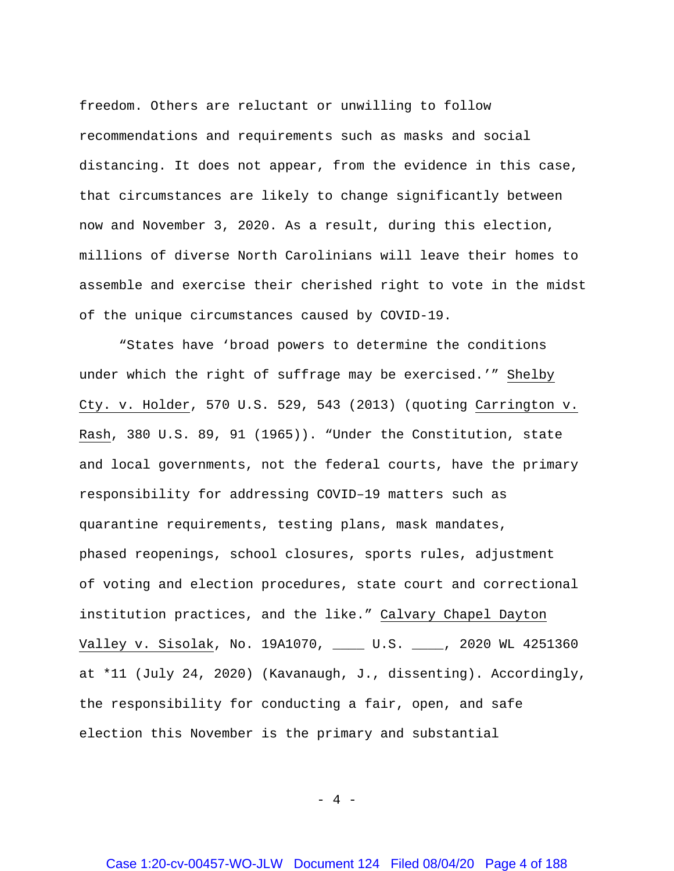freedom. Others are reluctant or unwilling to follow recommendations and requirements such as masks and social distancing. It does not appear, from the evidence in this case, that circumstances are likely to change significantly between now and November 3, 2020. As a result, during this election, millions of diverse North Carolinians will leave their homes to assemble and exercise their cherished right to vote in the midst of the unique circumstances caused by COVID-19.

"States have 'broad powers to determine the conditions under which the right of suffrage may be exercised.'" Shelby Cty. v. Holder, 570 U.S. 529, 543 (2013) (quoting Carrington v. Rash, 380 U.S. 89, 91 (1965)). "Under the Constitution, state and local governments, not the federal courts, have the primary responsibility for addressing COVID–19 matters such as quarantine requirements, testing plans, mask mandates, phased reopenings, school closures, sports rules, adjustment of voting and election procedures, state court and correctional institution practices, and the like." Calvary Chapel Dayton Valley v. Sisolak, No. 19A1070, \_\_\_\_ U.S. \_\_\_\_, 2020 WL 4251360 at \*11 (July 24, 2020) (Kavanaugh, J., dissenting). Accordingly, the responsibility for conducting a fair, open, and safe election this November is the primary and substantial

- 4 -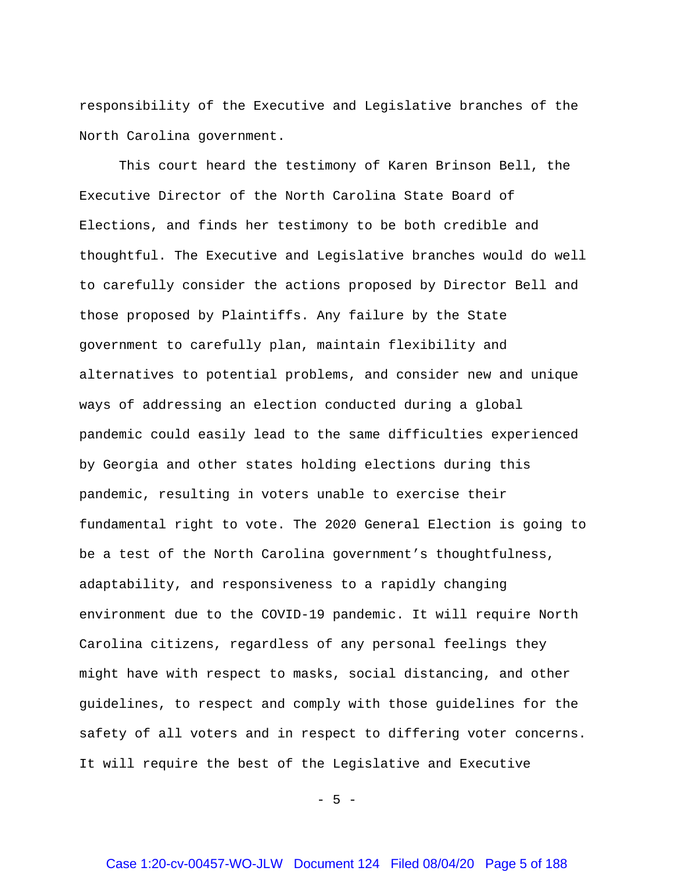responsibility of the Executive and Legislative branches of the North Carolina government.

This court heard the testimony of Karen Brinson Bell, the Executive Director of the North Carolina State Board of Elections, and finds her testimony to be both credible and thoughtful. The Executive and Legislative branches would do well to carefully consider the actions proposed by Director Bell and those proposed by Plaintiffs. Any failure by the State government to carefully plan, maintain flexibility and alternatives to potential problems, and consider new and unique ways of addressing an election conducted during a global pandemic could easily lead to the same difficulties experienced by Georgia and other states holding elections during this pandemic, resulting in voters unable to exercise their fundamental right to vote. The 2020 General Election is going to be a test of the North Carolina government's thoughtfulness, adaptability, and responsiveness to a rapidly changing environment due to the COVID-19 pandemic. It will require North Carolina citizens, regardless of any personal feelings they might have with respect to masks, social distancing, and other guidelines, to respect and comply with those guidelines for the safety of all voters and in respect to differing voter concerns. It will require the best of the Legislative and Executive

 $- 5 -$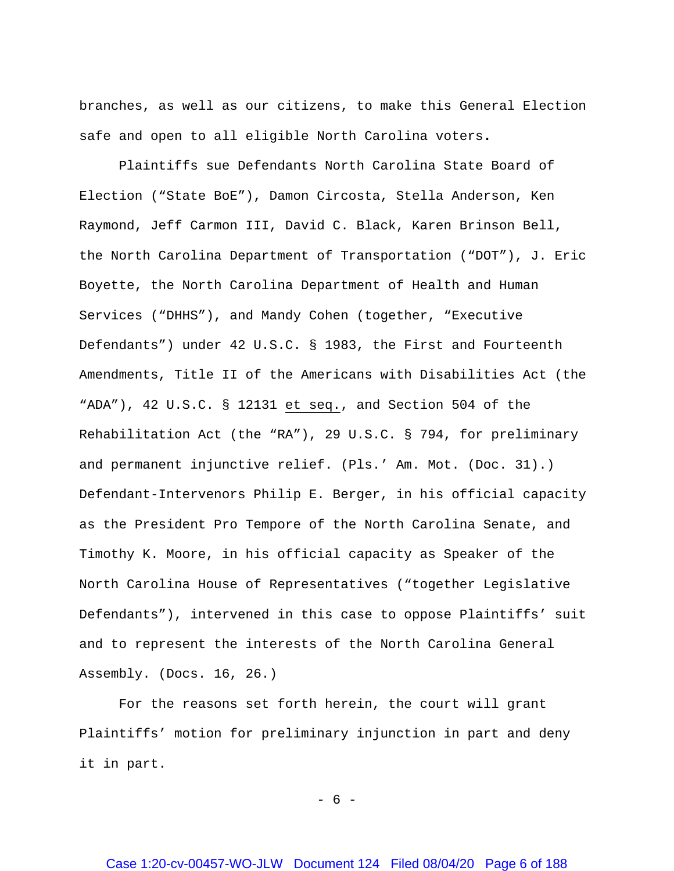branches, as well as our citizens, to make this General Election safe and open to all eligible North Carolina voters**.** 

Plaintiffs sue Defendants North Carolina State Board of Election ("State BoE"), Damon Circosta, Stella Anderson, Ken Raymond, Jeff Carmon III, David C. Black, Karen Brinson Bell, the North Carolina Department of Transportation ("DOT"), J. Eric Boyette, the North Carolina Department of Health and Human Services ("DHHS"), and Mandy Cohen (together, "Executive Defendants") under 42 U.S.C. § 1983, the First and Fourteenth Amendments, Title II of the Americans with Disabilities Act (the "ADA"), 42 U.S.C. § 12131 et seq., and Section 504 of the Rehabilitation Act (the "RA"), 29 U.S.C. § 794, for preliminary and permanent injunctive relief. (Pls.' Am. Mot. (Doc. 31).) Defendant-Intervenors Philip E. Berger, in his official capacity as the President Pro Tempore of the North Carolina Senate, and Timothy K. Moore, in his official capacity as Speaker of the North Carolina House of Representatives ("together Legislative Defendants"), intervened in this case to oppose Plaintiffs' suit and to represent the interests of the North Carolina General Assembly. (Docs. 16, 26.)

For the reasons set forth herein, the court will grant Plaintiffs' motion for preliminary injunction in part and deny it in part.

- 6 -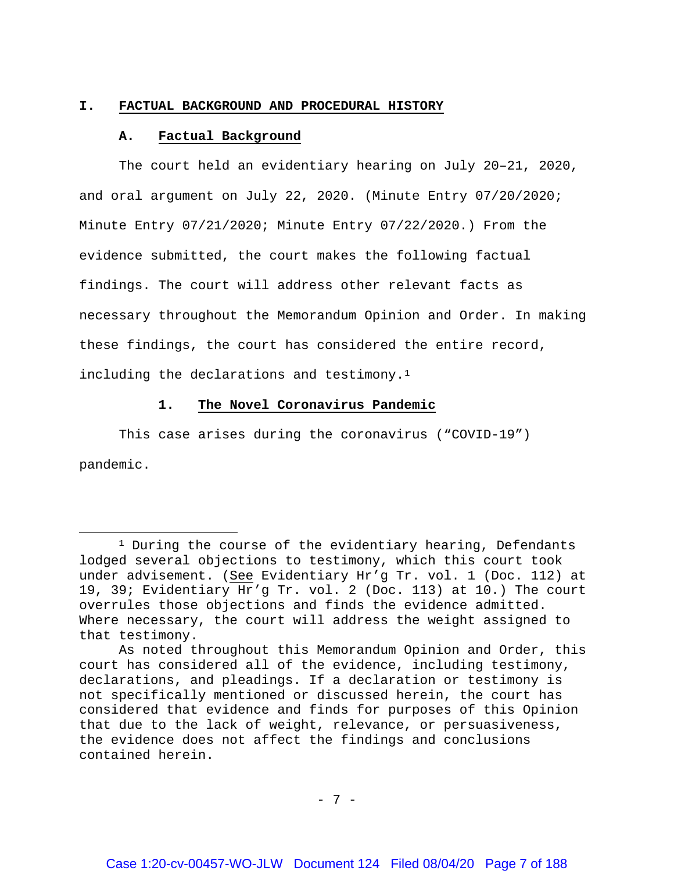#### **I. FACTUAL BACKGROUND AND PROCEDURAL HISTORY**

#### **A. Factual Background**

l

The court held an evidentiary hearing on July 20–21, 2020, and oral argument on July 22, 2020. (Minute Entry 07/20/2020; Minute Entry 07/21/2020; Minute Entry 07/22/2020.) From the evidence submitted, the court makes the following factual findings. The court will address other relevant facts as necessary throughout the Memorandum Opinion and Order. In making these findings, the court has considered the entire record, including the declarations and testimony.[1](#page-6-0)

## **1. The Novel Coronavirus Pandemic**

This case arises during the coronavirus ("COVID-19") pandemic.

<span id="page-6-0"></span> $1$  During the course of the evidentiary hearing, Defendants lodged several objections to testimony, which this court took under advisement. (See Evidentiary Hr'g Tr. vol. 1 (Doc. 112) at 19, 39; Evidentiary Hr'g Tr. vol. 2 (Doc. 113) at 10.) The court overrules those objections and finds the evidence admitted. Where necessary, the court will address the weight assigned to that testimony.

As noted throughout this Memorandum Opinion and Order, this court has considered all of the evidence, including testimony, declarations, and pleadings. If a declaration or testimony is not specifically mentioned or discussed herein, the court has considered that evidence and finds for purposes of this Opinion that due to the lack of weight, relevance, or persuasiveness, the evidence does not affect the findings and conclusions contained herein.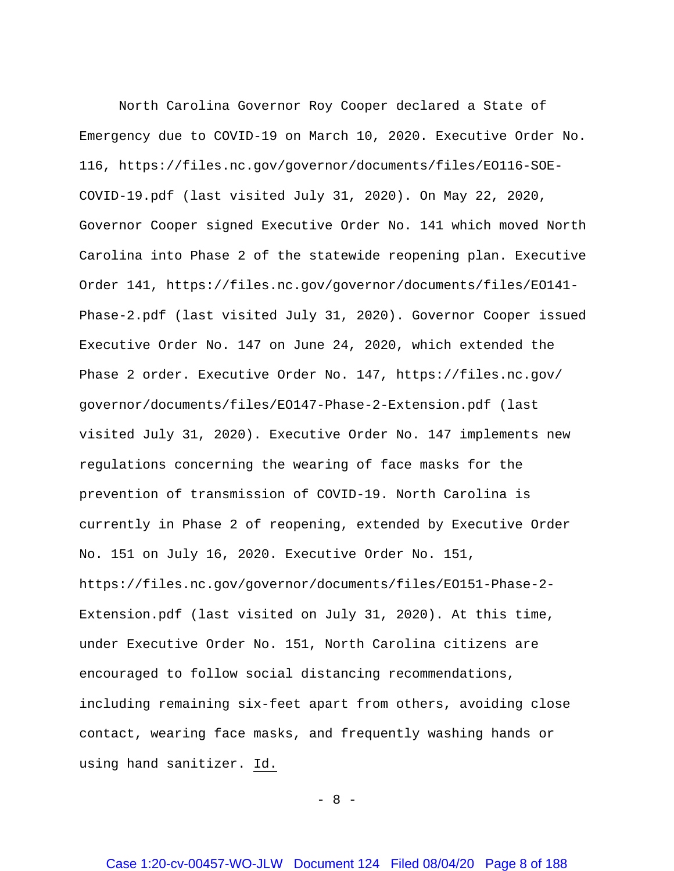North Carolina Governor Roy Cooper declared a State of Emergency due to COVID-19 on March 10, 2020. Executive Order No. 116, [https://files.nc.gov/governor/documents/files/EO116-SOE-](https://files.nc.gov/governor/documents/files/EO116-SOE-COVID-19.pdf)[COVID-19.pdf](https://files.nc.gov/governor/documents/files/EO116-SOE-COVID-19.pdf) (last visited July 31, 2020). On May 22, 2020, Governor Cooper signed Executive Order No. 141 which moved North Carolina into Phase 2 of the statewide reopening plan. Executive Order 141, [https://files.nc.gov/governor/documents/files/EO141-](https://files.nc.gov/governor/documents/files/EO141-Phase-2.pdf) [Phase-2.pdf](https://files.nc.gov/governor/documents/files/EO141-Phase-2.pdf) (last visited July 31, 2020). Governor Cooper issued Executive Order No. 147 on June 24, 2020, which extended the Phase 2 order. Executive Order No. 147, [https://files.nc.gov/](https://files.nc.gov/%20governor/documents/files/EO147-Phase-2-Extension.pdf)  [governor/documents/files/EO147-Phase-2-Extension.pdf](https://files.nc.gov/%20governor/documents/files/EO147-Phase-2-Extension.pdf) (last visited July 31, 2020). Executive Order No. 147 implements new regulations concerning the wearing of face masks for the prevention of transmission of COVID-19. North Carolina is currently in Phase 2 of reopening, extended by Executive Order No. 151 on July 16, 2020. Executive Order No. 151, [https://files.nc.gov/governor/documents/files/EO151-Phase-2-](https://files.nc.gov/governor/documents/files/EO151-Phase-2-Extension.pdf) [Extension.pdf](https://files.nc.gov/governor/documents/files/EO151-Phase-2-Extension.pdf) (last visited on July 31, 2020). At this time, under Executive Order No. 151, North Carolina citizens are encouraged to follow social distancing recommendations, including remaining six-feet apart from others, avoiding close contact, wearing face masks, and frequently washing hands or using hand sanitizer. Id.

- 8 -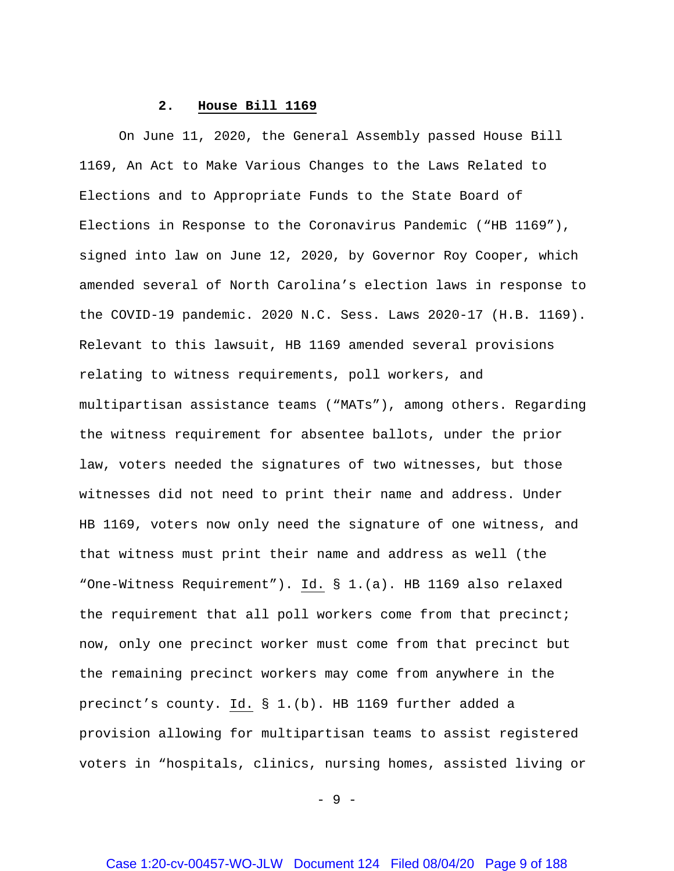## **2. House Bill 1169**

On June 11, 2020, the General Assembly passed House Bill 1169, An Act to Make Various Changes to the Laws Related to Elections and to Appropriate Funds to the State Board of Elections in Response to the Coronavirus Pandemic ("HB 1169"), signed into law on June 12, 2020, by Governor Roy Cooper, which amended several of North Carolina's election laws in response to the COVID-19 pandemic. 2020 N.C. Sess. Laws 2020-17 (H.B. 1169). Relevant to this lawsuit, HB 1169 amended several provisions relating to witness requirements, poll workers, and multipartisan assistance teams ("MATs"), among others. Regarding the witness requirement for absentee ballots, under the prior law, voters needed the signatures of two witnesses, but those witnesses did not need to print their name and address. Under HB 1169, voters now only need the signature of one witness, and that witness must print their name and address as well (the "One-Witness Requirement"). Id. § 1.(a). HB 1169 also relaxed the requirement that all poll workers come from that precinct; now, only one precinct worker must come from that precinct but the remaining precinct workers may come from anywhere in the precinct's county. Id. § 1.(b). HB 1169 further added a provision allowing for multipartisan teams to assist registered voters in "hospitals, clinics, nursing homes, assisted living or

 $-9 -$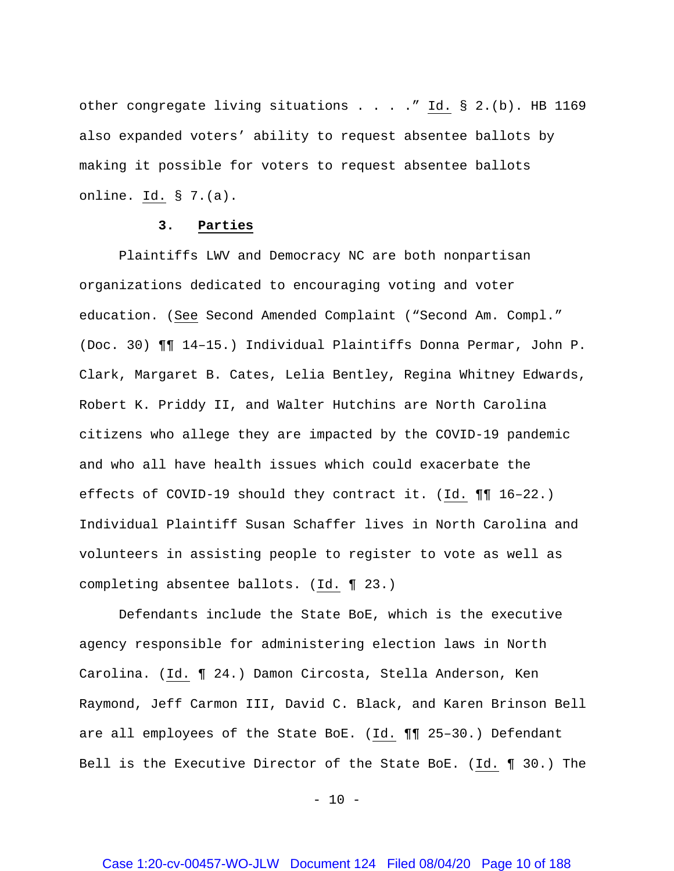other congregate living situations . . . . " Id. § 2.(b). HB 1169 also expanded voters' ability to request absentee ballots by making it possible for voters to request absentee ballots online. Id. § 7.(a).

#### **3. Parties**

Plaintiffs LWV and Democracy NC are both nonpartisan organizations dedicated to encouraging voting and voter education. (See Second Amended Complaint ("Second Am. Compl." (Doc. 30) ¶¶ 14–15.) Individual Plaintiffs Donna Permar, John P. Clark, Margaret B. Cates, Lelia Bentley, Regina Whitney Edwards, Robert K. Priddy II, and Walter Hutchins are North Carolina citizens who allege they are impacted by the COVID-19 pandemic and who all have health issues which could exacerbate the effects of COVID-19 should they contract it. (Id. ¶¶ 16–22.) Individual Plaintiff Susan Schaffer lives in North Carolina and volunteers in assisting people to register to vote as well as completing absentee ballots. (Id. ¶ 23.)

Defendants include the State BoE, which is the executive agency responsible for administering election laws in North Carolina. (Id. ¶ 24.) Damon Circosta, Stella Anderson, Ken Raymond, Jeff Carmon III, David C. Black, and Karen Brinson Bell are all employees of the State BoE. (Id. ¶¶ 25–30.) Defendant Bell is the Executive Director of the State BoE. (Id. ¶ 30.) The

 $- 10 -$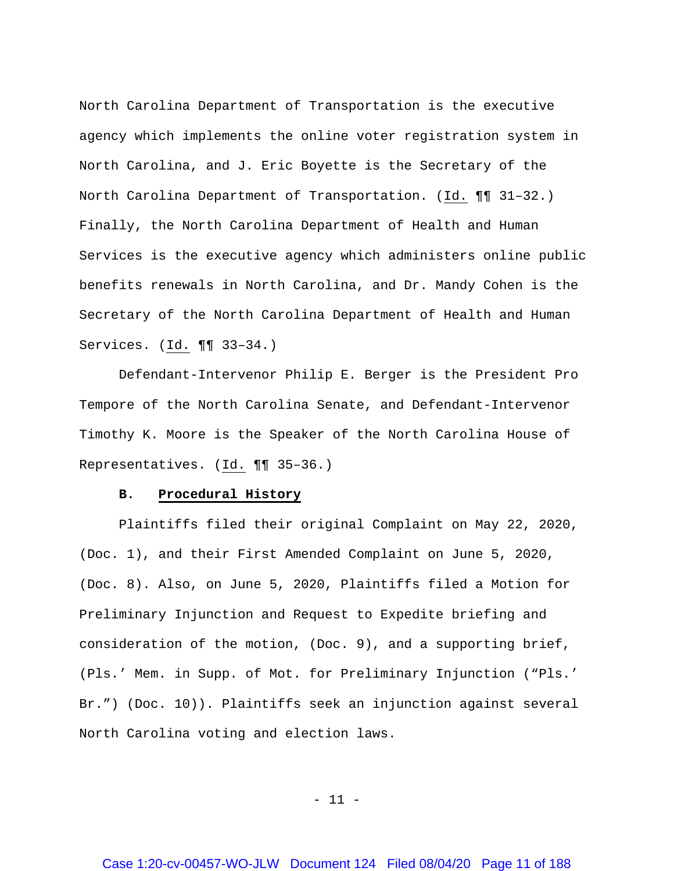North Carolina Department of Transportation is the executive agency which implements the online voter registration system in North Carolina, and J. Eric Boyette is the Secretary of the North Carolina Department of Transportation. (Id. ¶¶ 31–32.) Finally, the North Carolina Department of Health and Human Services is the executive agency which administers online public benefits renewals in North Carolina, and Dr. Mandy Cohen is the Secretary of the North Carolina Department of Health and Human Services. (Id. ¶¶ 33–34.)

Defendant-Intervenor Philip E. Berger is the President Pro Tempore of the North Carolina Senate, and Defendant-Intervenor Timothy K. Moore is the Speaker of the North Carolina House of Representatives. (Id. ¶¶ 35–36.)

### **B. Procedural History**

Plaintiffs filed their original Complaint on May 22, 2020, (Doc. 1), and their First Amended Complaint on June 5, 2020, (Doc. 8). Also, on June 5, 2020, Plaintiffs filed a Motion for Preliminary Injunction and Request to Expedite briefing and consideration of the motion, (Doc. 9), and a supporting brief, (Pls.' Mem. in Supp. of Mot. for Preliminary Injunction ("Pls.' Br.") (Doc. 10)). Plaintiffs seek an injunction against several North Carolina voting and election laws.

- 11 -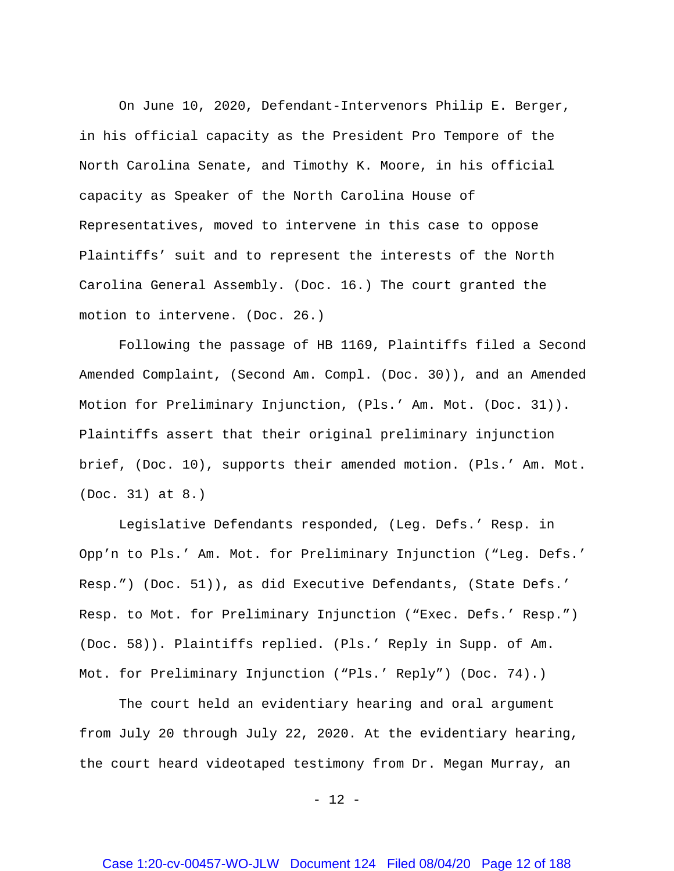On June 10, 2020, Defendant-Intervenors Philip E. Berger, in his official capacity as the President Pro Tempore of the North Carolina Senate, and Timothy K. Moore, in his official capacity as Speaker of the North Carolina House of Representatives, moved to intervene in this case to oppose Plaintiffs' suit and to represent the interests of the North Carolina General Assembly. (Doc. 16.) The court granted the motion to intervene. (Doc. 26.)

Following the passage of HB 1169, Plaintiffs filed a Second Amended Complaint, (Second Am. Compl. (Doc. 30)), and an Amended Motion for Preliminary Injunction, (Pls.' Am. Mot. (Doc. 31)). Plaintiffs assert that their original preliminary injunction brief, (Doc. 10), supports their amended motion. (Pls.' Am. Mot. (Doc. 31) at 8.)

Legislative Defendants responded, (Leg. Defs.' Resp. in Opp'n to Pls.' Am. Mot. for Preliminary Injunction ("Leg. Defs.' Resp.") (Doc. 51)), as did Executive Defendants, (State Defs.' Resp. to Mot. for Preliminary Injunction ("Exec. Defs.' Resp.") (Doc. 58)). Plaintiffs replied. (Pls.' Reply in Supp. of Am. Mot. for Preliminary Injunction ("Pls.' Reply") (Doc. 74).)

The court held an evidentiary hearing and oral argument from July 20 through July 22, 2020. At the evidentiary hearing, the court heard videotaped testimony from Dr. Megan Murray, an

- 12 -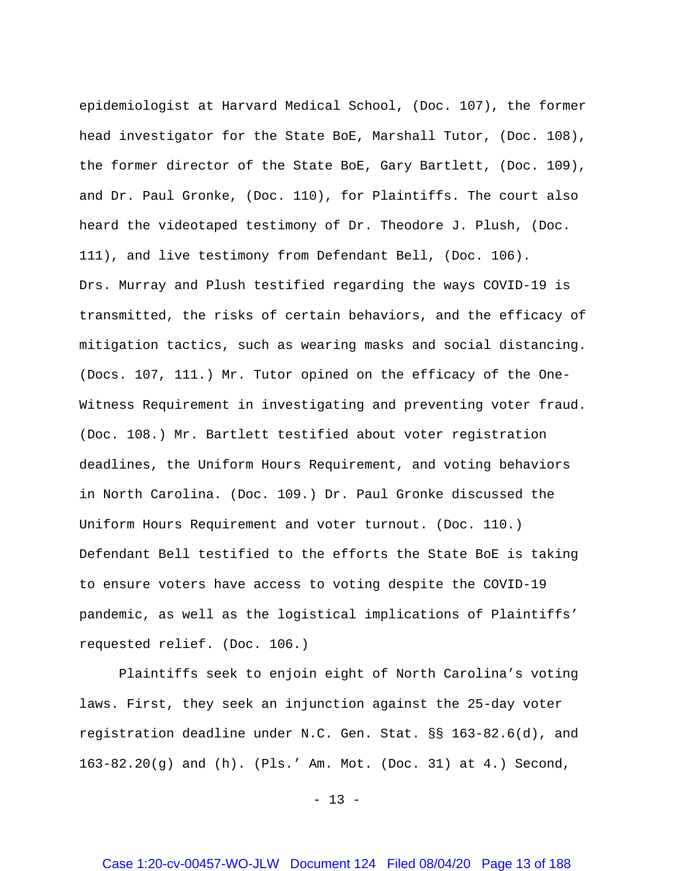epidemiologist at Harvard Medical School, (Doc. 107), the former head investigator for the State BoE, Marshall Tutor, (Doc. 108), the former director of the State BoE, Gary Bartlett, (Doc. 109), and Dr. Paul Gronke, (Doc. 110), for Plaintiffs. The court also heard the videotaped testimony of Dr. Theodore J. Plush, (Doc. 111), and live testimony from Defendant Bell, (Doc. 106). Drs. Murray and Plush testified regarding the ways COVID-19 is transmitted, the risks of certain behaviors, and the efficacy of mitigation tactics, such as wearing masks and social distancing. (Docs. 107, 111.) Mr. Tutor opined on the efficacy of the One-Witness Requirement in investigating and preventing voter fraud. (Doc. 108.) Mr. Bartlett testified about voter registration deadlines, the Uniform Hours Requirement, and voting behaviors in North Carolina. (Doc. 109.) Dr. Paul Gronke discussed the Uniform Hours Requirement and voter turnout. (Doc. 110.) Defendant Bell testified to the efforts the State BoE is taking to ensure voters have access to voting despite the COVID-19 pandemic, as well as the logistical implications of Plaintiffs' requested relief. (Doc. 106.)

Plaintiffs seek to enjoin eight of North Carolina's voting laws. First, they seek an injunction against the 25-day voter registration deadline under N.C. Gen. Stat. §§ 163-82.6(d), and 163-82.20(g) and (h). (Pls.' Am. Mot. (Doc. 31) at 4.) Second,

 $- 13 -$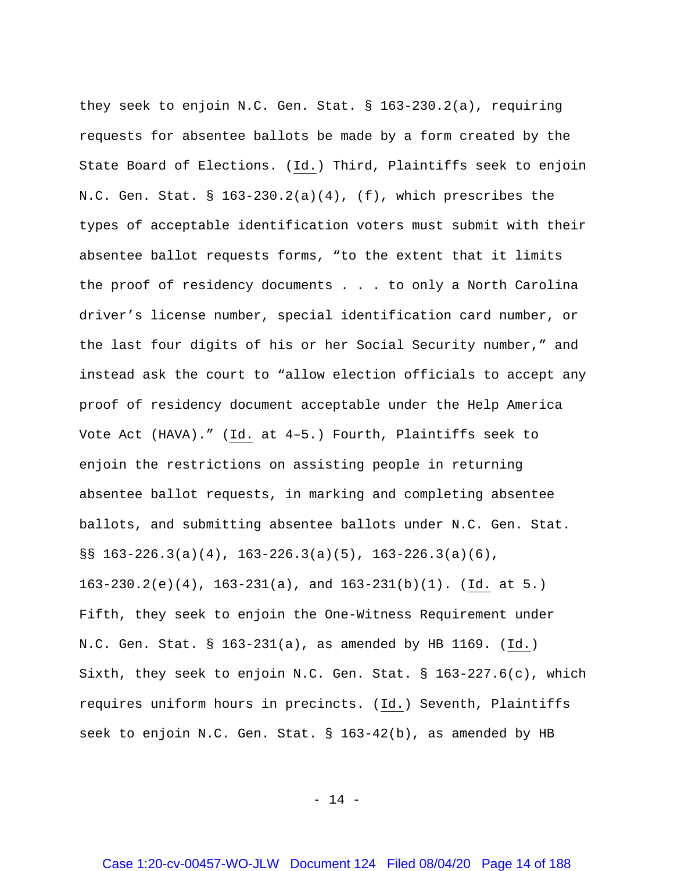they seek to enjoin N.C. Gen. Stat. § 163-230.2(a), requiring requests for absentee ballots be made by a form created by the State Board of Elections. (Id.) Third, Plaintiffs seek to enjoin N.C. Gen. Stat.  $\S$  163-230.2(a)(4), (f), which prescribes the types of acceptable identification voters must submit with their absentee ballot requests forms, "to the extent that it limits the proof of residency documents . . . to only a North Carolina driver's license number, special identification card number, or the last four digits of his or her Social Security number," and instead ask the court to "allow election officials to accept any proof of residency document acceptable under the Help America Vote Act (HAVA)." (Id. at 4-5.) Fourth, Plaintiffs seek to enjoin the restrictions on assisting people in returning absentee ballot requests, in marking and completing absentee ballots, and submitting absentee ballots under N.C. Gen. Stat.  $\S$ § 163-226.3(a)(4), 163-226.3(a)(5), 163-226.3(a)(6), 163-230.2(e)(4), 163-231(a), and 163-231(b)(1). (Id. at 5.) Fifth, they seek to enjoin the One-Witness Requirement under N.C. Gen. Stat. § 163-231(a), as amended by HB 1169. (Id.) Sixth, they seek to enjoin N.C. Gen. Stat. § 163-227.6(c), which requires uniform hours in precincts. (Id.) Seventh, Plaintiffs seek to enjoin N.C. Gen. Stat. § 163-42(b), as amended by HB

 $- 14 -$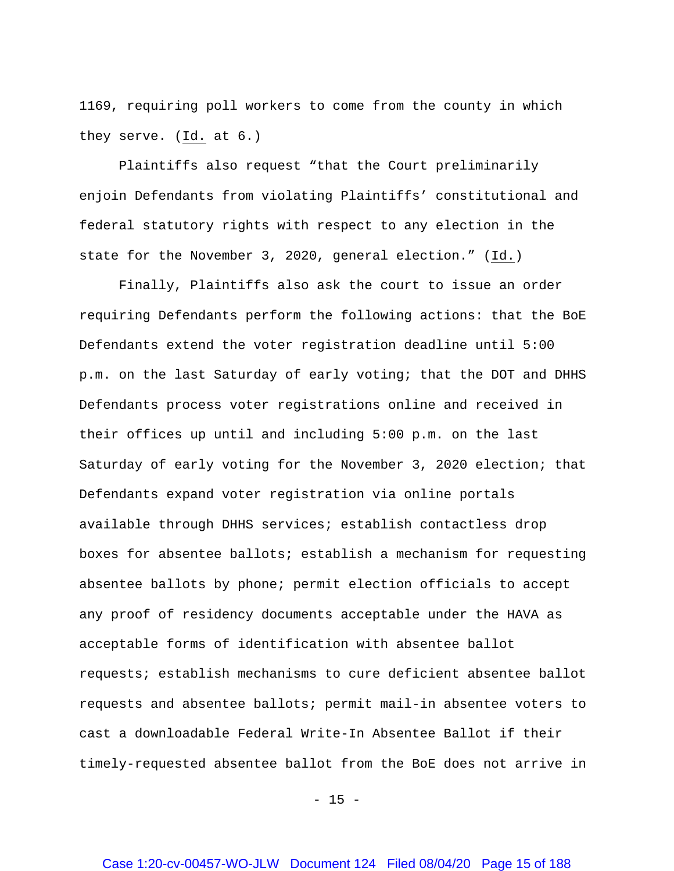1169, requiring poll workers to come from the county in which they serve. (Id. at 6.)

Plaintiffs also request "that the Court preliminarily enjoin Defendants from violating Plaintiffs' constitutional and federal statutory rights with respect to any election in the state for the November 3, 2020, general election." (Id.)

Finally, Plaintiffs also ask the court to issue an order requiring Defendants perform the following actions: that the BoE Defendants extend the voter registration deadline until 5:00 p.m. on the last Saturday of early voting; that the DOT and DHHS Defendants process voter registrations online and received in their offices up until and including 5:00 p.m. on the last Saturday of early voting for the November 3, 2020 election; that Defendants expand voter registration via online portals available through DHHS services; establish contactless drop boxes for absentee ballots; establish a mechanism for requesting absentee ballots by phone; permit election officials to accept any proof of residency documents acceptable under the HAVA as acceptable forms of identification with absentee ballot requests; establish mechanisms to cure deficient absentee ballot requests and absentee ballots; permit mail-in absentee voters to cast a downloadable Federal Write-In Absentee Ballot if their timely-requested absentee ballot from the BoE does not arrive in

 $- 15 -$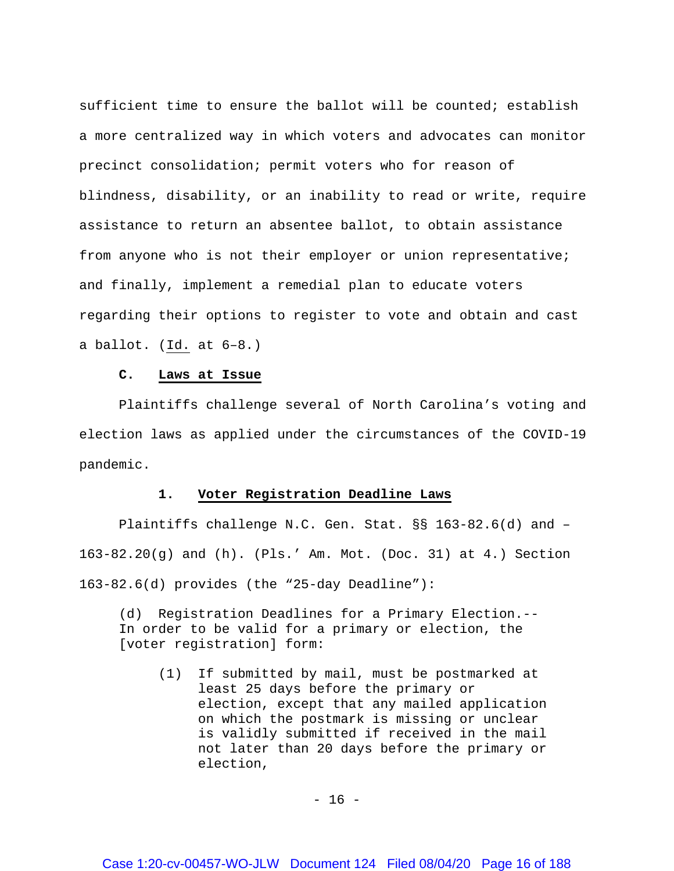sufficient time to ensure the ballot will be counted; establish a more centralized way in which voters and advocates can monitor precinct consolidation; permit voters who for reason of blindness, disability, or an inability to read or write, require assistance to return an absentee ballot, to obtain assistance from anyone who is not their employer or union representative; and finally, implement a remedial plan to educate voters regarding their options to register to vote and obtain and cast a ballot. (Id. at 6–8.)

## **C. Laws at Issue**

Plaintiffs challenge several of North Carolina's voting and election laws as applied under the circumstances of the COVID-19 pandemic.

### **1. Voter Registration Deadline Laws**

Plaintiffs challenge N.C. Gen. Stat. §§ 163-82.6(d) and – 163-82.20(g) and (h). (Pls.' Am. Mot. (Doc. 31) at 4.) Section 163-82.6(d) provides (the "25-day Deadline"):

(d) Registration Deadlines for a Primary Election.-- In order to be valid for a primary or election, the [voter registration] form:

(1) If submitted by mail, must be postmarked at least 25 days before the primary or election, except that any mailed application on which the postmark is missing or unclear is validly submitted if received in the mail not later than 20 days before the primary or election,

 $- 16 -$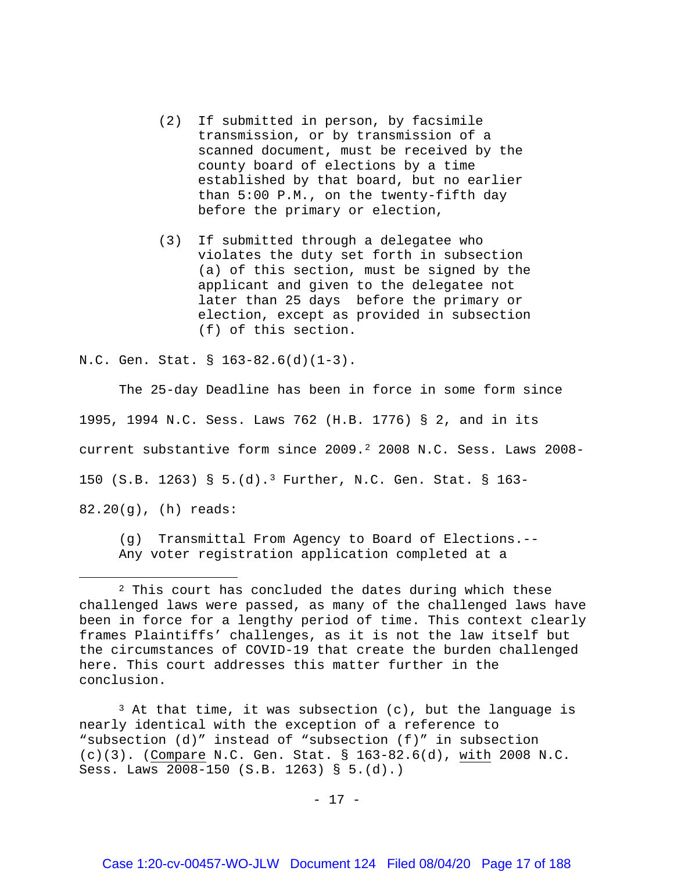- (2) If submitted in person, by facsimile transmission, or by transmission of a scanned document, must be received by the county board of elections by a time established by that board, but no earlier than 5:00 P.M., on the twenty-fifth day before the primary or election,
- (3) If submitted through a delegatee who violates the duty set forth in subsection (a) of this section, must be signed by the applicant and given to the delegatee not later than 25 days before the primary or election, except as provided in subsection (f) of this section.

N.C. Gen. Stat. § 163-82.6(d)(1-3).

 $\overline{a}$ 

The 25-day Deadline has been in force in some form since 1995, 1994 N.C. Sess. Laws 762 (H.B. 1776) § 2, and in its current substantive form since 2009.[2](#page-16-0) 2008 N.C. Sess. Laws 2008- 150 (S.B. 1263) § 5.(d).[3](#page-16-1) Further, N.C. Gen. Stat. § 163- 82.20(g), (h) reads:

(g) Transmittal From Agency to Board of Elections.-- Any voter registration application completed at a

<span id="page-16-1"></span> $3$  At that time, it was subsection (c), but the language is nearly identical with the exception of a reference to "subsection (d)" instead of "subsection (f)" in subsection (c)(3). (Compare N.C. Gen. Stat. § 163-82.6(d), with 2008 N.C. Sess. Laws 2008-150 (S.B. 1263) § 5.(d).)

- 17 -

<span id="page-16-0"></span><sup>&</sup>lt;sup>2</sup> This court has concluded the dates during which these challenged laws were passed, as many of the challenged laws have been in force for a lengthy period of time. This context clearly frames Plaintiffs' challenges, as it is not the law itself but the circumstances of COVID-19 that create the burden challenged here. This court addresses this matter further in the conclusion.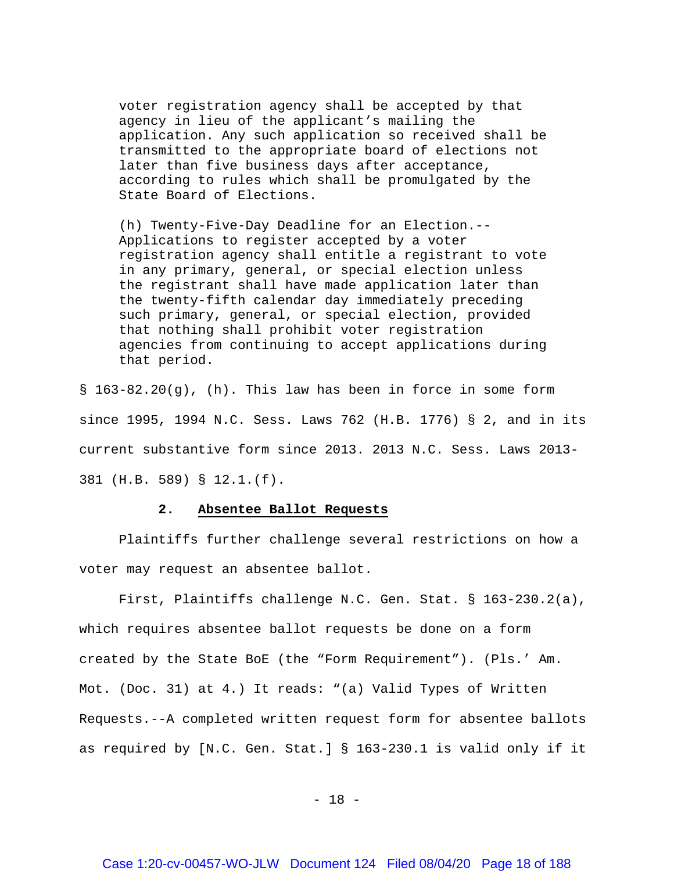voter registration agency shall be accepted by that agency in lieu of the applicant's mailing the application. Any such application so received shall be transmitted to the appropriate board of elections not later than five business days after acceptance, according to rules which shall be promulgated by the State Board of Elections.

(h) Twenty-Five-Day Deadline for an Election.-- Applications to register accepted by a voter registration agency shall entitle a registrant to vote in any primary, general, or special election unless the registrant shall have made application later than the twenty-fifth calendar day immediately preceding such primary, general, or special election, provided that nothing shall prohibit voter registration agencies from continuing to accept applications during that period.

§ 163-82.20(g), (h). This law has been in force in some form since 1995, 1994 N.C. Sess. Laws 762 (H.B. 1776) § 2, and in its current substantive form since 2013. 2013 N.C. Sess. Laws 2013- 381 (H.B. 589) § 12.1.(f).

### **2. Absentee Ballot Requests**

Plaintiffs further challenge several restrictions on how a voter may request an absentee ballot.

First, Plaintiffs challenge N.C. Gen. Stat. § 163-230.2(a), which requires absentee ballot requests be done on a form created by the State BoE (the "Form Requirement"). (Pls.' Am. Mot. (Doc. 31) at 4.) It reads: "(a) Valid Types of Written Requests.--A completed written request form for absentee ballots as required by [N.C. Gen. Stat.] § 163-230.1 is valid only if it

- 18 -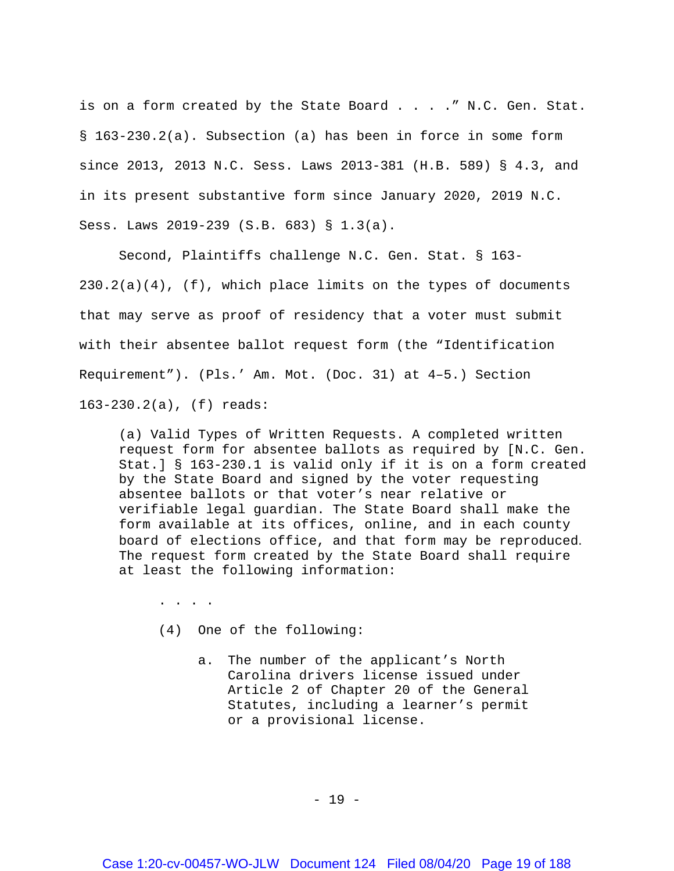is on a form created by the State Board . . . . " N.C. Gen. Stat. § 163-230.2(a). Subsection (a) has been in force in some form since 2013, 2013 N.C. Sess. Laws 2013-381 (H.B. 589) § 4.3, and in its present substantive form since January 2020, 2019 N.C. Sess. Laws 2019-239 (S.B. 683) § 1.3(a).

Second, Plaintiffs challenge N.C. Gen. Stat. § 163-  $230.2(a)(4)$ , (f), which place limits on the types of documents that may serve as proof of residency that a voter must submit with their absentee ballot request form (the "Identification Requirement"). (Pls.' Am. Mot. (Doc. 31) at 4–5.) Section 163-230.2(a), (f) reads:

(a) Valid Types of Written Requests. A completed written request form for absentee ballots as required by [N.C. Gen. Stat.] § 163-230.1 is valid only if it is on a form created by the State Board and signed by the voter requesting absentee ballots or that voter's near relative or verifiable legal guardian. The State Board shall make the form available at its offices, online, and in each county board of elections office, and that form may be reproduced. The request form created by the State Board shall require at least the following information:

. . . .

(4) One of the following:

a. The number of the applicant's North Carolina drivers license issued under Article 2 of Chapter 20 of the General Statutes, including a learner's permit or a provisional license.

- 19 -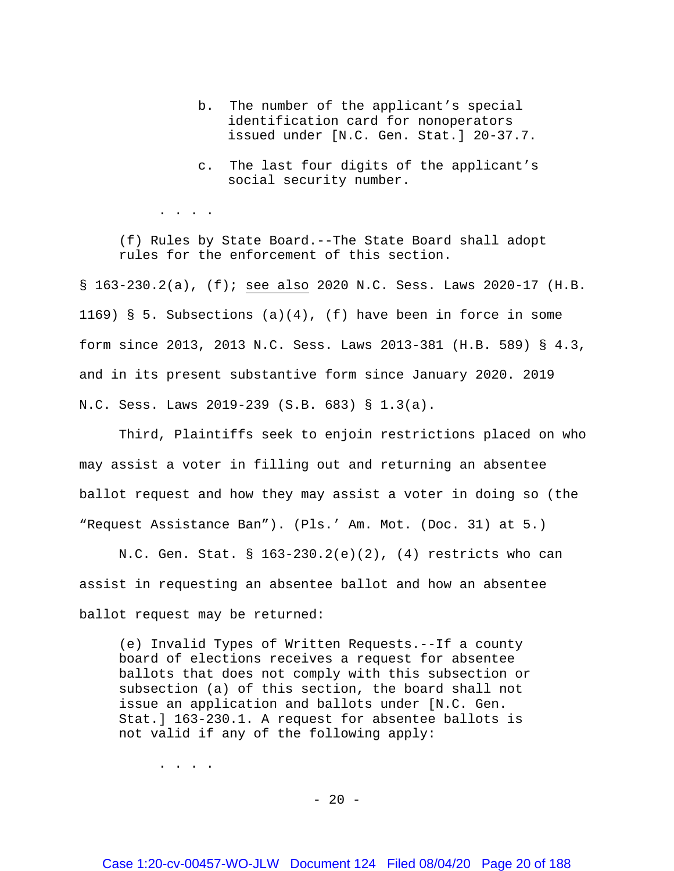- b. The number of the applicant's special identification card for nonoperators issued under [N.C. Gen. Stat.] 20-37.7.
- c. The last four digits of the applicant's social security number.

. . . .

(f) Rules by State Board.--The State Board shall adopt rules for the enforcement of this section.

§ 163-230.2(a), (f); see also 2020 N.C. Sess. Laws 2020-17 (H.B. 1169) § 5. Subsections  $(a)(4)$ , (f) have been in force in some form since 2013, 2013 N.C. Sess. Laws 2013-381 (H.B. 589) § 4.3, and in its present substantive form since January 2020. 2019 N.C. Sess. Laws 2019-239 (S.B. 683) § 1.3(a).

Third, Plaintiffs seek to enjoin restrictions placed on who may assist a voter in filling out and returning an absentee ballot request and how they may assist a voter in doing so (the "Request Assistance Ban"). (Pls.' Am. Mot. (Doc. 31) at 5.)

N.C. Gen. Stat. §  $163-230.2(e)(2)$ ,  $(4)$  restricts who can assist in requesting an absentee ballot and how an absentee ballot request may be returned:

(e) Invalid Types of Written Requests.--If a county board of elections receives a request for absentee ballots that does not comply with this subsection or subsection (a) of this section, the board shall not issue an application and ballots under [N.C. Gen. Stat.] 163-230.1. A request for absentee ballots is not valid if any of the following apply:

. . . .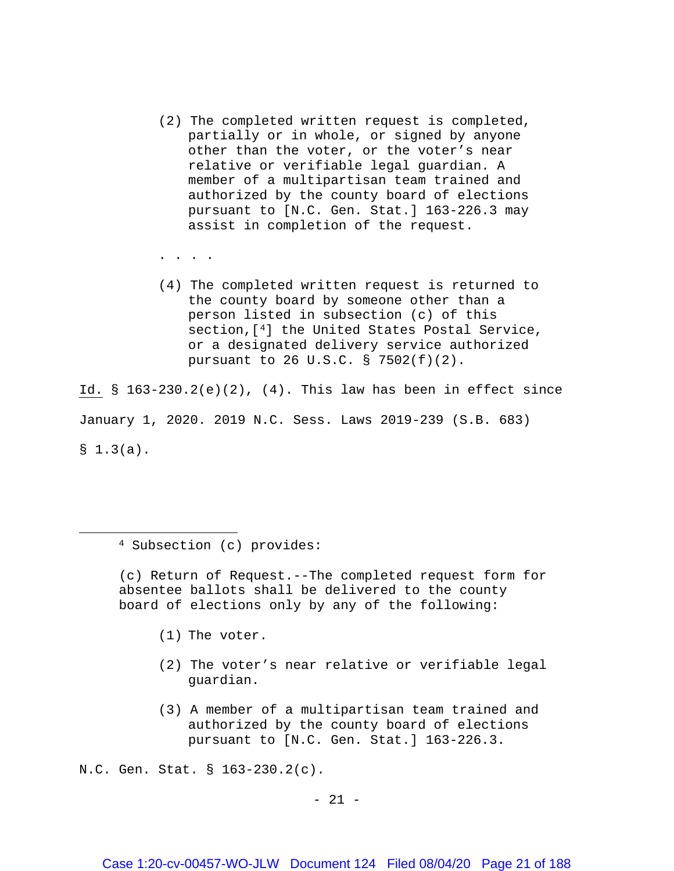- (2) The completed written request is completed, partially or in whole, or signed by anyone other than the voter, or the voter's near relative or verifiable legal guardian. A member of a multipartisan team trained and authorized by the county board of elections pursuant to [N.C. Gen. Stat.] 163-226.3 may assist in completion of the request.
- . . . .
- (4) The completed written request is returned to the county board by someone other than a person listed in subsection (c) of this section,[[4](#page-20-0)] the United States Postal Service, or a designated delivery service authorized pursuant to 26 U.S.C. § 7502(f)(2).

Id.  $\S$  163-230.2(e)(2), (4). This law has been in effect since January 1, 2020. 2019 N.C. Sess. Laws 2019-239 (S.B. 683)  $$1.3(a).$ 

<sup>4</sup> Subsection (c) provides:

<span id="page-20-0"></span>l

(c) Return of Request.--The completed request form for absentee ballots shall be delivered to the county board of elections only by any of the following:

- (1) The voter.
- (2) The voter's near relative or verifiable legal guardian.
- (3) A member of a multipartisan team trained and authorized by the county board of elections pursuant to [N.C. Gen. Stat.] 163-226.3.

N.C. Gen. Stat. § 163-230.2(c).

- 21 -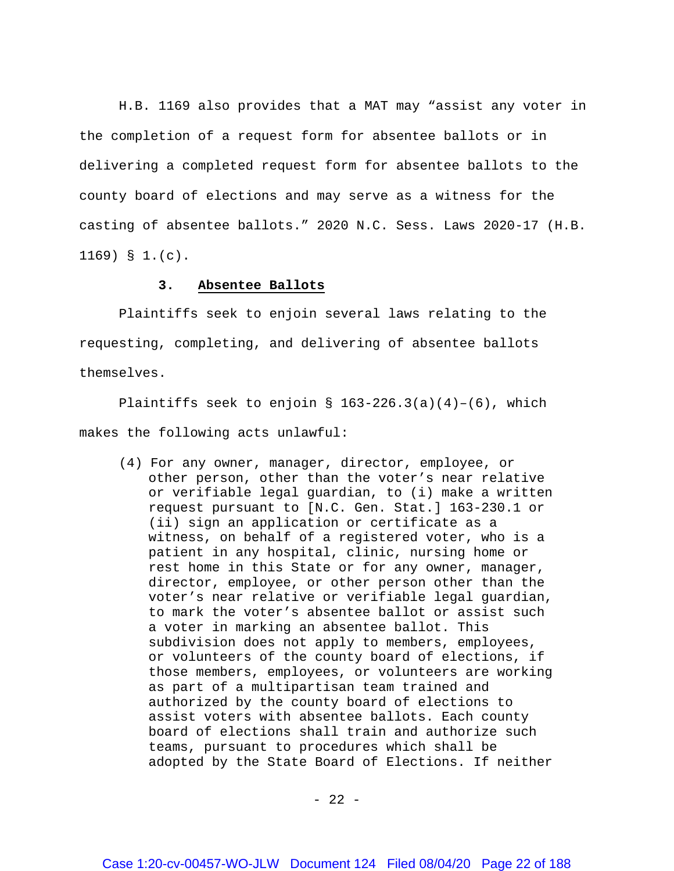H.B. 1169 also provides that a MAT may "assist any voter in the completion of a request form for absentee ballots or in delivering a completed request form for absentee ballots to the county board of elections and may serve as a witness for the casting of absentee ballots." 2020 N.C. Sess. Laws 2020-17 (H.B. 1169) § 1.(c).

### **3. Absentee Ballots**

Plaintiffs seek to enjoin several laws relating to the requesting, completing, and delivering of absentee ballots themselves.

Plaintiffs seek to enjoin §  $163-226.3(a)(4)-(6)$ , which makes the following acts unlawful:

(4) For any owner, manager, director, employee, or other person, other than the voter's near relative or verifiable legal guardian, to (i) make a written request pursuant to [N.C. Gen. Stat.] 163-230.1 or (ii) sign an application or certificate as a witness, on behalf of a registered voter, who is a patient in any hospital, clinic, nursing home or rest home in this State or for any owner, manager, director, employee, or other person other than the voter's near relative or verifiable legal guardian, to mark the voter's absentee ballot or assist such a voter in marking an absentee ballot. This subdivision does not apply to members, employees, or volunteers of the county board of elections, if those members, employees, or volunteers are working as part of a multipartisan team trained and authorized by the county board of elections to assist voters with absentee ballots. Each county board of elections shall train and authorize such teams, pursuant to procedures which shall be adopted by the State Board of Elections. If neither

 $- 22 -$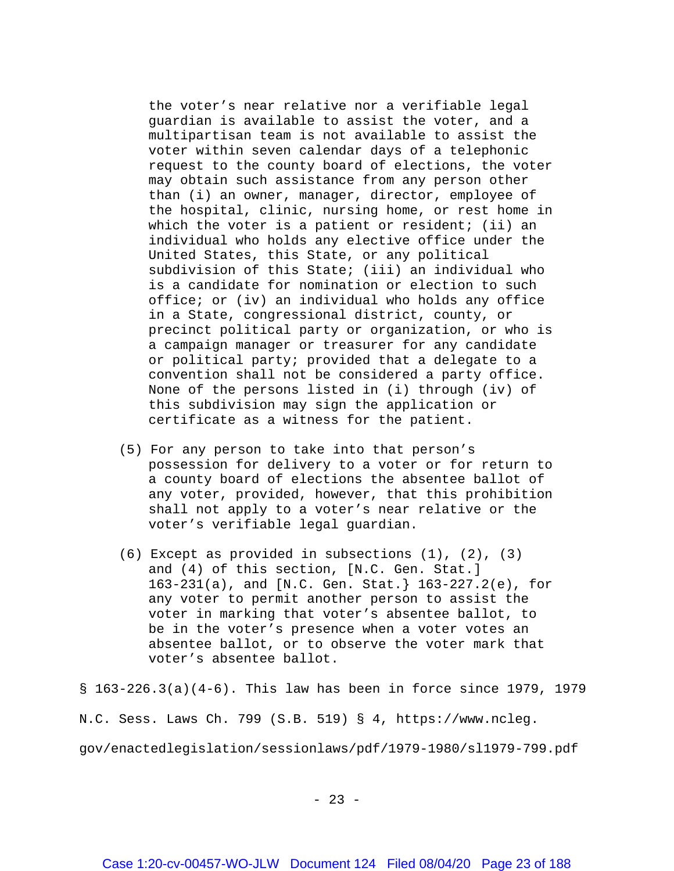the voter's near relative nor a verifiable legal guardian is available to assist the voter, and a multipartisan team is not available to assist the voter within seven calendar days of a telephonic request to the county board of elections, the voter may obtain such assistance from any person other than (i) an owner, manager, director, employee of the hospital, clinic, nursing home, or rest home in which the voter is a patient or resident; (ii) an individual who holds any elective office under the United States, this State, or any political subdivision of this State; (iii) an individual who is a candidate for nomination or election to such office; or (iv) an individual who holds any office in a State, congressional district, county, or precinct political party or organization, or who is a campaign manager or treasurer for any candidate or political party; provided that a delegate to a convention shall not be considered a party office. None of the persons listed in (i) through (iv) of this subdivision may sign the application or certificate as a witness for the patient.

- (5) For any person to take into that person's possession for delivery to a voter or for return to a county board of elections the absentee ballot of any voter, provided, however, that this prohibition shall not apply to a voter's near relative or the voter's verifiable legal guardian.
- (6) Except as provided in subsections (1), (2), (3) and (4) of this section, [N.C. Gen. Stat.] 163-231(a), and [N.C. Gen. Stat.} 163-227.2(e), for any voter to permit another person to assist the voter in marking that voter's absentee ballot, to be in the voter's presence when a voter votes an absentee ballot, or to observe the voter mark that voter's absentee ballot.

§ 163-226.3(a)(4-6). This law has been in force since 1979, 1979

N.C. Sess. Laws Ch. 799 (S.B. 519) § 4, https://www.ncleg.

gov/enactedlegislation/sessionlaws/pdf/1979-1980/sl1979-799.pdf

 $- 23 -$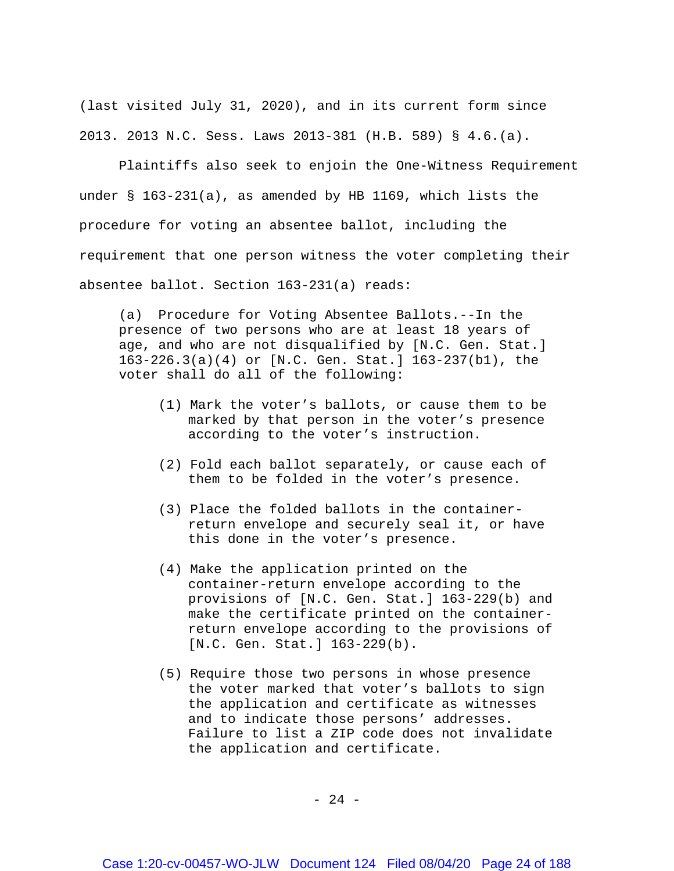(last visited July 31, 2020), and in its current form since 2013. 2013 N.C. Sess. Laws 2013-381 (H.B. 589) § 4.6.(a).

Plaintiffs also seek to enjoin the One-Witness Requirement under § 163-231(a), as amended by HB 1169, which lists the procedure for voting an absentee ballot, including the requirement that one person witness the voter completing their absentee ballot. Section 163-231(a) reads:

(a) Procedure for Voting Absentee Ballots.--In the presence of two persons who are at least 18 years of age, and who are not disqualified by [N.C. Gen. Stat.] 163-226.3(a)(4) or [N.C. Gen. Stat.] 163-237(b1), the voter shall do all of the following:

- (1) Mark the voter's ballots, or cause them to be marked by that person in the voter's presence according to the voter's instruction.
- (2) Fold each ballot separately, or cause each of them to be folded in the voter's presence.
- (3) Place the folded ballots in the containerreturn envelope and securely seal it, or have this done in the voter's presence.
- (4) Make the application printed on the container-return envelope according to the provisions of [N.C. Gen. Stat.] 163-229(b) and make the certificate printed on the containerreturn envelope according to the provisions of [N.C. Gen. Stat.] 163-229(b).
- (5) Require those two persons in whose presence the voter marked that voter's ballots to sign the application and certificate as witnesses and to indicate those persons' addresses. Failure to list a ZIP code does not invalidate the application and certificate.

- 24 -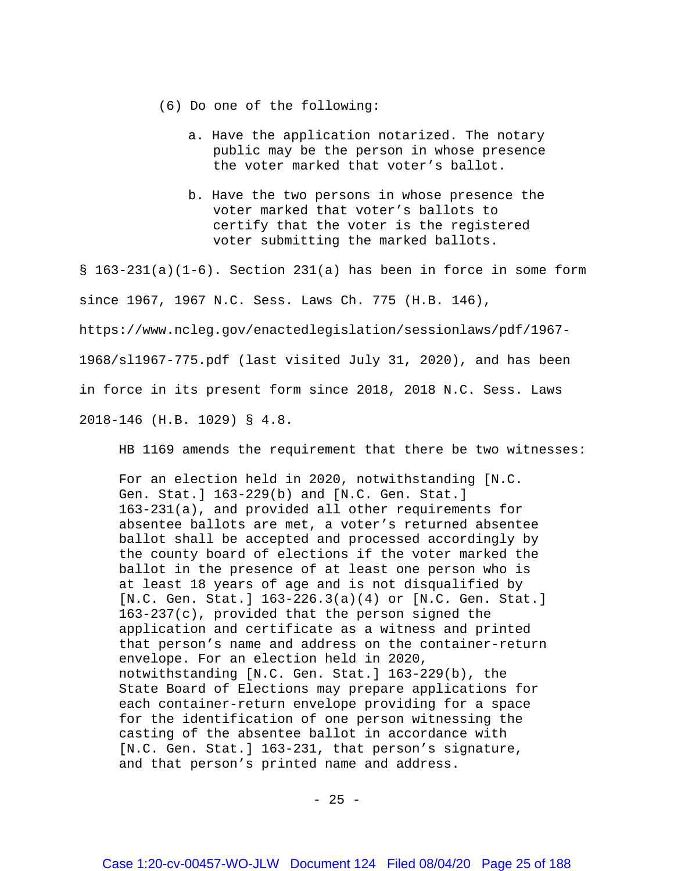- (6) Do one of the following:
	- a. Have the application notarized. The notary public may be the person in whose presence the voter marked that voter's ballot.
	- b. Have the two persons in whose presence the voter marked that voter's ballots to certify that the voter is the registered voter submitting the marked ballots.

 $\S$  163-231(a)(1-6). Section 231(a) has been in force in some form since 1967, 1967 N.C. Sess. Laws Ch. 775 (H.B. 146), https://www.ncleg.gov/enactedlegislation/sessionlaws/pdf/1967- 1968/sl1967-775.pdf (last visited July 31, 2020), and has been in force in its present form since 2018, 2018 N.C. Sess. Laws 2018-146 (H.B. 1029) § 4.8.

HB 1169 amends the requirement that there be two witnesses:

For an election held in 2020, notwithstanding [N.C. Gen. Stat.] 163-229(b) and [N.C. Gen. Stat.] 163-231(a), and provided all other requirements for absentee ballots are met, a voter's returned absentee ballot shall be accepted and processed accordingly by the county board of elections if the voter marked the ballot in the presence of at least one person who is at least 18 years of age and is not disqualified by [N.C. Gen. Stat.] 163-226.3(a)(4) or [N.C. Gen. Stat.] 163-237(c), provided that the person signed the application and certificate as a witness and printed that person's name and address on the container-return envelope. For an election held in 2020, notwithstanding [N.C. Gen. Stat.] 163-229(b), the State Board of Elections may prepare applications for each container-return envelope providing for a space for the identification of one person witnessing the casting of the absentee ballot in accordance with [N.C. Gen. Stat.] 163-231, that person's signature, and that person's printed name and address.

 $- 25 -$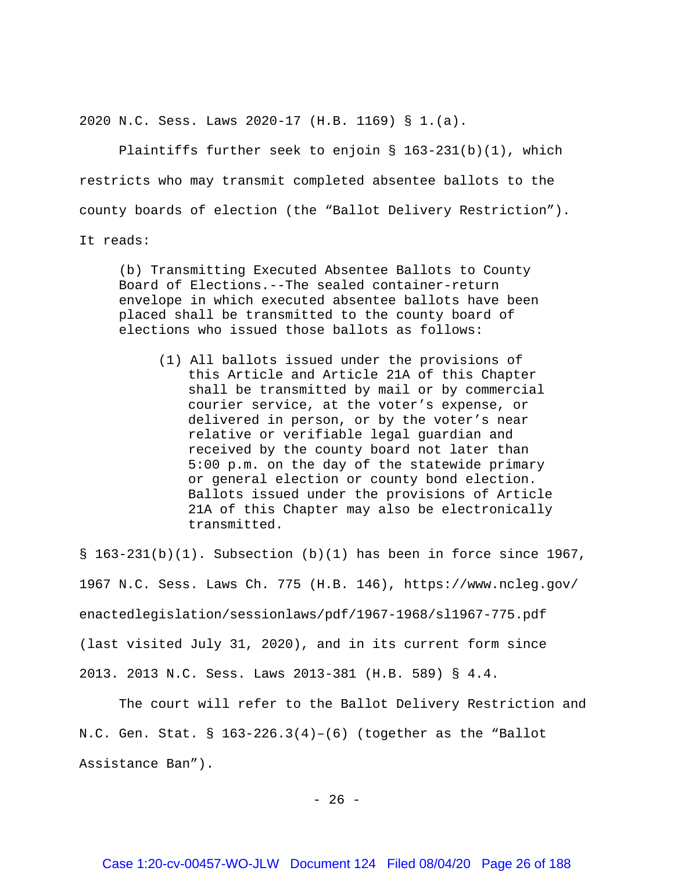2020 N.C. Sess. Laws 2020-17 (H.B. 1169) § 1.(a).

Plaintiffs further seek to enjoin §  $163-231(b)(1)$ , which restricts who may transmit completed absentee ballots to the county boards of election (the "Ballot Delivery Restriction").

It reads:

(b) Transmitting Executed Absentee Ballots to County Board of Elections.--The sealed container-return envelope in which executed absentee ballots have been placed shall be transmitted to the county board of elections who issued those ballots as follows:

(1) All ballots issued under the provisions of this Article and Article 21A of this Chapter shall be transmitted by mail or by commercial courier service, at the voter's expense, or delivered in person, or by the voter's near relative or verifiable legal guardian and received by the county board not later than 5:00 p.m. on the day of the statewide primary or general election or county bond election. Ballots issued under the provisions of Article 21A of this Chapter may also be electronically transmitted.

 $\S$  163-231(b)(1). Subsection (b)(1) has been in force since 1967, 1967 N.C. Sess. Laws Ch. 775 (H.B. 146), [https://www.ncleg.gov/](https://www.ncleg.gov/%20enactedlegislation/sessionlaws/pdf/1967-1968/sl1967-775.pdf)  [enactedlegislation/sessionlaws/pdf/1967-1968/sl1967-775.pdf](https://www.ncleg.gov/%20enactedlegislation/sessionlaws/pdf/1967-1968/sl1967-775.pdf) (last visited July 31, 2020), and in its current form since 2013. 2013 N.C. Sess. Laws 2013-381 (H.B. 589) § 4.4.

The court will refer to the Ballot Delivery Restriction and N.C. Gen. Stat.  $\S$  163-226.3(4)-(6) (together as the "Ballot Assistance Ban").

 $- 26 -$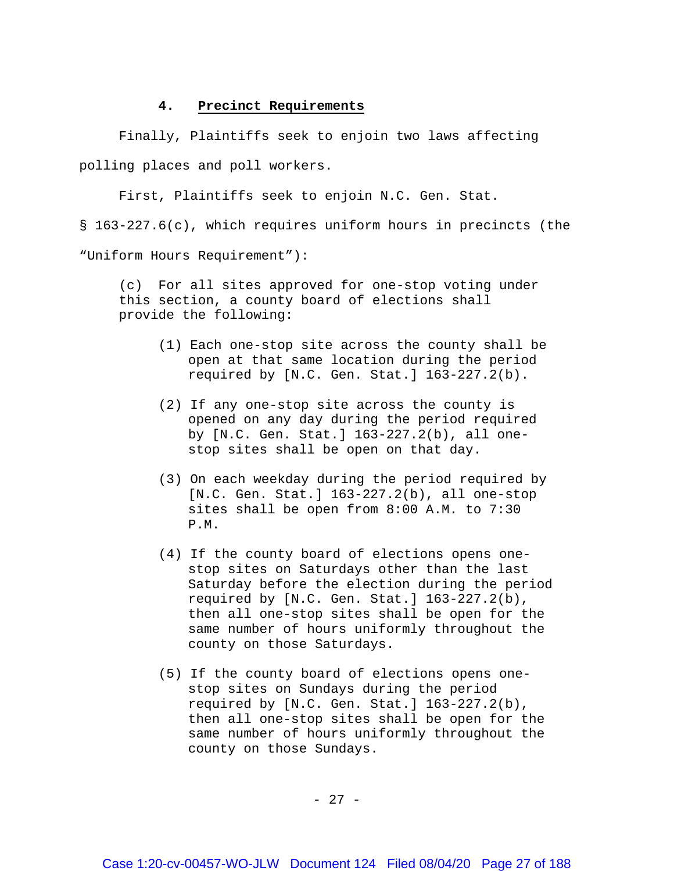## **4. Precinct Requirements**

Finally, Plaintiffs seek to enjoin two laws affecting polling places and poll workers.

First, Plaintiffs seek to enjoin N.C. Gen. Stat.

§ 163-227.6(c), which requires uniform hours in precincts (the

"Uniform Hours Requirement"):

(c) For all sites approved for one-stop voting under this section, a county board of elections shall provide the following:

- (1) Each one-stop site across the county shall be open at that same location during the period required by [N.C. Gen. Stat.] 163-227.2(b).
- (2) If any one-stop site across the county is opened on any day during the period required by [N.C. Gen. Stat.] 163-227.2(b), all onestop sites shall be open on that day.
- (3) On each weekday during the period required by [N.C. Gen. Stat.] 163-227.2(b), all one-stop sites shall be open from 8:00 A.M. to 7:30 P.M.
- (4) If the county board of elections opens onestop sites on Saturdays other than the last Saturday before the election during the period required by [N.C. Gen. Stat.] 163-227.2(b), then all one-stop sites shall be open for the same number of hours uniformly throughout the county on those Saturdays.
- (5) If the county board of elections opens onestop sites on Sundays during the period required by [N.C. Gen. Stat.] 163-227.2(b), then all one-stop sites shall be open for the same number of hours uniformly throughout the county on those Sundays.

- 27 -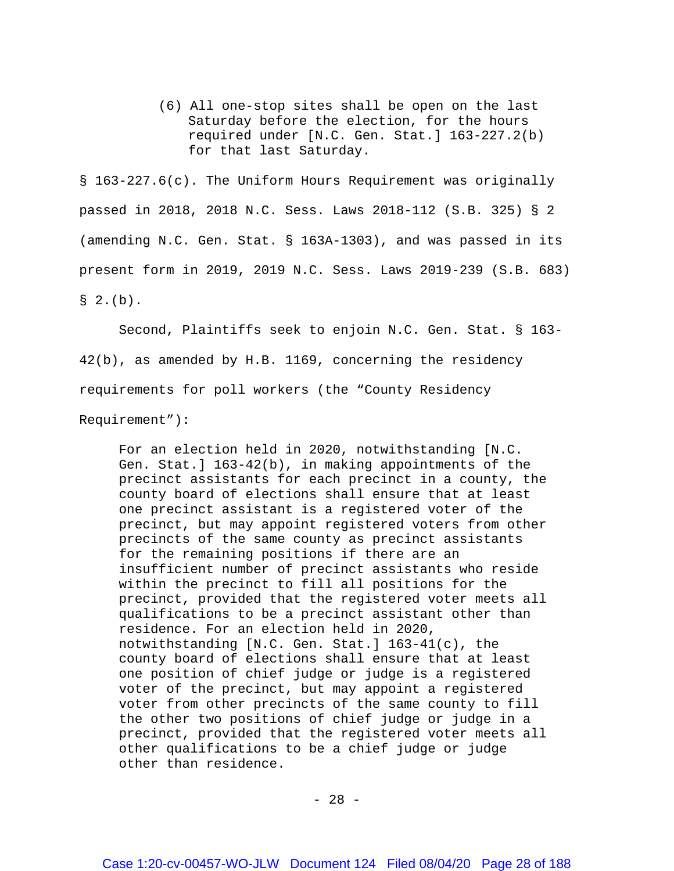(6) All one-stop sites shall be open on the last Saturday before the election, for the hours required under [N.C. Gen. Stat.] 163-227.2(b) for that last Saturday.

§ 163-227.6(c). The Uniform Hours Requirement was originally passed in 2018, 2018 N.C. Sess. Laws 2018-112 (S.B. 325) § 2 (amending N.C. Gen. Stat. § 163A-1303), and was passed in its present form in 2019, 2019 N.C. Sess. Laws 2019-239 (S.B. 683)  $\S$  2. (b).

Second, Plaintiffs seek to enjoin N.C. Gen. Stat. § 163- 42(b), as amended by H.B. 1169, concerning the residency requirements for poll workers (the "County Residency

Requirement"):

For an election held in 2020, notwithstanding [N.C. Gen. Stat.] 163-42(b), in making appointments of the precinct assistants for each precinct in a county, the county board of elections shall ensure that at least one precinct assistant is a registered voter of the precinct, but may appoint registered voters from other precincts of the same county as precinct assistants for the remaining positions if there are an insufficient number of precinct assistants who reside within the precinct to fill all positions for the precinct, provided that the registered voter meets all qualifications to be a precinct assistant other than residence. For an election held in 2020, notwithstanding [N.C. Gen. Stat.] 163-41(c), the county board of elections shall ensure that at least one position of chief judge or judge is a registered voter of the precinct, but may appoint a registered voter from other precincts of the same county to fill the other two positions of chief judge or judge in a precinct, provided that the registered voter meets all other qualifications to be a chief judge or judge other than residence.

- 28 -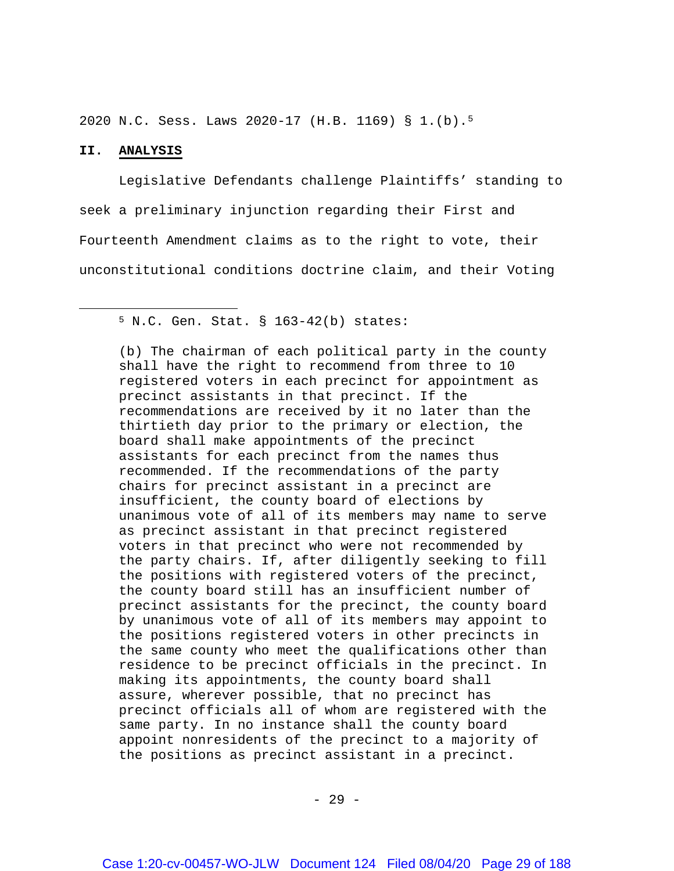2020 N.C. Sess. Laws 2020-17 (H.B. 1169) § 1.(b).[5](#page-28-0)

## **II. ANALYSIS**

<span id="page-28-0"></span> $\overline{\phantom{a}}$ 

Legislative Defendants challenge Plaintiffs' standing to seek a preliminary injunction regarding their First and Fourteenth Amendment claims as to the right to vote, their unconstitutional conditions doctrine claim, and their Voting

(b) The chairman of each political party in the county shall have the right to recommend from three to 10 registered voters in each precinct for appointment as precinct assistants in that precinct. If the recommendations are received by it no later than the thirtieth day prior to the primary or election, the board shall make appointments of the precinct assistants for each precinct from the names thus recommended. If the recommendations of the party chairs for precinct assistant in a precinct are insufficient, the county board of elections by unanimous vote of all of its members may name to serve as precinct assistant in that precinct registered voters in that precinct who were not recommended by the party chairs. If, after diligently seeking to fill the positions with registered voters of the precinct, the county board still has an insufficient number of precinct assistants for the precinct, the county board by unanimous vote of all of its members may appoint to the positions registered voters in other precincts in the same county who meet the qualifications other than residence to be precinct officials in the precinct. In making its appointments, the county board shall assure, wherever possible, that no precinct has precinct officials all of whom are registered with the same party. In no instance shall the county board appoint nonresidents of the precinct to a majority of the positions as precinct assistant in a precinct.

<sup>5</sup> N.C. Gen. Stat. § 163-42(b) states: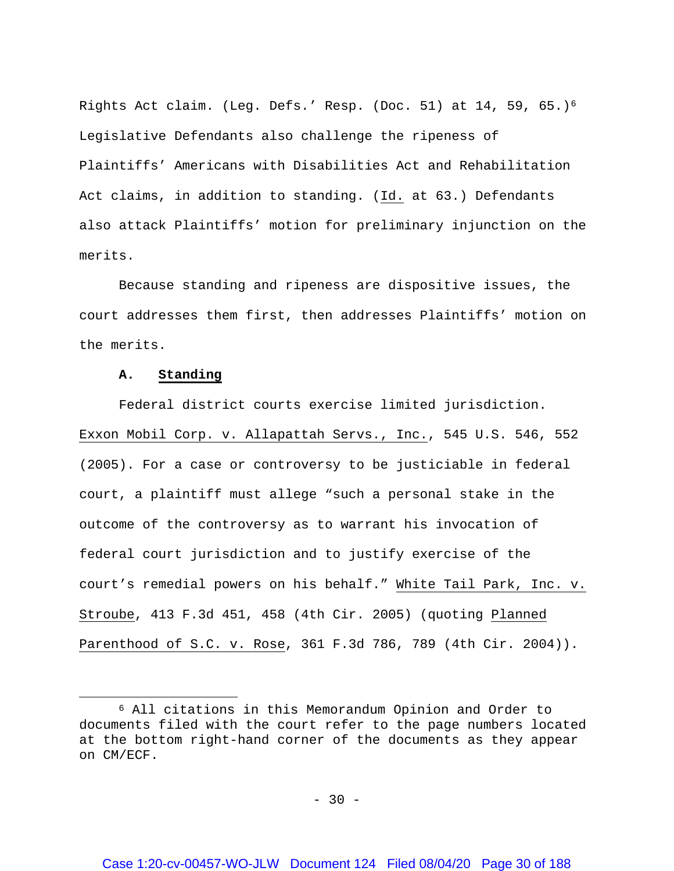Rights Act claim. (Leg. Defs.' Resp. (Doc. 51) at 14, 59, 65.)[6](#page-29-0) Legislative Defendants also challenge the ripeness of Plaintiffs' Americans with Disabilities Act and Rehabilitation Act claims, in addition to standing. (Id. at 63.) Defendants also attack Plaintiffs' motion for preliminary injunction on the merits.

Because standing and ripeness are dispositive issues, the court addresses them first, then addresses Plaintiffs' motion on the merits.

## **A. Standing**

 $\overline{a}$ 

Federal district courts exercise limited jurisdiction. Exxon Mobil Corp. v. Allapattah Servs., Inc., 545 U.S. 546, 552 (2005). For a case or controversy to be justiciable in federal court, a plaintiff must allege "such a personal stake in the outcome of the controversy as to warrant his invocation of federal court jurisdiction and to justify exercise of the court's remedial powers on his behalf." White Tail Park, Inc. v. Stroube, 413 F.3d 451, 458 (4th Cir. 2005) (quoting Planned Parenthood of S.C. v. Rose, 361 F.3d 786, 789 (4th Cir. 2004)).

 $- 30 -$ 

<span id="page-29-0"></span><sup>6</sup> All citations in this Memorandum Opinion and Order to documents filed with the court refer to the page numbers located at the bottom right-hand corner of the documents as they appear on CM/ECF.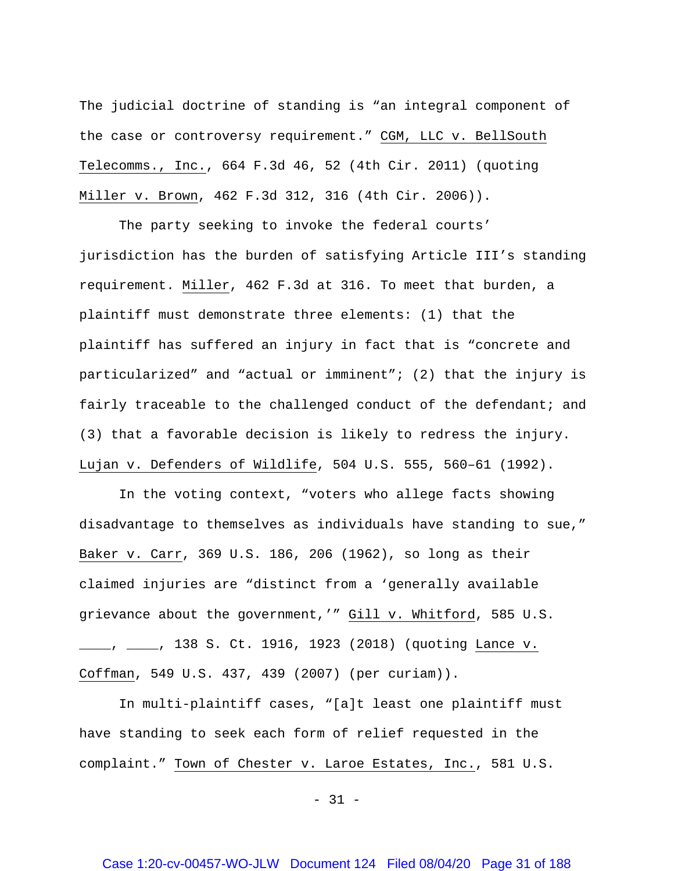The judicial doctrine of standing is "an integral component of the case or controversy requirement." CGM, LLC v. BellSouth Telecomms., Inc., 664 F.3d 46, 52 (4th Cir. 2011) (quoting Miller v. Brown, 462 F.3d 312, 316 (4th Cir. 2006)).

The party seeking to invoke the federal courts' jurisdiction has the burden of satisfying Article III's standing requirement. Miller, 462 F.3d at 316. To meet that burden, a plaintiff must demonstrate three elements: (1) that the plaintiff has suffered an injury in fact that is "concrete and particularized" and "actual or imminent"; (2) that the injury is fairly traceable to the challenged conduct of the defendant; and (3) that a favorable decision is likely to redress the injury. Lujan v. Defenders of Wildlife, 504 U.S. 555, 560–61 (1992).

In the voting context, "voters who allege facts showing disadvantage to themselves as individuals have standing to sue," Baker v. Carr, 369 U.S. 186, 206 (1962), so long as their claimed injuries are "distinct from a 'generally available grievance about the government,'" Gill v. Whitford, 585 U.S. \_\_\_\_, \_\_\_\_, 138 S. Ct. 1916, 1923 (2018) (quoting Lance v. Coffman, 549 U.S. 437, 439 (2007) (per curiam)).

In multi-plaintiff cases, "[a]t least one plaintiff must have standing to seek each form of relief requested in the complaint." Town of Chester v. Laroe Estates, Inc., 581 U.S.

 $- 31 -$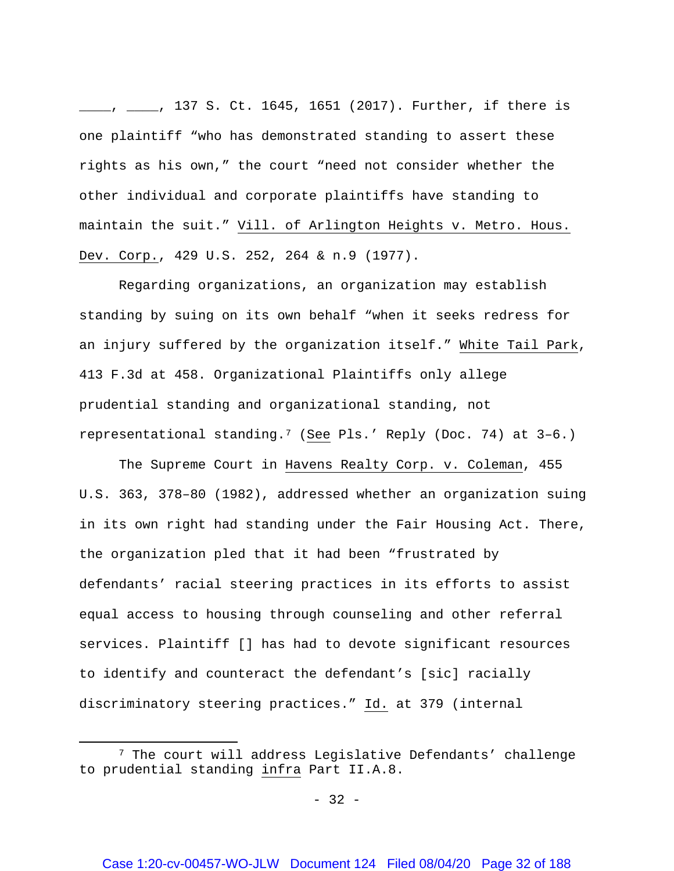\_\_\_\_, \_\_\_\_, 137 S. Ct. 1645, 1651 (2017). Further, if there is one plaintiff "who has demonstrated standing to assert these rights as his own," the court "need not consider whether the other individual and corporate plaintiffs have standing to maintain the suit." Vill. of Arlington Heights v. Metro. Hous. Dev. Corp., 429 U.S. 252, 264 & n.9 (1977).

Regarding organizations, an organization may establish standing by suing on its own behalf "when it seeks redress for an injury suffered by the organization itself." White Tail Park, 413 F.3d at 458. Organizational Plaintiffs only allege prudential standing and organizational standing, not representational standing.[7](#page-31-0) (See Pls.' Reply (Doc. 74) at 3–6.)

The Supreme Court in Havens Realty Corp. v. Coleman, 455 U.S. 363, 378–80 (1982), addressed whether an organization suing in its own right had standing under the Fair Housing Act. There, the organization pled that it had been "frustrated by defendants' racial steering practices in its efforts to assist equal access to housing through counseling and other referral services. Plaintiff [] has had to devote significant resources to identify and counteract the defendant's [sic] racially discriminatory steering practices." Id. at 379 (internal

 $\overline{\phantom{a}}$ 

<span id="page-31-0"></span><sup>7</sup> The court will address Legislative Defendants' challenge to prudential standing infra Part II.A.8.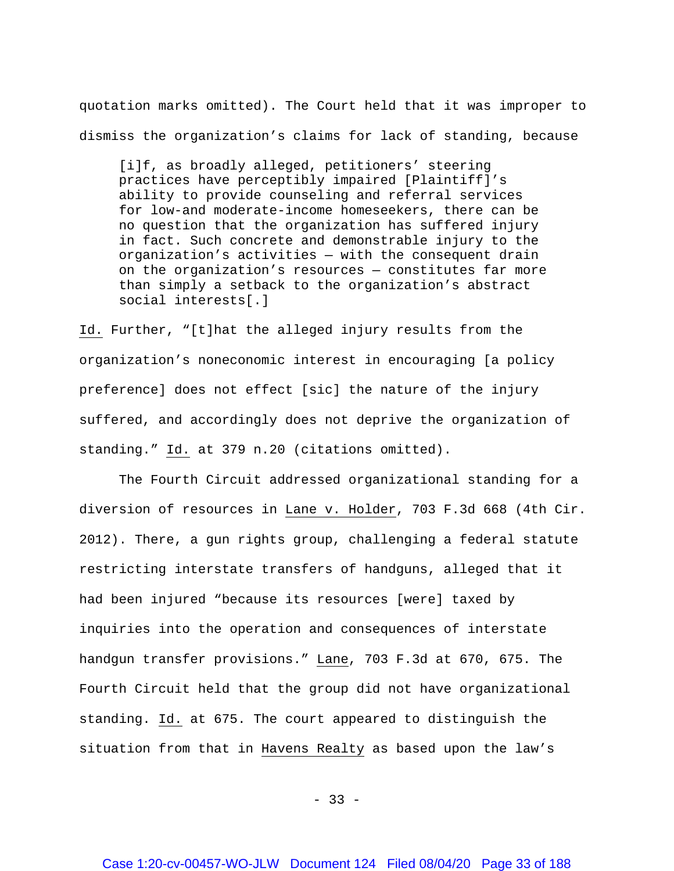quotation marks omitted). The Court held that it was improper to dismiss the organization's claims for lack of standing, because

[i]f, as broadly alleged, petitioners' steering practices have perceptibly impaired [Plaintiff]'s ability to provide counseling and referral services for low-and moderate-income homeseekers, there can be no question that the organization has suffered injury in fact. Such concrete and demonstrable injury to the organization's activities — with the consequent drain on the organization's resources — constitutes far more than simply a setback to the organization's abstract social interests[.]

Id. Further, "[t]hat the alleged injury results from the organization's noneconomic interest in encouraging [a policy preference] does not effect [sic] the nature of the injury suffered, and accordingly does not deprive the organization of standing." Id. at 379 n.20 (citations omitted).

The Fourth Circuit addressed organizational standing for a diversion of resources in Lane v. Holder, 703 F.3d 668 (4th Cir. 2012). There, a gun rights group, challenging a federal statute restricting interstate transfers of handguns, alleged that it had been injured "because its resources [were] taxed by inquiries into the operation and consequences of interstate handgun transfer provisions." Lane, 703 F.3d at 670, 675. The Fourth Circuit held that the group did not have organizational standing. Id. at 675. The court appeared to distinguish the situation from that in Havens Realty as based upon the law's

 $-33 -$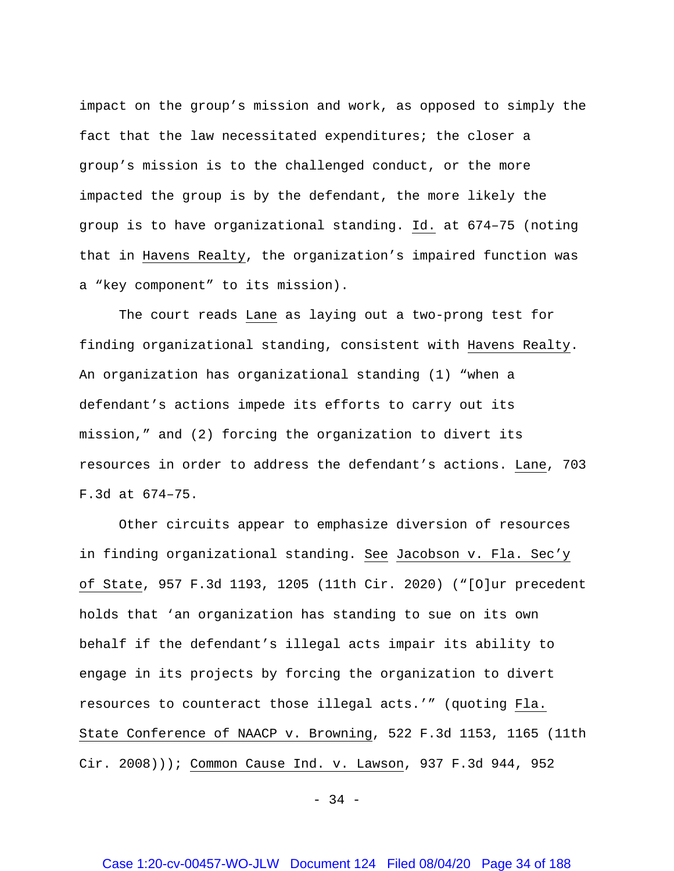impact on the group's mission and work, as opposed to simply the fact that the law necessitated expenditures; the closer a group's mission is to the challenged conduct, or the more impacted the group is by the defendant, the more likely the group is to have organizational standing. Id. at 674–75 (noting that in Havens Realty, the organization's impaired function was a "key component" to its mission).

The court reads Lane as laying out a two-prong test for finding organizational standing, consistent with Havens Realty. An organization has organizational standing (1) "when a defendant's actions impede its efforts to carry out its mission," and (2) forcing the organization to divert its resources in order to address the defendant's actions. Lane, 703 F.3d at 674–75.

Other circuits appear to emphasize diversion of resources in finding organizational standing. See Jacobson v. Fla. Sec'y of State, 957 F.3d 1193, 1205 (11th Cir. 2020) ("[O]ur precedent holds that 'an organization has standing to sue on its own behalf if the defendant's illegal acts impair its ability to engage in its projects by forcing the organization to divert resources to counteract those illegal acts.'" (quoting Fla. State Conference of NAACP v. Browning, 522 F.3d 1153, 1165 (11th Cir. 2008))); Common Cause Ind. v. Lawson, 937 F.3d 944, 952

- 34 -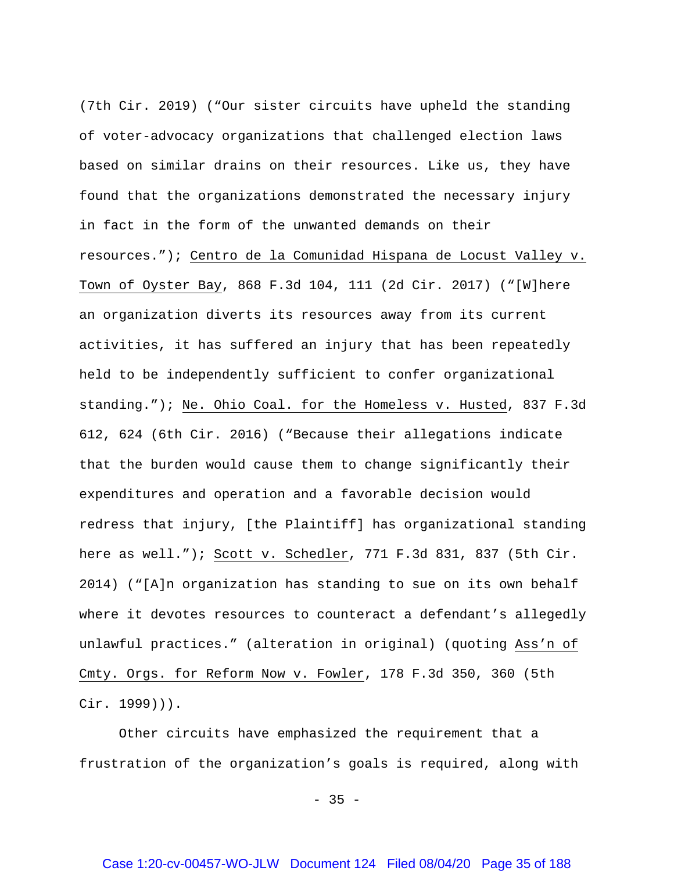(7th Cir. 2019) ("Our sister circuits have upheld the standing of voter-advocacy organizations that challenged election laws based on similar drains on their resources. Like us, they have found that the organizations demonstrated the necessary injury in fact in the form of the unwanted demands on their resources."); Centro de la Comunidad Hispana de Locust Valley v. Town of Oyster Bay, 868 F.3d 104, 111 (2d Cir. 2017) ("[W]here an organization diverts its resources away from its current activities, it has suffered an injury that has been repeatedly held to be independently sufficient to confer organizational standing."); Ne. Ohio Coal. for the Homeless v. Husted, 837 F.3d 612, 624 (6th Cir. 2016) ("Because their allegations indicate that the burden would cause them to change significantly their expenditures and operation and a favorable decision would redress that injury, [the Plaintiff] has organizational standing here as well."); Scott v. Schedler, 771 F.3d 831, 837 (5th Cir. 2014) ("[A]n organization has standing to sue on its own behalf where it devotes resources to counteract a defendant's allegedly unlawful practices." (alteration in original) (quoting Ass'n of Cmty. Orgs. for Reform Now v. Fowler, 178 F.3d 350, 360 (5th Cir. 1999))).

Other circuits have emphasized the requirement that a frustration of the organization's goals is required, along with

 $-35 -$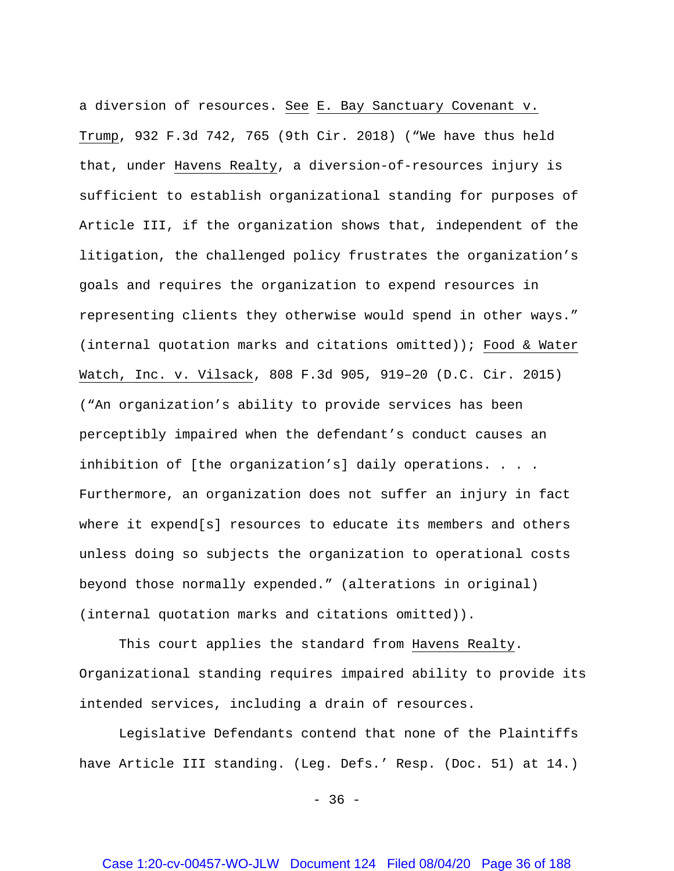a diversion of resources. See E. Bay Sanctuary Covenant v. Trump, 932 F.3d 742, 765 (9th Cir. 2018) ("We have thus held that, under Havens Realty, a diversion-of-resources injury is sufficient to establish organizational standing for purposes of Article III, if the organization shows that, independent of the litigation, the challenged policy frustrates the organization's goals and requires the organization to expend resources in representing clients they otherwise would spend in other ways." (internal quotation marks and citations omitted)); Food & Water Watch, Inc. v. Vilsack, 808 F.3d 905, 919–20 (D.C. Cir. 2015) ("An organization's ability to provide services has been perceptibly impaired when the defendant's conduct causes an inhibition of [the organization's] daily operations. . . . Furthermore, an organization does not suffer an injury in fact where it expend[s] resources to educate its members and others unless doing so subjects the organization to operational costs beyond those normally expended." (alterations in original) (internal quotation marks and citations omitted)).

This court applies the standard from Havens Realty. Organizational standing requires impaired ability to provide its intended services, including a drain of resources.

Legislative Defendants contend that none of the Plaintiffs have Article III standing. (Leg. Defs.' Resp. (Doc. 51) at 14.)

 $-36 -$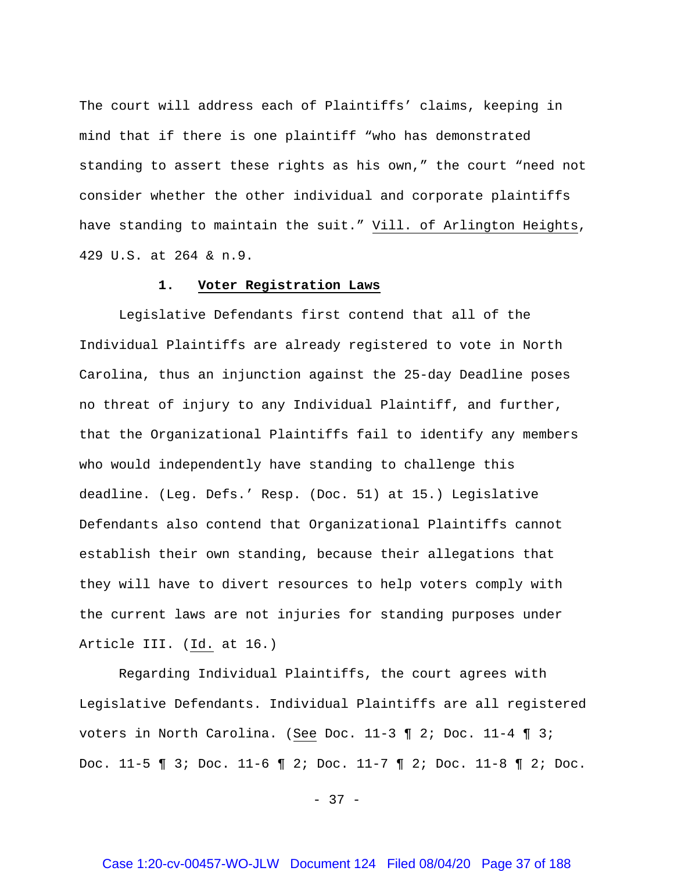The court will address each of Plaintiffs' claims, keeping in mind that if there is one plaintiff "who has demonstrated standing to assert these rights as his own," the court "need not consider whether the other individual and corporate plaintiffs have standing to maintain the suit." Vill. of Arlington Heights, 429 U.S. at 264 & n.9.

#### **1. Voter Registration Laws**

Legislative Defendants first contend that all of the Individual Plaintiffs are already registered to vote in North Carolina, thus an injunction against the 25-day Deadline poses no threat of injury to any Individual Plaintiff, and further, that the Organizational Plaintiffs fail to identify any members who would independently have standing to challenge this deadline. (Leg. Defs.' Resp. (Doc. 51) at 15.) Legislative Defendants also contend that Organizational Plaintiffs cannot establish their own standing, because their allegations that they will have to divert resources to help voters comply with the current laws are not injuries for standing purposes under Article III. (Id. at 16.)

Regarding Individual Plaintiffs, the court agrees with Legislative Defendants. Individual Plaintiffs are all registered voters in North Carolina. (See Doc. 11-3 ¶ 2; Doc. 11-4 ¶ 3; Doc. 11-5 ¶ 3; Doc. 11-6 ¶ 2; Doc. 11-7 ¶ 2; Doc. 11-8 ¶ 2; Doc.

- 37 -

## Case 1:20-cv-00457-WO-JLW Document 124 Filed 08/04/20 Page 37 of 188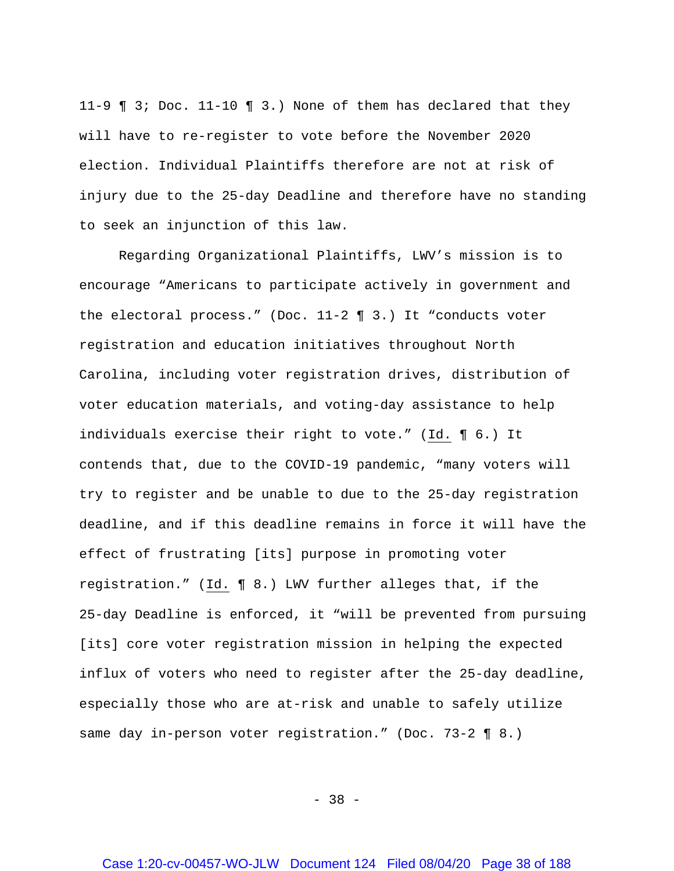11-9 ¶ 3; Doc. 11-10 ¶ 3.) None of them has declared that they will have to re-register to vote before the November 2020 election. Individual Plaintiffs therefore are not at risk of injury due to the 25-day Deadline and therefore have no standing to seek an injunction of this law.

Regarding Organizational Plaintiffs, LWV's mission is to encourage "Americans to participate actively in government and the electoral process." (Doc. 11-2 ¶ 3.) It "conducts voter registration and education initiatives throughout North Carolina, including voter registration drives, distribution of voter education materials, and voting-day assistance to help individuals exercise their right to vote." (Id. ¶ 6.) It contends that, due to the COVID-19 pandemic, "many voters will try to register and be unable to due to the 25-day registration deadline, and if this deadline remains in force it will have the effect of frustrating [its] purpose in promoting voter registration." (Id. ¶ 8.) LWV further alleges that, if the 25-day Deadline is enforced, it "will be prevented from pursuing [its] core voter registration mission in helping the expected influx of voters who need to register after the 25-day deadline, especially those who are at-risk and unable to safely utilize same day in-person voter registration." (Doc. 73-2 ¶ 8.)

- 38 -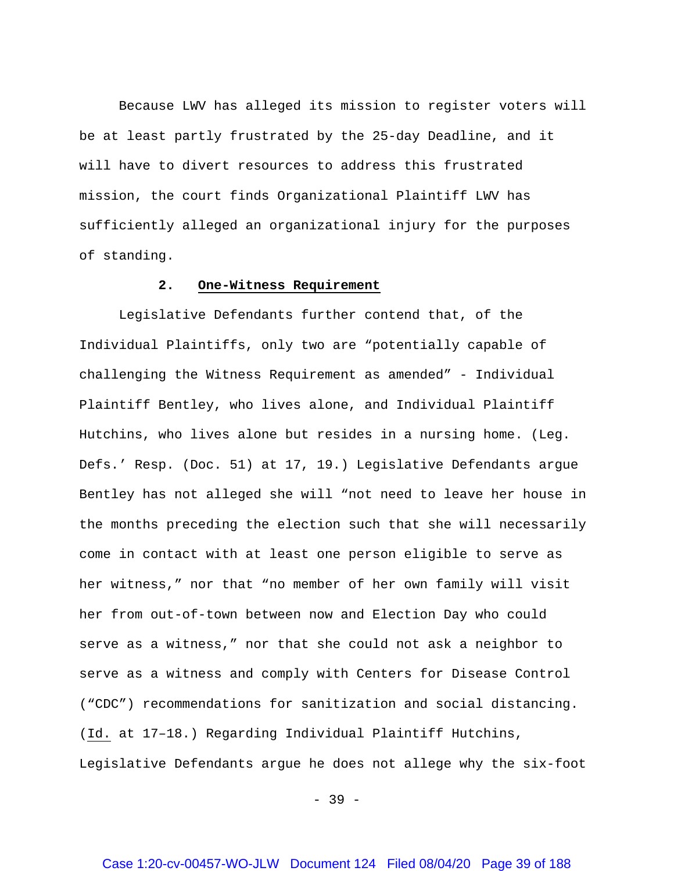Because LWV has alleged its mission to register voters will be at least partly frustrated by the 25-day Deadline, and it will have to divert resources to address this frustrated mission, the court finds Organizational Plaintiff LWV has sufficiently alleged an organizational injury for the purposes of standing.

### **2. One-Witness Requirement**

Legislative Defendants further contend that, of the Individual Plaintiffs, only two are "potentially capable of challenging the Witness Requirement as amended" - Individual Plaintiff Bentley, who lives alone, and Individual Plaintiff Hutchins, who lives alone but resides in a nursing home. (Leg. Defs.' Resp. (Doc. 51) at 17, 19.) Legislative Defendants argue Bentley has not alleged she will "not need to leave her house in the months preceding the election such that she will necessarily come in contact with at least one person eligible to serve as her witness," nor that "no member of her own family will visit her from out-of-town between now and Election Day who could serve as a witness," nor that she could not ask a neighbor to serve as a witness and comply with Centers for Disease Control ("CDC") recommendations for sanitization and social distancing. (Id. at 17–18.) Regarding Individual Plaintiff Hutchins, Legislative Defendants argue he does not allege why the six-foot

- 39 -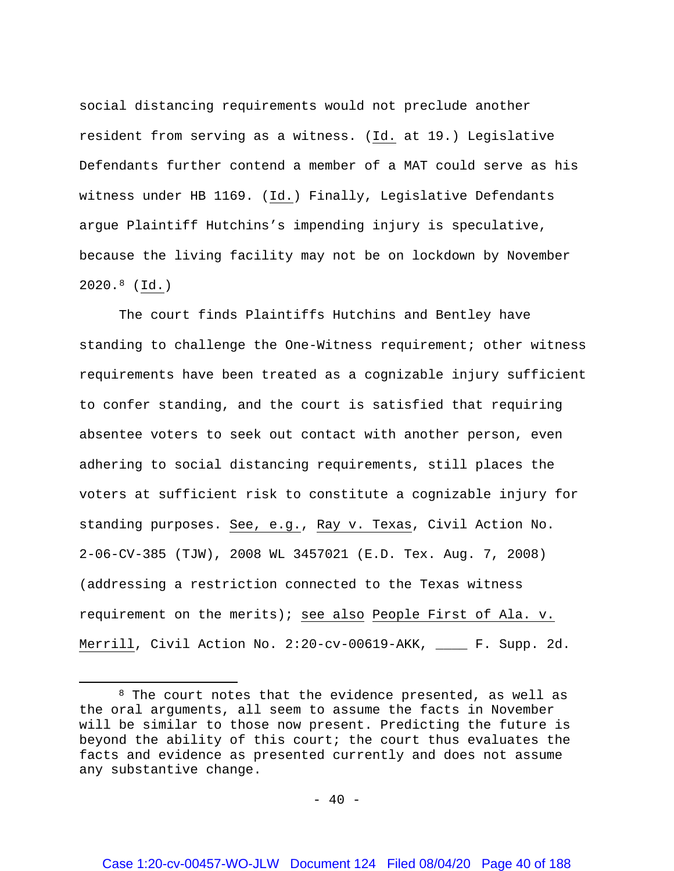social distancing requirements would not preclude another resident from serving as a witness. (Id. at 19.) Legislative Defendants further contend a member of a MAT could serve as his witness under HB 1169. (Id.) Finally, Legislative Defendants argue Plaintiff Hutchins's impending injury is speculative, because the living facility may not be on lockdown by November 2020.[8](#page-39-0) (Id.)

The court finds Plaintiffs Hutchins and Bentley have standing to challenge the One-Witness requirement; other witness requirements have been treated as a cognizable injury sufficient to confer standing, and the court is satisfied that requiring absentee voters to seek out contact with another person, even adhering to social distancing requirements, still places the voters at sufficient risk to constitute a cognizable injury for standing purposes. See, e.g., Ray v. Texas, Civil Action No. 2-06-CV-385 (TJW), 2008 WL 3457021 (E.D. Tex. Aug. 7, 2008) (addressing a restriction connected to the Texas witness requirement on the merits); see also People First of Ala. v. Merrill, Civil Action No. 2:20-cv-00619-AKK, \_\_\_\_ F. Supp. 2d.

 $\overline{\phantom{a}}$ 

 $- 40 -$ 

<span id="page-39-0"></span><sup>&</sup>lt;sup>8</sup> The court notes that the evidence presented, as well as the oral arguments, all seem to assume the facts in November will be similar to those now present. Predicting the future is beyond the ability of this court; the court thus evaluates the facts and evidence as presented currently and does not assume any substantive change.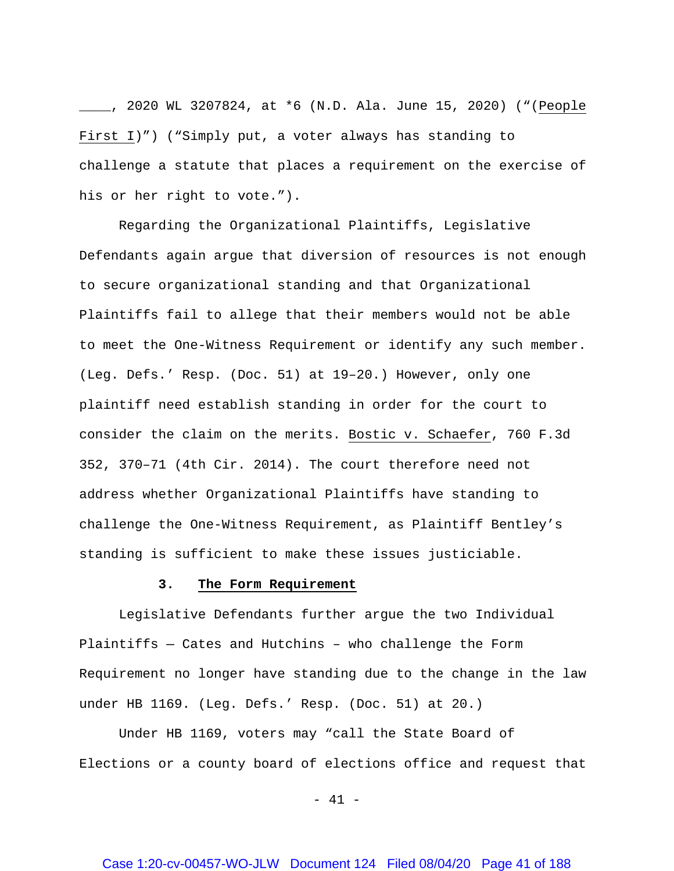\_\_\_\_, 2020 WL 3207824, at \*6 (N.D. Ala. June 15, 2020) ("(People First I)") ("Simply put, a voter always has standing to challenge a statute that places a requirement on the exercise of his or her right to vote.").

Regarding the Organizational Plaintiffs, Legislative Defendants again argue that diversion of resources is not enough to secure organizational standing and that Organizational Plaintiffs fail to allege that their members would not be able to meet the One-Witness Requirement or identify any such member. (Leg. Defs.' Resp. (Doc. 51) at 19–20.) However, only one plaintiff need establish standing in order for the court to consider the claim on the merits. Bostic v. Schaefer, 760 F.3d 352, 370–71 (4th Cir. 2014). The court therefore need not address whether Organizational Plaintiffs have standing to challenge the One-Witness Requirement, as Plaintiff Bentley's standing is sufficient to make these issues justiciable.

#### **3. The Form Requirement**

Legislative Defendants further argue the two Individual Plaintiffs — Cates and Hutchins – who challenge the Form Requirement no longer have standing due to the change in the law under HB 1169. (Leg. Defs.' Resp. (Doc. 51) at 20.)

Under HB 1169, voters may "call the State Board of Elections or a county board of elections office and request that

- 41 -

## Case 1:20-cv-00457-WO-JLW Document 124 Filed 08/04/20 Page 41 of 188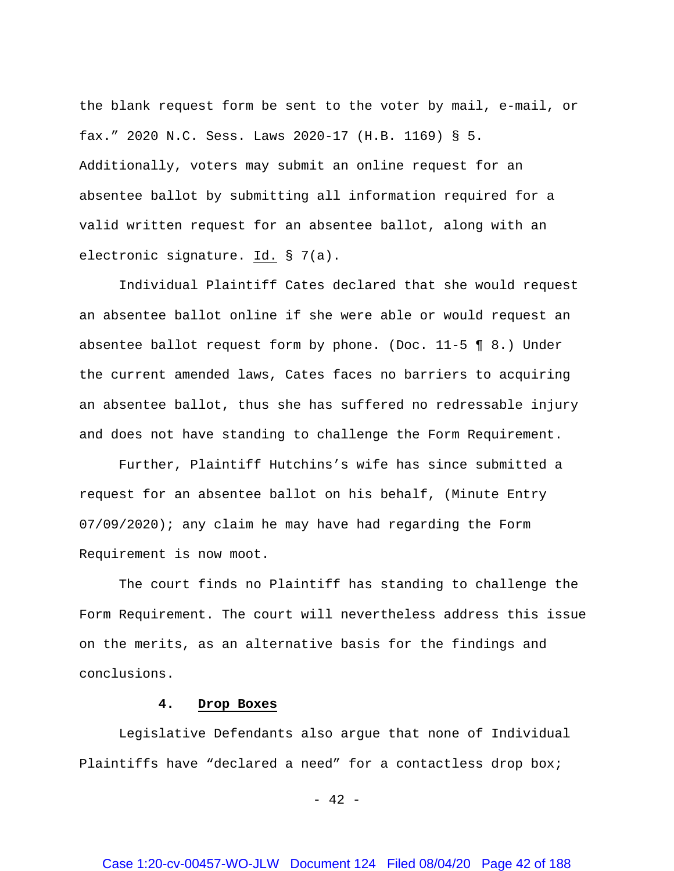the blank request form be sent to the voter by mail, e-mail, or fax." 2020 N.C. Sess. Laws 2020-17 (H.B. 1169) § 5. Additionally, voters may submit an online request for an absentee ballot by submitting all information required for a valid written request for an absentee ballot, along with an electronic signature. Id. § 7(a).

Individual Plaintiff Cates declared that she would request an absentee ballot online if she were able or would request an absentee ballot request form by phone. (Doc.  $11-5 \leq 8$ .) Under the current amended laws, Cates faces no barriers to acquiring an absentee ballot, thus she has suffered no redressable injury and does not have standing to challenge the Form Requirement.

Further, Plaintiff Hutchins's wife has since submitted a request for an absentee ballot on his behalf, (Minute Entry  $07/09/2020$ ; any claim he may have had regarding the Form Requirement is now moot.

The court finds no Plaintiff has standing to challenge the Form Requirement. The court will nevertheless address this issue on the merits, as an alternative basis for the findings and conclusions.

#### **4. Drop Boxes**

Legislative Defendants also argue that none of Individual Plaintiffs have "declared a need" for a contactless drop box;

 $- 42 -$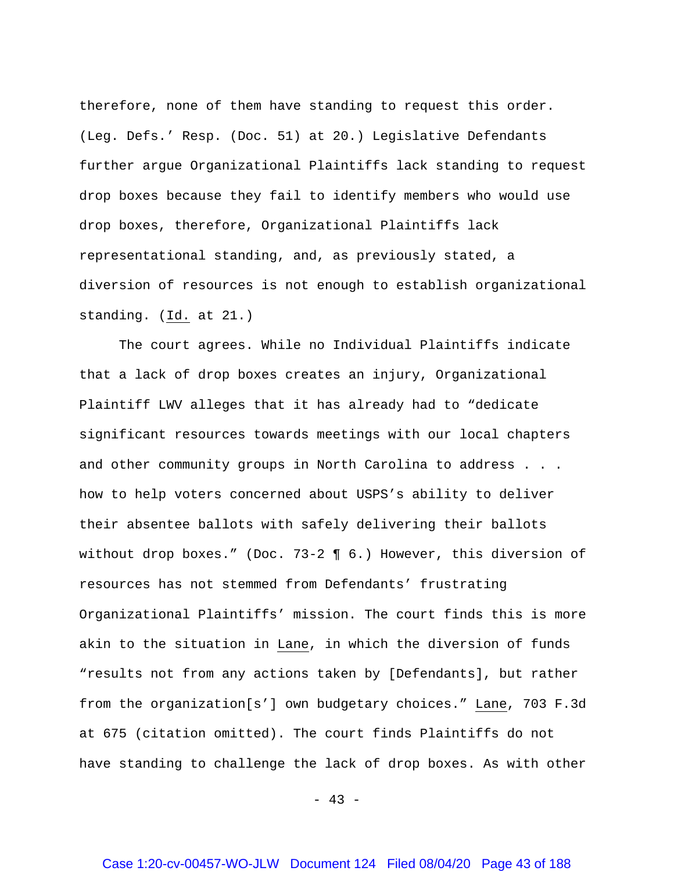therefore, none of them have standing to request this order. (Leg. Defs.' Resp. (Doc. 51) at 20.) Legislative Defendants further argue Organizational Plaintiffs lack standing to request drop boxes because they fail to identify members who would use drop boxes, therefore, Organizational Plaintiffs lack representational standing, and, as previously stated, a diversion of resources is not enough to establish organizational standing. (Id. at 21.)

The court agrees. While no Individual Plaintiffs indicate that a lack of drop boxes creates an injury, Organizational Plaintiff LWV alleges that it has already had to "dedicate significant resources towards meetings with our local chapters and other community groups in North Carolina to address . . . how to help voters concerned about USPS's ability to deliver their absentee ballots with safely delivering their ballots without drop boxes." (Doc. 73-2 ¶ 6.) However, this diversion of resources has not stemmed from Defendants' frustrating Organizational Plaintiffs' mission. The court finds this is more akin to the situation in Lane, in which the diversion of funds "results not from any actions taken by [Defendants], but rather from the organization[s'] own budgetary choices." Lane, 703 F.3d at 675 (citation omitted). The court finds Plaintiffs do not have standing to challenge the lack of drop boxes. As with other

 $- 43 -$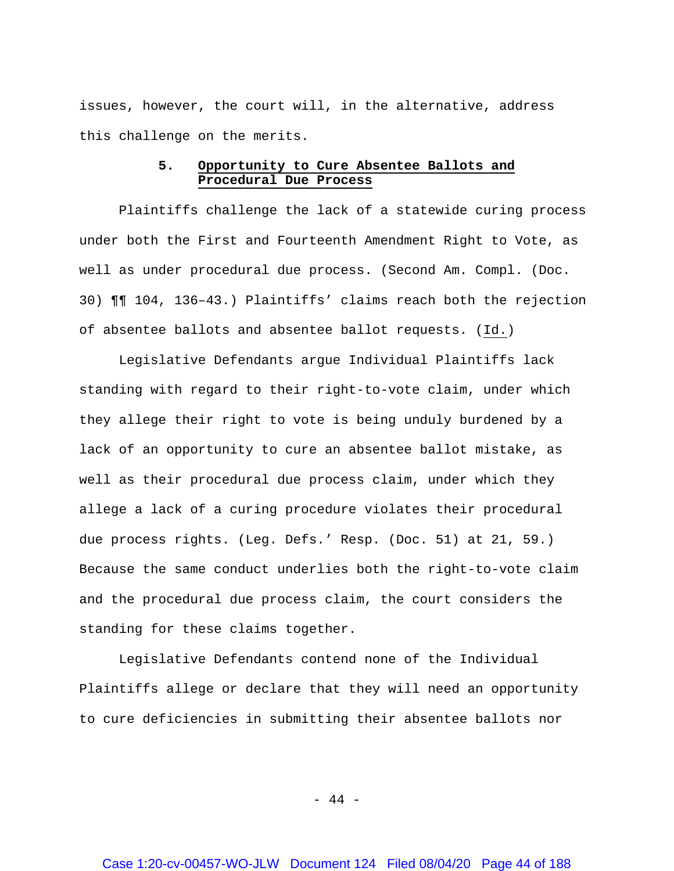issues, however, the court will, in the alternative, address this challenge on the merits.

# **5. Opportunity to Cure Absentee Ballots and Procedural Due Process**

Plaintiffs challenge the lack of a statewide curing process under both the First and Fourteenth Amendment Right to Vote, as well as under procedural due process. (Second Am. Compl. (Doc. 30) ¶¶ 104, 136–43.) Plaintiffs' claims reach both the rejection of absentee ballots and absentee ballot requests. (Id.)

Legislative Defendants argue Individual Plaintiffs lack standing with regard to their right-to-vote claim, under which they allege their right to vote is being unduly burdened by a lack of an opportunity to cure an absentee ballot mistake, as well as their procedural due process claim, under which they allege a lack of a curing procedure violates their procedural due process rights. (Leg. Defs.' Resp. (Doc. 51) at 21, 59.) Because the same conduct underlies both the right-to-vote claim and the procedural due process claim, the court considers the standing for these claims together.

Legislative Defendants contend none of the Individual Plaintiffs allege or declare that they will need an opportunity to cure deficiencies in submitting their absentee ballots nor

- 44 -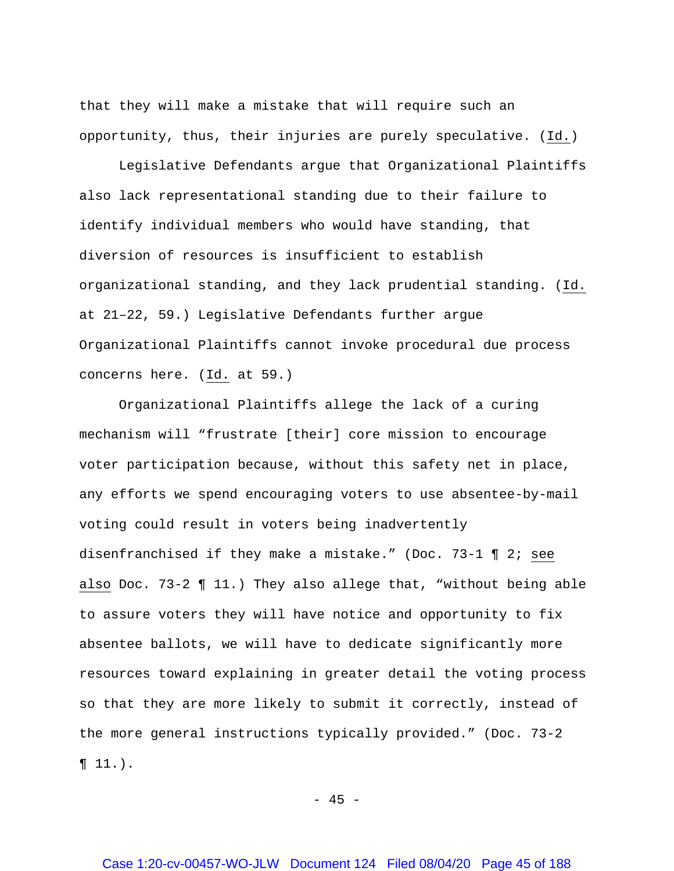that they will make a mistake that will require such an opportunity, thus, their injuries are purely speculative. (Id.)

Legislative Defendants argue that Organizational Plaintiffs also lack representational standing due to their failure to identify individual members who would have standing, that diversion of resources is insufficient to establish organizational standing, and they lack prudential standing. (Id. at 21–22, 59.) Legislative Defendants further argue Organizational Plaintiffs cannot invoke procedural due process concerns here. (Id. at 59.)

Organizational Plaintiffs allege the lack of a curing mechanism will "frustrate [their] core mission to encourage voter participation because, without this safety net in place, any efforts we spend encouraging voters to use absentee-by-mail voting could result in voters being inadvertently disenfranchised if they make a mistake." (Doc. 73-1 ¶ 2; see also Doc. 73-2 ¶ 11.) They also allege that, "without being able to assure voters they will have notice and opportunity to fix absentee ballots, we will have to dedicate significantly more resources toward explaining in greater detail the voting process so that they are more likely to submit it correctly, instead of the more general instructions typically provided." (Doc. 73-2  $\P 11.$ ).

 $- 45 -$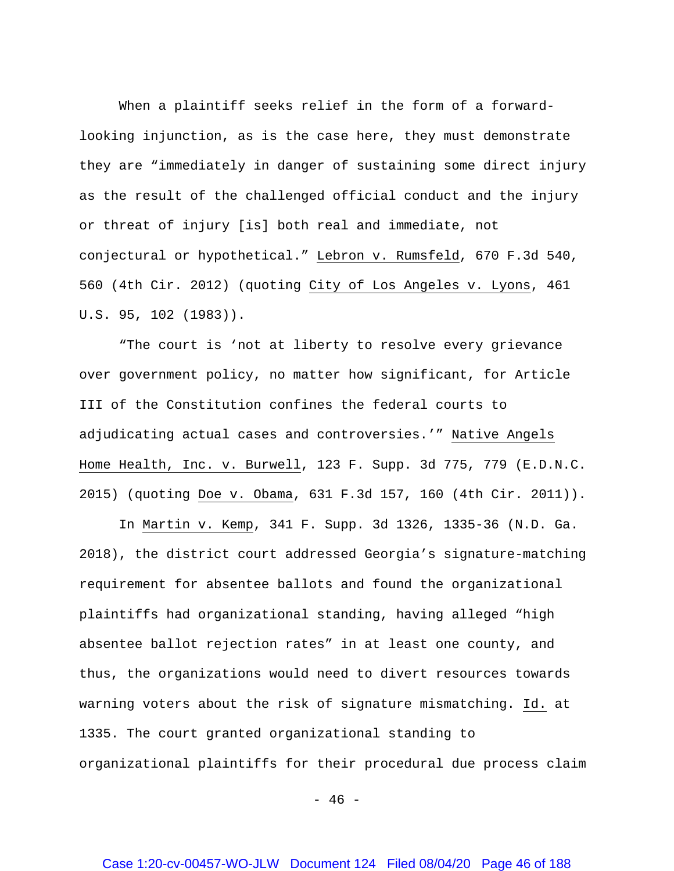When a plaintiff seeks relief in the form of a forwardlooking injunction, as is the case here, they must demonstrate they are "immediately in danger of sustaining some direct injury as the result of the challenged official conduct and the injury or threat of injury [is] both real and immediate, not conjectural or hypothetical." Lebron v. Rumsfeld, 670 F.3d 540, 560 (4th Cir. 2012) (quoting City of Los Angeles v. Lyons, 461 U.S. 95, 102 (1983)).

"The court is 'not at liberty to resolve every grievance over government policy, no matter how significant, for Article III of the Constitution confines the federal courts to adjudicating actual cases and controversies.'" Native Angels Home Health, Inc. v. Burwell, 123 F. Supp. 3d 775, 779 (E.D.N.C. 2015) (quoting Doe v. Obama, 631 F.3d 157, 160 (4th Cir. 2011)).

In Martin v. Kemp, 341 F. Supp. 3d 1326, 1335-36 (N.D. Ga. 2018), the district court addressed Georgia's signature-matching requirement for absentee ballots and found the organizational plaintiffs had organizational standing, having alleged "high absentee ballot rejection rates" in at least one county, and thus, the organizations would need to divert resources towards warning voters about the risk of signature mismatching. Id. at 1335. The court granted organizational standing to organizational plaintiffs for their procedural due process claim

- 46 -

## Case 1:20-cv-00457-WO-JLW Document 124 Filed 08/04/20 Page 46 of 188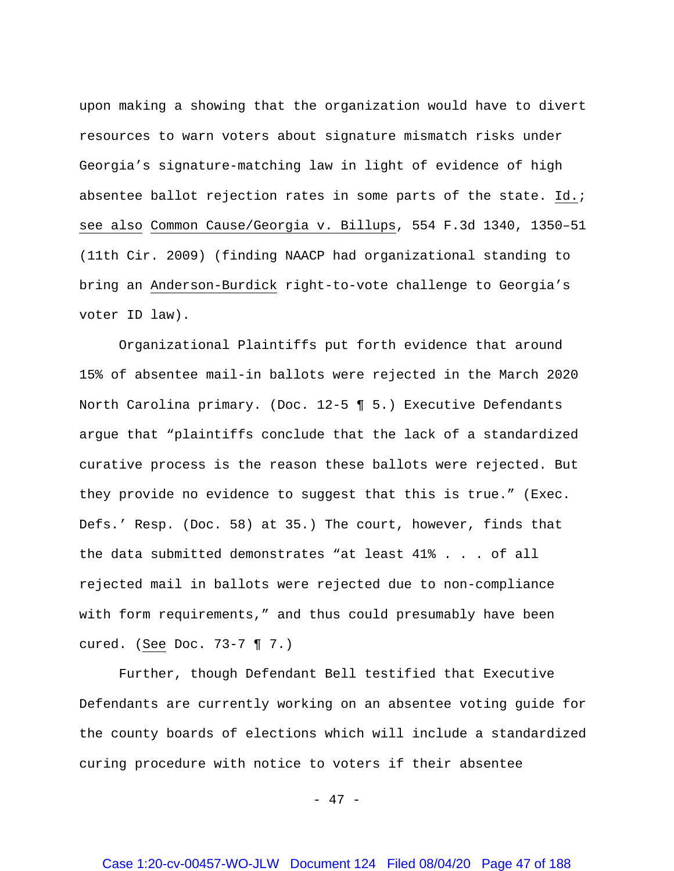upon making a showing that the organization would have to divert resources to warn voters about signature mismatch risks under Georgia's signature-matching law in light of evidence of high absentee ballot rejection rates in some parts of the state. Id.; see also Common Cause/Georgia v. Billups, 554 F.3d 1340, 1350–51 (11th Cir. 2009) (finding NAACP had organizational standing to bring an Anderson-Burdick right-to-vote challenge to Georgia's voter ID law).

Organizational Plaintiffs put forth evidence that around 15% of absentee mail-in ballots were rejected in the March 2020 North Carolina primary. (Doc. 12-5 ¶ 5.) Executive Defendants argue that "plaintiffs conclude that the lack of a standardized curative process is the reason these ballots were rejected. But they provide no evidence to suggest that this is true." (Exec. Defs.' Resp. (Doc. 58) at 35.) The court, however, finds that the data submitted demonstrates "at least 41% . . . of all rejected mail in ballots were rejected due to non-compliance with form requirements," and thus could presumably have been cured. (See Doc. 73-7 ¶ 7.)

Further, though Defendant Bell testified that Executive Defendants are currently working on an absentee voting guide for the county boards of elections which will include a standardized curing procedure with notice to voters if their absentee

- 47 -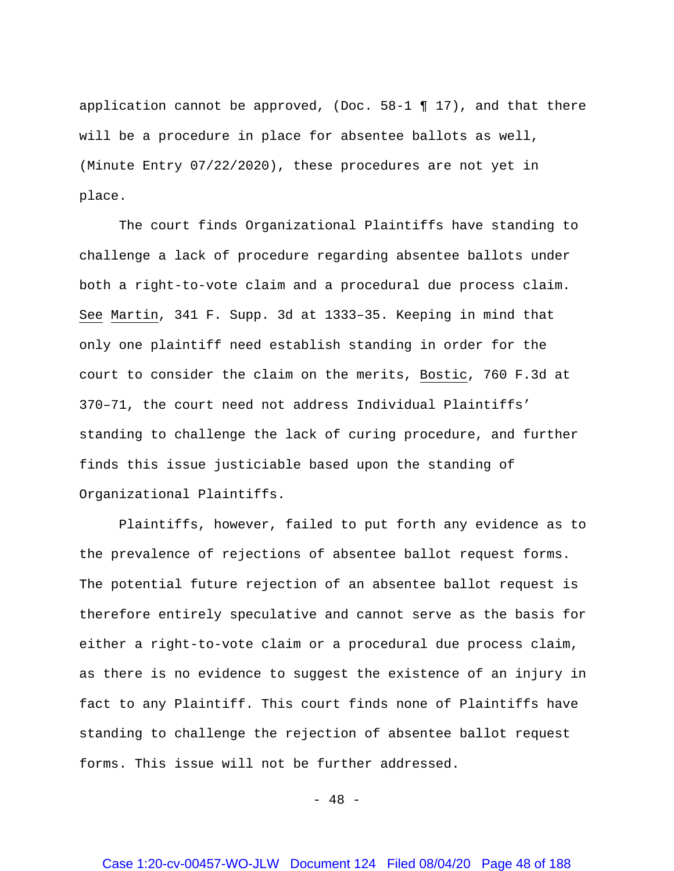application cannot be approved, (Doc.  $58-1$  ¶ 17), and that there will be a procedure in place for absentee ballots as well, (Minute Entry 07/22/2020), these procedures are not yet in place.

The court finds Organizational Plaintiffs have standing to challenge a lack of procedure regarding absentee ballots under both a right-to-vote claim and a procedural due process claim. See Martin, 341 F. Supp. 3d at 1333–35. Keeping in mind that only one plaintiff need establish standing in order for the court to consider the claim on the merits, Bostic, 760 F.3d at 370–71, the court need not address Individual Plaintiffs' standing to challenge the lack of curing procedure, and further finds this issue justiciable based upon the standing of Organizational Plaintiffs.

Plaintiffs, however, failed to put forth any evidence as to the prevalence of rejections of absentee ballot request forms. The potential future rejection of an absentee ballot request is therefore entirely speculative and cannot serve as the basis for either a right-to-vote claim or a procedural due process claim, as there is no evidence to suggest the existence of an injury in fact to any Plaintiff. This court finds none of Plaintiffs have standing to challenge the rejection of absentee ballot request forms. This issue will not be further addressed.

- 48 -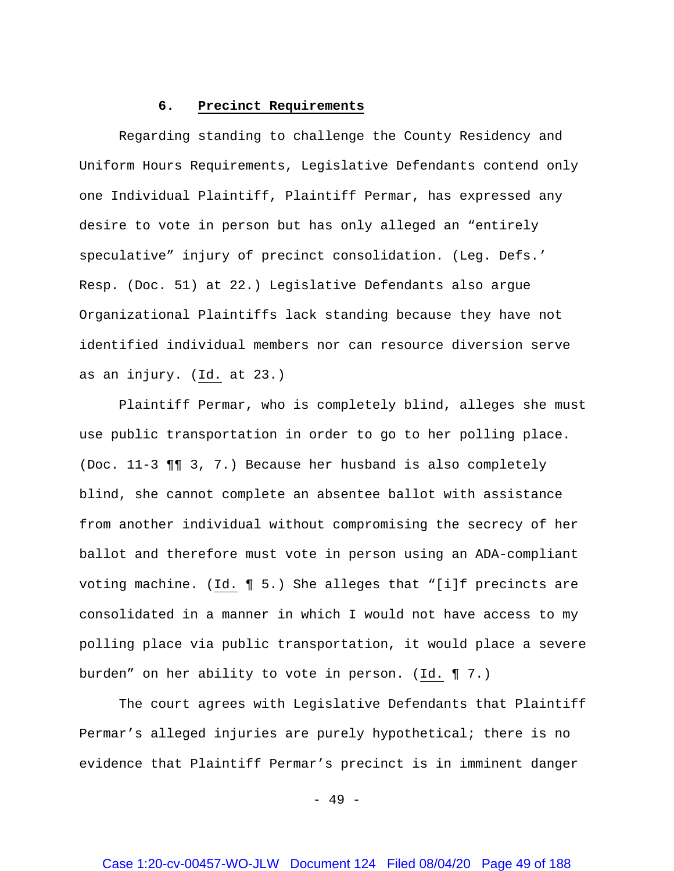# **6. Precinct Requirements**

Regarding standing to challenge the County Residency and Uniform Hours Requirements, Legislative Defendants contend only one Individual Plaintiff, Plaintiff Permar, has expressed any desire to vote in person but has only alleged an "entirely speculative" injury of precinct consolidation. (Leg. Defs.' Resp. (Doc. 51) at 22.) Legislative Defendants also argue Organizational Plaintiffs lack standing because they have not identified individual members nor can resource diversion serve as an injury. (Id. at 23.)

Plaintiff Permar, who is completely blind, alleges she must use public transportation in order to go to her polling place. (Doc. 11-3 ¶¶ 3, 7.) Because her husband is also completely blind, she cannot complete an absentee ballot with assistance from another individual without compromising the secrecy of her ballot and therefore must vote in person using an ADA-compliant voting machine. (Id. ¶ 5.) She alleges that "[i]f precincts are consolidated in a manner in which I would not have access to my polling place via public transportation, it would place a severe burden" on her ability to vote in person. (Id. ¶ 7.)

The court agrees with Legislative Defendants that Plaintiff Permar's alleged injuries are purely hypothetical; there is no evidence that Plaintiff Permar's precinct is in imminent danger

 $- 49 -$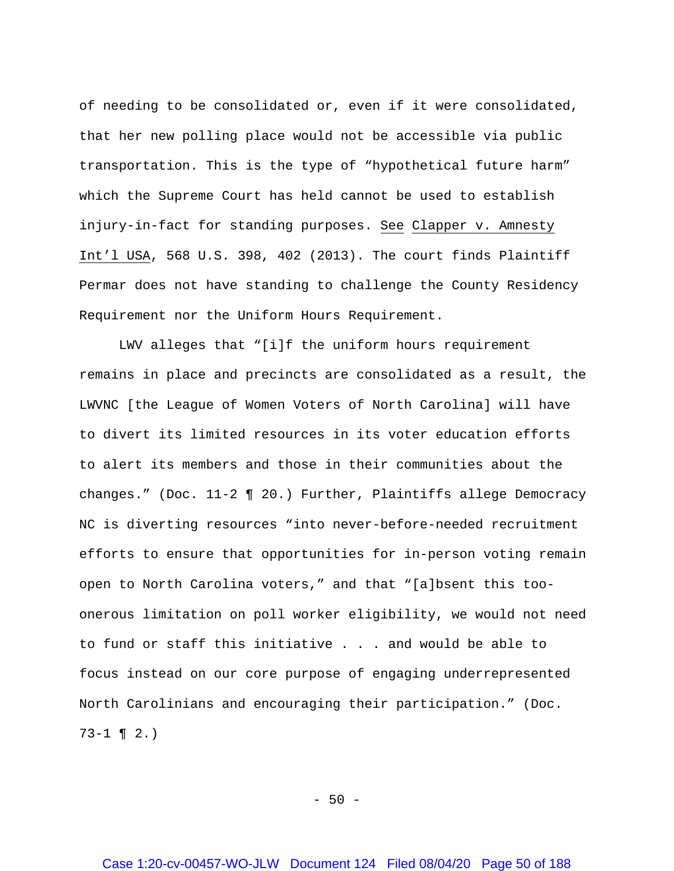of needing to be consolidated or, even if it were consolidated, that her new polling place would not be accessible via public transportation. This is the type of "hypothetical future harm" which the Supreme Court has held cannot be used to establish injury-in-fact for standing purposes. See Clapper v. Amnesty Int'l USA, 568 U.S. 398, 402 (2013). The court finds Plaintiff Permar does not have standing to challenge the County Residency Requirement nor the Uniform Hours Requirement.

LWV alleges that "[i]f the uniform hours requirement remains in place and precincts are consolidated as a result, the LWVNC [the League of Women Voters of North Carolina] will have to divert its limited resources in its voter education efforts to alert its members and those in their communities about the changes." (Doc. 11-2 ¶ 20.) Further, Plaintiffs allege Democracy NC is diverting resources "into never-before-needed recruitment efforts to ensure that opportunities for in-person voting remain open to North Carolina voters," and that "[a]bsent this tooonerous limitation on poll worker eligibility, we would not need to fund or staff this initiative . . . and would be able to focus instead on our core purpose of engaging underrepresented North Carolinians and encouraging their participation." (Doc.  $73-1$  ¶  $2.$ )

 $-50 -$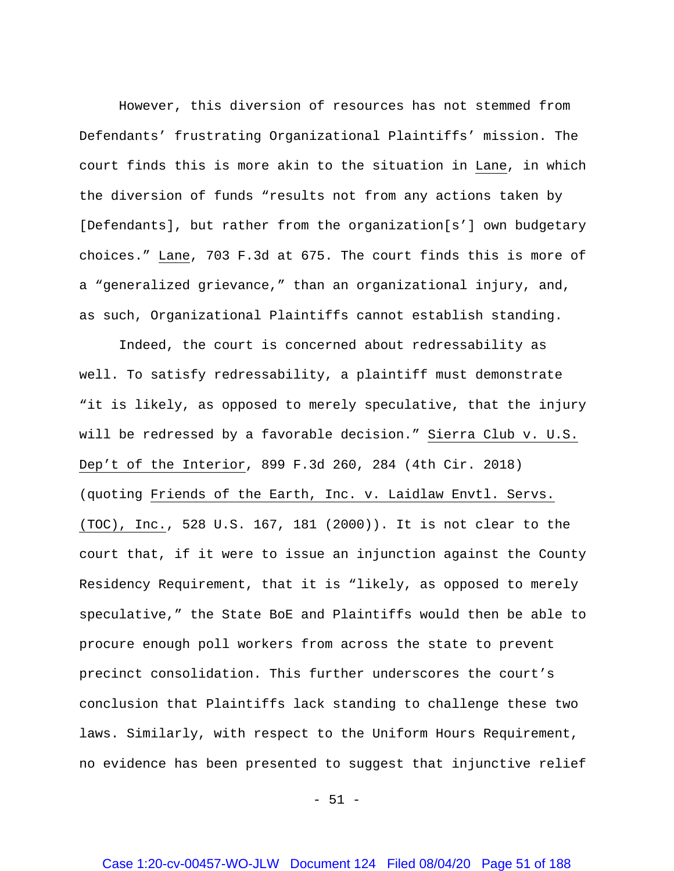However, this diversion of resources has not stemmed from Defendants' frustrating Organizational Plaintiffs' mission. The court finds this is more akin to the situation in Lane, in which the diversion of funds "results not from any actions taken by [Defendants], but rather from the organization[s'] own budgetary choices." Lane, 703 F.3d at 675. The court finds this is more of a "generalized grievance," than an organizational injury, and, as such, Organizational Plaintiffs cannot establish standing.

Indeed, the court is concerned about redressability as well. To satisfy redressability, a plaintiff must demonstrate "it is likely, as opposed to merely speculative, that the injury will be redressed by a favorable decision." Sierra Club v. U.S. Dep't of the Interior, 899 F.3d 260, 284 (4th Cir. 2018) (quoting Friends of the Earth, Inc. v. Laidlaw Envtl. Servs. (TOC), Inc., 528 U.S. 167, 181 (2000)). It is not clear to the court that, if it were to issue an injunction against the County Residency Requirement, that it is "likely, as opposed to merely speculative," the State BoE and Plaintiffs would then be able to procure enough poll workers from across the state to prevent precinct consolidation. This further underscores the court's conclusion that Plaintiffs lack standing to challenge these two laws. Similarly, with respect to the Uniform Hours Requirement, no evidence has been presented to suggest that injunctive relief

 $-51 -$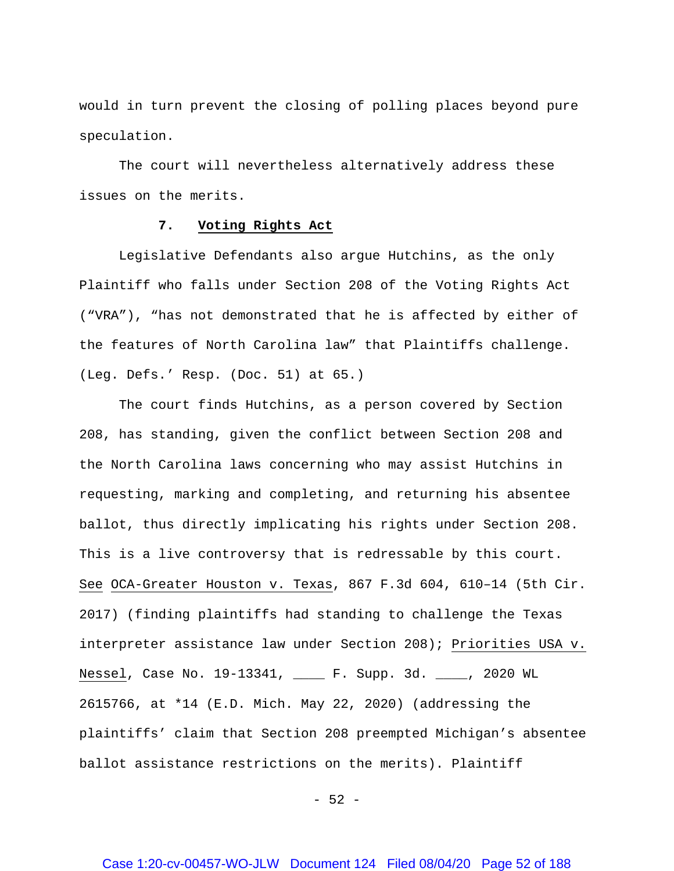would in turn prevent the closing of polling places beyond pure speculation.

The court will nevertheless alternatively address these issues on the merits.

### **7. Voting Rights Act**

Legislative Defendants also argue Hutchins, as the only Plaintiff who falls under Section 208 of the Voting Rights Act ("VRA"), "has not demonstrated that he is affected by either of the features of North Carolina law" that Plaintiffs challenge. (Leg. Defs.' Resp. (Doc. 51) at 65.)

The court finds Hutchins, as a person covered by Section 208, has standing, given the conflict between Section 208 and the North Carolina laws concerning who may assist Hutchins in requesting, marking and completing, and returning his absentee ballot, thus directly implicating his rights under Section 208. This is a live controversy that is redressable by this court. See OCA-Greater Houston v. Texas, 867 F.3d 604, 610–14 (5th Cir. 2017) (finding plaintiffs had standing to challenge the Texas interpreter assistance law under Section 208); Priorities USA v. Nessel, Case No. 19-13341, \_\_\_\_ F. Supp. 3d. \_\_\_\_, 2020 WL 2615766, at \*14 (E.D. Mich. May 22, 2020) (addressing the plaintiffs' claim that Section 208 preempted Michigan's absentee ballot assistance restrictions on the merits). Plaintiff

 $-52 -$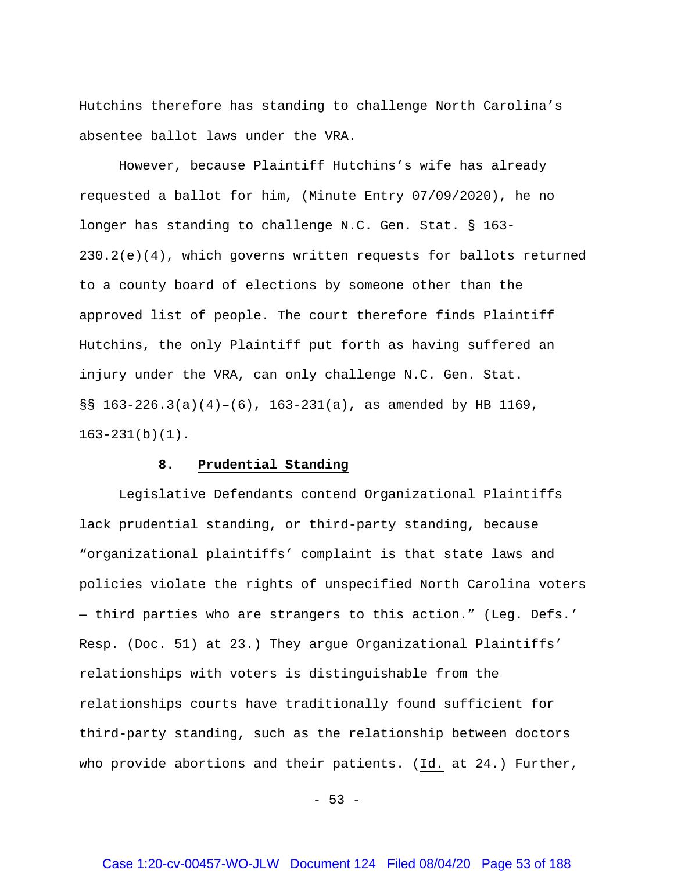Hutchins therefore has standing to challenge North Carolina's absentee ballot laws under the VRA.

However, because Plaintiff Hutchins's wife has already requested a ballot for him, (Minute Entry 07/09/2020), he no longer has standing to challenge N.C. Gen. Stat. § 163- 230.2(e)(4), which governs written requests for ballots returned to a county board of elections by someone other than the approved list of people. The court therefore finds Plaintiff Hutchins, the only Plaintiff put forth as having suffered an injury under the VRA, can only challenge N.C. Gen. Stat. §§ 163-226.3(a)(4)–(6), 163-231(a), as amended by HB 1169, 163-231(b)(1).

#### **8. Prudential Standing**

Legislative Defendants contend Organizational Plaintiffs lack prudential standing, or third-party standing, because "organizational plaintiffs' complaint is that state laws and policies violate the rights of unspecified North Carolina voters — third parties who are strangers to this action." (Leg. Defs.' Resp. (Doc. 51) at 23.) They argue Organizational Plaintiffs' relationships with voters is distinguishable from the relationships courts have traditionally found sufficient for third-party standing, such as the relationship between doctors who provide abortions and their patients. (Id. at 24.) Further,

 $- 53 -$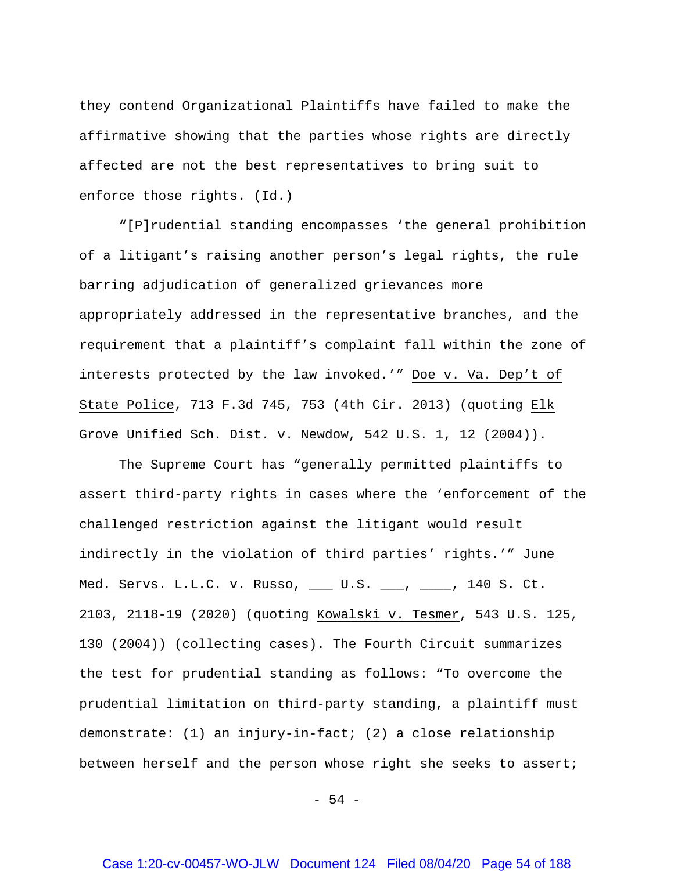they contend Organizational Plaintiffs have failed to make the affirmative showing that the parties whose rights are directly affected are not the best representatives to bring suit to enforce those rights. (Id.)

"[P]rudential standing encompasses 'the general prohibition of a litigant's raising another person's legal rights, the rule barring adjudication of generalized grievances more appropriately addressed in the representative branches, and the requirement that a plaintiff's complaint fall within the zone of interests protected by the law invoked.'" Doe v. Va. Dep't of State Police, 713 F.3d 745, 753 (4th Cir. 2013) (quoting Elk Grove Unified Sch. Dist. v. Newdow, 542 U.S. 1, 12 (2004)).

The Supreme Court has "generally permitted plaintiffs to assert third-party rights in cases where the 'enforcement of the challenged restriction against the litigant would result indirectly in the violation of third parties' rights.'" June Med. Servs. L.L.C. v. Russo, \_\_\_ U.S. \_\_\_, \_\_\_\_, 140 S. Ct. 2103, 2118-19 (2020) (quoting Kowalski v. Tesmer, 543 U.S. 125, 130 (2004)) (collecting cases). The Fourth Circuit summarizes the test for prudential standing as follows: "To overcome the prudential limitation on third-party standing, a plaintiff must demonstrate: (1) an injury-in-fact; (2) a close relationship between herself and the person whose right she seeks to assert;

- 54 -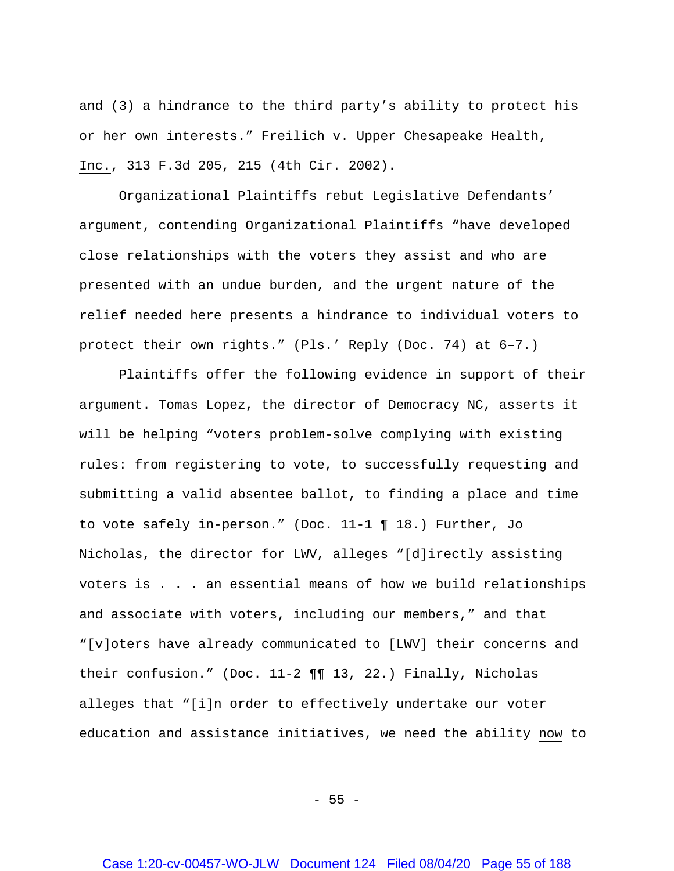and (3) a hindrance to the third party's ability to protect his or her own interests." Freilich v. Upper Chesapeake Health, Inc., 313 F.3d 205, 215 (4th Cir. 2002).

Organizational Plaintiffs rebut Legislative Defendants' argument, contending Organizational Plaintiffs "have developed close relationships with the voters they assist and who are presented with an undue burden, and the urgent nature of the relief needed here presents a hindrance to individual voters to protect their own rights." (Pls.' Reply (Doc. 74) at 6–7.)

Plaintiffs offer the following evidence in support of their argument. Tomas Lopez, the director of Democracy NC, asserts it will be helping "voters problem-solve complying with existing rules: from registering to vote, to successfully requesting and submitting a valid absentee ballot, to finding a place and time to vote safely in-person." (Doc. 11-1 ¶ 18.) Further, Jo Nicholas, the director for LWV, alleges "[d]irectly assisting voters is . . . an essential means of how we build relationships and associate with voters, including our members," and that "[v]oters have already communicated to [LWV] their concerns and their confusion." (Doc. 11-2 ¶¶ 13, 22.) Finally, Nicholas alleges that "[i]n order to effectively undertake our voter education and assistance initiatives, we need the ability now to

 $-55 -$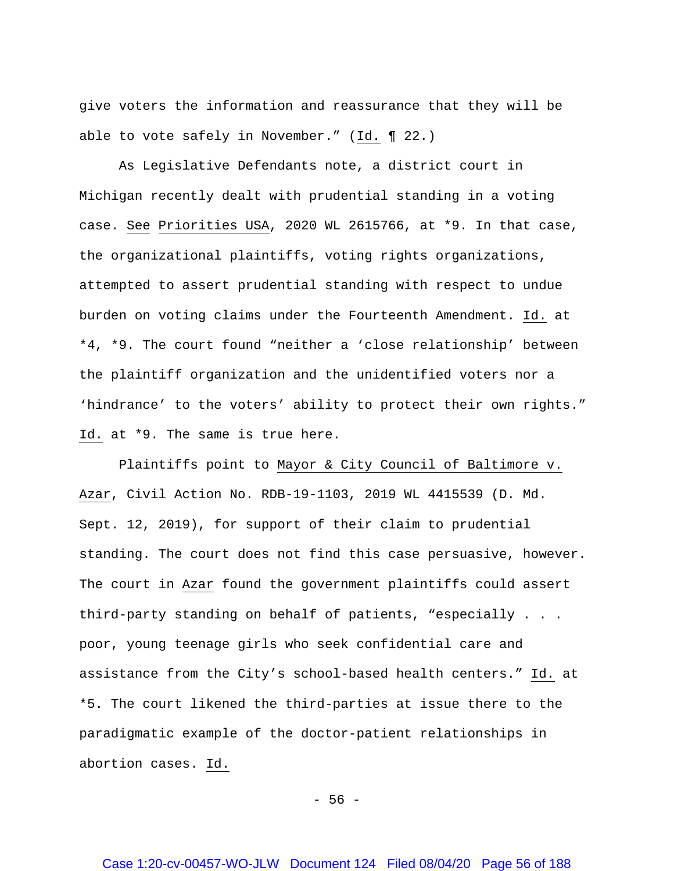give voters the information and reassurance that they will be able to vote safely in November." (Id. ¶ 22.)

As Legislative Defendants note, a district court in Michigan recently dealt with prudential standing in a voting case. See Priorities USA, 2020 WL 2615766, at \*9. In that case, the organizational plaintiffs, voting rights organizations, attempted to assert prudential standing with respect to undue burden on voting claims under the Fourteenth Amendment. Id. at \*4, \*9. The court found "neither a 'close relationship' between the plaintiff organization and the unidentified voters nor a 'hindrance' to the voters' ability to protect their own rights." Id. at \*9. The same is true here.

Plaintiffs point to Mayor & City Council of Baltimore v. Azar, Civil Action No. RDB-19-1103, 2019 WL 4415539 (D. Md. Sept. 12, 2019), for support of their claim to prudential standing. The court does not find this case persuasive, however. The court in Azar found the government plaintiffs could assert third-party standing on behalf of patients, "especially . . . poor, young teenage girls who seek confidential care and assistance from the City's school-based health centers." Id. at \*5. The court likened the third-parties at issue there to the paradigmatic example of the doctor-patient relationships in abortion cases. Id.

- 56 -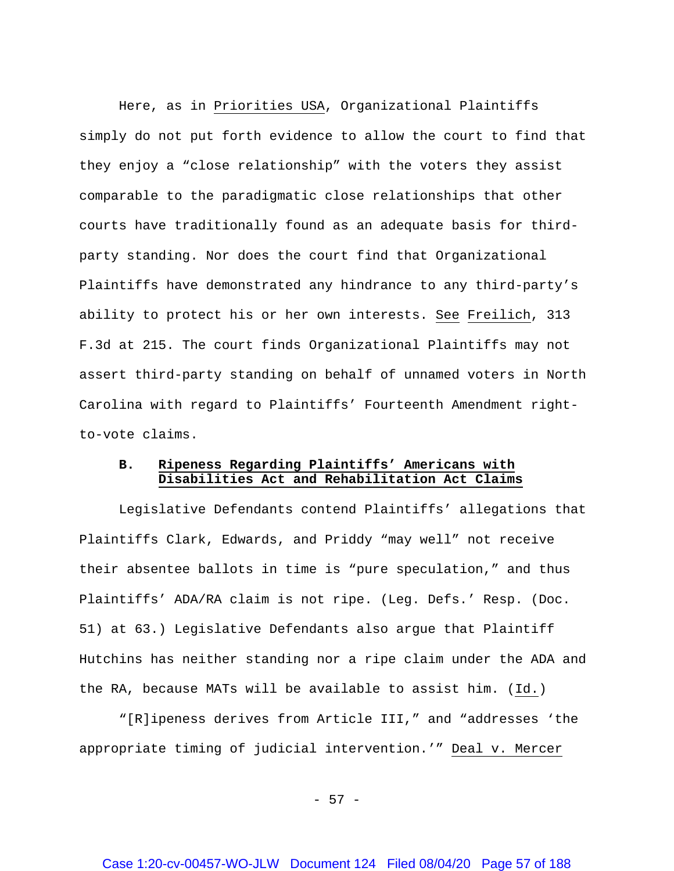Here, as in Priorities USA, Organizational Plaintiffs simply do not put forth evidence to allow the court to find that they enjoy a "close relationship" with the voters they assist comparable to the paradigmatic close relationships that other courts have traditionally found as an adequate basis for thirdparty standing. Nor does the court find that Organizational Plaintiffs have demonstrated any hindrance to any third-party's ability to protect his or her own interests. See Freilich, 313 F.3d at 215. The court finds Organizational Plaintiffs may not assert third-party standing on behalf of unnamed voters in North Carolina with regard to Plaintiffs' Fourteenth Amendment rightto-vote claims.

## **B. Ripeness Regarding Plaintiffs' Americans with Disabilities Act and Rehabilitation Act Claims**

Legislative Defendants contend Plaintiffs' allegations that Plaintiffs Clark, Edwards, and Priddy "may well" not receive their absentee ballots in time is "pure speculation," and thus Plaintiffs' ADA/RA claim is not ripe. (Leg. Defs.' Resp. (Doc. 51) at 63.) Legislative Defendants also argue that Plaintiff Hutchins has neither standing nor a ripe claim under the ADA and the RA, because MATs will be available to assist him. (Id.)

"[R]ipeness derives from Article III," and "addresses 'the appropriate timing of judicial intervention.'" Deal v. Mercer

- 57 -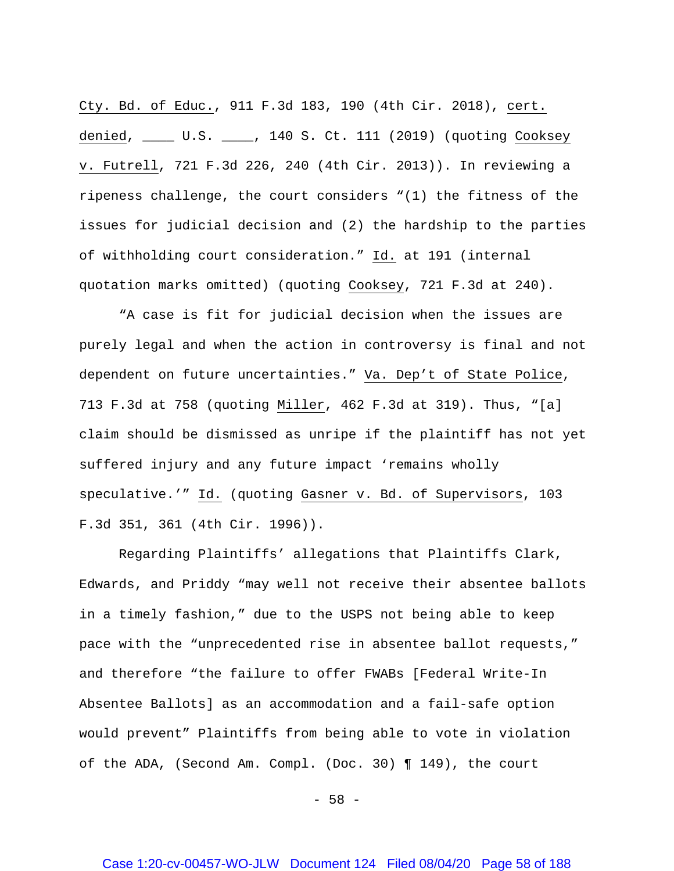Cty. Bd. of Educ., 911 F.3d 183, 190 (4th Cir. 2018), cert. denied, \_\_\_\_ U.S. \_\_\_\_, 140 S. Ct. 111 (2019) (quoting Cooksey v. Futrell, 721 F.3d 226, 240 (4th Cir. 2013)). In reviewing a ripeness challenge, the court considers "(1) the fitness of the issues for judicial decision and (2) the hardship to the parties of withholding court consideration." Id. at 191 (internal quotation marks omitted) (quoting Cooksey, 721 F.3d at 240).

"A case is fit for judicial decision when the issues are purely legal and when the action in controversy is final and not dependent on future uncertainties." Va. Dep't of State Police, 713 F.3d at 758 (quoting Miller, 462 F.3d at 319). Thus, "[a] claim should be dismissed as unripe if the plaintiff has not yet suffered injury and any future impact 'remains wholly speculative.'" Id. (quoting Gasner v. Bd. of Supervisors, 103 F.3d 351, 361 (4th Cir. 1996)).

Regarding Plaintiffs' allegations that Plaintiffs Clark, Edwards, and Priddy "may well not receive their absentee ballots in a timely fashion," due to the USPS not being able to keep pace with the "unprecedented rise in absentee ballot requests," and therefore "the failure to offer FWABs [Federal Write-In Absentee Ballots] as an accommodation and a fail-safe option would prevent" Plaintiffs from being able to vote in violation of the ADA, (Second Am. Compl. (Doc. 30) ¶ 149), the court

 $-58 -$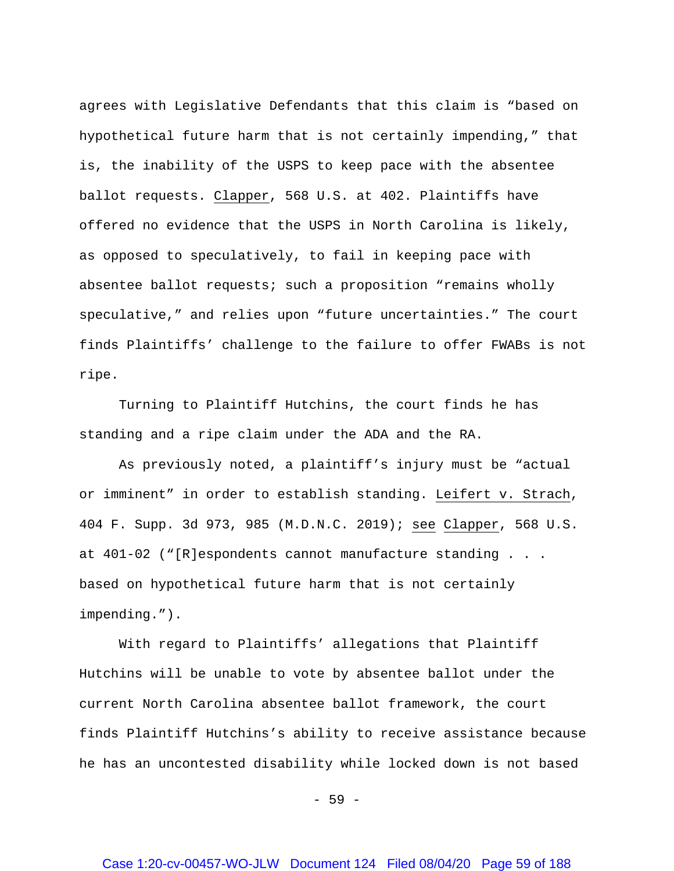agrees with Legislative Defendants that this claim is "based on hypothetical future harm that is not certainly impending," that is, the inability of the USPS to keep pace with the absentee ballot requests. Clapper, 568 U.S. at 402. Plaintiffs have offered no evidence that the USPS in North Carolina is likely, as opposed to speculatively, to fail in keeping pace with absentee ballot requests; such a proposition "remains wholly speculative," and relies upon "future uncertainties." The court finds Plaintiffs' challenge to the failure to offer FWABs is not ripe.

Turning to Plaintiff Hutchins, the court finds he has standing and a ripe claim under the ADA and the RA.

As previously noted, a plaintiff's injury must be "actual or imminent" in order to establish standing. Leifert v. Strach, 404 F. Supp. 3d 973, 985 (M.D.N.C. 2019); see Clapper, 568 U.S. at 401-02 ("[R]espondents cannot manufacture standing . . . based on hypothetical future harm that is not certainly impending.").

With regard to Plaintiffs' allegations that Plaintiff Hutchins will be unable to vote by absentee ballot under the current North Carolina absentee ballot framework, the court finds Plaintiff Hutchins's ability to receive assistance because he has an uncontested disability while locked down is not based

 $-59 -$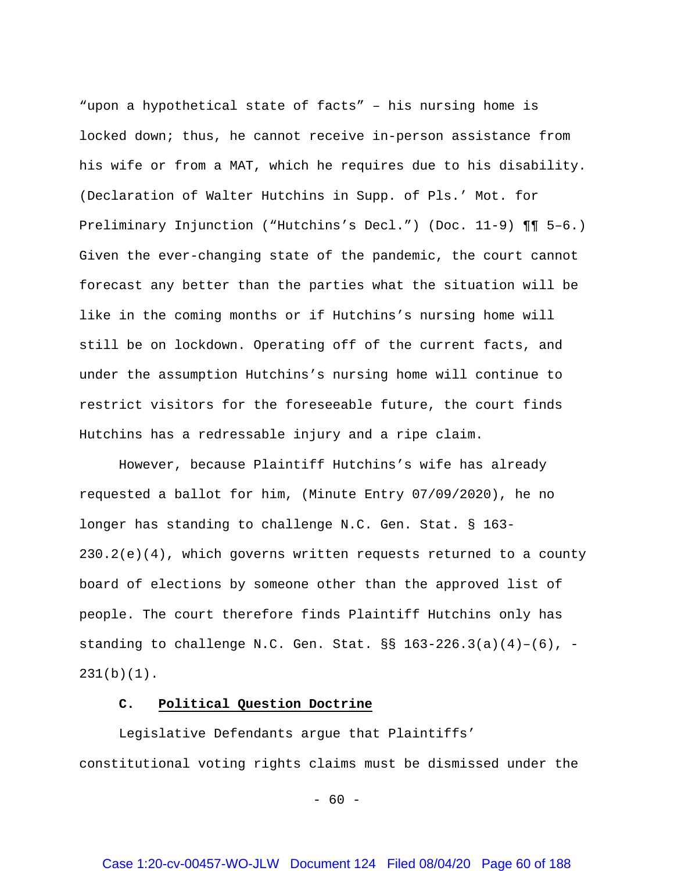"upon a hypothetical state of facts" – his nursing home is locked down; thus, he cannot receive in-person assistance from his wife or from a MAT, which he requires due to his disability. (Declaration of Walter Hutchins in Supp. of Pls.' Mot. for Preliminary Injunction ("Hutchins's Decl.") (Doc. 11-9) ¶¶ 5–6.) Given the ever-changing state of the pandemic, the court cannot forecast any better than the parties what the situation will be like in the coming months or if Hutchins's nursing home will still be on lockdown. Operating off of the current facts, and under the assumption Hutchins's nursing home will continue to restrict visitors for the foreseeable future, the court finds Hutchins has a redressable injury and a ripe claim.

However, because Plaintiff Hutchins's wife has already requested a ballot for him, (Minute Entry 07/09/2020), he no longer has standing to challenge N.C. Gen. Stat. § 163-  $230.2(e)(4)$ , which governs written requests returned to a county board of elections by someone other than the approved list of people. The court therefore finds Plaintiff Hutchins only has standing to challenge N.C. Gen. Stat.  $\S$ S 163-226.3(a)(4)-(6), - $231(b)(1)$ .

## **C. Political Question Doctrine**

Legislative Defendants argue that Plaintiffs' constitutional voting rights claims must be dismissed under the

 $- 60 -$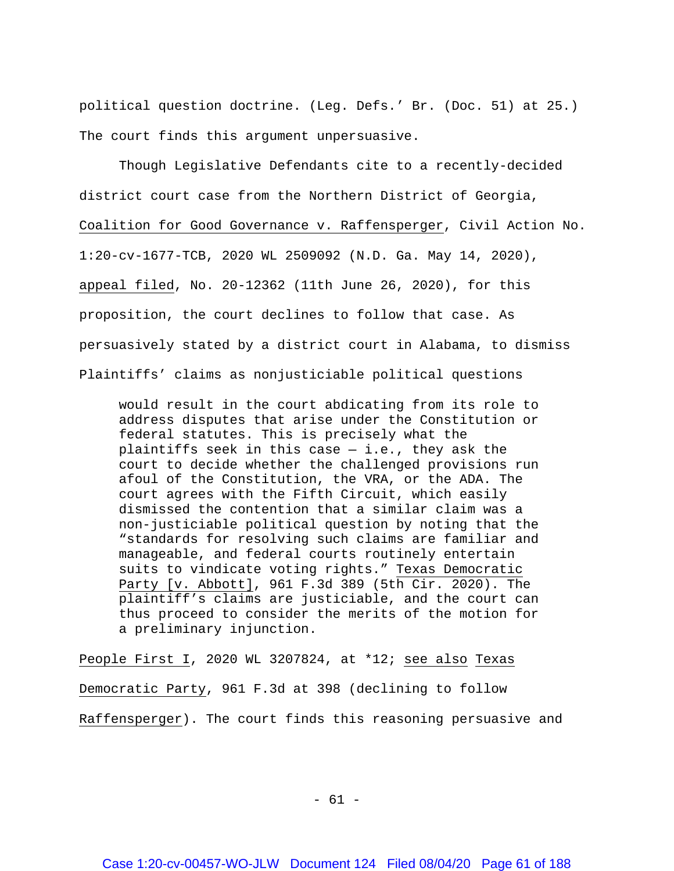political question doctrine. (Leg. Defs.' Br. (Doc. 51) at 25.) The court finds this argument unpersuasive.

Though Legislative Defendants cite to a recently-decided district court case from the Northern District of Georgia, Coalition for Good Governance v. Raffensperger, Civil Action No. 1:20-cv-1677-TCB, 2020 WL 2509092 (N.D. Ga. May 14, 2020), appeal filed, No. 20-12362 (11th June 26, 2020), for this proposition, the court declines to follow that case. As persuasively stated by a district court in Alabama, to dismiss Plaintiffs' claims as nonjusticiable political questions

would result in the court abdicating from its role to address disputes that arise under the Constitution or federal statutes. This is precisely what the plaintiffs seek in this case  $-$  i.e., they ask the court to decide whether the challenged provisions run afoul of the Constitution, the VRA, or the ADA. The court agrees with the Fifth Circuit, which easily dismissed the contention that a similar claim was a non-justiciable political question by noting that the "standards for resolving such claims are familiar and manageable, and federal courts routinely entertain suits to vindicate voting rights." Texas Democratic Party [v. Abbott], 961 F.3d 389 (5th Cir. 2020). The plaintiff's claims are justiciable, and the court can thus proceed to consider the merits of the motion for a preliminary injunction.

People First I, 2020 WL 3207824, at \*12; see also Texas Democratic Party, 961 F.3d at 398 (declining to follow Raffensperger). The court finds this reasoning persuasive and

 $- 61 -$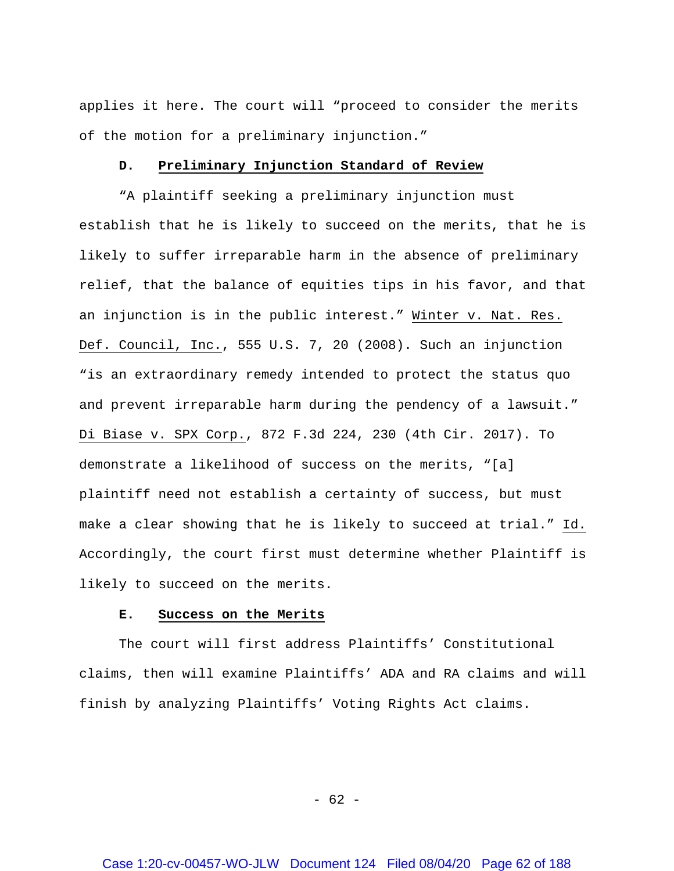applies it here. The court will "proceed to consider the merits of the motion for a preliminary injunction."

#### **D. Preliminary Injunction Standard of Review**

"A plaintiff seeking a preliminary injunction must establish that he is likely to succeed on the merits, that he is likely to suffer irreparable harm in the absence of preliminary relief, that the balance of equities tips in his favor, and that an injunction is in the public interest." Winter v. Nat. Res. Def. Council, Inc., 555 U.S. 7, 20 (2008). Such an injunction "is an extraordinary remedy intended to protect the status quo and prevent irreparable harm during the pendency of a lawsuit." Di Biase v. SPX Corp., 872 F.3d 224, 230 (4th Cir. 2017). To demonstrate a likelihood of success on the merits, "[a] plaintiff need not establish a certainty of success, but must make a clear showing that he is likely to succeed at trial." Id. Accordingly, the court first must determine whether Plaintiff is likely to succeed on the merits.

#### **E. Success on the Merits**

The court will first address Plaintiffs' Constitutional claims, then will examine Plaintiffs' ADA and RA claims and will finish by analyzing Plaintiffs' Voting Rights Act claims.

- 62 -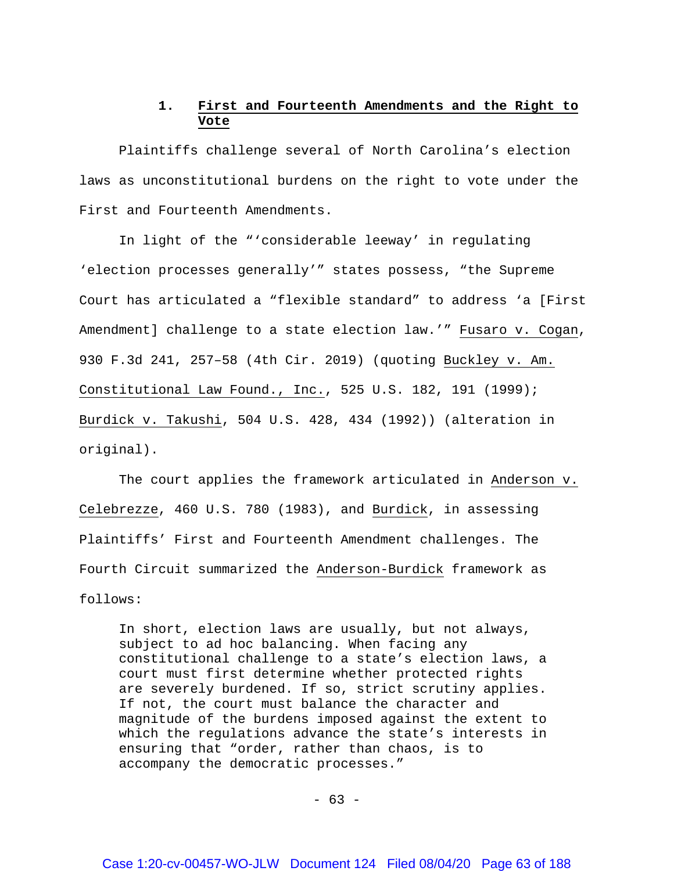# **1. First and Fourteenth Amendments and the Right to Vote**

Plaintiffs challenge several of North Carolina's election laws as unconstitutional burdens on the right to vote under the First and Fourteenth Amendments.

In light of the "'considerable leeway' in regulating 'election processes generally'" states possess, "the Supreme Court has articulated a "flexible standard" to address 'a [First Amendment] challenge to a state election law.'" Fusaro v. Cogan, 930 F.3d 241, 257–58 (4th Cir. 2019) (quoting Buckley v. Am. Constitutional Law Found., Inc., 525 U.S. 182, 191 (1999); Burdick v. Takushi, 504 U.S. 428, 434 (1992)) (alteration in original).

The court applies the framework articulated in Anderson v. Celebrezze, 460 U.S. 780 (1983), and Burdick, in assessing Plaintiffs' First and Fourteenth Amendment challenges. The Fourth Circuit summarized the Anderson-Burdick framework as follows:

In short, election laws are usually, but not always, subject to ad hoc balancing. When facing any constitutional challenge to a state's election laws, a court must first determine whether protected rights are severely burdened. If so, strict scrutiny applies. If not, the court must balance the character and magnitude of the burdens imposed against the extent to which the regulations advance the state's interests in ensuring that "order, rather than chaos, is to accompany the democratic processes."

 $- 63 -$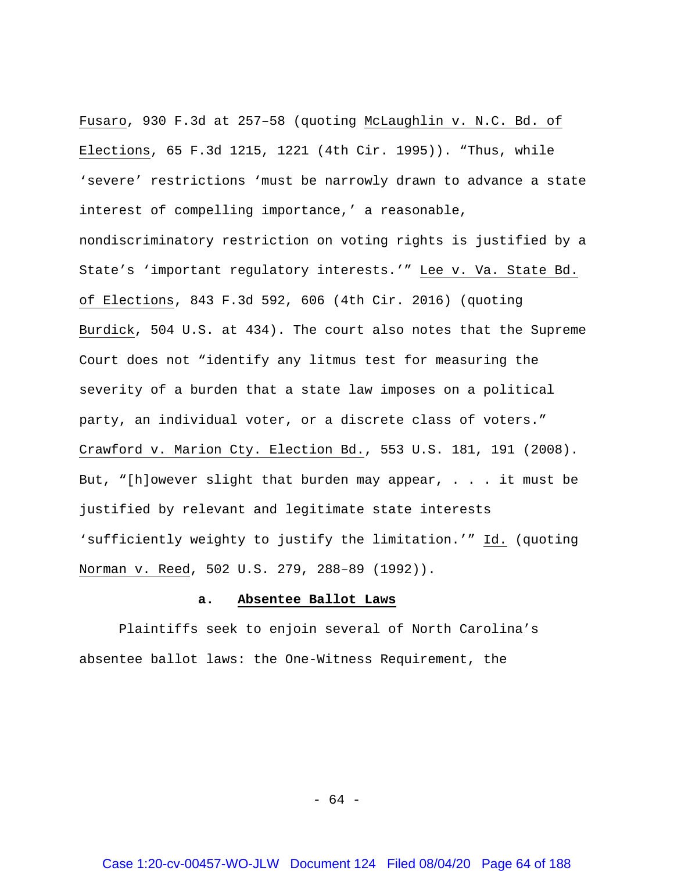Fusaro, 930 F.3d at 257–58 (quoting McLaughlin v. N.C. Bd. of Elections, 65 F.3d 1215, 1221 (4th Cir. 1995)). "Thus, while 'severe' restrictions 'must be narrowly drawn to advance a state interest of compelling importance,' a reasonable, nondiscriminatory restriction on voting rights is justified by a State's 'important regulatory interests.'" Lee v. Va. State Bd. of Elections, 843 F.3d 592, 606 (4th Cir. 2016) (quoting Burdick, 504 U.S. at 434). The court also notes that the Supreme Court does not "identify any litmus test for measuring the severity of a burden that a state law imposes on a political party, an individual voter, or a discrete class of voters." Crawford v. Marion Cty. Election Bd., 553 U.S. 181, 191 (2008). But, "[h]owever slight that burden may appear, . . . it must be justified by relevant and legitimate state interests 'sufficiently weighty to justify the limitation.'" Id. (quoting Norman v. Reed, 502 U.S. 279, 288–89 (1992)).

#### **a. Absentee Ballot Laws**

Plaintiffs seek to enjoin several of North Carolina's absentee ballot laws: the One-Witness Requirement, the

- 64 -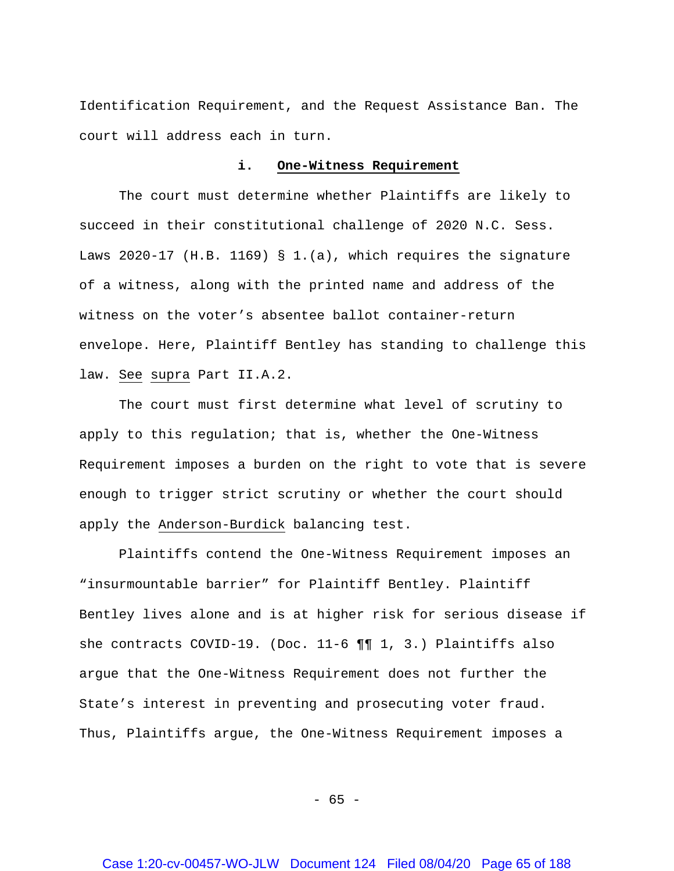Identification Requirement, and the Request Assistance Ban. The court will address each in turn.

#### **i. One-Witness Requirement**

The court must determine whether Plaintiffs are likely to succeed in their constitutional challenge of 2020 N.C. Sess. Laws 2020-17 (H.B. 1169) § 1.(a), which requires the signature of a witness, along with the printed name and address of the witness on the voter's absentee ballot container-return envelope. Here, Plaintiff Bentley has standing to challenge this law. See supra Part II.A.2.

The court must first determine what level of scrutiny to apply to this regulation; that is, whether the One-Witness Requirement imposes a burden on the right to vote that is severe enough to trigger strict scrutiny or whether the court should apply the Anderson-Burdick balancing test.

Plaintiffs contend the One-Witness Requirement imposes an "insurmountable barrier" for Plaintiff Bentley. Plaintiff Bentley lives alone and is at higher risk for serious disease if she contracts COVID-19. (Doc. 11-6 ¶¶ 1, 3.) Plaintiffs also argue that the One-Witness Requirement does not further the State's interest in preventing and prosecuting voter fraud. Thus, Plaintiffs argue, the One-Witness Requirement imposes a

- 65 -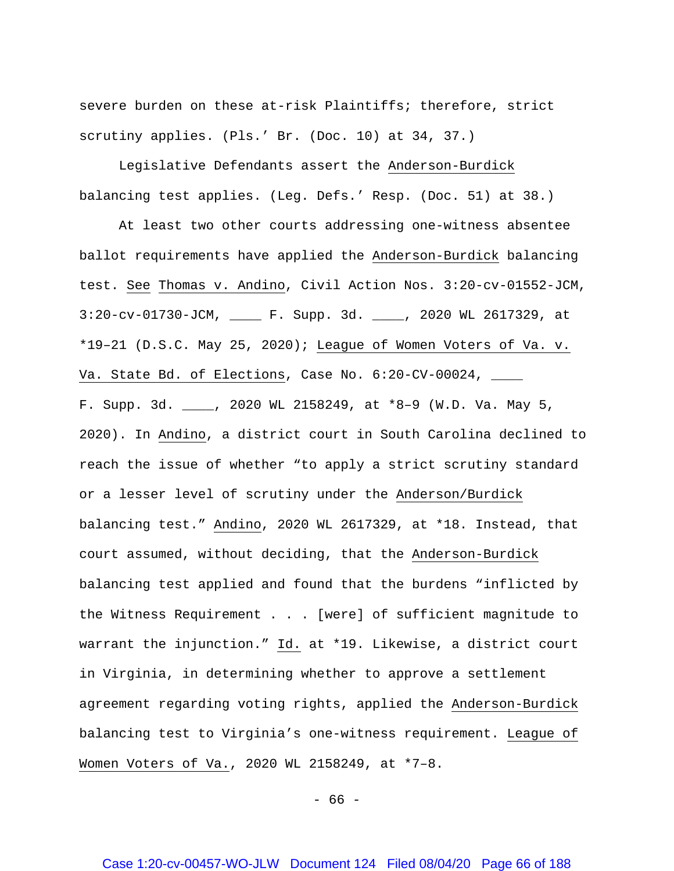severe burden on these at-risk Plaintiffs; therefore, strict scrutiny applies. (Pls.' Br. (Doc. 10) at 34, 37.)

Legislative Defendants assert the Anderson-Burdick balancing test applies. (Leg. Defs.' Resp. (Doc. 51) at 38.)

At least two other courts addressing one-witness absentee ballot requirements have applied the Anderson-Burdick balancing test. See Thomas v. Andino, Civil Action Nos. 3:20-cv-01552-JCM, 3:20-cv-01730-JCM, \_\_\_\_ F. Supp. 3d. \_\_\_\_, 2020 WL 2617329, at \*19–21 (D.S.C. May 25, 2020); League of Women Voters of Va. v. Va. State Bd. of Elections, Case No.  $6:20$ -CV-00024,  $\_\_$ F. Supp. 3d. \_\_\_\_, 2020 WL 2158249, at \*8–9 (W.D. Va. May 5, 2020). In Andino, a district court in South Carolina declined to reach the issue of whether "to apply a strict scrutiny standard or a lesser level of scrutiny under the Anderson/Burdick balancing test." Andino, 2020 WL 2617329, at \*18. Instead, that court assumed, without deciding, that the Anderson-Burdick balancing test applied and found that the burdens "inflicted by the Witness Requirement . . . [were] of sufficient magnitude to warrant the injunction." Id. at \*19. Likewise, a district court in Virginia, in determining whether to approve a settlement agreement regarding voting rights, applied the Anderson-Burdick balancing test to Virginia's one-witness requirement. League of Women Voters of Va., 2020 WL 2158249, at \*7–8.

 $- 66 -$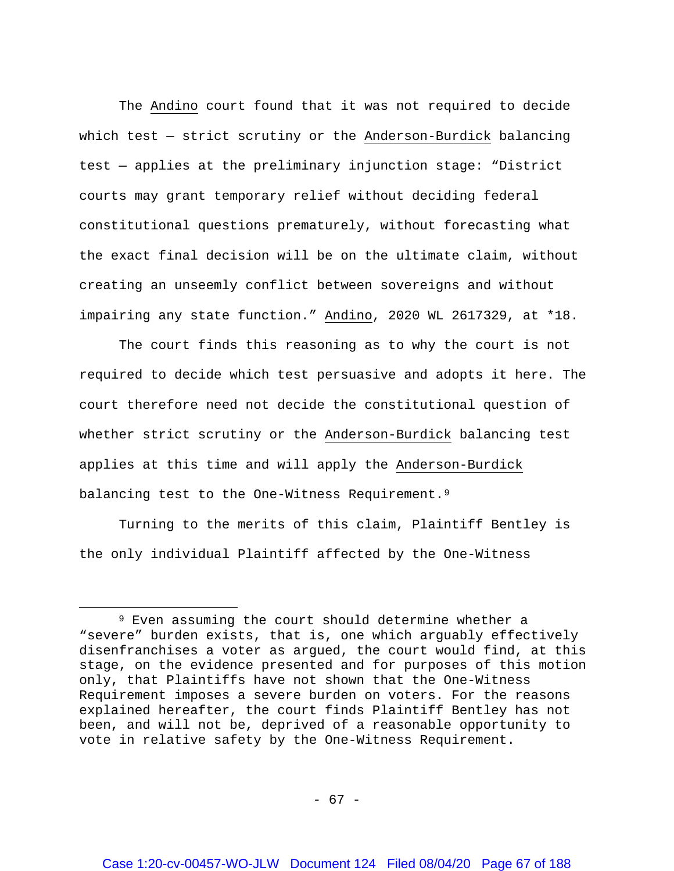The Andino court found that it was not required to decide which test — strict scrutiny or the Anderson-Burdick balancing test — applies at the preliminary injunction stage: "District courts may grant temporary relief without deciding federal constitutional questions prematurely, without forecasting what the exact final decision will be on the ultimate claim, without creating an unseemly conflict between sovereigns and without impairing any state function." Andino, 2020 WL 2617329, at \*18.

The court finds this reasoning as to why the court is not required to decide which test persuasive and adopts it here. The court therefore need not decide the constitutional question of whether strict scrutiny or the Anderson-Burdick balancing test applies at this time and will apply the Anderson-Burdick balancing test to the One-Witness Requirement.<sup>[9](#page-66-0)</sup>

Turning to the merits of this claim, Plaintiff Bentley is the only individual Plaintiff affected by the One-Witness

 $\overline{a}$ 

<span id="page-66-0"></span><sup>9</sup> Even assuming the court should determine whether a "severe" burden exists, that is, one which arguably effectively disenfranchises a voter as argued, the court would find, at this stage, on the evidence presented and for purposes of this motion only, that Plaintiffs have not shown that the One-Witness Requirement imposes a severe burden on voters. For the reasons explained hereafter, the court finds Plaintiff Bentley has not been, and will not be, deprived of a reasonable opportunity to vote in relative safety by the One-Witness Requirement.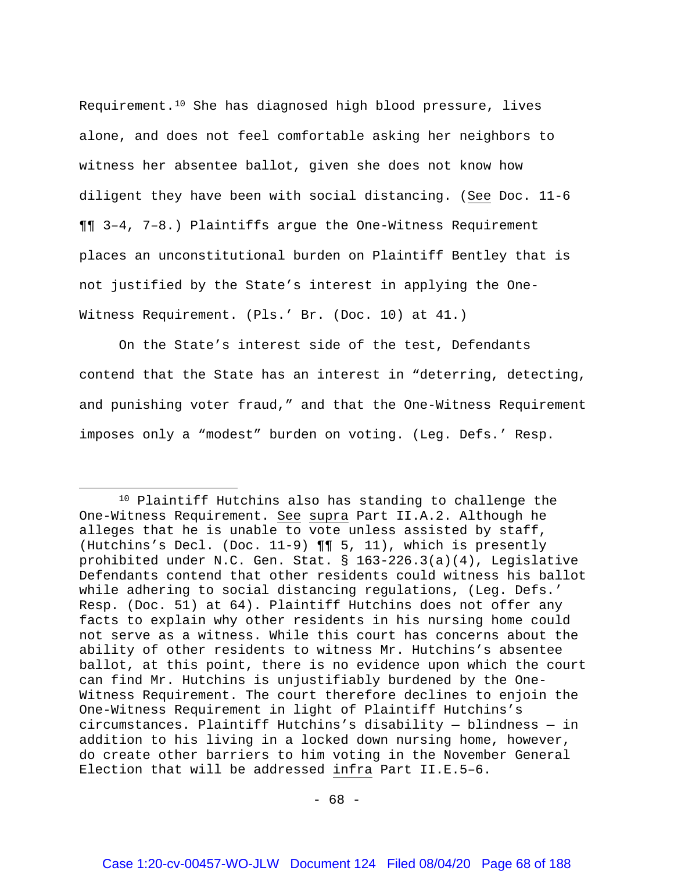Requirement.[10](#page-67-0) She has diagnosed high blood pressure, lives alone, and does not feel comfortable asking her neighbors to witness her absentee ballot, given she does not know how diligent they have been with social distancing. (See Doc. 11-6 ¶¶ 3–4, 7–8.) Plaintiffs argue the One-Witness Requirement places an unconstitutional burden on Plaintiff Bentley that is not justified by the State's interest in applying the One-Witness Requirement. (Pls.' Br. (Doc. 10) at 41.)

On the State's interest side of the test, Defendants contend that the State has an interest in "deterring, detecting, and punishing voter fraud," and that the One-Witness Requirement imposes only a "modest" burden on voting. (Leg. Defs.' Resp.

l

<span id="page-67-0"></span><sup>10</sup> Plaintiff Hutchins also has standing to challenge the One-Witness Requirement. See supra Part II.A.2. Although he alleges that he is unable to vote unless assisted by staff, (Hutchins's Decl. (Doc. 11-9) ¶¶ 5, 11), which is presently prohibited under N.C. Gen. Stat. § 163-226.3(a)(4), Legislative Defendants contend that other residents could witness his ballot while adhering to social distancing regulations, (Leg. Defs.' Resp. (Doc. 51) at 64). Plaintiff Hutchins does not offer any facts to explain why other residents in his nursing home could not serve as a witness. While this court has concerns about the ability of other residents to witness Mr. Hutchins's absentee ballot, at this point, there is no evidence upon which the court can find Mr. Hutchins is unjustifiably burdened by the One-Witness Requirement. The court therefore declines to enjoin the One-Witness Requirement in light of Plaintiff Hutchins's circumstances. Plaintiff Hutchins's disability — blindness — in addition to his living in a locked down nursing home, however, do create other barriers to him voting in the November General Election that will be addressed infra Part II.E.5–6.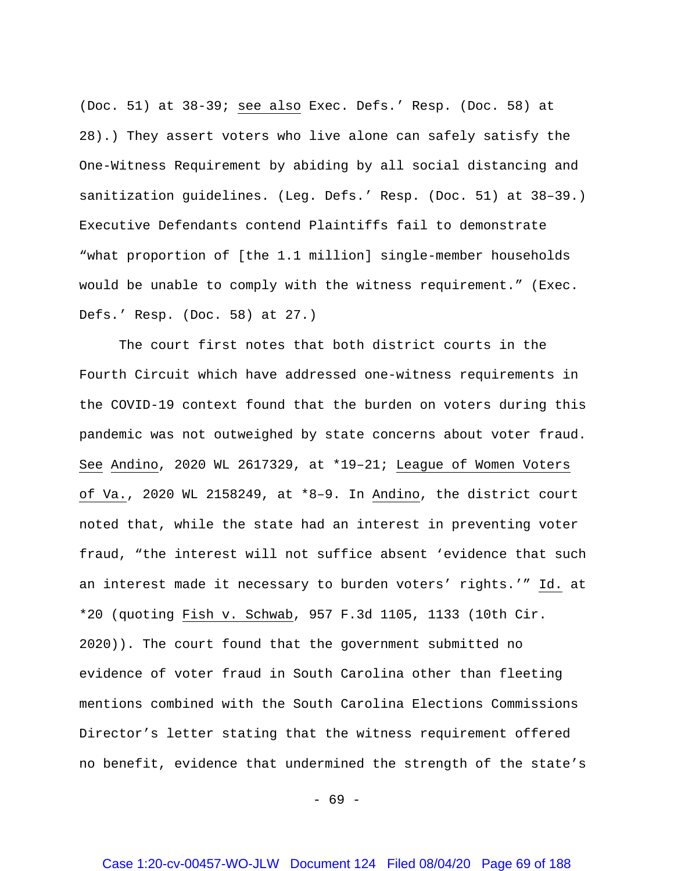(Doc. 51) at 38-39; see also Exec. Defs.' Resp. (Doc. 58) at 28).) They assert voters who live alone can safely satisfy the One-Witness Requirement by abiding by all social distancing and sanitization guidelines. (Leg. Defs.' Resp. (Doc. 51) at 38–39.) Executive Defendants contend Plaintiffs fail to demonstrate "what proportion of [the 1.1 million] single-member households would be unable to comply with the witness requirement." (Exec. Defs.' Resp. (Doc. 58) at 27.)

The court first notes that both district courts in the Fourth Circuit which have addressed one-witness requirements in the COVID-19 context found that the burden on voters during this pandemic was not outweighed by state concerns about voter fraud. See Andino, 2020 WL 2617329, at \*19–21; League of Women Voters of Va., 2020 WL 2158249, at \*8–9. In Andino, the district court noted that, while the state had an interest in preventing voter fraud, "the interest will not suffice absent 'evidence that such an interest made it necessary to burden voters' rights.'" Id. at \*20 (quoting Fish v. Schwab, 957 F.3d 1105, 1133 (10th Cir. 2020)). The court found that the government submitted no evidence of voter fraud in South Carolina other than fleeting mentions combined with the South Carolina Elections Commissions Director's letter stating that the witness requirement offered no benefit, evidence that undermined the strength of the state's

- 69 -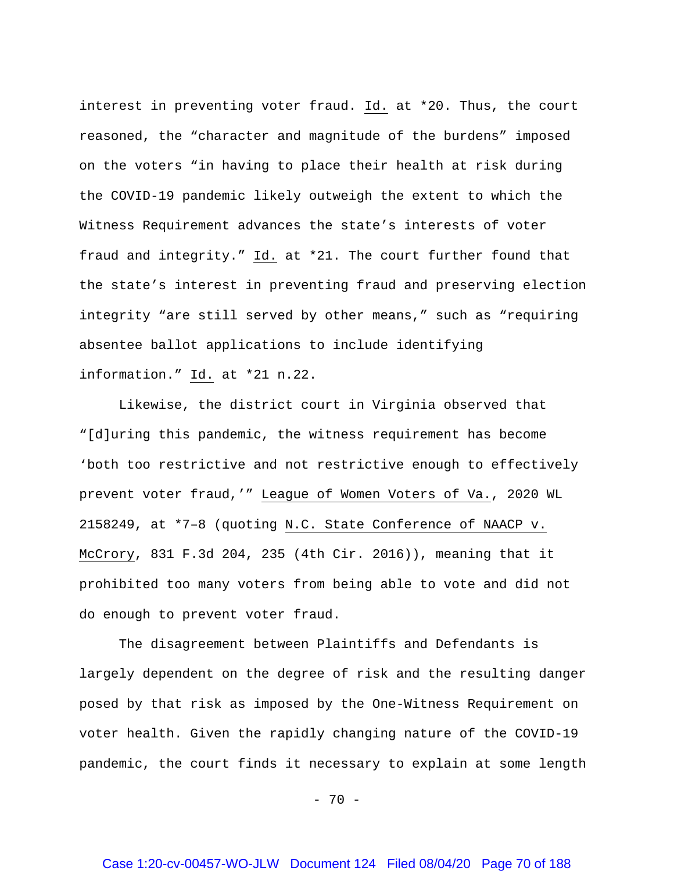interest in preventing voter fraud. Id. at \*20. Thus, the court reasoned, the "character and magnitude of the burdens" imposed on the voters "in having to place their health at risk during the COVID-19 pandemic likely outweigh the extent to which the Witness Requirement advances the state's interests of voter fraud and integrity." Id. at \*21. The court further found that the state's interest in preventing fraud and preserving election integrity "are still served by other means," such as "requiring absentee ballot applications to include identifying information." Id. at \*21 n.22.

Likewise, the district court in Virginia observed that "[d]uring this pandemic, the witness requirement has become 'both too restrictive and not restrictive enough to effectively prevent voter fraud,'" League of Women Voters of Va., 2020 WL 2158249, at \*7–8 (quoting N.C. State Conference of NAACP v. McCrory, 831 F.3d 204, 235 (4th Cir. 2016)), meaning that it prohibited too many voters from being able to vote and did not do enough to prevent voter fraud.

The disagreement between Plaintiffs and Defendants is largely dependent on the degree of risk and the resulting danger posed by that risk as imposed by the One-Witness Requirement on voter health. Given the rapidly changing nature of the COVID-19 pandemic, the court finds it necessary to explain at some length

- 70 -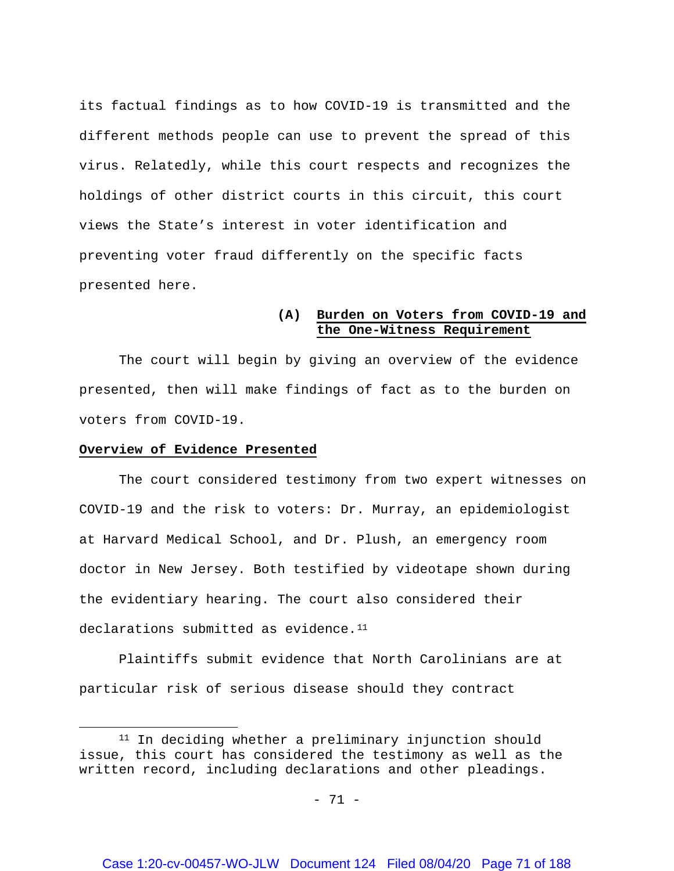its factual findings as to how COVID-19 is transmitted and the different methods people can use to prevent the spread of this virus. Relatedly, while this court respects and recognizes the holdings of other district courts in this circuit, this court views the State's interest in voter identification and preventing voter fraud differently on the specific facts presented here.

## **(A) Burden on Voters from COVID-19 and the One-Witness Requirement**

The court will begin by giving an overview of the evidence presented, then will make findings of fact as to the burden on voters from COVID-19.

#### **Overview of Evidence Presented**

 $\overline{\phantom{a}}$ 

The court considered testimony from two expert witnesses on COVID-19 and the risk to voters: Dr. Murray, an epidemiologist at Harvard Medical School, and Dr. Plush, an emergency room doctor in New Jersey. Both testified by videotape shown during the evidentiary hearing. The court also considered their declarations submitted as evidence.<sup>11</sup>

Plaintiffs submit evidence that North Carolinians are at particular risk of serious disease should they contract

<span id="page-70-0"></span><sup>&</sup>lt;sup>11</sup> In deciding whether a preliminary injunction should issue, this court has considered the testimony as well as the written record, including declarations and other pleadings.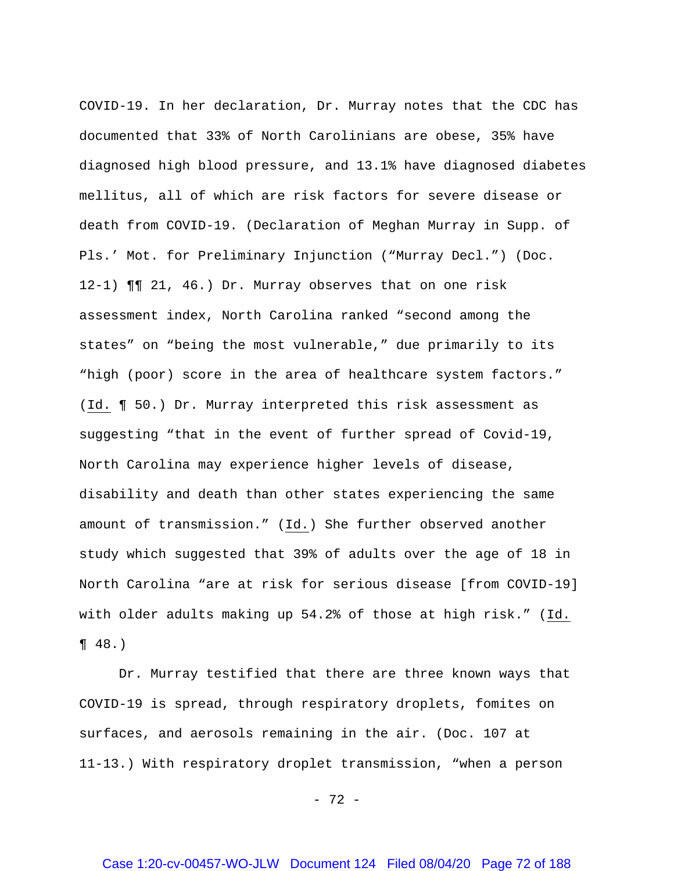COVID-19. In her declaration, Dr. Murray notes that the CDC has documented that 33% of North Carolinians are obese, 35% have diagnosed high blood pressure, and 13.1% have diagnosed diabetes mellitus, all of which are risk factors for severe disease or death from COVID-19. (Declaration of Meghan Murray in Supp. of Pls.' Mot. for Preliminary Injunction ("Murray Decl.") (Doc. 12-1) ¶¶ 21, 46.) Dr. Murray observes that on one risk assessment index, North Carolina ranked "second among the states" on "being the most vulnerable," due primarily to its "high (poor) score in the area of healthcare system factors." (Id. ¶ 50.) Dr. Murray interpreted this risk assessment as suggesting "that in the event of further spread of Covid-19, North Carolina may experience higher levels of disease, disability and death than other states experiencing the same amount of transmission." (Id.) She further observed another study which suggested that 39% of adults over the age of 18 in North Carolina "are at risk for serious disease [from COVID-19] with older adults making up 54.2% of those at high risk." (Id.  $\P 48.$ 

Dr. Murray testified that there are three known ways that COVID-19 is spread, through respiratory droplets, fomites on surfaces, and aerosols remaining in the air. (Doc. 107 at 11-13.) With respiratory droplet transmission, "when a person

- 72 -

## Case 1:20-cv-00457-WO-JLW Document 124 Filed 08/04/20 Page 72 of 188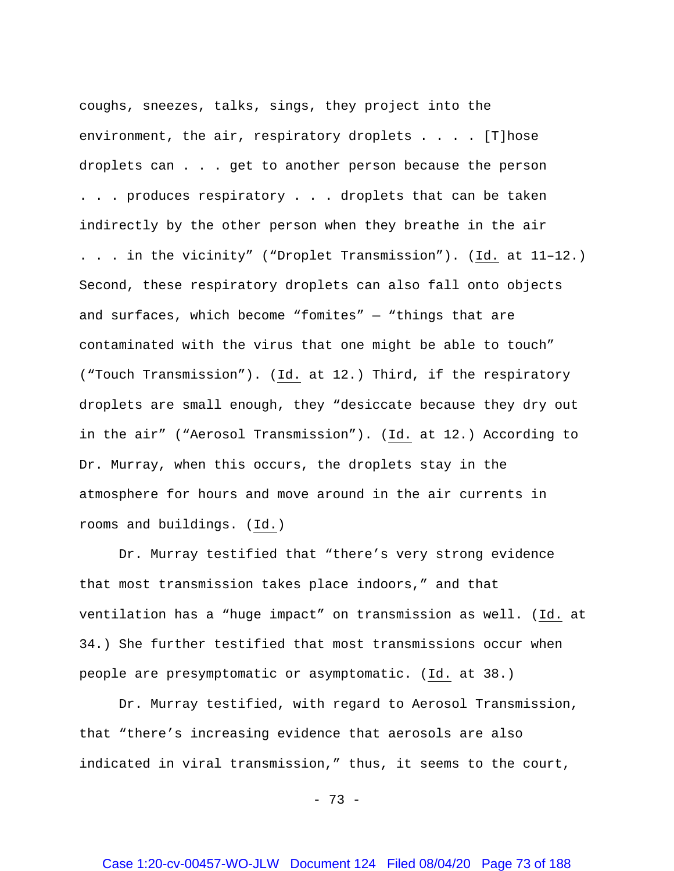coughs, sneezes, talks, sings, they project into the environment, the air, respiratory droplets . . . . [T]hose droplets can . . . get to another person because the person . . . produces respiratory . . . droplets that can be taken indirectly by the other person when they breathe in the air . . . in the vicinity" ("Droplet Transmission"). (Id. at 11–12.) Second, these respiratory droplets can also fall onto objects and surfaces, which become "fomites" — "things that are contaminated with the virus that one might be able to touch" ("Touch Transmission"). (Id. at 12.) Third, if the respiratory droplets are small enough, they "desiccate because they dry out in the air" ("Aerosol Transmission"). (Id. at 12.) According to Dr. Murray, when this occurs, the droplets stay in the atmosphere for hours and move around in the air currents in rooms and buildings. (Id.)

Dr. Murray testified that "there's very strong evidence that most transmission takes place indoors," and that ventilation has a "huge impact" on transmission as well. (Id. at 34.) She further testified that most transmissions occur when people are presymptomatic or asymptomatic. (Id. at 38.)

Dr. Murray testified, with regard to Aerosol Transmission, that "there's increasing evidence that aerosols are also indicated in viral transmission," thus, it seems to the court,

- 73 -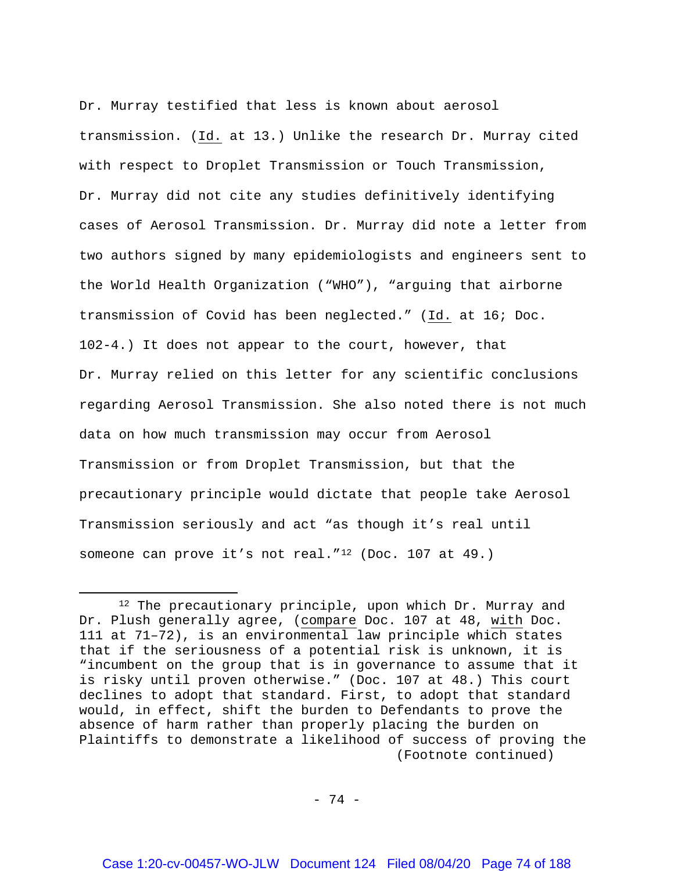Dr. Murray testified that less is known about aerosol transmission. (Id. at 13.) Unlike the research Dr. Murray cited with respect to Droplet Transmission or Touch Transmission, Dr. Murray did not cite any studies definitively identifying cases of Aerosol Transmission. Dr. Murray did note a letter from two authors signed by many epidemiologists and engineers sent to the World Health Organization ("WHO"), "arguing that airborne transmission of Covid has been neglected." (Id. at 16; Doc. 102-4.) It does not appear to the court, however, that Dr. Murray relied on this letter for any scientific conclusions regarding Aerosol Transmission. She also noted there is not much data on how much transmission may occur from Aerosol Transmission or from Droplet Transmission, but that the precautionary principle would dictate that people take Aerosol Transmission seriously and act "as though it's real until someone can prove it's not real."[12](#page-73-0) (Doc. 107 at 49.)

 $\overline{\phantom{a}}$ 

- 74 -

<span id="page-73-0"></span><sup>12</sup> The precautionary principle, upon which Dr. Murray and Dr. Plush generally agree, (compare Doc. 107 at 48, with Doc. 111 at 71–72), is an environmental law principle which states that if the seriousness of a potential risk is unknown, it is "incumbent on the group that is in governance to assume that it is risky until proven otherwise." (Doc. 107 at 48.) This court declines to adopt that standard. First, to adopt that standard would, in effect, shift the burden to Defendants to prove the absence of harm rather than properly placing the burden on Plaintiffs to demonstrate a likelihood of success of proving the (Footnote continued)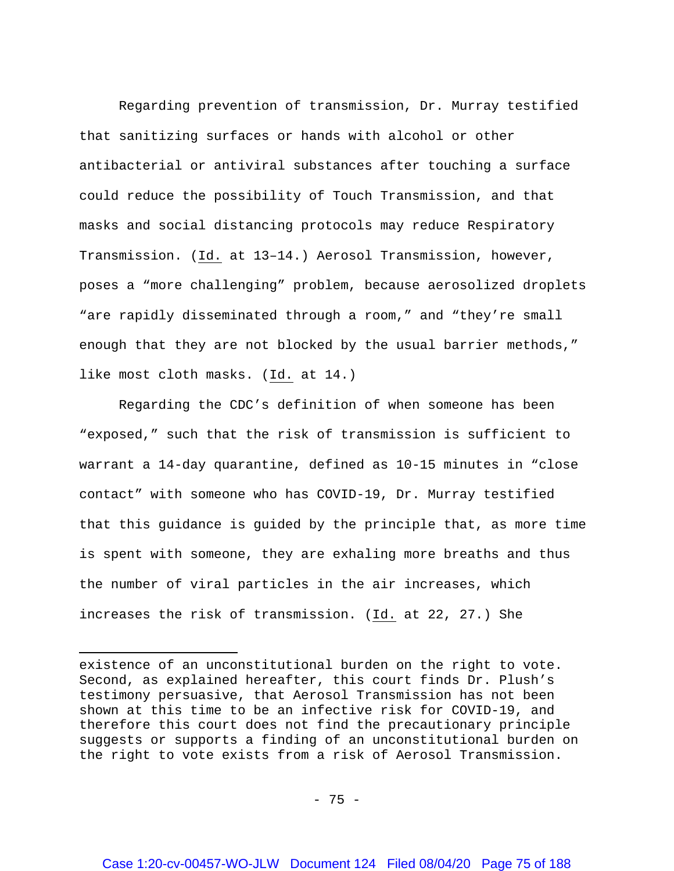Regarding prevention of transmission, Dr. Murray testified that sanitizing surfaces or hands with alcohol or other antibacterial or antiviral substances after touching a surface could reduce the possibility of Touch Transmission, and that masks and social distancing protocols may reduce Respiratory Transmission. (Id. at 13–14.) Aerosol Transmission, however, poses a "more challenging" problem, because aerosolized droplets "are rapidly disseminated through a room," and "they're small enough that they are not blocked by the usual barrier methods," like most cloth masks. (Id. at 14.)

Regarding the CDC's definition of when someone has been "exposed," such that the risk of transmission is sufficient to warrant a 14-day quarantine, defined as 10-15 minutes in "close contact" with someone who has COVID-19, Dr. Murray testified that this guidance is guided by the principle that, as more time is spent with someone, they are exhaling more breaths and thus the number of viral particles in the air increases, which increases the risk of transmission. (Id. at 22, 27.) She

 $\overline{\phantom{a}}$ 

existence of an unconstitutional burden on the right to vote. Second, as explained hereafter, this court finds Dr. Plush's testimony persuasive, that Aerosol Transmission has not been shown at this time to be an infective risk for COVID-19, and therefore this court does not find the precautionary principle suggests or supports a finding of an unconstitutional burden on the right to vote exists from a risk of Aerosol Transmission.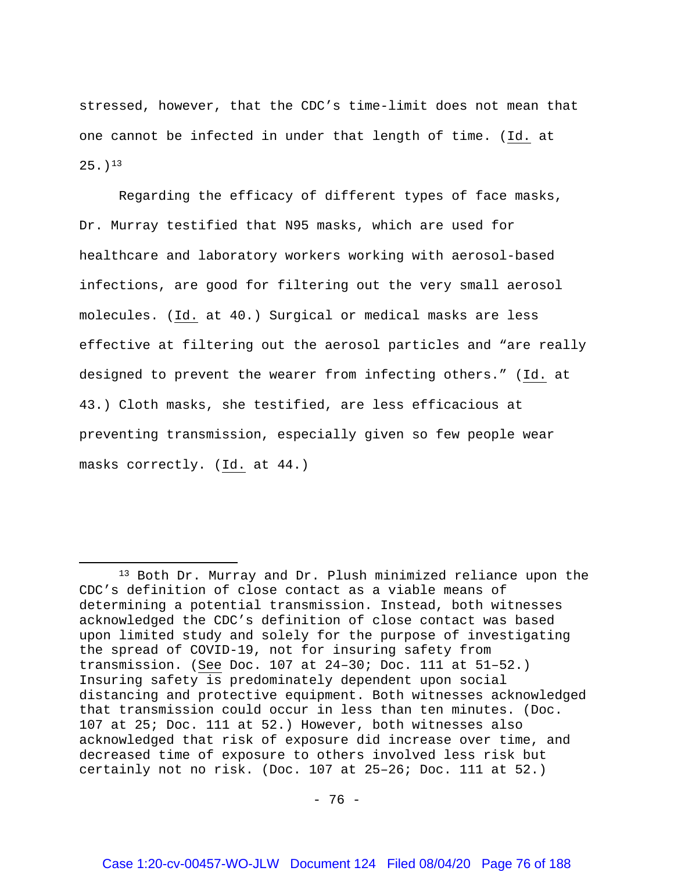stressed, however, that the CDC's time-limit does not mean that one cannot be infected in under that length of time. (Id. at  $25.1<sup>13</sup>$  $25.1<sup>13</sup>$  $25.1<sup>13</sup>$ 

Regarding the efficacy of different types of face masks, Dr. Murray testified that N95 masks, which are used for healthcare and laboratory workers working with aerosol-based infections, are good for filtering out the very small aerosol molecules. (Id. at 40.) Surgical or medical masks are less effective at filtering out the aerosol particles and "are really designed to prevent the wearer from infecting others." (Id. at 43.) Cloth masks, she testified, are less efficacious at preventing transmission, especially given so few people wear masks correctly. (Id. at 44.)

 $\overline{\phantom{a}}$ 

<span id="page-75-0"></span><sup>13</sup> Both Dr. Murray and Dr. Plush minimized reliance upon the CDC's definition of close contact as a viable means of determining a potential transmission. Instead, both witnesses acknowledged the CDC's definition of close contact was based upon limited study and solely for the purpose of investigating the spread of COVID-19, not for insuring safety from transmission. (See Doc. 107 at 24–30; Doc. 111 at 51–52.) Insuring safety is predominately dependent upon social distancing and protective equipment. Both witnesses acknowledged that transmission could occur in less than ten minutes. (Doc. 107 at 25; Doc. 111 at 52.) However, both witnesses also acknowledged that risk of exposure did increase over time, and decreased time of exposure to others involved less risk but certainly not no risk. (Doc. 107 at 25–26; Doc. 111 at 52.)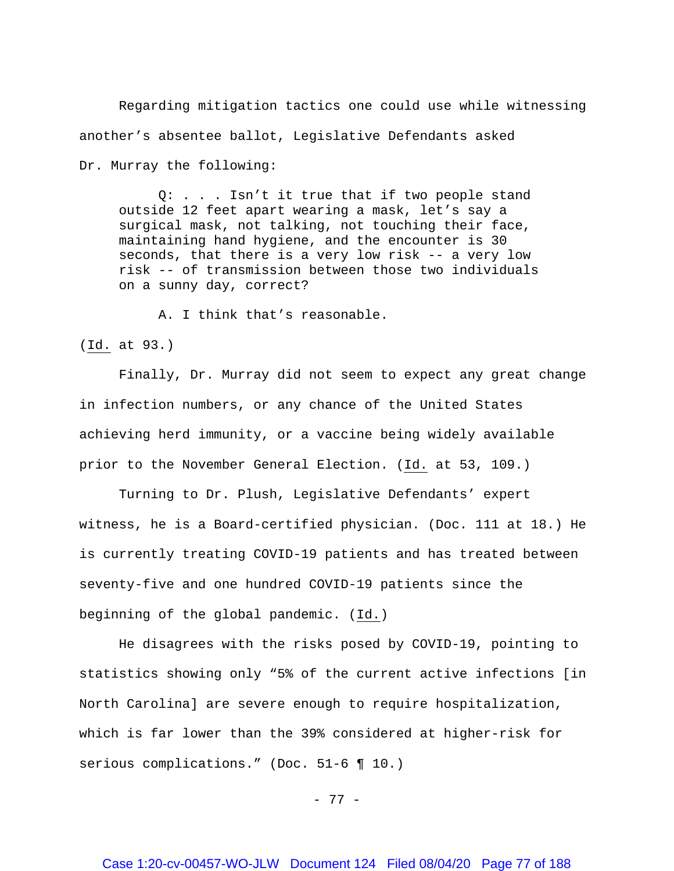Regarding mitigation tactics one could use while witnessing another's absentee ballot, Legislative Defendants asked Dr. Murray the following:

Q: . . . Isn't it true that if two people stand outside 12 feet apart wearing a mask, let's say a surgical mask, not talking, not touching their face, maintaining hand hygiene, and the encounter is 30 seconds, that there is a very low risk -- a very low risk -- of transmission between those two individuals on a sunny day, correct?

A. I think that's reasonable.

(Id. at 93.)

Finally, Dr. Murray did not seem to expect any great change in infection numbers, or any chance of the United States achieving herd immunity, or a vaccine being widely available prior to the November General Election. (Id. at 53, 109.)

Turning to Dr. Plush, Legislative Defendants' expert witness, he is a Board-certified physician. (Doc. 111 at 18.) He is currently treating COVID-19 patients and has treated between seventy-five and one hundred COVID-19 patients since the beginning of the global pandemic. (Id.)

He disagrees with the risks posed by COVID-19, pointing to statistics showing only "5% of the current active infections [in North Carolina] are severe enough to require hospitalization, which is far lower than the 39% considered at higher-risk for serious complications." (Doc. 51-6 ¶ 10.)

- 77 -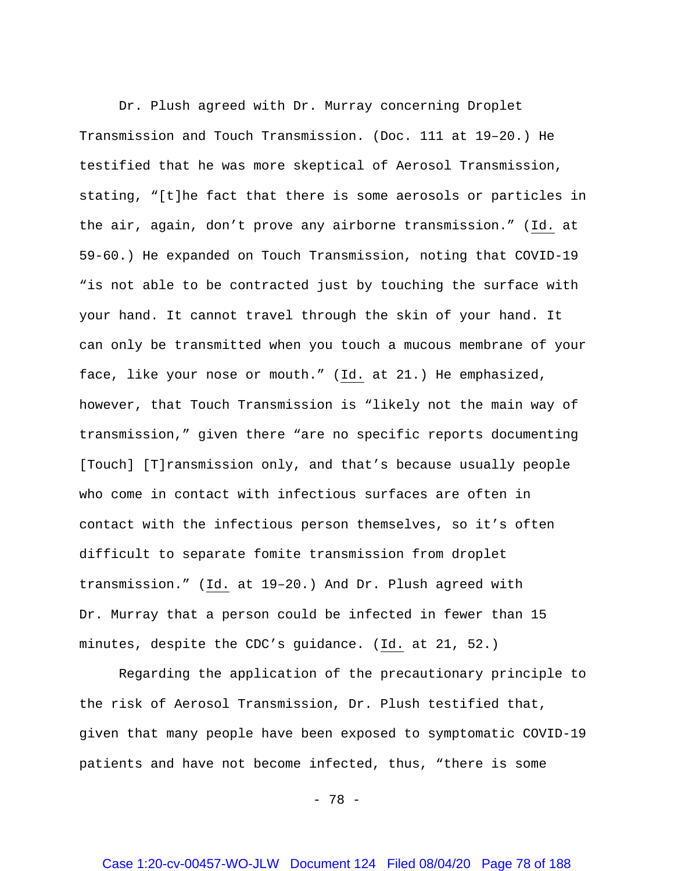Dr. Plush agreed with Dr. Murray concerning Droplet Transmission and Touch Transmission. (Doc. 111 at 19–20.) He testified that he was more skeptical of Aerosol Transmission, stating, "[t]he fact that there is some aerosols or particles in the air, again, don't prove any airborne transmission." (Id. at 59-60.) He expanded on Touch Transmission, noting that COVID-19 "is not able to be contracted just by touching the surface with your hand. It cannot travel through the skin of your hand. It can only be transmitted when you touch a mucous membrane of your face, like your nose or mouth." (Id. at 21.) He emphasized, however, that Touch Transmission is "likely not the main way of transmission," given there "are no specific reports documenting [Touch] [T]ransmission only, and that's because usually people who come in contact with infectious surfaces are often in contact with the infectious person themselves, so it's often difficult to separate fomite transmission from droplet transmission." (Id. at 19–20.) And Dr. Plush agreed with Dr. Murray that a person could be infected in fewer than 15 minutes, despite the CDC's guidance. (Id. at 21, 52.)

Regarding the application of the precautionary principle to the risk of Aerosol Transmission, Dr. Plush testified that, given that many people have been exposed to symptomatic COVID-19 patients and have not become infected, thus, "there is some

- 78 -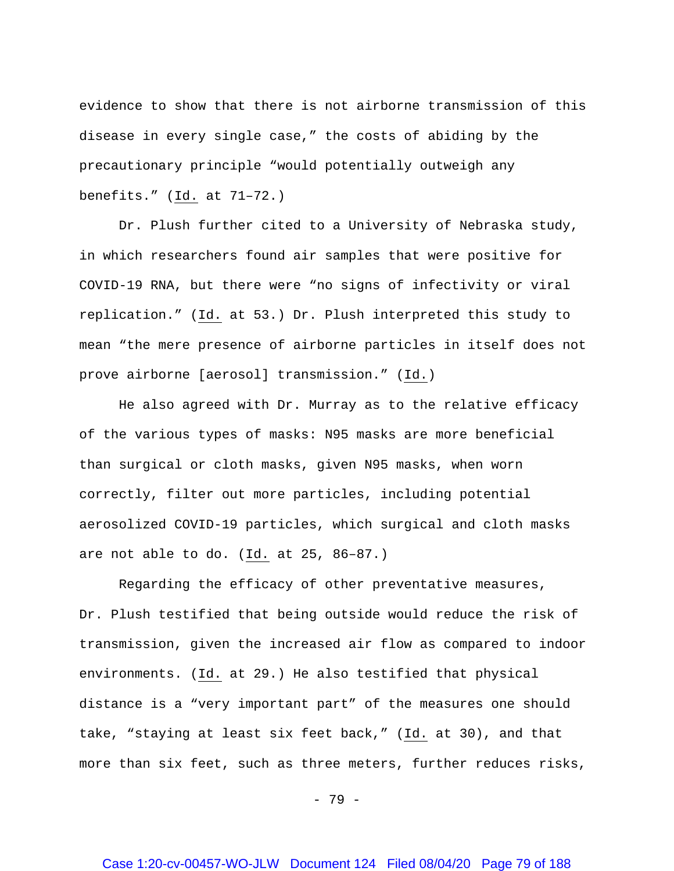evidence to show that there is not airborne transmission of this disease in every single case," the costs of abiding by the precautionary principle "would potentially outweigh any benefits." (Id. at 71–72.)

Dr. Plush further cited to a University of Nebraska study, in which researchers found air samples that were positive for COVID-19 RNA, but there were "no signs of infectivity or viral replication." (Id. at 53.) Dr. Plush interpreted this study to mean "the mere presence of airborne particles in itself does not prove airborne [aerosol] transmission." (Id.)

He also agreed with Dr. Murray as to the relative efficacy of the various types of masks: N95 masks are more beneficial than surgical or cloth masks, given N95 masks, when worn correctly, filter out more particles, including potential aerosolized COVID-19 particles, which surgical and cloth masks are not able to do. (Id. at 25, 86–87.)

Regarding the efficacy of other preventative measures, Dr. Plush testified that being outside would reduce the risk of transmission, given the increased air flow as compared to indoor environments. (Id. at 29.) He also testified that physical distance is a "very important part" of the measures one should take, "staying at least six feet back,"  $(\underline{Id.}$  at 30), and that more than six feet, such as three meters, further reduces risks,

- 79 -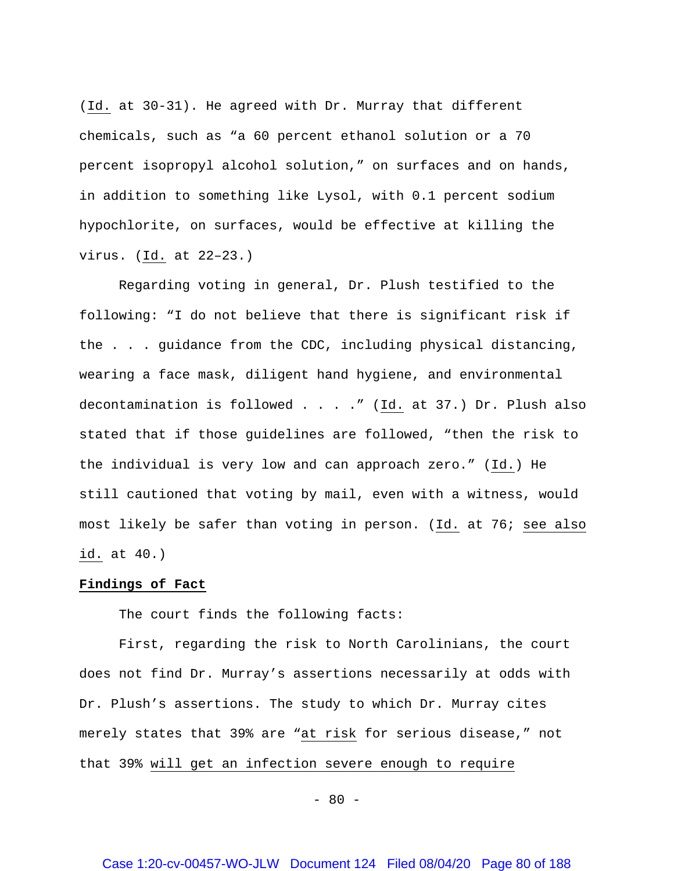(Id. at 30-31). He agreed with Dr. Murray that different chemicals, such as "a 60 percent ethanol solution or a 70 percent isopropyl alcohol solution," on surfaces and on hands, in addition to something like Lysol, with 0.1 percent sodium hypochlorite, on surfaces, would be effective at killing the virus. (Id. at 22–23.)

Regarding voting in general, Dr. Plush testified to the following: "I do not believe that there is significant risk if the . . . guidance from the CDC, including physical distancing, wearing a face mask, diligent hand hygiene, and environmental decontamination is followed . . . ." (Id. at 37.) Dr. Plush also stated that if those guidelines are followed, "then the risk to the individual is very low and can approach zero." (Id.) He still cautioned that voting by mail, even with a witness, would most likely be safer than voting in person. (Id. at 76; see also id. at 40.)

#### **Findings of Fact**

The court finds the following facts:

First, regarding the risk to North Carolinians, the court does not find Dr. Murray's assertions necessarily at odds with Dr. Plush's assertions. The study to which Dr. Murray cites merely states that 39% are "at risk for serious disease," not that 39% will get an infection severe enough to require

 $- 80 -$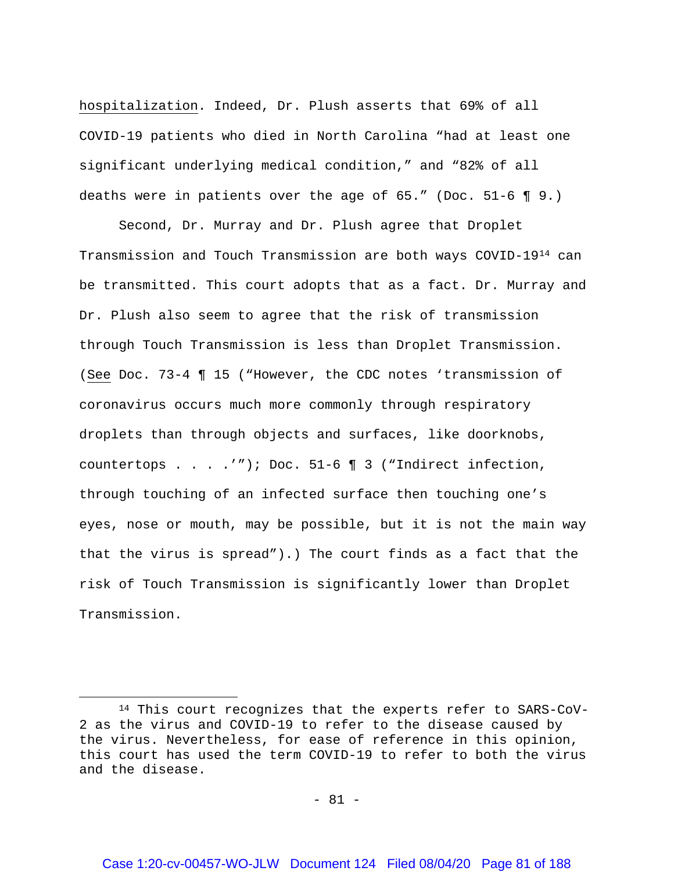hospitalization. Indeed, Dr. Plush asserts that 69% of all COVID-19 patients who died in North Carolina "had at least one significant underlying medical condition," and "82% of all deaths were in patients over the age of 65." (Doc. 51-6 ¶ 9.)

Second, Dr. Murray and Dr. Plush agree that Droplet Transmission and Touch Transmission are both ways COVID-19[14](#page-80-0) can be transmitted. This court adopts that as a fact. Dr. Murray and Dr. Plush also seem to agree that the risk of transmission through Touch Transmission is less than Droplet Transmission. (See Doc. 73-4 ¶ 15 ("However, the CDC notes 'transmission of coronavirus occurs much more commonly through respiratory droplets than through objects and surfaces, like doorknobs, countertops . . . .'"); Doc. 51-6 ¶ 3 ("Indirect infection, through touching of an infected surface then touching one's eyes, nose or mouth, may be possible, but it is not the main way that the virus is spread").) The court finds as a fact that the risk of Touch Transmission is significantly lower than Droplet Transmission.

 $\overline{a}$ 

<span id="page-80-0"></span><sup>14</sup> This court recognizes that the experts refer to SARS-CoV-2 as the virus and COVID-19 to refer to the disease caused by the virus. Nevertheless, for ease of reference in this opinion, this court has used the term COVID-19 to refer to both the virus and the disease.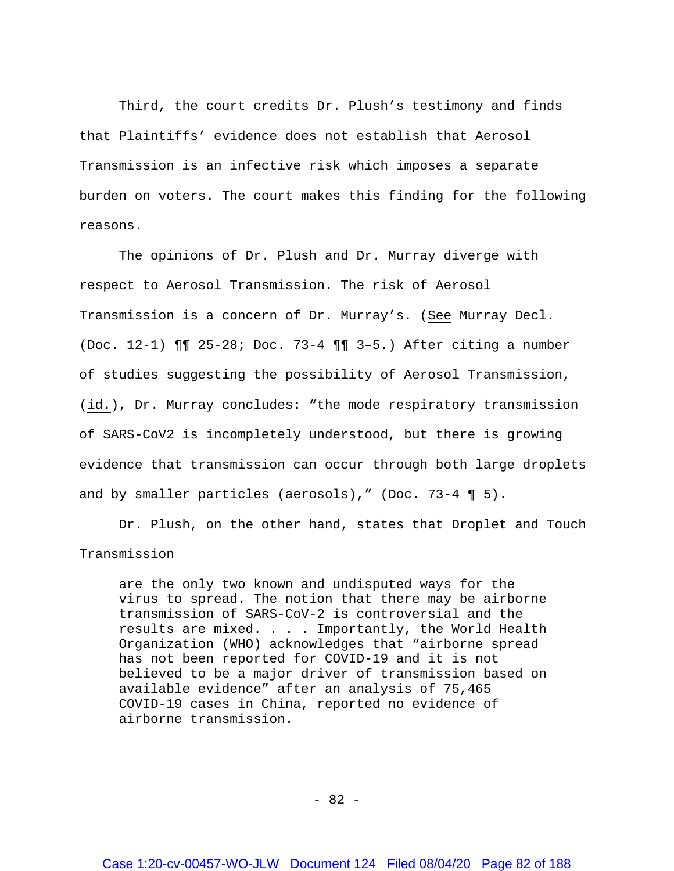Third, the court credits Dr. Plush's testimony and finds that Plaintiffs' evidence does not establish that Aerosol Transmission is an infective risk which imposes a separate burden on voters. The court makes this finding for the following reasons.

The opinions of Dr. Plush and Dr. Murray diverge with respect to Aerosol Transmission. The risk of Aerosol Transmission is a concern of Dr. Murray's. (See Murray Decl. (Doc. 12-1) ¶¶ 25-28; Doc. 73-4 ¶¶ 3–5.) After citing a number of studies suggesting the possibility of Aerosol Transmission, (id.), Dr. Murray concludes: "the mode respiratory transmission of SARS-CoV2 is incompletely understood, but there is growing evidence that transmission can occur through both large droplets and by smaller particles (aerosols)," (Doc. 73-4 ¶ 5).

Dr. Plush, on the other hand, states that Droplet and Touch Transmission

are the only two known and undisputed ways for the virus to spread. The notion that there may be airborne transmission of SARS-CoV-2 is controversial and the results are mixed. . . . Importantly, the World Health Organization (WHO) acknowledges that "airborne spread has not been reported for COVID-19 and it is not believed to be a major driver of transmission based on available evidence" after an analysis of 75,465 COVID-19 cases in China, reported no evidence of airborne transmission.

- 82 -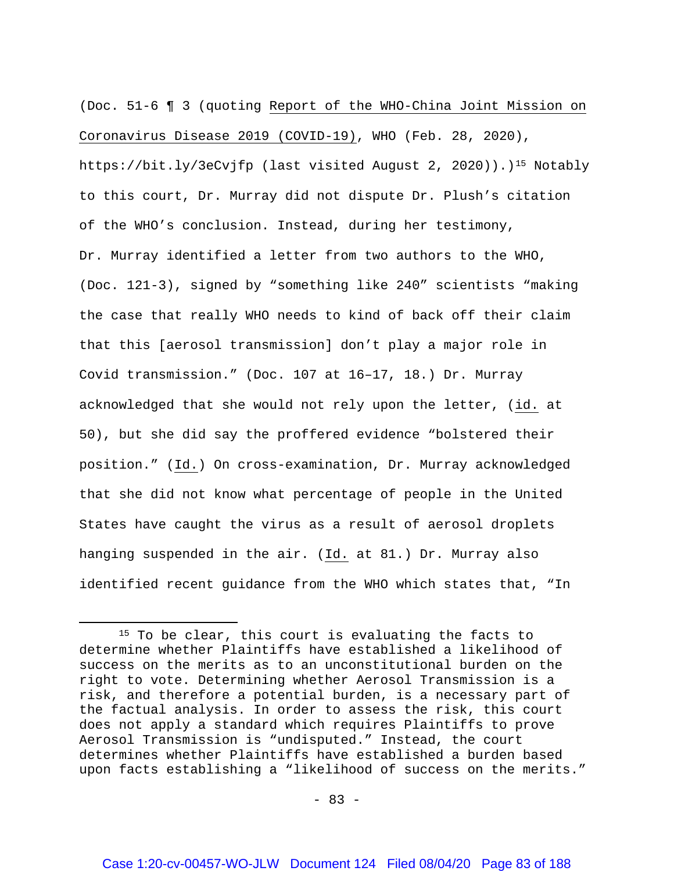(Doc. 51-6 ¶ 3 (quoting Report of the WHO-China Joint Mission on Coronavirus Disease 2019 (COVID-19), WHO (Feb. 28, 2020), https://bit.ly/3eCvjfp (last visited August 2, 2020)).)<sup>15</sup> Notably to this court, Dr. Murray did not dispute Dr. Plush's citation of the WHO's conclusion. Instead, during her testimony, Dr. Murray identified a letter from two authors to the WHO, (Doc. 121-3), signed by "something like 240" scientists "making the case that really WHO needs to kind of back off their claim that this [aerosol transmission] don't play a major role in Covid transmission." (Doc. 107 at 16–17, 18.) Dr. Murray acknowledged that she would not rely upon the letter, (id. at 50), but she did say the proffered evidence "bolstered their position." (Id.) On cross-examination, Dr. Murray acknowledged that she did not know what percentage of people in the United States have caught the virus as a result of aerosol droplets hanging suspended in the air. (Id. at 81.) Dr. Murray also identified recent quidance from the WHO which states that, "In

 $\overline{\phantom{a}}$ 

<span id="page-82-0"></span><sup>&</sup>lt;sup>15</sup> To be clear, this court is evaluating the facts to determine whether Plaintiffs have established a likelihood of success on the merits as to an unconstitutional burden on the right to vote. Determining whether Aerosol Transmission is a risk, and therefore a potential burden, is a necessary part of the factual analysis. In order to assess the risk, this court does not apply a standard which requires Plaintiffs to prove Aerosol Transmission is "undisputed." Instead, the court determines whether Plaintiffs have established a burden based upon facts establishing a "likelihood of success on the merits."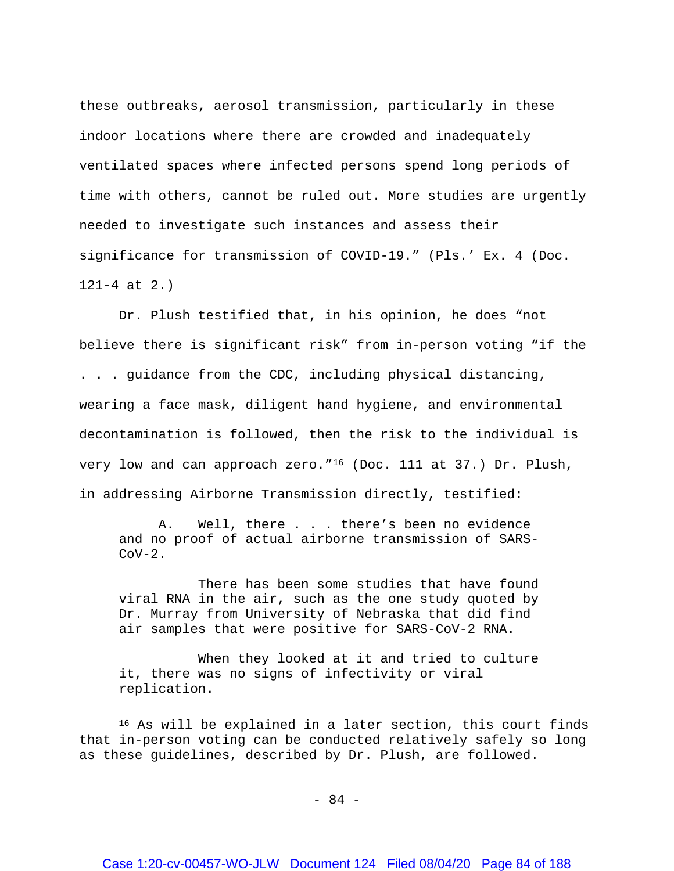these outbreaks, aerosol transmission, particularly in these indoor locations where there are crowded and inadequately ventilated spaces where infected persons spend long periods of time with others, cannot be ruled out. More studies are urgently needed to investigate such instances and assess their significance for transmission of COVID-19." (Pls.' Ex. 4 (Doc. 121-4 at 2.)

Dr. Plush testified that, in his opinion, he does "not believe there is significant risk" from in-person voting "if the . . . guidance from the CDC, including physical distancing, wearing a face mask, diligent hand hygiene, and environmental decontamination is followed, then the risk to the individual is very low and can approach zero."<sup>[16](#page-83-0)</sup> (Doc. 111 at 37.) Dr. Plush, in addressing Airborne Transmission directly, testified:

A. Well, there . . . there's been no evidence and no proof of actual airborne transmission of SARS- $COV-2$ .

There has been some studies that have found viral RNA in the air, such as the one study quoted by Dr. Murray from University of Nebraska that did find air samples that were positive for SARS-CoV-2 RNA.

When they looked at it and tried to culture it, there was no signs of infectivity or viral replication.

l

<span id="page-83-0"></span><sup>16</sup> As will be explained in a later section, this court finds that in-person voting can be conducted relatively safely so long as these guidelines, described by Dr. Plush, are followed.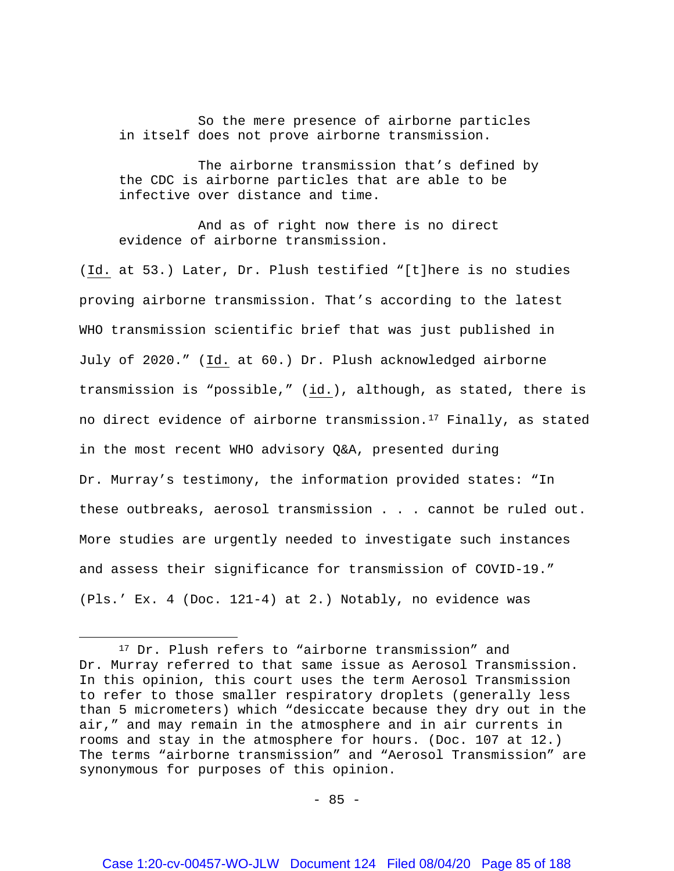So the mere presence of airborne particles in itself does not prove airborne transmission.

The airborne transmission that's defined by the CDC is airborne particles that are able to be infective over distance and time.

And as of right now there is no direct evidence of airborne transmission.

(Id. at 53.) Later, Dr. Plush testified "[t]here is no studies proving airborne transmission. That's according to the latest WHO transmission scientific brief that was just published in July of 2020." (Id. at 60.) Dr. Plush acknowledged airborne transmission is "possible," (id.), although, as stated, there is no direct evidence of airborne transmission.<sup>[17](#page-84-0)</sup> Finally, as stated in the most recent WHO advisory Q&A, presented during Dr. Murray's testimony, the information provided states: "In these outbreaks, aerosol transmission . . . cannot be ruled out. More studies are urgently needed to investigate such instances and assess their significance for transmission of COVID-19." (Pls.' Ex. 4 (Doc. 121-4) at 2.) Notably, no evidence was

 $\overline{a}$ 

<span id="page-84-0"></span><sup>&</sup>lt;sup>17</sup> Dr. Plush refers to "airborne transmission" and Dr. Murray referred to that same issue as Aerosol Transmission. In this opinion, this court uses the term Aerosol Transmission to refer to those smaller respiratory droplets (generally less than 5 micrometers) which "desiccate because they dry out in the air," and may remain in the atmosphere and in air currents in rooms and stay in the atmosphere for hours. (Doc. 107 at 12.) The terms "airborne transmission" and "Aerosol Transmission" are synonymous for purposes of this opinion.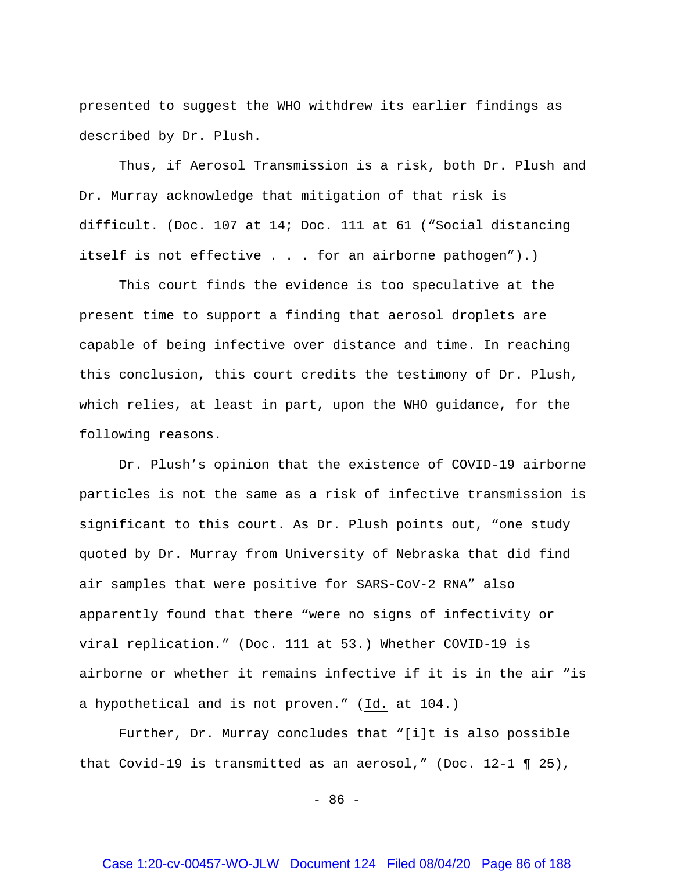presented to suggest the WHO withdrew its earlier findings as described by Dr. Plush.

Thus, if Aerosol Transmission is a risk, both Dr. Plush and Dr. Murray acknowledge that mitigation of that risk is difficult. (Doc. 107 at 14; Doc. 111 at 61 ("Social distancing itself is not effective . . . for an airborne pathogen").)

This court finds the evidence is too speculative at the present time to support a finding that aerosol droplets are capable of being infective over distance and time. In reaching this conclusion, this court credits the testimony of Dr. Plush, which relies, at least in part, upon the WHO guidance, for the following reasons.

Dr. Plush's opinion that the existence of COVID-19 airborne particles is not the same as a risk of infective transmission is significant to this court. As Dr. Plush points out, "one study quoted by Dr. Murray from University of Nebraska that did find air samples that were positive for SARS-CoV-2 RNA" also apparently found that there "were no signs of infectivity or viral replication." (Doc. 111 at 53.) Whether COVID-19 is airborne or whether it remains infective if it is in the air "is a hypothetical and is not proven." (Id. at 104.)

Further, Dr. Murray concludes that "[i]t is also possible that Covid-19 is transmitted as an aerosol," (Doc. 12-1 ¶ 25),

 $- 86 -$ 

### Case 1:20-cv-00457-WO-JLW Document 124 Filed 08/04/20 Page 86 of 188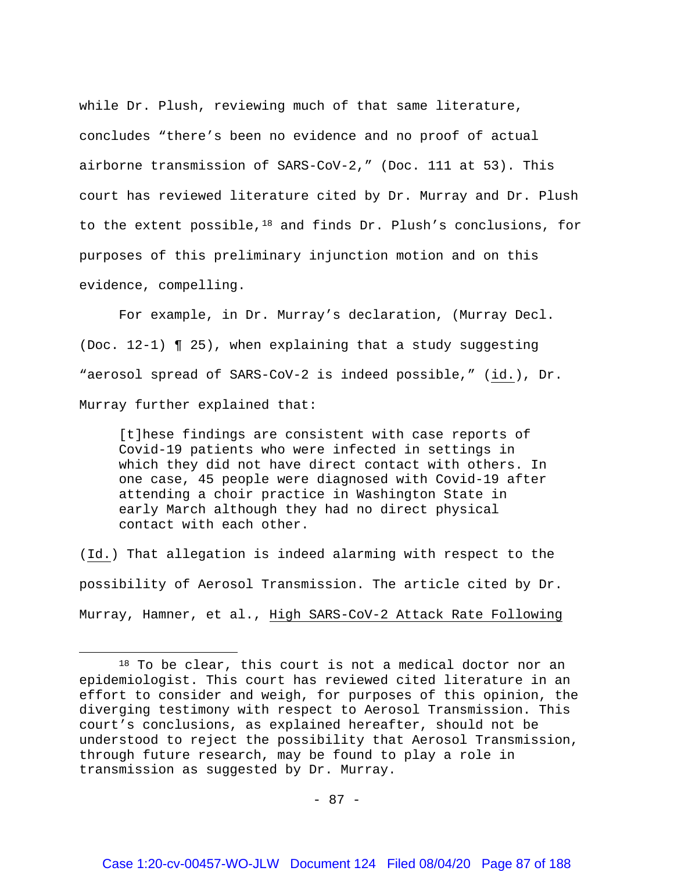while Dr. Plush, reviewing much of that same literature, concludes "there's been no evidence and no proof of actual airborne transmission of SARS-CoV-2," (Doc. 111 at 53). This court has reviewed literature cited by Dr. Murray and Dr. Plush to the extent possible,[18](#page-86-0) and finds Dr. Plush's conclusions, for purposes of this preliminary injunction motion and on this evidence, compelling.

For example, in Dr. Murray's declaration, (Murray Decl. (Doc. 12-1) ¶ 25), when explaining that a study suggesting "aerosol spread of SARS-CoV-2 is indeed possible," (id.), Dr. Murray further explained that:

[t]hese findings are consistent with case reports of Covid-19 patients who were infected in settings in which they did not have direct contact with others. In one case, 45 people were diagnosed with Covid-19 after attending a choir practice in Washington State in early March although they had no direct physical contact with each other.

(Id.) That allegation is indeed alarming with respect to the possibility of Aerosol Transmission. The article cited by Dr. Murray, Hamner, et al., High SARS-CoV-2 Attack Rate Following

l

<span id="page-86-0"></span><sup>18</sup> To be clear, this court is not a medical doctor nor an epidemiologist. This court has reviewed cited literature in an effort to consider and weigh, for purposes of this opinion, the diverging testimony with respect to Aerosol Transmission. This court's conclusions, as explained hereafter, should not be understood to reject the possibility that Aerosol Transmission, through future research, may be found to play a role in transmission as suggested by Dr. Murray.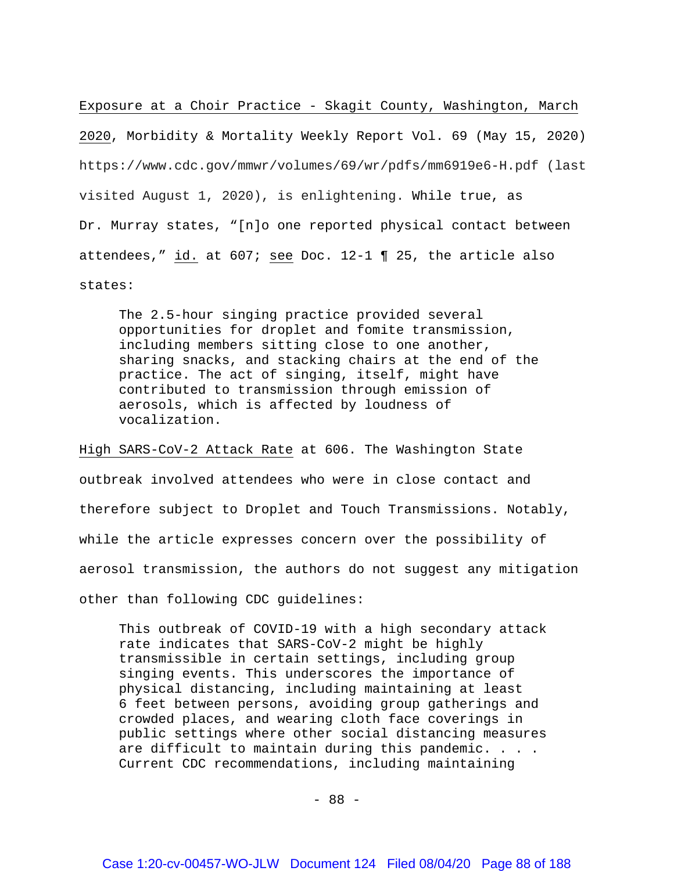Exposure at a Choir Practice - Skagit County, Washington, March

2020, Morbidity & Mortality Weekly Report Vol. 69 (May 15, 2020) https://www.cdc.gov/mmwr/volumes/69/wr/pdfs/mm6919e6-H.pdf (last visited August 1, 2020), is enlightening. While true, as Dr. Murray states, "[n]o one reported physical contact between attendees," id. at 607; see Doc. 12-1 ¶ 25, the article also states:

The 2.5-hour singing practice provided several opportunities for droplet and fomite transmission, including members sitting close to one another, sharing snacks, and stacking chairs at the end of the practice. The act of singing, itself, might have contributed to transmission through emission of aerosols, which is affected by loudness of vocalization.

High SARS-CoV-2 Attack Rate at 606. The Washington State outbreak involved attendees who were in close contact and therefore subject to Droplet and Touch Transmissions. Notably, while the article expresses concern over the possibility of aerosol transmission, the authors do not suggest any mitigation other than following CDC guidelines:

This outbreak of COVID-19 with a high secondary attack rate indicates that SARS-CoV-2 might be highly transmissible in certain settings, including group singing events. This underscores the importance of physical distancing, including maintaining at least 6 feet between persons, avoiding group gatherings and crowded places, and wearing cloth face coverings in public settings where other social distancing measures are difficult to maintain during this pandemic. . . . Current CDC recommendations, including maintaining

- 88 -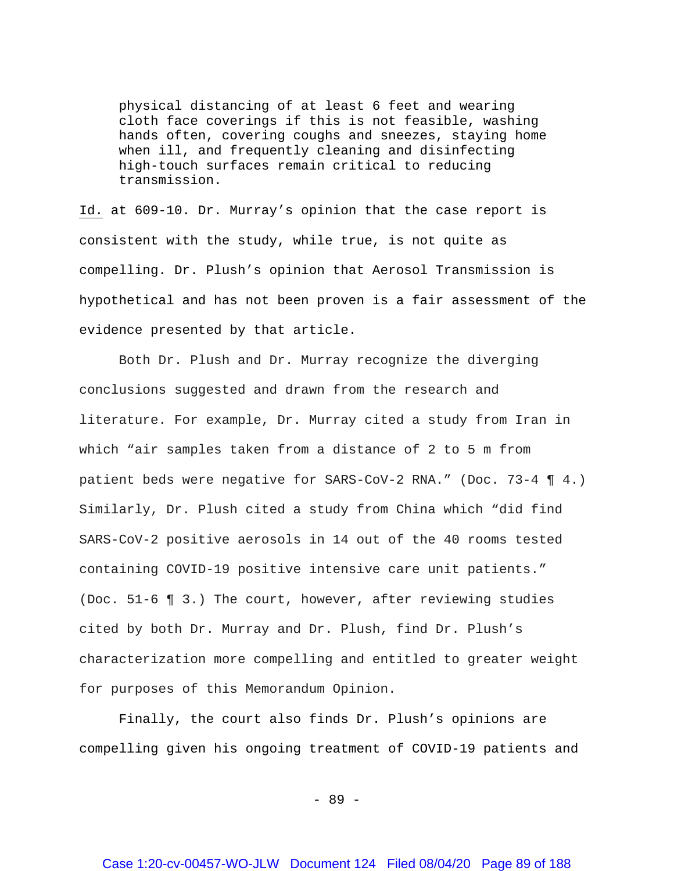physical distancing of at least 6 feet and wearing cloth face coverings if this is not feasible, washing hands often, covering coughs and sneezes, staying home when ill, and frequently cleaning and disinfecting high-touch surfaces remain critical to reducing transmission.

Id. at 609-10. Dr. Murray's opinion that the case report is consistent with the study, while true, is not quite as compelling. Dr. Plush's opinion that Aerosol Transmission is hypothetical and has not been proven is a fair assessment of the evidence presented by that article.

Both Dr. Plush and Dr. Murray recognize the diverging conclusions suggested and drawn from the research and literature. For example, Dr. Murray cited a study from Iran in which "air samples taken from a distance of 2 to 5 m from patient beds were negative for SARS-CoV-2 RNA." (Doc. 73-4 ¶ 4.) Similarly, Dr. Plush cited a study from China which "did find SARS-CoV-2 positive aerosols in 14 out of the 40 rooms tested containing COVID-19 positive intensive care unit patients." (Doc. 51-6 ¶ 3.) The court, however, after reviewing studies cited by both Dr. Murray and Dr. Plush, find Dr. Plush's characterization more compelling and entitled to greater weight for purposes of this Memorandum Opinion.

Finally, the court also finds Dr. Plush's opinions are compelling given his ongoing treatment of COVID-19 patients and

- 89 -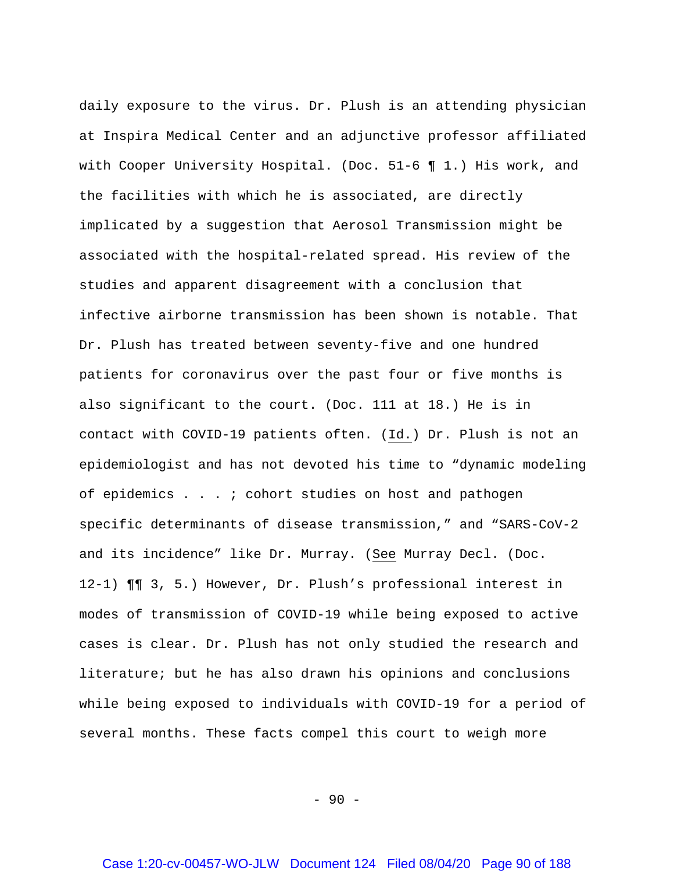daily exposure to the virus. Dr. Plush is an attending physician at Inspira Medical Center and an adjunctive professor affiliated with Cooper University Hospital. (Doc. 51-6 ¶ 1.) His work, and the facilities with which he is associated, are directly implicated by a suggestion that Aerosol Transmission might be associated with the hospital-related spread. His review of the studies and apparent disagreement with a conclusion that infective airborne transmission has been shown is notable. That Dr. Plush has treated between seventy-five and one hundred patients for coronavirus over the past four or five months is also significant to the court. (Doc. 111 at 18.) He is in contact with COVID-19 patients often. (Id.) Dr. Plush is not an epidemiologist and has not devoted his time to "dynamic modeling of epidemics . . . ; cohort studies on host and pathogen specific determinants of disease transmission," and "SARS-CoV-2 and its incidence" like Dr. Murray. (See Murray Decl. (Doc. 12-1) ¶¶ 3, 5.) However, Dr. Plush's professional interest in modes of transmission of COVID-19 while being exposed to active cases is clear. Dr. Plush has not only studied the research and literature; but he has also drawn his opinions and conclusions while being exposed to individuals with COVID-19 for a period of several months. These facts compel this court to weigh more

 $-90 -$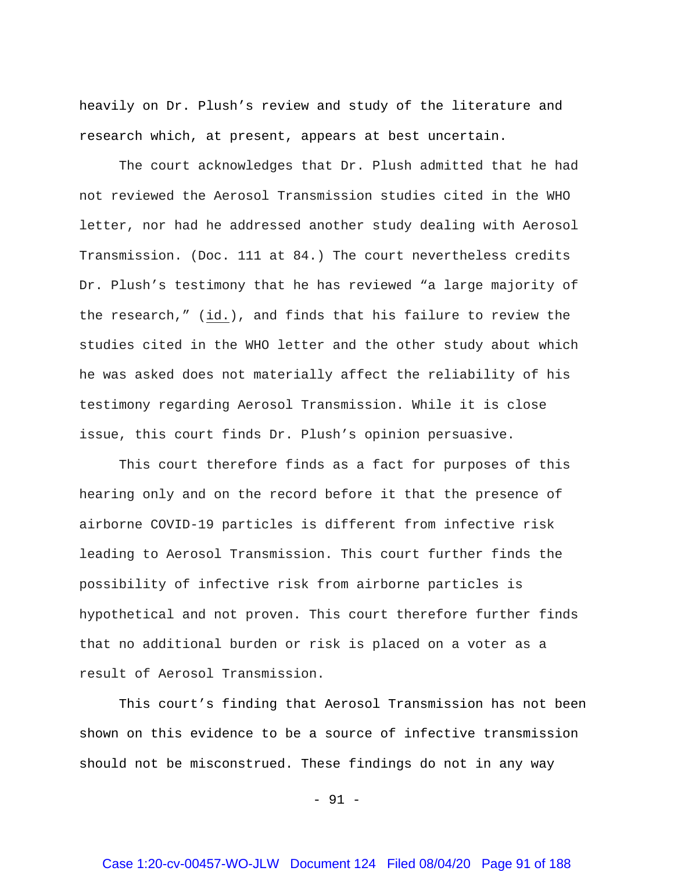heavily on Dr. Plush's review and study of the literature and research which, at present, appears at best uncertain.

The court acknowledges that Dr. Plush admitted that he had not reviewed the Aerosol Transmission studies cited in the WHO letter, nor had he addressed another study dealing with Aerosol Transmission. (Doc. 111 at 84.) The court nevertheless credits Dr. Plush's testimony that he has reviewed "a large majority of the research," (id.), and finds that his failure to review the studies cited in the WHO letter and the other study about which he was asked does not materially affect the reliability of his testimony regarding Aerosol Transmission. While it is close issue, this court finds Dr. Plush's opinion persuasive.

This court therefore finds as a fact for purposes of this hearing only and on the record before it that the presence of airborne COVID-19 particles is different from infective risk leading to Aerosol Transmission. This court further finds the possibility of infective risk from airborne particles is hypothetical and not proven. This court therefore further finds that no additional burden or risk is placed on a voter as a result of Aerosol Transmission.

This court's finding that Aerosol Transmission has not been shown on this evidence to be a source of infective transmission should not be misconstrued. These findings do not in any way

- 91 -

### Case 1:20-cv-00457-WO-JLW Document 124 Filed 08/04/20 Page 91 of 188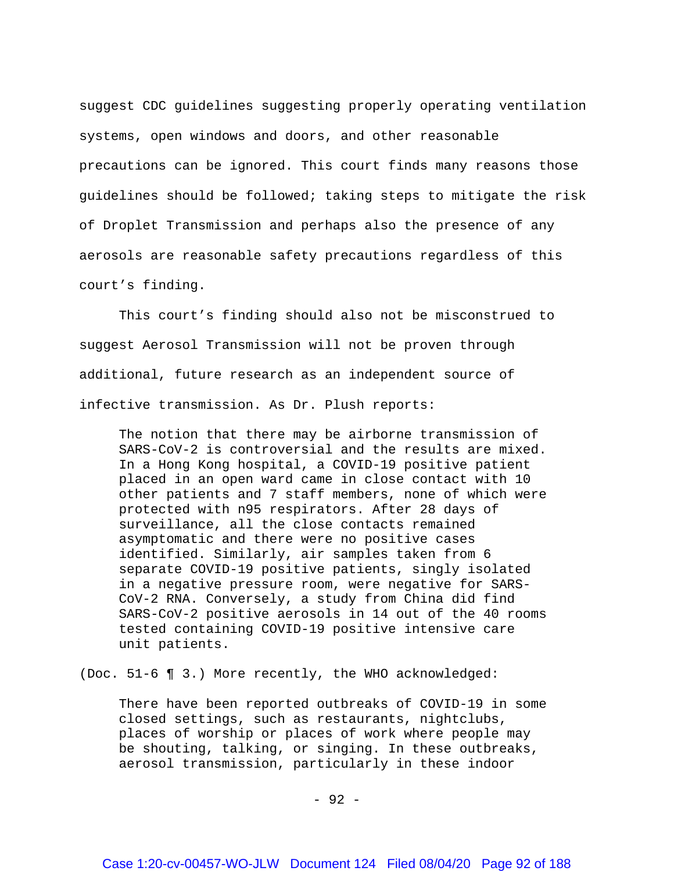suggest CDC guidelines suggesting properly operating ventilation systems, open windows and doors, and other reasonable precautions can be ignored. This court finds many reasons those guidelines should be followed; taking steps to mitigate the risk of Droplet Transmission and perhaps also the presence of any aerosols are reasonable safety precautions regardless of this court's finding.

This court's finding should also not be misconstrued to suggest Aerosol Transmission will not be proven through additional, future research as an independent source of infective transmission. As Dr. Plush reports:

The notion that there may be airborne transmission of SARS-CoV-2 is controversial and the results are mixed. In a Hong Kong hospital, a COVID-19 positive patient placed in an open ward came in close contact with 10 other patients and 7 staff members, none of which were protected with n95 respirators. After 28 days of surveillance, all the close contacts remained asymptomatic and there were no positive cases identified. Similarly, air samples taken from 6 separate COVID-19 positive patients, singly isolated in a negative pressure room, were negative for SARS-CoV-2 RNA. Conversely, a study from China did find SARS-CoV-2 positive aerosols in 14 out of the 40 rooms tested containing COVID-19 positive intensive care unit patients.

(Doc. 51-6 ¶ 3.) More recently, the WHO acknowledged:

There have been reported outbreaks of COVID-19 in some closed settings, such as restaurants, nightclubs, places of worship or places of work where people may be shouting, talking, or singing. In these outbreaks, aerosol transmission, particularly in these indoor

- 92 -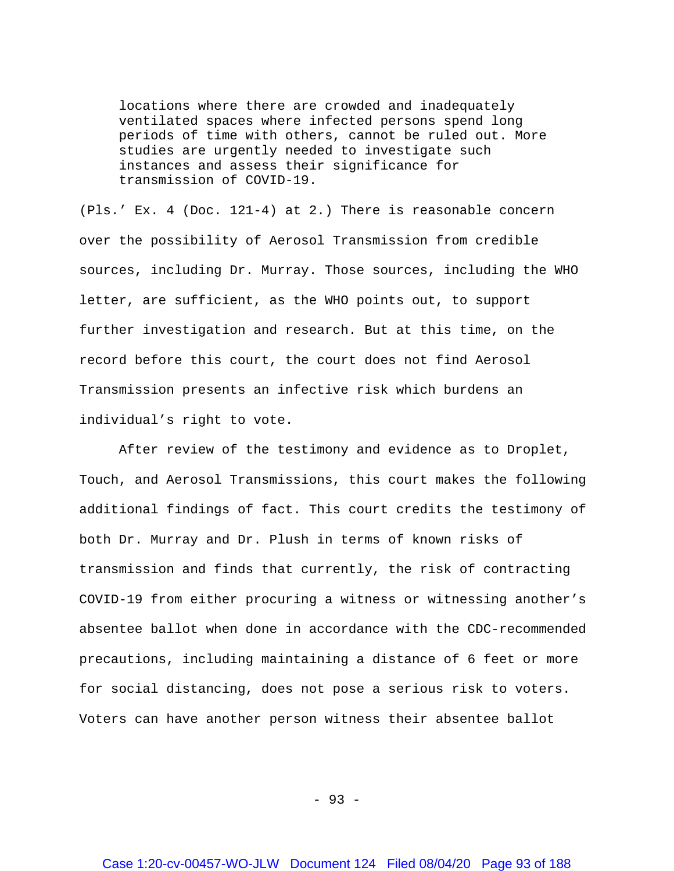locations where there are crowded and inadequately ventilated spaces where infected persons spend long periods of time with others, cannot be ruled out. More studies are urgently needed to investigate such instances and assess their significance for transmission of COVID-19.

(Pls.' Ex. 4 (Doc. 121-4) at 2.) There is reasonable concern over the possibility of Aerosol Transmission from credible sources, including Dr. Murray. Those sources, including the WHO letter, are sufficient, as the WHO points out, to support further investigation and research. But at this time, on the record before this court, the court does not find Aerosol Transmission presents an infective risk which burdens an individual's right to vote.

After review of the testimony and evidence as to Droplet, Touch, and Aerosol Transmissions, this court makes the following additional findings of fact. This court credits the testimony of both Dr. Murray and Dr. Plush in terms of known risks of transmission and finds that currently, the risk of contracting COVID-19 from either procuring a witness or witnessing another's absentee ballot when done in accordance with the CDC-recommended precautions, including maintaining a distance of 6 feet or more for social distancing, does not pose a serious risk to voters. Voters can have another person witness their absentee ballot

- 93 -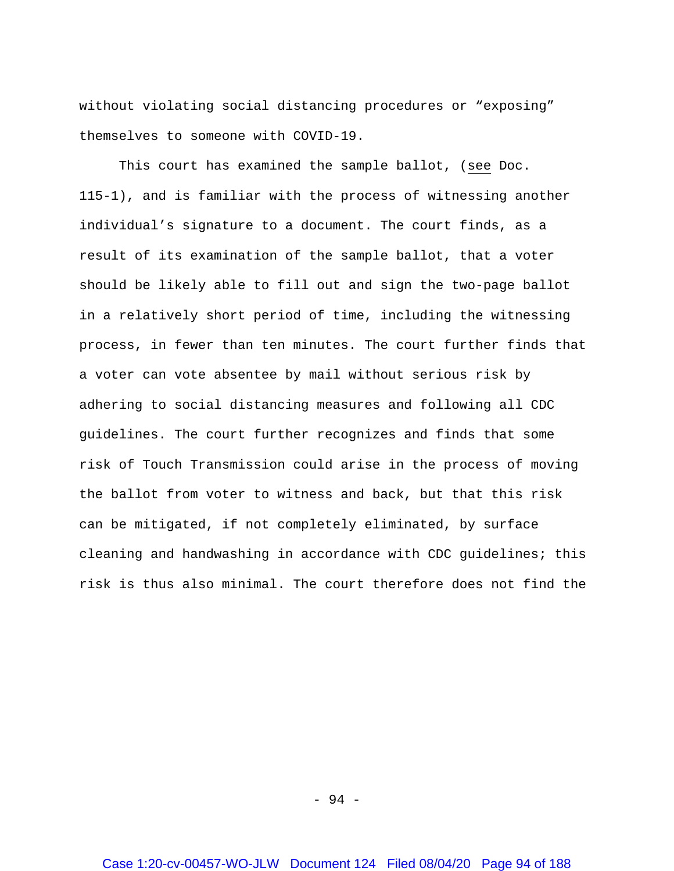without violating social distancing procedures or "exposing" themselves to someone with COVID-19.

This court has examined the sample ballot, (see Doc. 115-1), and is familiar with the process of witnessing another individual's signature to a document. The court finds, as a result of its examination of the sample ballot, that a voter should be likely able to fill out and sign the two-page ballot in a relatively short period of time, including the witnessing process, in fewer than ten minutes. The court further finds that a voter can vote absentee by mail without serious risk by adhering to social distancing measures and following all CDC guidelines. The court further recognizes and finds that some risk of Touch Transmission could arise in the process of moving the ballot from voter to witness and back, but that this risk can be mitigated, if not completely eliminated, by surface cleaning and handwashing in accordance with CDC guidelines; this risk is thus also minimal. The court therefore does not find the

- 94 -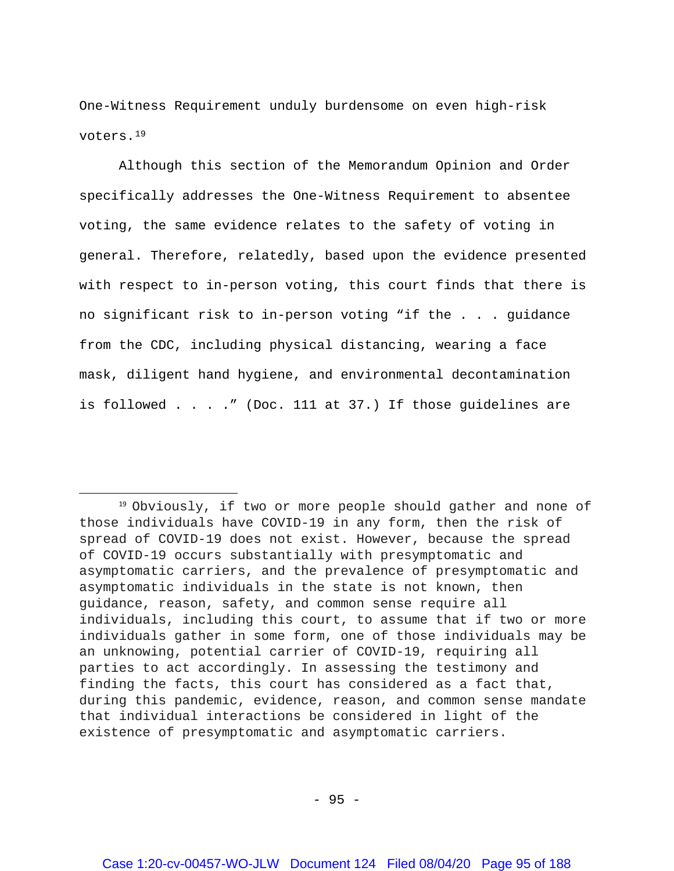One-Witness Requirement unduly burdensome on even high-risk voters.[19](#page-94-0)

Although this section of the Memorandum Opinion and Order specifically addresses the One-Witness Requirement to absentee voting, the same evidence relates to the safety of voting in general. Therefore, relatedly, based upon the evidence presented with respect to in-person voting, this court finds that there is no significant risk to in-person voting "if the . . . guidance from the CDC, including physical distancing, wearing a face mask, diligent hand hygiene, and environmental decontamination is followed . . . ." (Doc. 111 at 37.) If those guidelines are

 $-95 -$ 

<span id="page-94-0"></span> <sup>19</sup> Obviously, if two or more people should gather and none of those individuals have COVID-19 in any form, then the risk of spread of COVID-19 does not exist. However, because the spread of COVID-19 occurs substantially with presymptomatic and asymptomatic carriers, and the prevalence of presymptomatic and asymptomatic individuals in the state is not known, then guidance, reason, safety, and common sense require all individuals, including this court, to assume that if two or more individuals gather in some form, one of those individuals may be an unknowing, potential carrier of COVID-19, requiring all parties to act accordingly. In assessing the testimony and finding the facts, this court has considered as a fact that, during this pandemic, evidence, reason, and common sense mandate that individual interactions be considered in light of the existence of presymptomatic and asymptomatic carriers.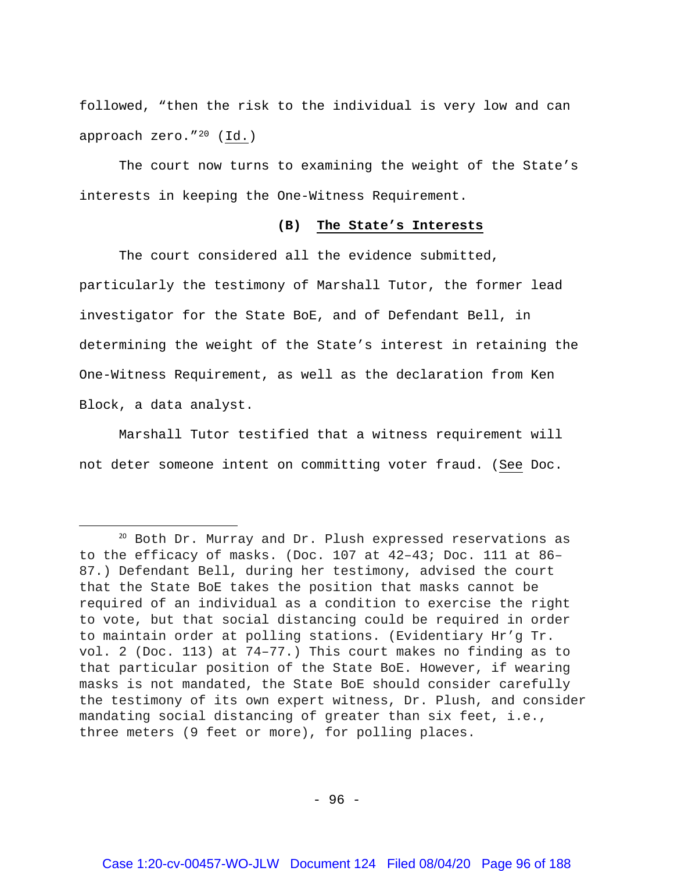followed, "then the risk to the individual is very low and can approach zero."[20](#page-95-0) (Id.)

The court now turns to examining the weight of the State's interests in keeping the One-Witness Requirement.

# **(B) The State's Interests**

The court considered all the evidence submitted, particularly the testimony of Marshall Tutor, the former lead investigator for the State BoE, and of Defendant Bell, in determining the weight of the State's interest in retaining the One-Witness Requirement, as well as the declaration from Ken Block, a data analyst.

Marshall Tutor testified that a witness requirement will not deter someone intent on committing voter fraud. (See Doc.

 $-96 -$ 

<span id="page-95-0"></span> <sup>20</sup> Both Dr. Murray and Dr. Plush expressed reservations as to the efficacy of masks. (Doc. 107 at 42–43; Doc. 111 at 86– 87.) Defendant Bell, during her testimony, advised the court that the State BoE takes the position that masks cannot be required of an individual as a condition to exercise the right to vote, but that social distancing could be required in order to maintain order at polling stations. (Evidentiary Hr'g Tr. vol. 2 (Doc. 113) at 74–77.) This court makes no finding as to that particular position of the State BoE. However, if wearing masks is not mandated, the State BoE should consider carefully the testimony of its own expert witness, Dr. Plush, and consider mandating social distancing of greater than six feet, i.e., three meters (9 feet or more), for polling places.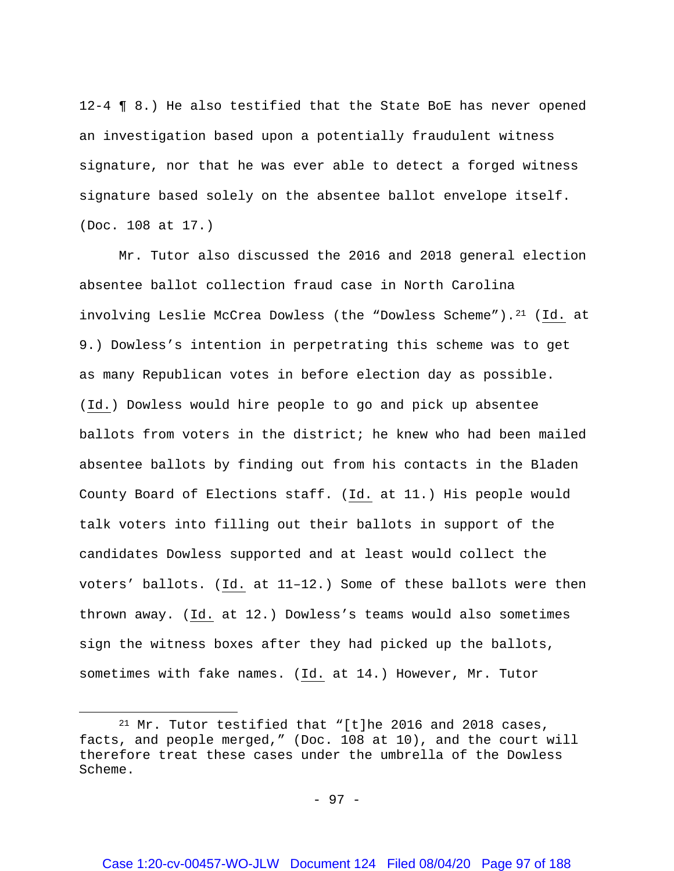12-4 ¶ 8.) He also testified that the State BoE has never opened an investigation based upon a potentially fraudulent witness signature, nor that he was ever able to detect a forged witness signature based solely on the absentee ballot envelope itself. (Doc. 108 at 17.)

Mr. Tutor also discussed the 2016 and 2018 general election absentee ballot collection fraud case in North Carolina involving Leslie McCrea Dowless (the "Dowless Scheme").<sup>21</sup> (Id. at 9.) Dowless's intention in perpetrating this scheme was to get as many Republican votes in before election day as possible. (Id.) Dowless would hire people to go and pick up absentee ballots from voters in the district; he knew who had been mailed absentee ballots by finding out from his contacts in the Bladen County Board of Elections staff. (Id. at 11.) His people would talk voters into filling out their ballots in support of the candidates Dowless supported and at least would collect the voters' ballots. (Id. at 11–12.) Some of these ballots were then thrown away. (Id. at 12.) Dowless's teams would also sometimes sign the witness boxes after they had picked up the ballots, sometimes with fake names. (Id. at 14.) However, Mr. Tutor

l

<span id="page-96-0"></span><sup>21</sup> Mr. Tutor testified that "[t]he 2016 and 2018 cases, facts, and people merged," (Doc. 108 at 10), and the court will therefore treat these cases under the umbrella of the Dowless Scheme.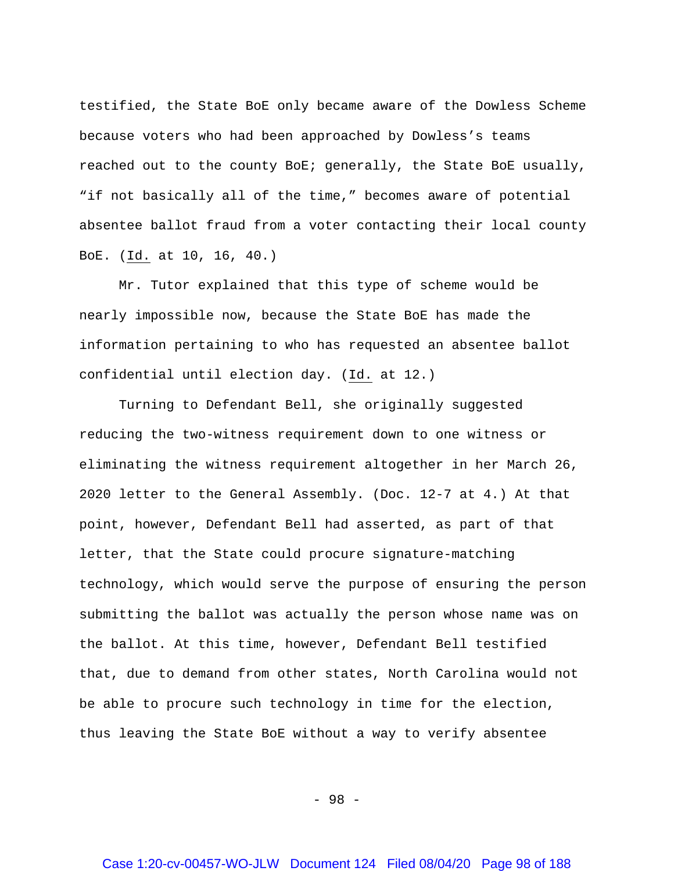testified, the State BoE only became aware of the Dowless Scheme because voters who had been approached by Dowless's teams reached out to the county BoE; generally, the State BoE usually, "if not basically all of the time," becomes aware of potential absentee ballot fraud from a voter contacting their local county BoE. (Id. at 10, 16, 40.)

Mr. Tutor explained that this type of scheme would be nearly impossible now, because the State BoE has made the information pertaining to who has requested an absentee ballot confidential until election day. (Id. at 12.)

Turning to Defendant Bell, she originally suggested reducing the two-witness requirement down to one witness or eliminating the witness requirement altogether in her March 26, 2020 letter to the General Assembly. (Doc. 12-7 at 4.) At that point, however, Defendant Bell had asserted, as part of that letter, that the State could procure signature-matching technology, which would serve the purpose of ensuring the person submitting the ballot was actually the person whose name was on the ballot. At this time, however, Defendant Bell testified that, due to demand from other states, North Carolina would not be able to procure such technology in time for the election, thus leaving the State BoE without a way to verify absentee

- 98 -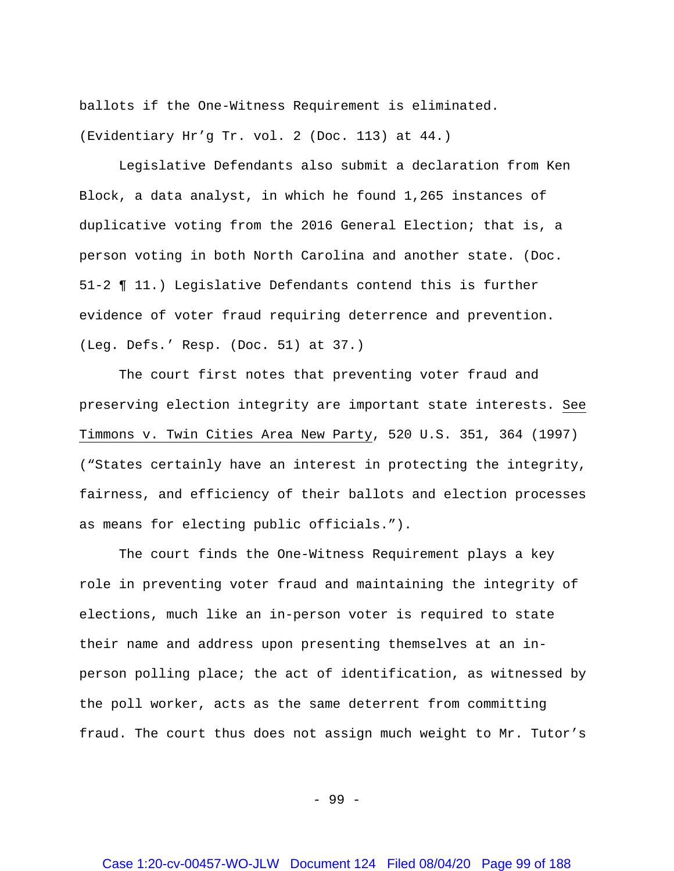ballots if the One-Witness Requirement is eliminated. (Evidentiary Hr'g Tr. vol. 2 (Doc. 113) at 44.)

Legislative Defendants also submit a declaration from Ken Block, a data analyst, in which he found 1,265 instances of duplicative voting from the 2016 General Election; that is, a person voting in both North Carolina and another state. (Doc. 51-2 ¶ 11.) Legislative Defendants contend this is further evidence of voter fraud requiring deterrence and prevention. (Leg. Defs.' Resp. (Doc. 51) at 37.)

The court first notes that preventing voter fraud and preserving election integrity are important state interests. See Timmons v. Twin Cities Area New Party, 520 U.S. 351, 364 (1997) ("States certainly have an interest in protecting the integrity, fairness, and efficiency of their ballots and election processes as means for electing public officials.").

The court finds the One-Witness Requirement plays a key role in preventing voter fraud and maintaining the integrity of elections, much like an in-person voter is required to state their name and address upon presenting themselves at an inperson polling place; the act of identification, as witnessed by the poll worker, acts as the same deterrent from committing fraud. The court thus does not assign much weight to Mr. Tutor's

- 99 -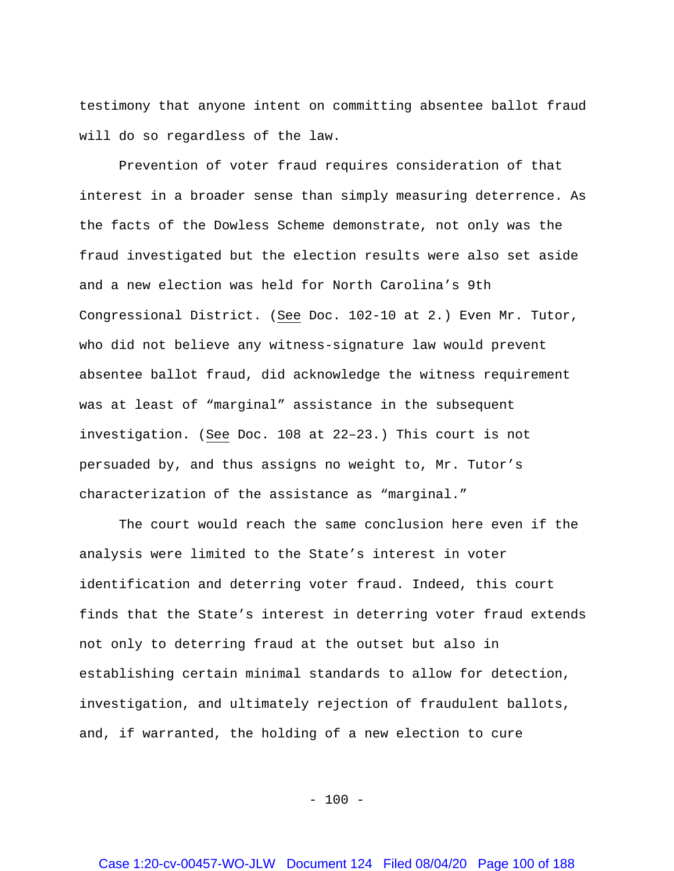testimony that anyone intent on committing absentee ballot fraud will do so regardless of the law.

Prevention of voter fraud requires consideration of that interest in a broader sense than simply measuring deterrence. As the facts of the Dowless Scheme demonstrate, not only was the fraud investigated but the election results were also set aside and a new election was held for North Carolina's 9th Congressional District. (See Doc. 102-10 at 2.) Even Mr. Tutor, who did not believe any witness-signature law would prevent absentee ballot fraud, did acknowledge the witness requirement was at least of "marginal" assistance in the subsequent investigation. (See Doc. 108 at 22–23.) This court is not persuaded by, and thus assigns no weight to, Mr. Tutor's characterization of the assistance as "marginal."

The court would reach the same conclusion here even if the analysis were limited to the State's interest in voter identification and deterring voter fraud. Indeed, this court finds that the State's interest in deterring voter fraud extends not only to deterring fraud at the outset but also in establishing certain minimal standards to allow for detection, investigation, and ultimately rejection of fraudulent ballots, and, if warranted, the holding of a new election to cure

 $- 100 -$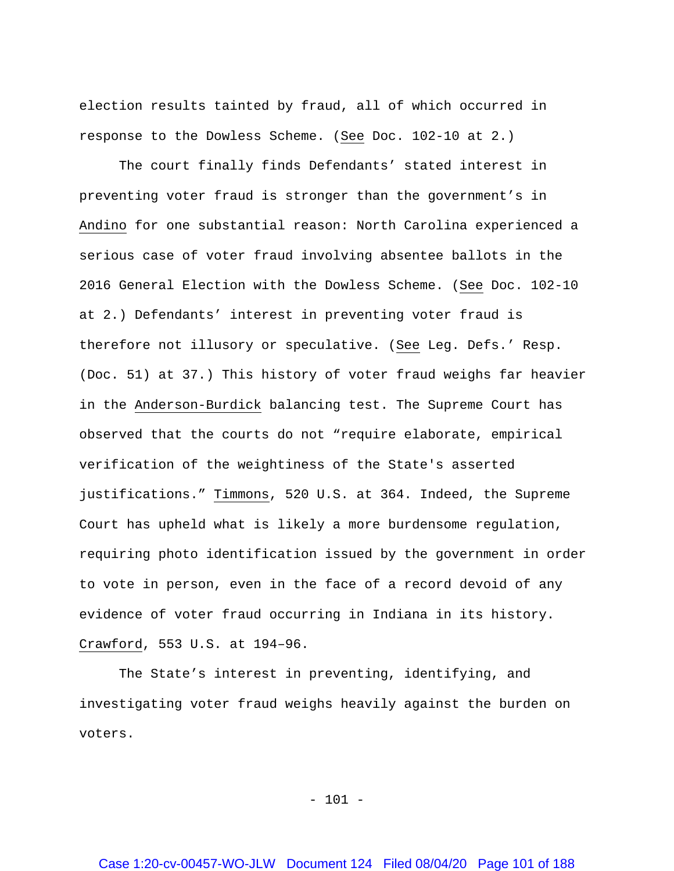election results tainted by fraud, all of which occurred in response to the Dowless Scheme. (See Doc. 102-10 at 2.)

The court finally finds Defendants' stated interest in preventing voter fraud is stronger than the government's in Andino for one substantial reason: North Carolina experienced a serious case of voter fraud involving absentee ballots in the 2016 General Election with the Dowless Scheme. (See Doc. 102-10 at 2.) Defendants' interest in preventing voter fraud is therefore not illusory or speculative. (See Leg. Defs.' Resp. (Doc. 51) at 37.) This history of voter fraud weighs far heavier in the Anderson-Burdick balancing test. The Supreme Court has observed that the courts do not "require elaborate, empirical verification of the weightiness of the State's asserted justifications." Timmons, 520 U.S. at 364. Indeed, the Supreme Court has upheld what is likely a more burdensome regulation, requiring photo identification issued by the government in order to vote in person, even in the face of a record devoid of any evidence of voter fraud occurring in Indiana in its history. Crawford, 553 U.S. at 194–96.

The State's interest in preventing, identifying, and investigating voter fraud weighs heavily against the burden on voters.

 $- 101 -$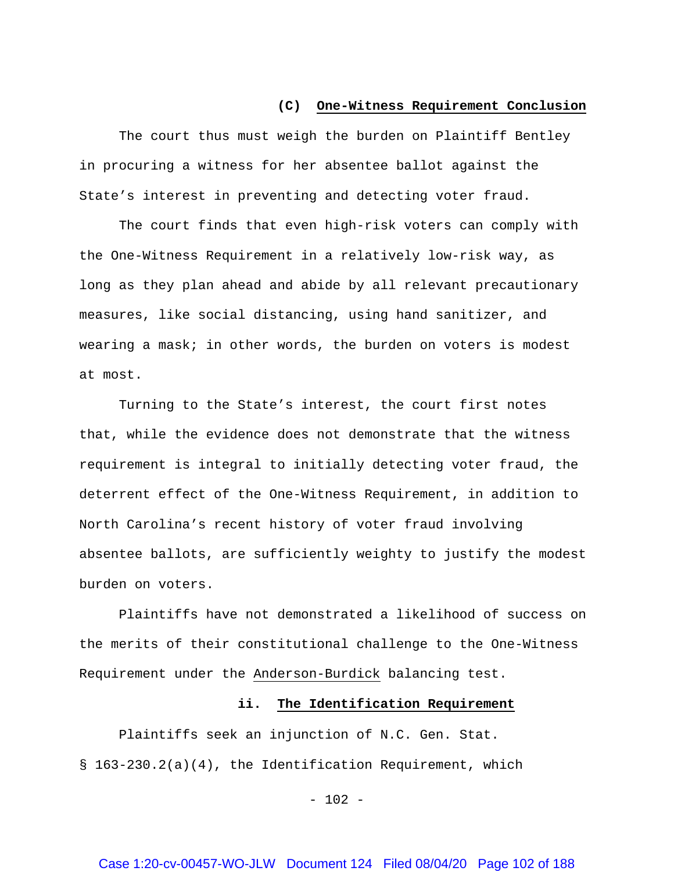# **(C) One-Witness Requirement Conclusion**

The court thus must weigh the burden on Plaintiff Bentley in procuring a witness for her absentee ballot against the State's interest in preventing and detecting voter fraud.

The court finds that even high-risk voters can comply with the One-Witness Requirement in a relatively low-risk way, as long as they plan ahead and abide by all relevant precautionary measures, like social distancing, using hand sanitizer, and wearing a mask; in other words, the burden on voters is modest at most.

Turning to the State's interest, the court first notes that, while the evidence does not demonstrate that the witness requirement is integral to initially detecting voter fraud, the deterrent effect of the One-Witness Requirement, in addition to North Carolina's recent history of voter fraud involving absentee ballots, are sufficiently weighty to justify the modest burden on voters.

Plaintiffs have not demonstrated a likelihood of success on the merits of their constitutional challenge to the One-Witness Requirement under the Anderson-Burdick balancing test.

#### **ii. The Identification Requirement**

Plaintiffs seek an injunction of N.C. Gen. Stat. § 163-230.2(a)(4), the Identification Requirement, which

 $- 102 -$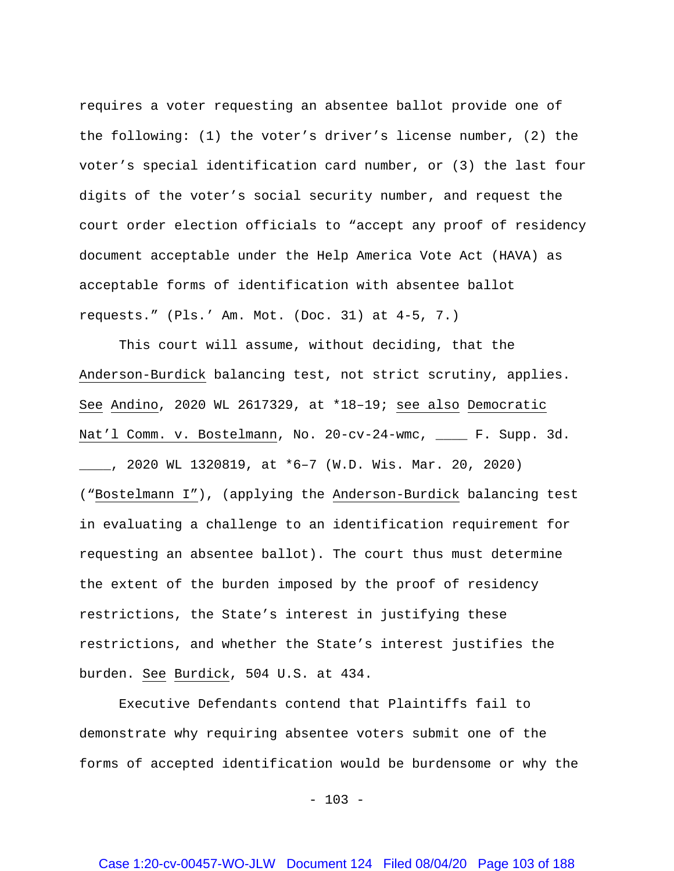requires a voter requesting an absentee ballot provide one of the following: (1) the voter's driver's license number, (2) the voter's special identification card number, or (3) the last four digits of the voter's social security number, and request the court order election officials to "accept any proof of residency document acceptable under the Help America Vote Act (HAVA) as acceptable forms of identification with absentee ballot requests." (Pls.' Am. Mot. (Doc. 31) at 4-5, 7.)

This court will assume, without deciding, that the Anderson-Burdick balancing test, not strict scrutiny, applies. See Andino, 2020 WL 2617329, at \*18–19; see also Democratic Nat'l Comm. v. Bostelmann, No. 20-cv-24-wmc, \_\_\_\_ F. Supp. 3d. \_\_\_\_, 2020 WL 1320819, at \*6–7 (W.D. Wis. Mar. 20, 2020) ("Bostelmann I"), (applying the Anderson-Burdick balancing test in evaluating a challenge to an identification requirement for requesting an absentee ballot). The court thus must determine the extent of the burden imposed by the proof of residency restrictions, the State's interest in justifying these restrictions, and whether the State's interest justifies the burden. See Burdick, 504 U.S. at 434.

Executive Defendants contend that Plaintiffs fail to demonstrate why requiring absentee voters submit one of the forms of accepted identification would be burdensome or why the

 $- 103 -$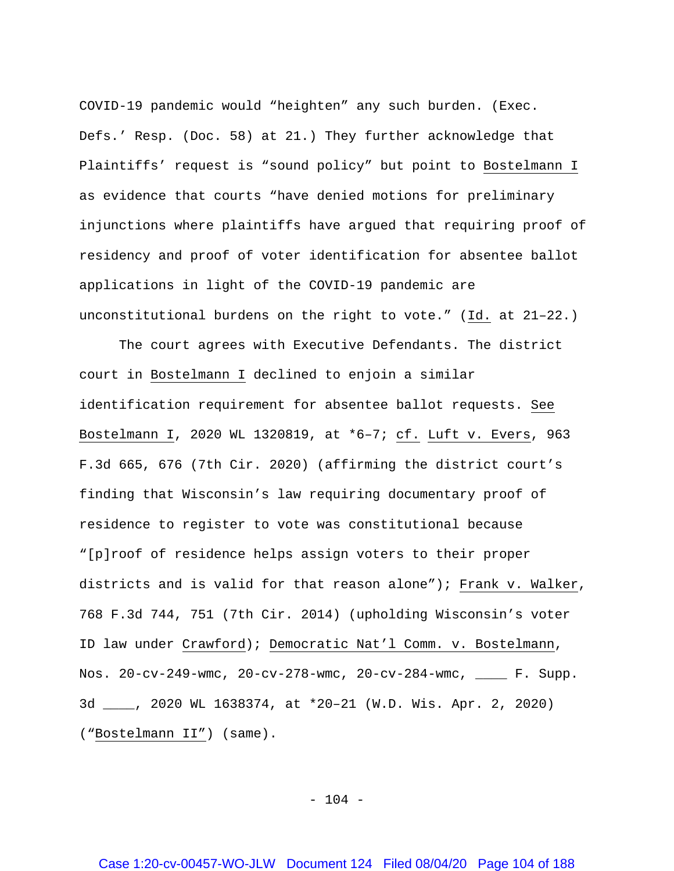COVID-19 pandemic would "heighten" any such burden. (Exec. Defs.' Resp. (Doc. 58) at 21.) They further acknowledge that Plaintiffs' request is "sound policy" but point to Bostelmann I as evidence that courts "have denied motions for preliminary injunctions where plaintiffs have argued that requiring proof of residency and proof of voter identification for absentee ballot applications in light of the COVID-19 pandemic are unconstitutional burdens on the right to vote." (Id. at 21–22.)

The court agrees with Executive Defendants. The district court in Bostelmann I declined to enjoin a similar identification requirement for absentee ballot requests. See Bostelmann I, 2020 WL 1320819, at \*6–7; cf. Luft v. Evers, 963 F.3d 665, 676 (7th Cir. 2020) (affirming the district court's finding that Wisconsin's law requiring documentary proof of residence to register to vote was constitutional because "[p]roof of residence helps assign voters to their proper districts and is valid for that reason alone"); Frank v. Walker, 768 F.3d 744, 751 (7th Cir. 2014) (upholding Wisconsin's voter ID law under Crawford); Democratic Nat'l Comm. v. Bostelmann, Nos. 20-cv-249-wmc, 20-cv-278-wmc, 20-cv-284-wmc, \_\_\_\_ F. Supp. 3d \_\_\_\_, 2020 WL 1638374, at \*20–21 (W.D. Wis. Apr. 2, 2020) ("Bostelmann II") (same).

 $- 104 -$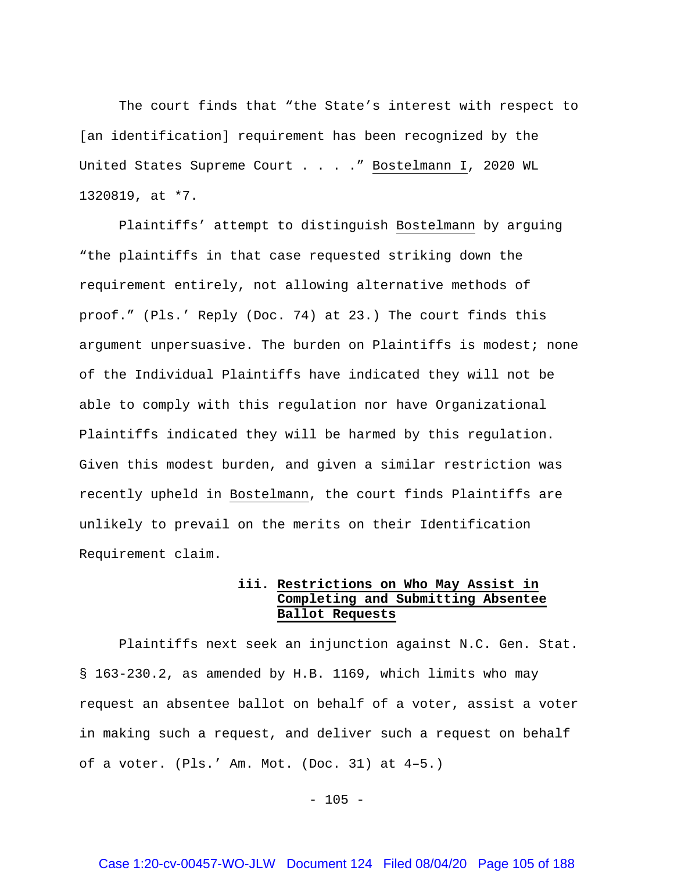The court finds that "the State's interest with respect to [an identification] requirement has been recognized by the United States Supreme Court . . . . " Bostelmann I, 2020 WL 1320819, at \*7.

Plaintiffs' attempt to distinguish Bostelmann by arguing "the plaintiffs in that case requested striking down the requirement entirely, not allowing alternative methods of proof." (Pls.' Reply (Doc. 74) at 23.) The court finds this argument unpersuasive. The burden on Plaintiffs is modest; none of the Individual Plaintiffs have indicated they will not be able to comply with this regulation nor have Organizational Plaintiffs indicated they will be harmed by this regulation. Given this modest burden, and given a similar restriction was recently upheld in Bostelmann, the court finds Plaintiffs are unlikely to prevail on the merits on their Identification Requirement claim.

### **iii. Restrictions on Who May Assist in Completing and Submitting Absentee Ballot Requests**

Plaintiffs next seek an injunction against N.C. Gen. Stat. § 163-230.2, as amended by H.B. 1169, which limits who may request an absentee ballot on behalf of a voter, assist a voter in making such a request, and deliver such a request on behalf of a voter. (Pls.' Am. Mot. (Doc. 31) at 4–5.)

 $- 105 -$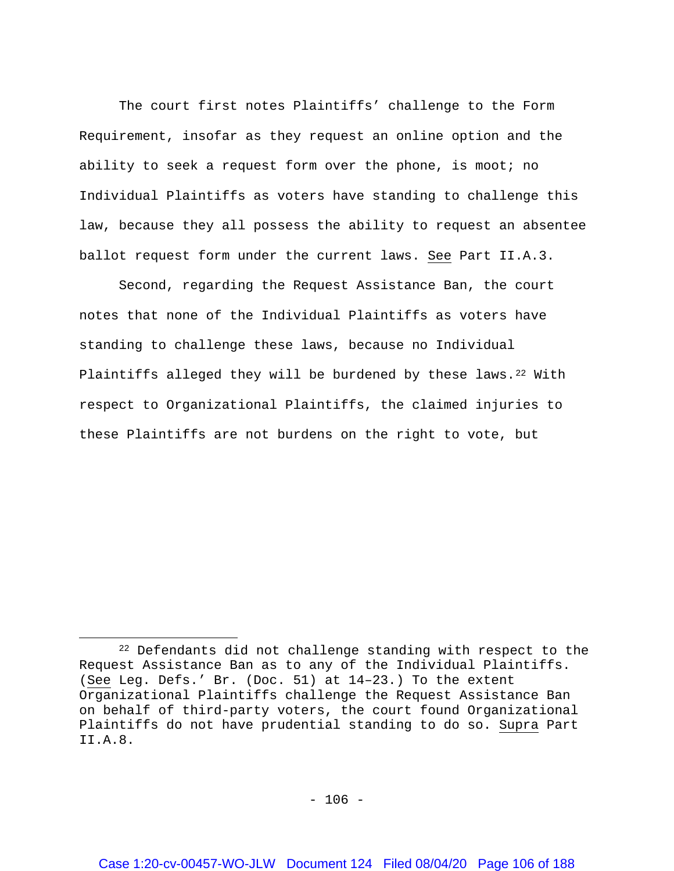The court first notes Plaintiffs' challenge to the Form Requirement, insofar as they request an online option and the ability to seek a request form over the phone, is moot; no Individual Plaintiffs as voters have standing to challenge this law, because they all possess the ability to request an absentee ballot request form under the current laws. See Part II.A.3.

Second, regarding the Request Assistance Ban, the court notes that none of the Individual Plaintiffs as voters have standing to challenge these laws, because no Individual Plaintiffs alleged they will be burdened by these laws.<sup>22</sup> With respect to Organizational Plaintiffs, the claimed injuries to these Plaintiffs are not burdens on the right to vote, but

 $\overline{\phantom{a}}$ 

<span id="page-105-0"></span><sup>&</sup>lt;sup>22</sup> Defendants did not challenge standing with respect to the Request Assistance Ban as to any of the Individual Plaintiffs. (See Leg. Defs.' Br. (Doc. 51) at 14–23.) To the extent Organizational Plaintiffs challenge the Request Assistance Ban on behalf of third-party voters, the court found Organizational Plaintiffs do not have prudential standing to do so. Supra Part II.A.8.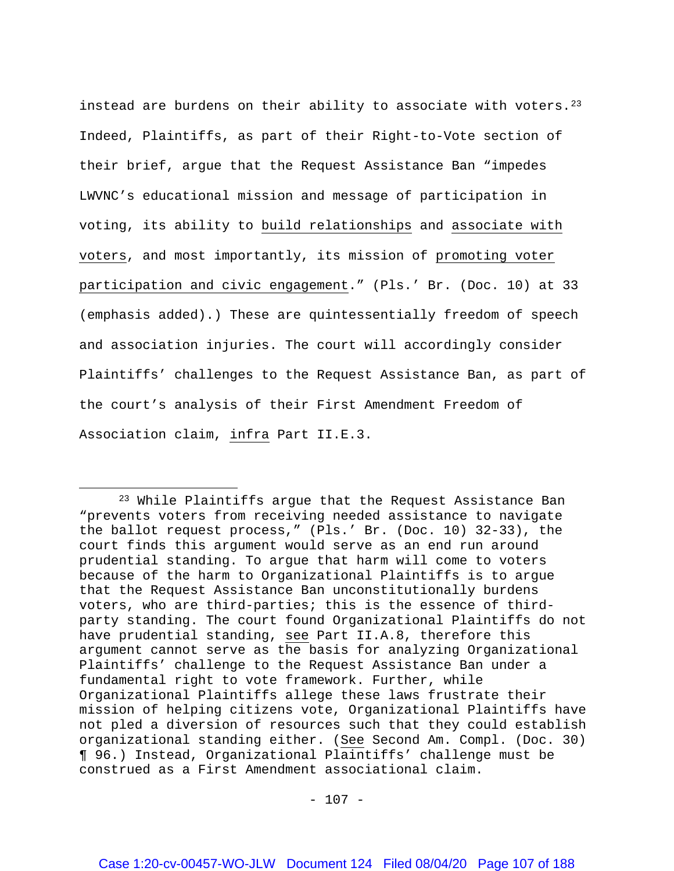instead are burdens on their ability to associate with voters.<sup>[23](#page-106-0)</sup> Indeed, Plaintiffs, as part of their Right-to-Vote section of their brief, argue that the Request Assistance Ban "impedes LWVNC's educational mission and message of participation in voting, its ability to build relationships and associate with voters, and most importantly, its mission of promoting voter participation and civic engagement." (Pls.' Br. (Doc. 10) at 33 (emphasis added).) These are quintessentially freedom of speech and association injuries. The court will accordingly consider Plaintiffs' challenges to the Request Assistance Ban, as part of the court's analysis of their First Amendment Freedom of Association claim, infra Part II.E.3.

l

<span id="page-106-0"></span><sup>23</sup> While Plaintiffs argue that the Request Assistance Ban "prevents voters from receiving needed assistance to navigate the ballot request process," (Pls.' Br. (Doc. 10) 32-33), the court finds this argument would serve as an end run around prudential standing. To argue that harm will come to voters because of the harm to Organizational Plaintiffs is to argue that the Request Assistance Ban unconstitutionally burdens voters, who are third-parties; this is the essence of thirdparty standing. The court found Organizational Plaintiffs do not have prudential standing, see Part II.A.8, therefore this argument cannot serve as the basis for analyzing Organizational Plaintiffs' challenge to the Request Assistance Ban under a fundamental right to vote framework. Further, while Organizational Plaintiffs allege these laws frustrate their mission of helping citizens vote, Organizational Plaintiffs have not pled a diversion of resources such that they could establish organizational standing either. (See Second Am. Compl. (Doc. 30) ¶ 96.) Instead, Organizational Plaintiffs' challenge must be construed as a First Amendment associational claim.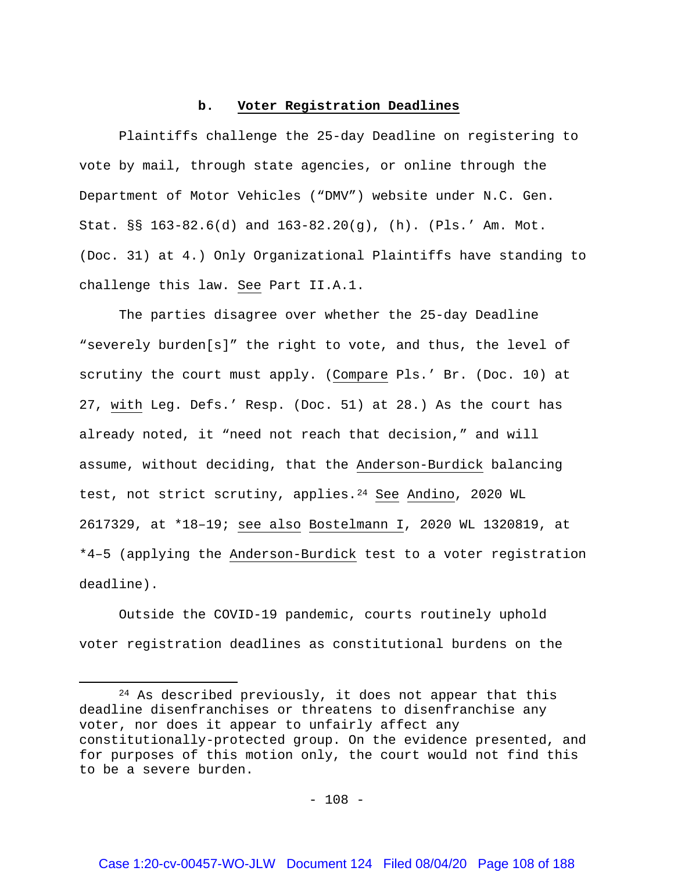### **b. Voter Registration Deadlines**

Plaintiffs challenge the 25-day Deadline on registering to vote by mail, through state agencies, or online through the Department of Motor Vehicles ("DMV") website under N.C. Gen. Stat. §§ 163-82.6(d) and 163-82.20(g), (h). (Pls.' Am. Mot. (Doc. 31) at 4.) Only Organizational Plaintiffs have standing to challenge this law. See Part II.A.1.

The parties disagree over whether the 25-day Deadline "severely burden[s]" the right to vote, and thus, the level of scrutiny the court must apply. (Compare Pls.' Br. (Doc. 10) at 27, with Leg. Defs.' Resp. (Doc. 51) at 28.) As the court has already noted, it "need not reach that decision," and will assume, without deciding, that the Anderson-Burdick balancing test, not strict scrutiny, applies.<sup>24</sup> See Andino, 2020 WL 2617329, at \*18–19; see also Bostelmann I, 2020 WL 1320819, at \*4–5 (applying the Anderson-Burdick test to a voter registration deadline).

Outside the COVID-19 pandemic, courts routinely uphold voter registration deadlines as constitutional burdens on the

 $\overline{\phantom{a}}$ 

<span id="page-107-0"></span><sup>24</sup> As described previously, it does not appear that this deadline disenfranchises or threatens to disenfranchise any voter, nor does it appear to unfairly affect any constitutionally-protected group. On the evidence presented, and for purposes of this motion only, the court would not find this to be a severe burden.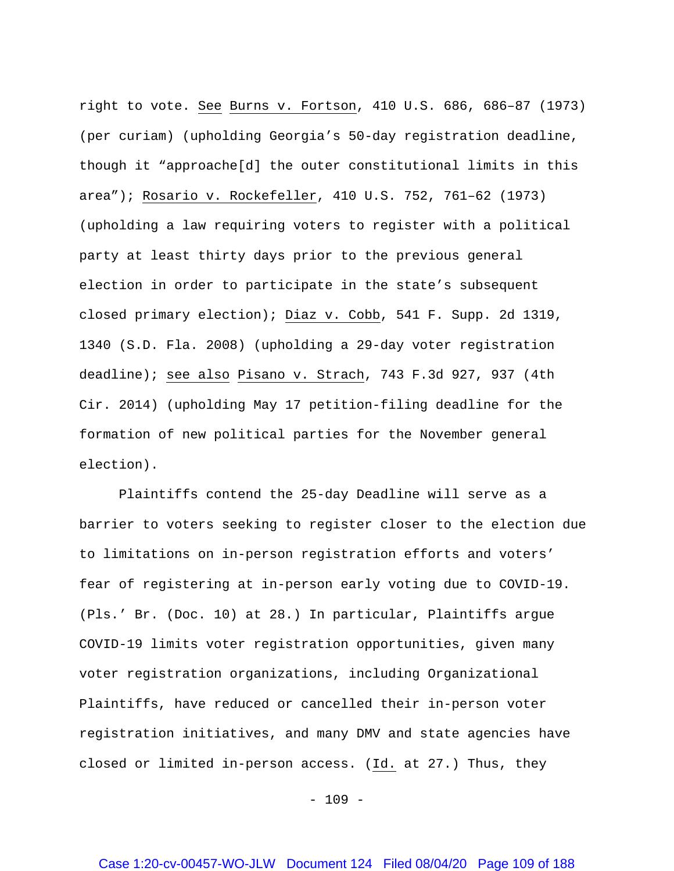right to vote. See Burns v. Fortson, 410 U.S. 686, 686–87 (1973) (per curiam) (upholding Georgia's 50-day registration deadline, though it "approache[d] the outer constitutional limits in this area"); Rosario v. Rockefeller, 410 U.S. 752, 761–62 (1973) (upholding a law requiring voters to register with a political party at least thirty days prior to the previous general election in order to participate in the state's subsequent closed primary election); Diaz v. Cobb, 541 F. Supp. 2d 1319, 1340 (S.D. Fla. 2008) (upholding a 29-day voter registration deadline); see also Pisano v. Strach, 743 F.3d 927, 937 (4th Cir. 2014) (upholding May 17 petition-filing deadline for the formation of new political parties for the November general election).

Plaintiffs contend the 25-day Deadline will serve as a barrier to voters seeking to register closer to the election due to limitations on in-person registration efforts and voters' fear of registering at in-person early voting due to COVID-19. (Pls.' Br. (Doc. 10) at 28.) In particular, Plaintiffs argue COVID-19 limits voter registration opportunities, given many voter registration organizations, including Organizational Plaintiffs, have reduced or cancelled their in-person voter registration initiatives, and many DMV and state agencies have closed or limited in-person access. (Id. at 27.) Thus, they

 $- 109 -$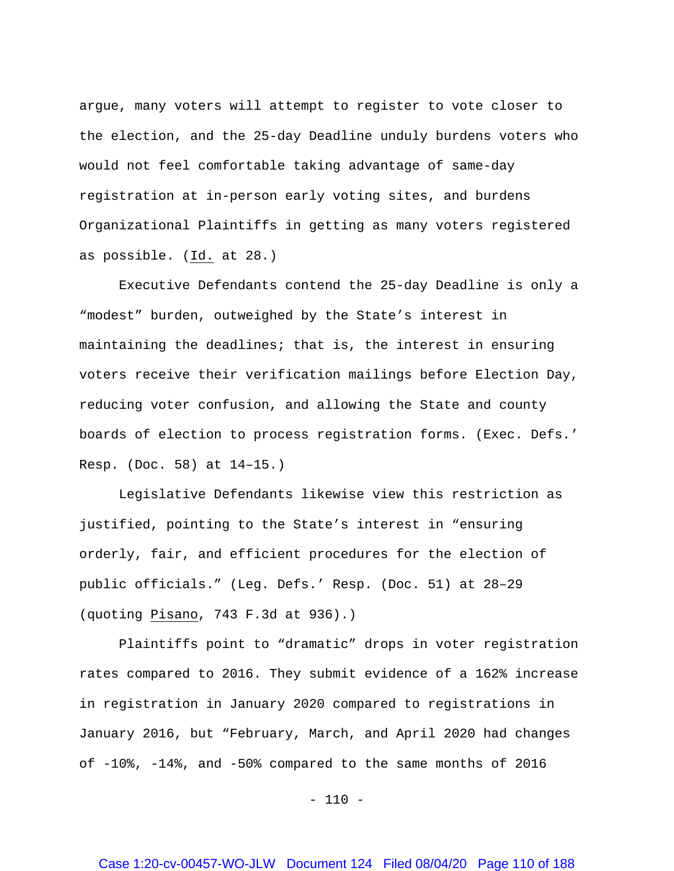argue, many voters will attempt to register to vote closer to the election, and the 25-day Deadline unduly burdens voters who would not feel comfortable taking advantage of same-day registration at in-person early voting sites, and burdens Organizational Plaintiffs in getting as many voters registered as possible. (Id. at 28.)

Executive Defendants contend the 25-day Deadline is only a "modest" burden, outweighed by the State's interest in maintaining the deadlines; that is, the interest in ensuring voters receive their verification mailings before Election Day, reducing voter confusion, and allowing the State and county boards of election to process registration forms. (Exec. Defs.' Resp. (Doc. 58) at 14–15.)

Legislative Defendants likewise view this restriction as justified, pointing to the State's interest in "ensuring orderly, fair, and efficient procedures for the election of public officials." (Leg. Defs.' Resp. (Doc. 51) at 28–29 (quoting Pisano, 743 F.3d at 936).)

Plaintiffs point to "dramatic" drops in voter registration rates compared to 2016. They submit evidence of a 162% increase in registration in January 2020 compared to registrations in January 2016, but "February, March, and April 2020 had changes of -10%, -14%, and -50% compared to the same months of 2016

 $- 110 -$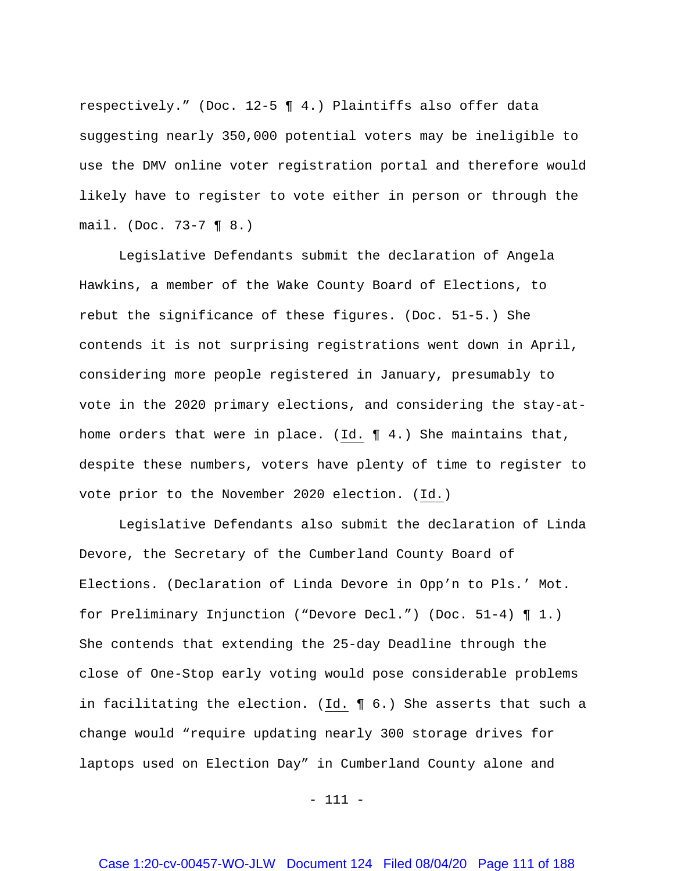respectively." (Doc. 12-5 ¶ 4.) Plaintiffs also offer data suggesting nearly 350,000 potential voters may be ineligible to use the DMV online voter registration portal and therefore would likely have to register to vote either in person or through the mail. (Doc. 73-7 ¶ 8.)

Legislative Defendants submit the declaration of Angela Hawkins, a member of the Wake County Board of Elections, to rebut the significance of these figures. (Doc. 51-5.) She contends it is not surprising registrations went down in April, considering more people registered in January, presumably to vote in the 2020 primary elections, and considering the stay-athome orders that were in place. (Id. ¶ 4.) She maintains that, despite these numbers, voters have plenty of time to register to vote prior to the November 2020 election. (Id.)

Legislative Defendants also submit the declaration of Linda Devore, the Secretary of the Cumberland County Board of Elections. (Declaration of Linda Devore in Opp'n to Pls.' Mot. for Preliminary Injunction ("Devore Decl.") (Doc. 51-4) ¶ 1.) She contends that extending the 25-day Deadline through the close of One-Stop early voting would pose considerable problems in facilitating the election. (Id. ¶ 6.) She asserts that such a change would "require updating nearly 300 storage drives for laptops used on Election Day" in Cumberland County alone and

- 111 -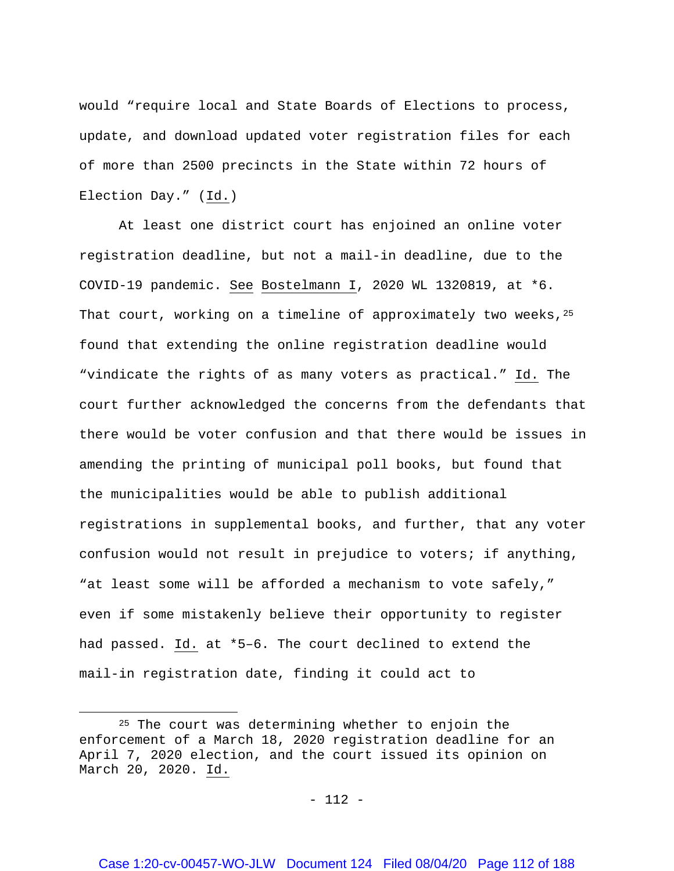would "require local and State Boards of Elections to process, update, and download updated voter registration files for each of more than 2500 precincts in the State within 72 hours of Election Day." (Id.)

At least one district court has enjoined an online voter registration deadline, but not a mail-in deadline, due to the COVID-19 pandemic. See Bostelmann I, 2020 WL 1320819, at \*6. That court, working on a timeline of approximately two weeks,  $2^5$ found that extending the online registration deadline would "vindicate the rights of as many voters as practical." Id. The court further acknowledged the concerns from the defendants that there would be voter confusion and that there would be issues in amending the printing of municipal poll books, but found that the municipalities would be able to publish additional registrations in supplemental books, and further, that any voter confusion would not result in prejudice to voters; if anything, "at least some will be afforded a mechanism to vote safely," even if some mistakenly believe their opportunity to register had passed. Id. at \*5–6. The court declined to extend the mail-in registration date, finding it could act to

l

<span id="page-111-0"></span><sup>&</sup>lt;sup>25</sup> The court was determining whether to enjoin the enforcement of a March 18, 2020 registration deadline for an April 7, 2020 election, and the court issued its opinion on March 20, 2020. Id.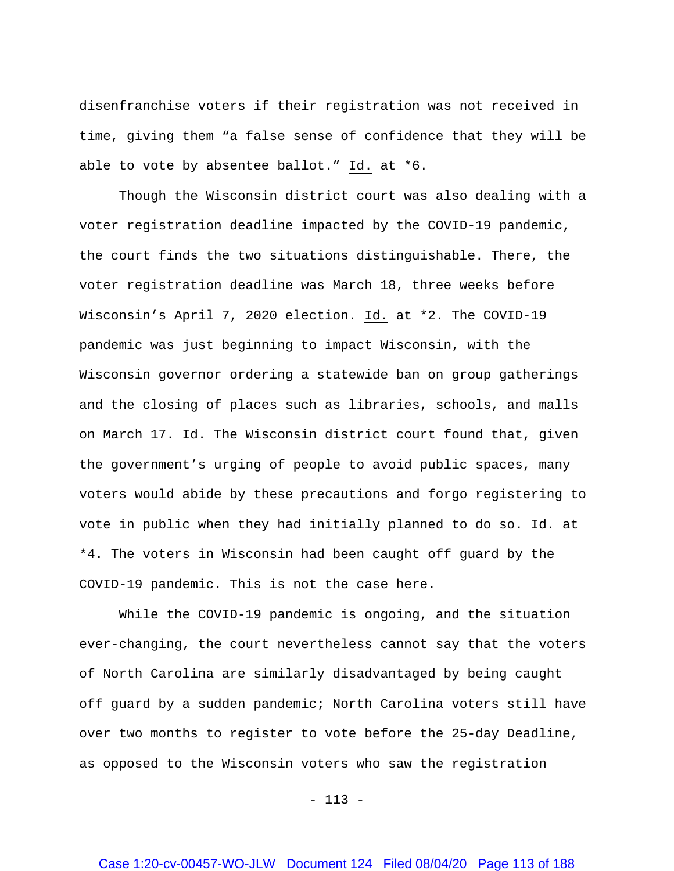disenfranchise voters if their registration was not received in time, giving them "a false sense of confidence that they will be able to vote by absentee ballot." Id. at \*6.

Though the Wisconsin district court was also dealing with a voter registration deadline impacted by the COVID-19 pandemic, the court finds the two situations distinguishable. There, the voter registration deadline was March 18, three weeks before Wisconsin's April 7, 2020 election. Id. at \*2. The COVID-19 pandemic was just beginning to impact Wisconsin, with the Wisconsin governor ordering a statewide ban on group gatherings and the closing of places such as libraries, schools, and malls on March 17. Id. The Wisconsin district court found that, given the government's urging of people to avoid public spaces, many voters would abide by these precautions and forgo registering to vote in public when they had initially planned to do so. Id. at \*4. The voters in Wisconsin had been caught off guard by the COVID-19 pandemic. This is not the case here.

While the COVID-19 pandemic is ongoing, and the situation ever-changing, the court nevertheless cannot say that the voters of North Carolina are similarly disadvantaged by being caught off guard by a sudden pandemic; North Carolina voters still have over two months to register to vote before the 25-day Deadline, as opposed to the Wisconsin voters who saw the registration

 $- 113 -$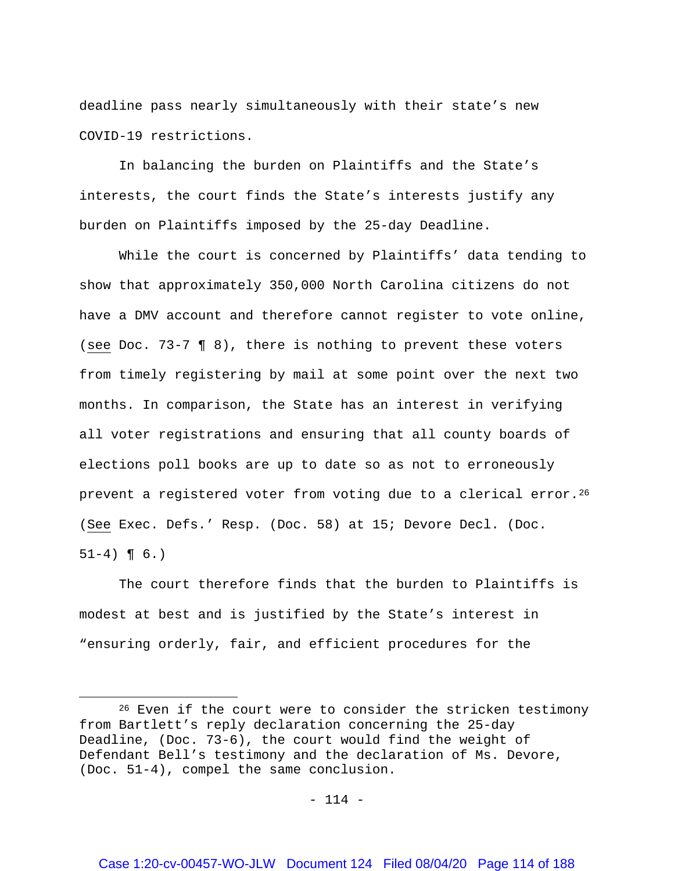deadline pass nearly simultaneously with their state's new COVID-19 restrictions.

In balancing the burden on Plaintiffs and the State's interests, the court finds the State's interests justify any burden on Plaintiffs imposed by the 25-day Deadline.

While the court is concerned by Plaintiffs' data tending to show that approximately 350,000 North Carolina citizens do not have a DMV account and therefore cannot register to vote online, (see Doc. 73-7 ¶ 8), there is nothing to prevent these voters from timely registering by mail at some point over the next two months. In comparison, the State has an interest in verifying all voter registrations and ensuring that all county boards of elections poll books are up to date so as not to erroneously prevent a registered voter from voting due to a clerical error.<sup>[26](#page-113-0)</sup> (See Exec. Defs.' Resp. (Doc. 58) at 15; Devore Decl. (Doc.  $51-4$ ) ¶ 6.)

The court therefore finds that the burden to Plaintiffs is modest at best and is justified by the State's interest in "ensuring orderly, fair, and efficient procedures for the

 $\overline{a}$ 

<span id="page-113-0"></span><sup>&</sup>lt;sup>26</sup> Even if the court were to consider the stricken testimony from Bartlett's reply declaration concerning the 25-day Deadline, (Doc. 73-6), the court would find the weight of Defendant Bell's testimony and the declaration of Ms. Devore, (Doc. 51-4), compel the same conclusion.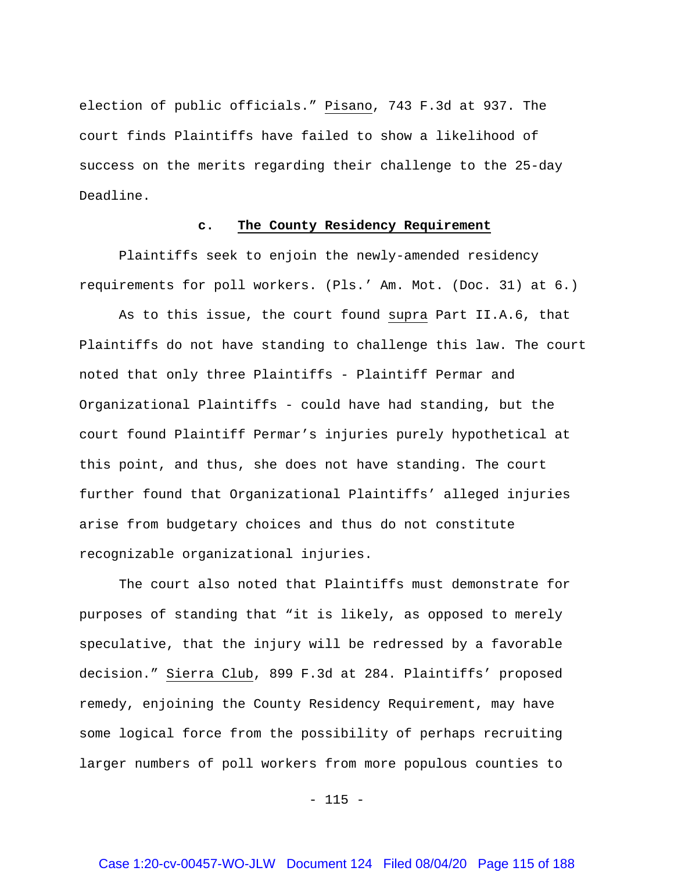election of public officials." Pisano, 743 F.3d at 937. The court finds Plaintiffs have failed to show a likelihood of success on the merits regarding their challenge to the 25-day Deadline.

### **c. The County Residency Requirement**

Plaintiffs seek to enjoin the newly-amended residency requirements for poll workers. (Pls.' Am. Mot. (Doc. 31) at 6.)

As to this issue, the court found supra Part II.A.6, that Plaintiffs do not have standing to challenge this law. The court noted that only three Plaintiffs - Plaintiff Permar and Organizational Plaintiffs - could have had standing, but the court found Plaintiff Permar's injuries purely hypothetical at this point, and thus, she does not have standing. The court further found that Organizational Plaintiffs' alleged injuries arise from budgetary choices and thus do not constitute recognizable organizational injuries.

The court also noted that Plaintiffs must demonstrate for purposes of standing that "it is likely, as opposed to merely speculative, that the injury will be redressed by a favorable decision." Sierra Club, 899 F.3d at 284. Plaintiffs' proposed remedy, enjoining the County Residency Requirement, may have some logical force from the possibility of perhaps recruiting larger numbers of poll workers from more populous counties to

 $- 115 -$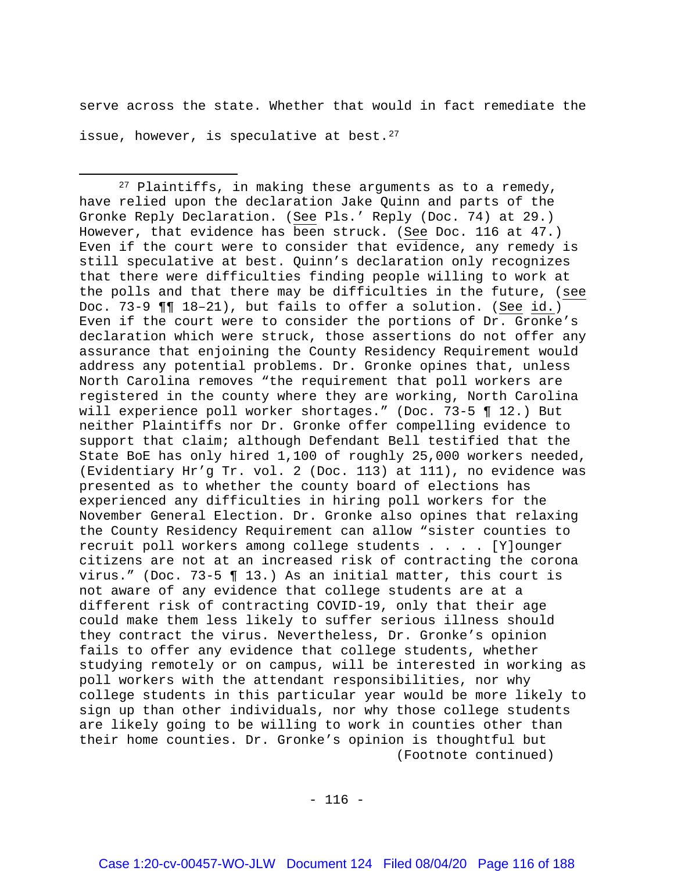serve across the state. Whether that would in fact remediate the issue, however, is speculative at best.  $27$ 

 $\overline{\phantom{a}}$ 

<span id="page-115-0"></span> $27$  Plaintiffs, in making these arguments as to a remedy, have relied upon the declaration Jake Quinn and parts of the Gronke Reply Declaration. (See Pls.' Reply (Doc. 74) at 29.) However, that evidence has been struck. (See Doc. 116 at 47.) Even if the court were to consider that evidence, any remedy is still speculative at best. Quinn's declaration only recognizes that there were difficulties finding people willing to work at the polls and that there may be difficulties in the future, (see Doc. 73-9 ¶¶ 18–21), but fails to offer a solution. (See id.) Even if the court were to consider the portions of Dr. Gronke's declaration which were struck, those assertions do not offer any assurance that enjoining the County Residency Requirement would address any potential problems. Dr. Gronke opines that, unless North Carolina removes "the requirement that poll workers are registered in the county where they are working, North Carolina will experience poll worker shortages." (Doc. 73-5 ¶ 12.) But neither Plaintiffs nor Dr. Gronke offer compelling evidence to support that claim; although Defendant Bell testified that the State BoE has only hired 1,100 of roughly 25,000 workers needed, (Evidentiary Hr'g Tr. vol. 2 (Doc. 113) at 111), no evidence was presented as to whether the county board of elections has experienced any difficulties in hiring poll workers for the November General Election. Dr. Gronke also opines that relaxing the County Residency Requirement can allow "sister counties to recruit poll workers among college students . . . . [Y]ounger citizens are not at an increased risk of contracting the corona virus." (Doc. 73-5 ¶ 13.) As an initial matter, this court is not aware of any evidence that college students are at a different risk of contracting COVID-19, only that their age could make them less likely to suffer serious illness should they contract the virus. Nevertheless, Dr. Gronke's opinion fails to offer any evidence that college students, whether studying remotely or on campus, will be interested in working as poll workers with the attendant responsibilities, nor why college students in this particular year would be more likely to sign up than other individuals, nor why those college students are likely going to be willing to work in counties other than their home counties. Dr. Gronke's opinion is thoughtful but (Footnote continued)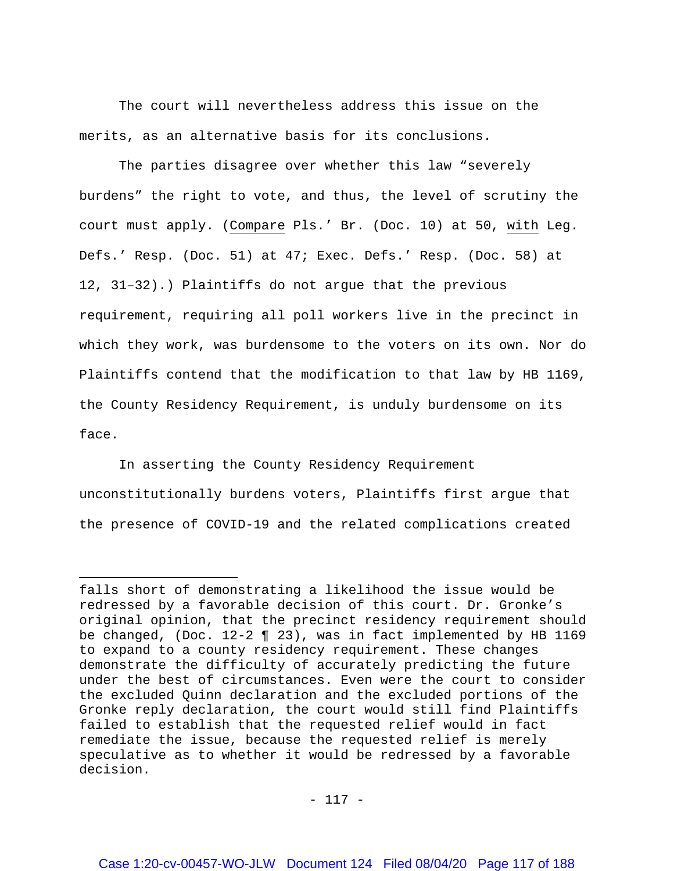The court will nevertheless address this issue on the merits, as an alternative basis for its conclusions.

The parties disagree over whether this law "severely burdens" the right to vote, and thus, the level of scrutiny the court must apply. (Compare Pls.' Br. (Doc. 10) at 50, with Leg. Defs.' Resp. (Doc. 51) at 47; Exec. Defs.' Resp. (Doc. 58) at 12, 31–32).) Plaintiffs do not argue that the previous requirement, requiring all poll workers live in the precinct in which they work, was burdensome to the voters on its own. Nor do Plaintiffs contend that the modification to that law by HB 1169, the County Residency Requirement, is unduly burdensome on its face.

In asserting the County Residency Requirement unconstitutionally burdens voters, Plaintiffs first argue that the presence of COVID-19 and the related complications created

 $\overline{a}$ 

falls short of demonstrating a likelihood the issue would be redressed by a favorable decision of this court. Dr. Gronke's original opinion, that the precinct residency requirement should be changed, (Doc. 12-2 ¶ 23), was in fact implemented by HB 1169 to expand to a county residency requirement. These changes demonstrate the difficulty of accurately predicting the future under the best of circumstances. Even were the court to consider the excluded Quinn declaration and the excluded portions of the Gronke reply declaration, the court would still find Plaintiffs failed to establish that the requested relief would in fact remediate the issue, because the requested relief is merely speculative as to whether it would be redressed by a favorable decision.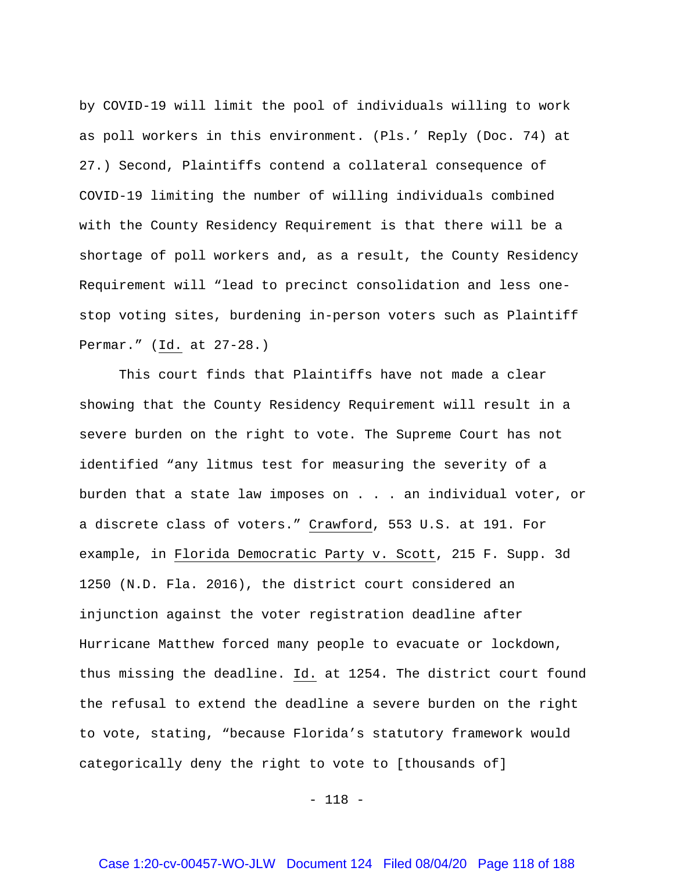by COVID-19 will limit the pool of individuals willing to work as poll workers in this environment. (Pls.' Reply (Doc. 74) at 27.) Second, Plaintiffs contend a collateral consequence of COVID-19 limiting the number of willing individuals combined with the County Residency Requirement is that there will be a shortage of poll workers and, as a result, the County Residency Requirement will "lead to precinct consolidation and less onestop voting sites, burdening in-person voters such as Plaintiff Permar." (Id. at 27-28.)

This court finds that Plaintiffs have not made a clear showing that the County Residency Requirement will result in a severe burden on the right to vote. The Supreme Court has not identified "any litmus test for measuring the severity of a burden that a state law imposes on . . . an individual voter, or a discrete class of voters." Crawford, 553 U.S. at 191. For example, in Florida Democratic Party v. Scott, 215 F. Supp. 3d 1250 (N.D. Fla. 2016), the district court considered an injunction against the voter registration deadline after Hurricane Matthew forced many people to evacuate or lockdown, thus missing the deadline. Id. at 1254. The district court found the refusal to extend the deadline a severe burden on the right to vote, stating, "because Florida's statutory framework would categorically deny the right to vote to [thousands of]

- 118 -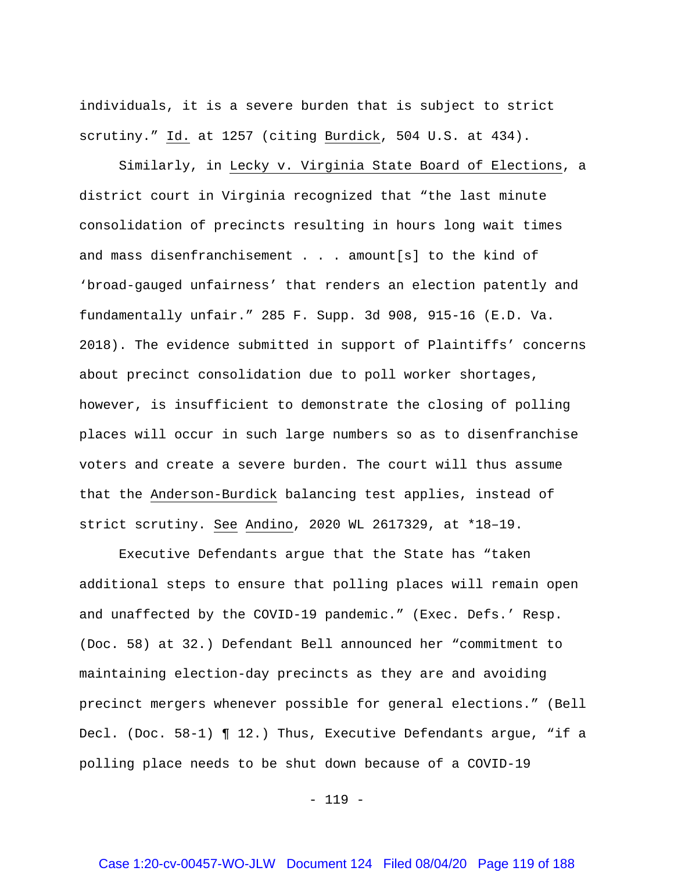individuals, it is a severe burden that is subject to strict scrutiny." Id. at 1257 (citing Burdick, 504 U.S. at 434).

Similarly, in Lecky v. Virginia State Board of Elections, a district court in Virginia recognized that "the last minute consolidation of precincts resulting in hours long wait times and mass disenfranchisement . . . amount[s] to the kind of 'broad-gauged unfairness' that renders an election patently and fundamentally unfair." 285 F. Supp. 3d 908, 915-16 (E.D. Va. 2018). The evidence submitted in support of Plaintiffs' concerns about precinct consolidation due to poll worker shortages, however, is insufficient to demonstrate the closing of polling places will occur in such large numbers so as to disenfranchise voters and create a severe burden. The court will thus assume that the Anderson-Burdick balancing test applies, instead of strict scrutiny. See Andino, 2020 WL 2617329, at \*18–19.

Executive Defendants argue that the State has "taken additional steps to ensure that polling places will remain open and unaffected by the COVID-19 pandemic." (Exec. Defs.' Resp. (Doc. 58) at 32.) Defendant Bell announced her "commitment to maintaining election-day precincts as they are and avoiding precinct mergers whenever possible for general elections." (Bell Decl. (Doc. 58-1) ¶ 12.) Thus, Executive Defendants argue, "if a polling place needs to be shut down because of a COVID-19

- 119 -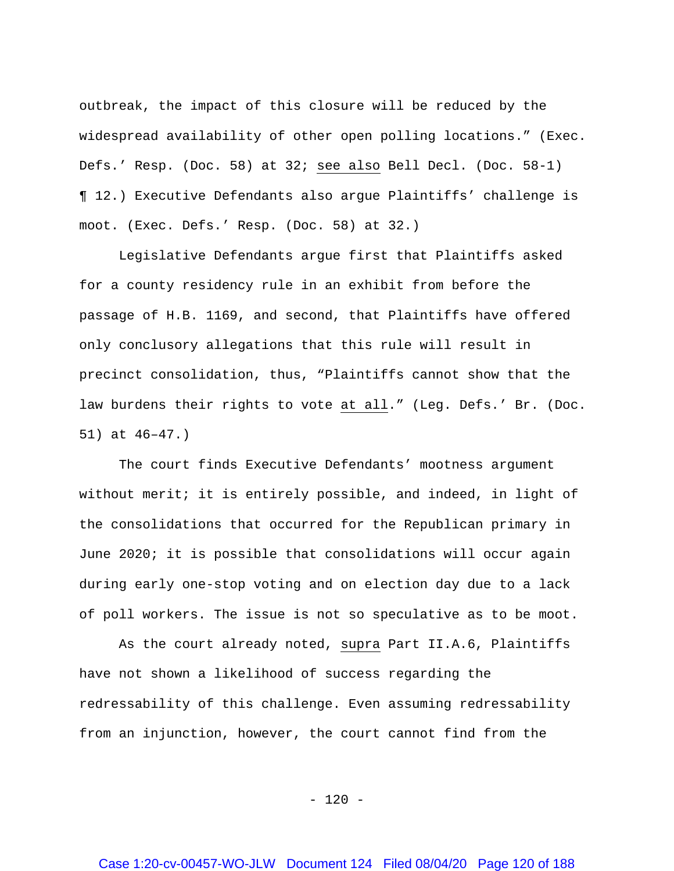outbreak, the impact of this closure will be reduced by the widespread availability of other open polling locations." (Exec. Defs.' Resp. (Doc. 58) at 32; see also Bell Decl. (Doc. 58-1) ¶ 12.) Executive Defendants also argue Plaintiffs' challenge is moot. (Exec. Defs.' Resp. (Doc. 58) at 32.)

Legislative Defendants argue first that Plaintiffs asked for a county residency rule in an exhibit from before the passage of H.B. 1169, and second, that Plaintiffs have offered only conclusory allegations that this rule will result in precinct consolidation, thus, "Plaintiffs cannot show that the law burdens their rights to vote at all." (Leg. Defs.' Br. (Doc. 51) at 46–47.)

The court finds Executive Defendants' mootness argument without merit; it is entirely possible, and indeed, in light of the consolidations that occurred for the Republican primary in June 2020; it is possible that consolidations will occur again during early one-stop voting and on election day due to a lack of poll workers. The issue is not so speculative as to be moot.

As the court already noted, supra Part II.A.6, Plaintiffs have not shown a likelihood of success regarding the redressability of this challenge. Even assuming redressability from an injunction, however, the court cannot find from the

 $- 120 -$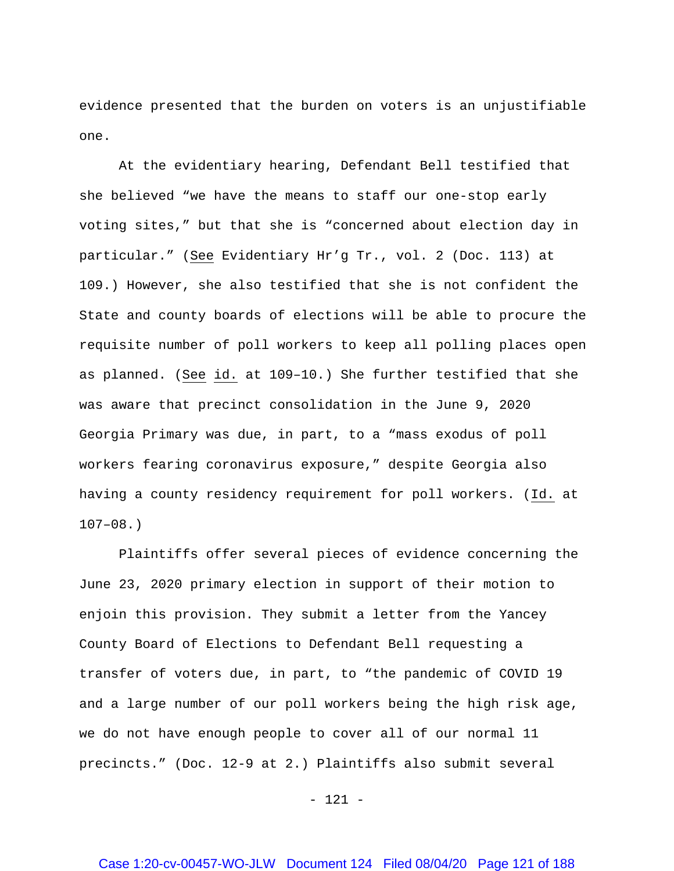evidence presented that the burden on voters is an unjustifiable one.

At the evidentiary hearing, Defendant Bell testified that she believed "we have the means to staff our one-stop early voting sites," but that she is "concerned about election day in particular." (See Evidentiary Hr'g Tr., vol. 2 (Doc. 113) at 109.) However, she also testified that she is not confident the State and county boards of elections will be able to procure the requisite number of poll workers to keep all polling places open as planned. (See id. at 109–10.) She further testified that she was aware that precinct consolidation in the June 9, 2020 Georgia Primary was due, in part, to a "mass exodus of poll workers fearing coronavirus exposure," despite Georgia also having a county residency requirement for poll workers. (Id. at  $107-08.$ 

Plaintiffs offer several pieces of evidence concerning the June 23, 2020 primary election in support of their motion to enjoin this provision. They submit a letter from the Yancey County Board of Elections to Defendant Bell requesting a transfer of voters due, in part, to "the pandemic of COVID 19 and a large number of our poll workers being the high risk age, we do not have enough people to cover all of our normal 11 precincts." (Doc. 12-9 at 2.) Plaintiffs also submit several

- 121 -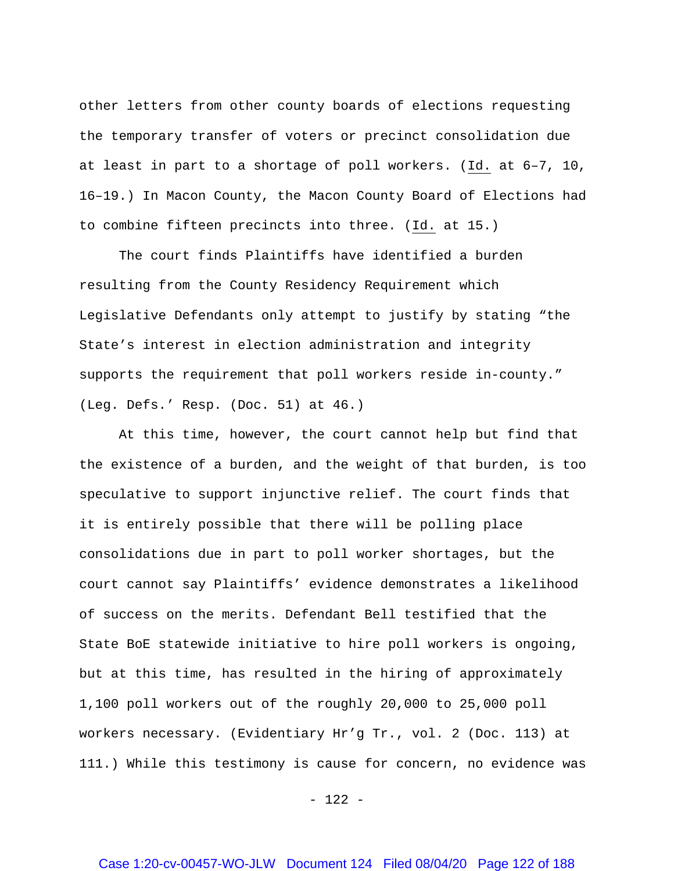other letters from other county boards of elections requesting the temporary transfer of voters or precinct consolidation due at least in part to a shortage of poll workers. (Id. at 6–7, 10, 16–19.) In Macon County, the Macon County Board of Elections had to combine fifteen precincts into three. (Id. at 15.)

The court finds Plaintiffs have identified a burden resulting from the County Residency Requirement which Legislative Defendants only attempt to justify by stating "the State's interest in election administration and integrity supports the requirement that poll workers reside in-county." (Leg. Defs.' Resp. (Doc. 51) at 46.)

At this time, however, the court cannot help but find that the existence of a burden, and the weight of that burden, is too speculative to support injunctive relief. The court finds that it is entirely possible that there will be polling place consolidations due in part to poll worker shortages, but the court cannot say Plaintiffs' evidence demonstrates a likelihood of success on the merits. Defendant Bell testified that the State BoE statewide initiative to hire poll workers is ongoing, but at this time, has resulted in the hiring of approximately 1,100 poll workers out of the roughly 20,000 to 25,000 poll workers necessary. (Evidentiary Hr'g Tr., vol. 2 (Doc. 113) at 111.) While this testimony is cause for concern, no evidence was

- 122 -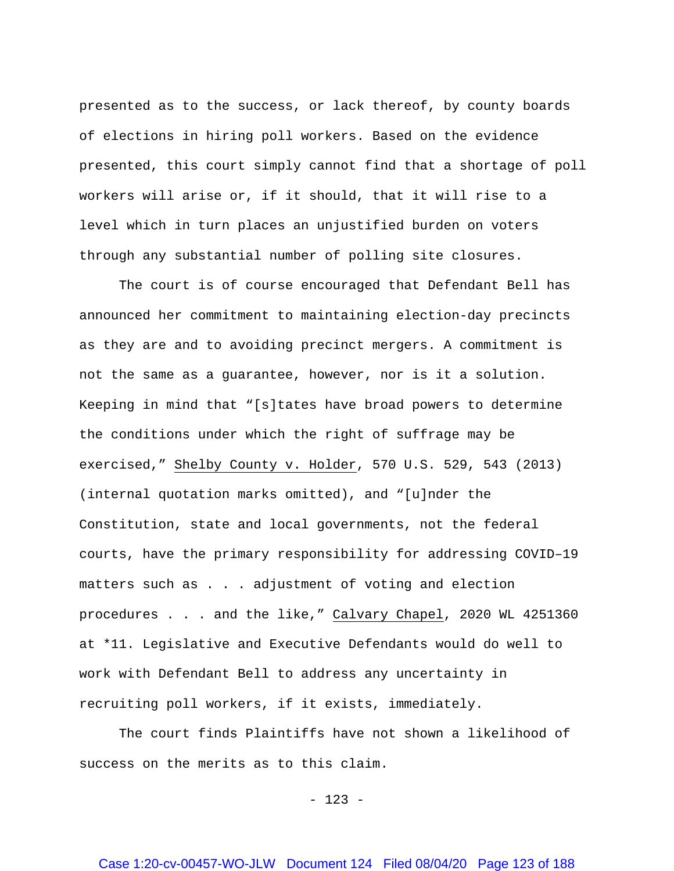presented as to the success, or lack thereof, by county boards of elections in hiring poll workers. Based on the evidence presented, this court simply cannot find that a shortage of poll workers will arise or, if it should, that it will rise to a level which in turn places an unjustified burden on voters through any substantial number of polling site closures.

The court is of course encouraged that Defendant Bell has announced her commitment to maintaining election-day precincts as they are and to avoiding precinct mergers. A commitment is not the same as a guarantee, however, nor is it a solution. Keeping in mind that "[s]tates have broad powers to determine the conditions under which the right of suffrage may be exercised," Shelby County v. Holder, 570 U.S. 529, 543 (2013) (internal quotation marks omitted), and "[u]nder the Constitution, state and local governments, not the federal courts, have the primary responsibility for addressing COVID–19 matters such as . . . adjustment of voting and election procedures . . . and the like," Calvary Chapel, 2020 WL 4251360 at \*11. Legislative and Executive Defendants would do well to work with Defendant Bell to address any uncertainty in recruiting poll workers, if it exists, immediately.

The court finds Plaintiffs have not shown a likelihood of success on the merits as to this claim.

- 123 -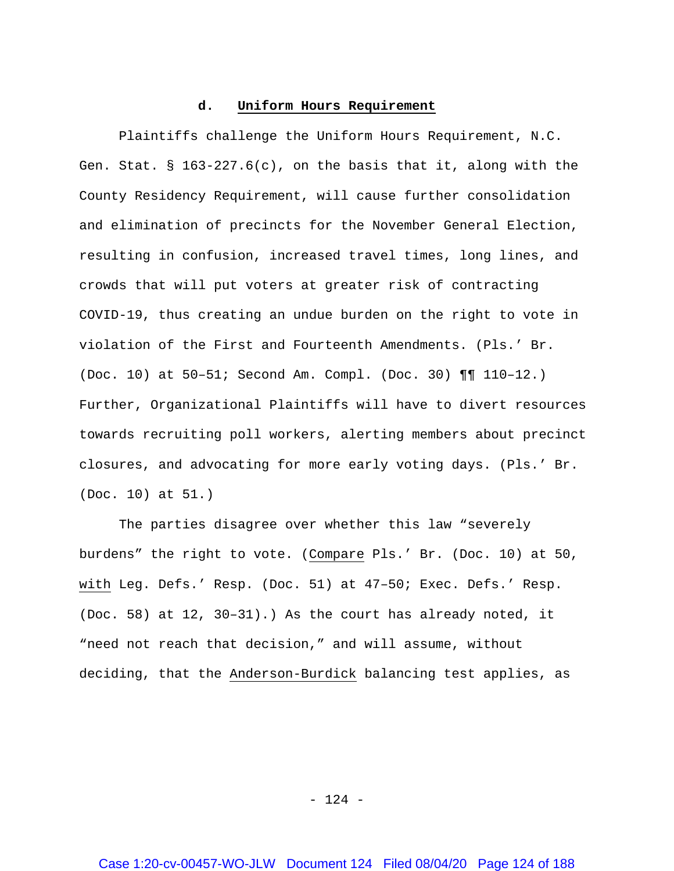### **d. Uniform Hours Requirement**

Plaintiffs challenge the Uniform Hours Requirement, N.C. Gen. Stat. §  $163-227.6(c)$ , on the basis that it, along with the County Residency Requirement, will cause further consolidation and elimination of precincts for the November General Election, resulting in confusion, increased travel times, long lines, and crowds that will put voters at greater risk of contracting COVID-19, thus creating an undue burden on the right to vote in violation of the First and Fourteenth Amendments. (Pls.' Br. (Doc. 10) at 50–51; Second Am. Compl. (Doc. 30) ¶¶ 110–12.) Further, Organizational Plaintiffs will have to divert resources towards recruiting poll workers, alerting members about precinct closures, and advocating for more early voting days. (Pls.' Br. (Doc. 10) at 51.)

The parties disagree over whether this law "severely burdens" the right to vote. (Compare Pls.' Br. (Doc. 10) at 50, with Leg. Defs.' Resp. (Doc. 51) at 47–50; Exec. Defs.' Resp. (Doc. 58) at 12, 30–31).) As the court has already noted, it "need not reach that decision," and will assume, without deciding, that the Anderson-Burdick balancing test applies, as

- 124 -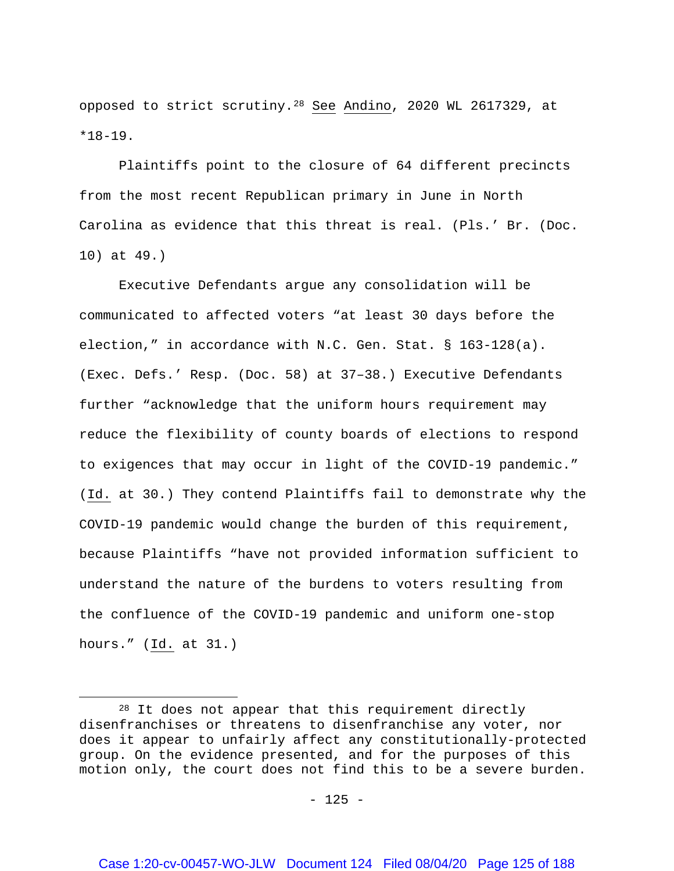opposed to strict scrutiny.[28](#page-124-0) See Andino, 2020 WL 2617329, at  $*18-19$ .

Plaintiffs point to the closure of 64 different precincts from the most recent Republican primary in June in North Carolina as evidence that this threat is real. (Pls.' Br. (Doc. 10) at 49.)

Executive Defendants argue any consolidation will be communicated to affected voters "at least 30 days before the election," in accordance with N.C. Gen. Stat. § 163-128(a). (Exec. Defs.' Resp. (Doc. 58) at 37–38.) Executive Defendants further "acknowledge that the uniform hours requirement may reduce the flexibility of county boards of elections to respond to exigences that may occur in light of the COVID-19 pandemic." (Id. at 30.) They contend Plaintiffs fail to demonstrate why the COVID-19 pandemic would change the burden of this requirement, because Plaintiffs "have not provided information sufficient to understand the nature of the burdens to voters resulting from the confluence of the COVID-19 pandemic and uniform one-stop hours." (Id. at 31.)

 $\overline{a}$ 

<span id="page-124-0"></span><sup>&</sup>lt;sup>28</sup> It does not appear that this requirement directly disenfranchises or threatens to disenfranchise any voter, nor does it appear to unfairly affect any constitutionally-protected group. On the evidence presented, and for the purposes of this motion only, the court does not find this to be a severe burden.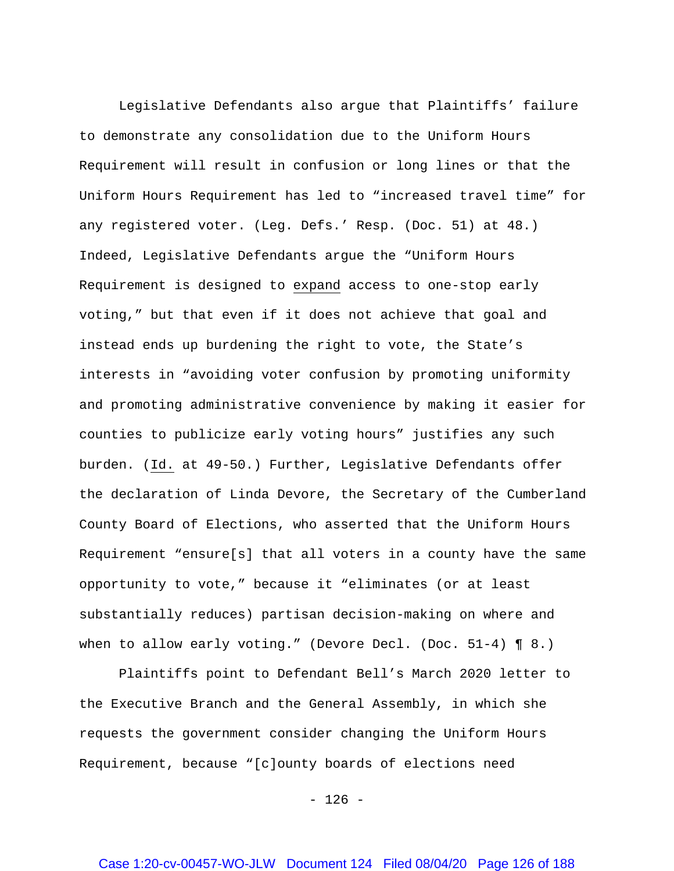Legislative Defendants also argue that Plaintiffs' failure to demonstrate any consolidation due to the Uniform Hours Requirement will result in confusion or long lines or that the Uniform Hours Requirement has led to "increased travel time" for any registered voter. (Leg. Defs.' Resp. (Doc. 51) at 48.) Indeed, Legislative Defendants argue the "Uniform Hours Requirement is designed to expand access to one-stop early voting," but that even if it does not achieve that goal and instead ends up burdening the right to vote, the State's interests in "avoiding voter confusion by promoting uniformity and promoting administrative convenience by making it easier for counties to publicize early voting hours" justifies any such burden. (Id. at 49-50.) Further, Legislative Defendants offer the declaration of Linda Devore, the Secretary of the Cumberland County Board of Elections, who asserted that the Uniform Hours Requirement "ensure[s] that all voters in a county have the same opportunity to vote," because it "eliminates (or at least substantially reduces) partisan decision-making on where and when to allow early voting." (Devore Decl. (Doc. 51-4) ¶ 8.)

Plaintiffs point to Defendant Bell's March 2020 letter to the Executive Branch and the General Assembly, in which she requests the government consider changing the Uniform Hours Requirement, because "[c]ounty boards of elections need

 $- 126 -$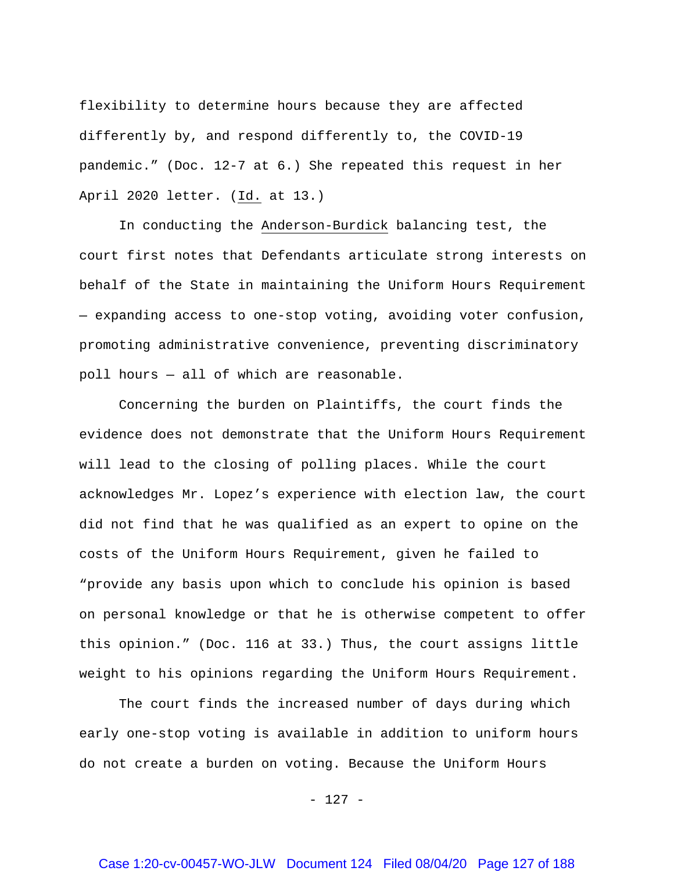flexibility to determine hours because they are affected differently by, and respond differently to, the COVID-19 pandemic." (Doc. 12-7 at 6.) She repeated this request in her April 2020 letter. (Id. at 13.)

In conducting the Anderson-Burdick balancing test, the court first notes that Defendants articulate strong interests on behalf of the State in maintaining the Uniform Hours Requirement — expanding access to one-stop voting, avoiding voter confusion, promoting administrative convenience, preventing discriminatory poll hours — all of which are reasonable.

Concerning the burden on Plaintiffs, the court finds the evidence does not demonstrate that the Uniform Hours Requirement will lead to the closing of polling places. While the court acknowledges Mr. Lopez's experience with election law, the court did not find that he was qualified as an expert to opine on the costs of the Uniform Hours Requirement, given he failed to "provide any basis upon which to conclude his opinion is based on personal knowledge or that he is otherwise competent to offer this opinion." (Doc. 116 at 33.) Thus, the court assigns little weight to his opinions regarding the Uniform Hours Requirement.

The court finds the increased number of days during which early one-stop voting is available in addition to uniform hours do not create a burden on voting. Because the Uniform Hours

- 127 -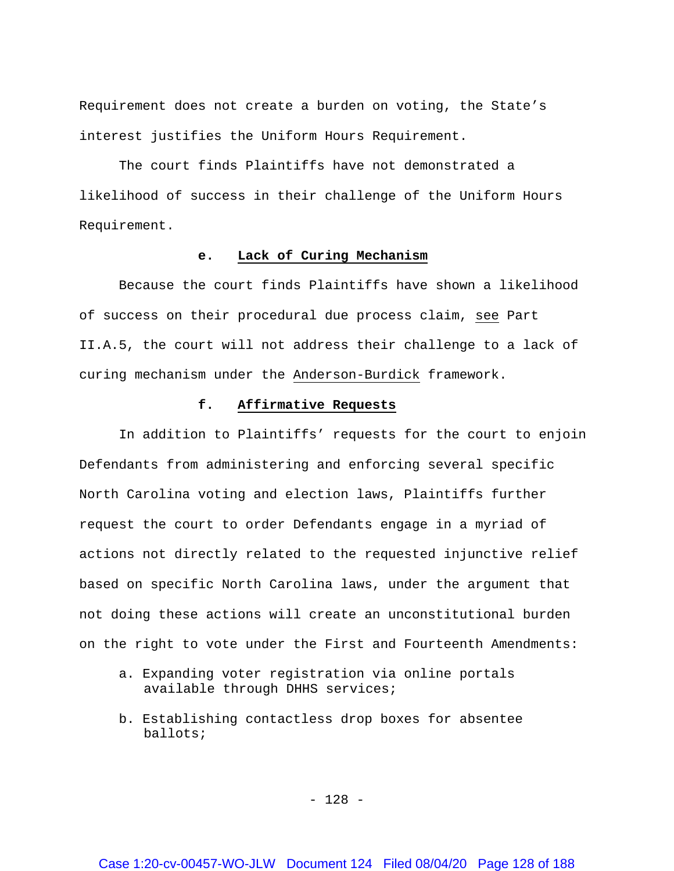Requirement does not create a burden on voting, the State's interest justifies the Uniform Hours Requirement.

The court finds Plaintiffs have not demonstrated a likelihood of success in their challenge of the Uniform Hours Requirement.

### **e. Lack of Curing Mechanism**

Because the court finds Plaintiffs have shown a likelihood of success on their procedural due process claim, see Part II.A.5, the court will not address their challenge to a lack of curing mechanism under the Anderson-Burdick framework.

## **f. Affirmative Requests**

In addition to Plaintiffs' requests for the court to enjoin Defendants from administering and enforcing several specific North Carolina voting and election laws, Plaintiffs further request the court to order Defendants engage in a myriad of actions not directly related to the requested injunctive relief based on specific North Carolina laws, under the argument that not doing these actions will create an unconstitutional burden on the right to vote under the First and Fourteenth Amendments:

- a. Expanding voter registration via online portals available through DHHS services;
- b. Establishing contactless drop boxes for absentee ballots;

- 128 -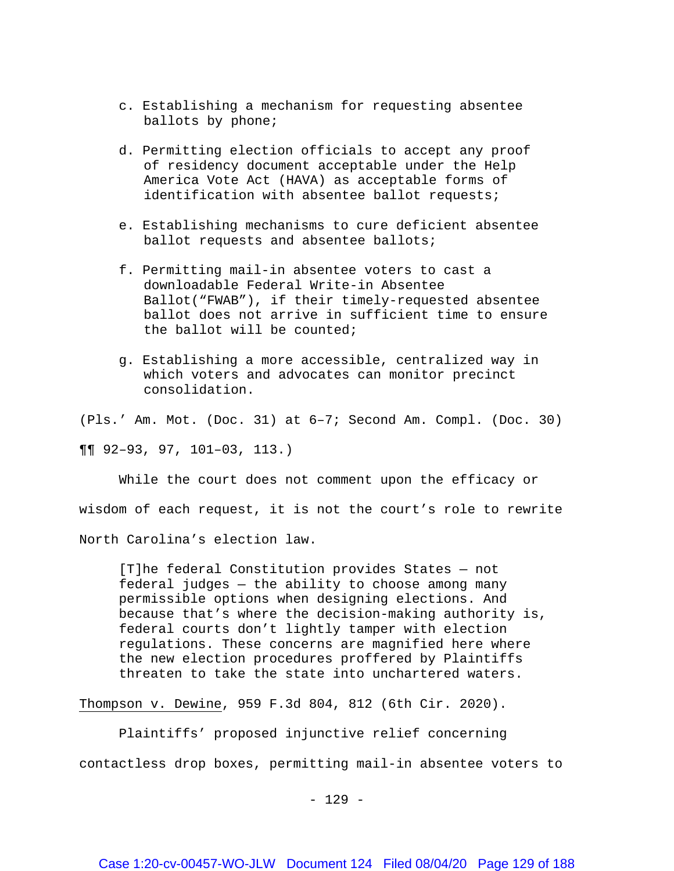- c. Establishing a mechanism for requesting absentee ballots by phone;
- d. Permitting election officials to accept any proof of residency document acceptable under the Help America Vote Act (HAVA) as acceptable forms of identification with absentee ballot requests;
- e. Establishing mechanisms to cure deficient absentee ballot requests and absentee ballots;
- f. Permitting mail-in absentee voters to cast a downloadable Federal Write-in Absentee Ballot("FWAB"), if their timely-requested absentee ballot does not arrive in sufficient time to ensure the ballot will be counted;
- g. Establishing a more accessible, centralized way in which voters and advocates can monitor precinct consolidation.

(Pls.' Am. Mot. (Doc. 31) at 6–7; Second Am. Compl. (Doc. 30)

¶¶ 92–93, 97, 101–03, 113.)

While the court does not comment upon the efficacy or wisdom of each request, it is not the court's role to rewrite North Carolina's election law.

[T]he federal Constitution provides States — not federal judges — the ability to choose among many permissible options when designing elections. And because that's where the decision-making authority is, federal courts don't lightly tamper with election regulations. These concerns are magnified here where the new election procedures proffered by Plaintiffs threaten to take the state into unchartered waters.

Thompson v. Dewine, 959 F.3d 804, 812 (6th Cir. 2020).

Plaintiffs' proposed injunctive relief concerning contactless drop boxes, permitting mail-in absentee voters to

- 129 -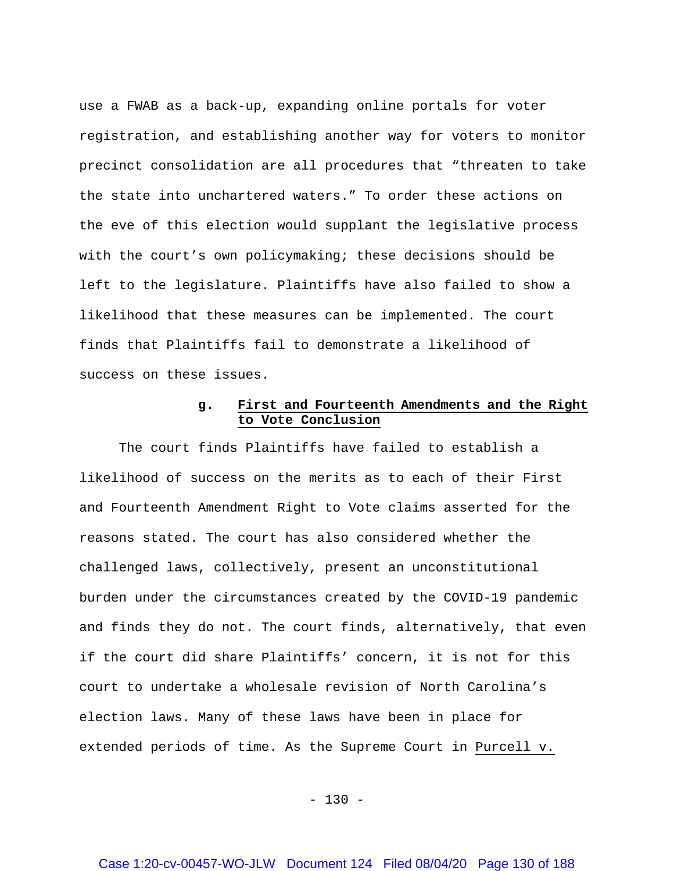use a FWAB as a back-up, expanding online portals for voter registration, and establishing another way for voters to monitor precinct consolidation are all procedures that "threaten to take the state into unchartered waters." To order these actions on the eve of this election would supplant the legislative process with the court's own policymaking; these decisions should be left to the legislature. Plaintiffs have also failed to show a likelihood that these measures can be implemented. The court finds that Plaintiffs fail to demonstrate a likelihood of success on these issues.

# **g. First and Fourteenth Amendments and the Right to Vote Conclusion**

The court finds Plaintiffs have failed to establish a likelihood of success on the merits as to each of their First and Fourteenth Amendment Right to Vote claims asserted for the reasons stated. The court has also considered whether the challenged laws, collectively, present an unconstitutional burden under the circumstances created by the COVID-19 pandemic and finds they do not. The court finds, alternatively, that even if the court did share Plaintiffs' concern, it is not for this court to undertake a wholesale revision of North Carolina's election laws. Many of these laws have been in place for extended periods of time. As the Supreme Court in Purcell v.

 $- 130 -$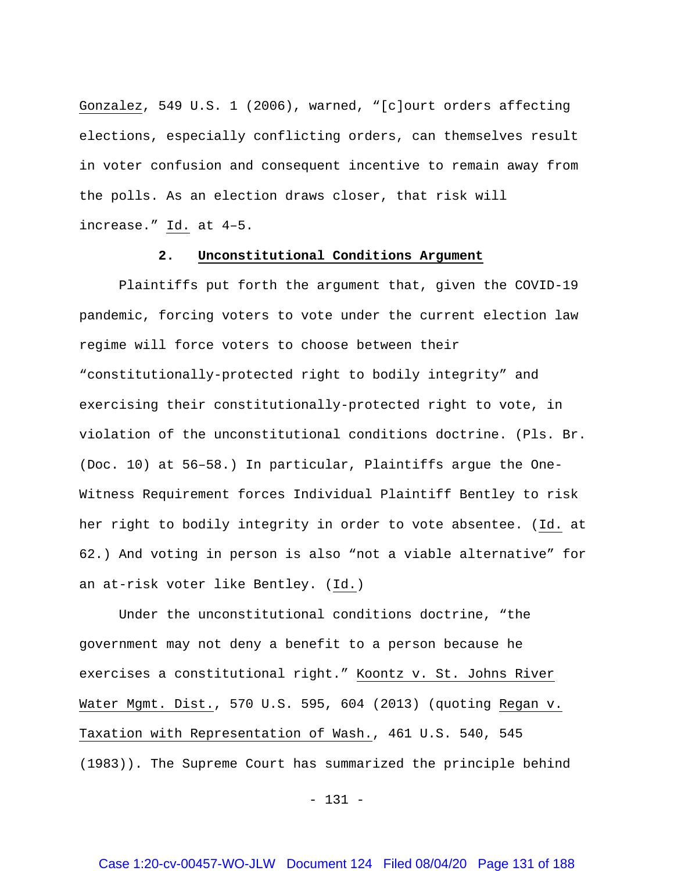Gonzalez, 549 U.S. 1 (2006), warned, "[c]ourt orders affecting elections, especially conflicting orders, can themselves result in voter confusion and consequent incentive to remain away from the polls. As an election draws closer, that risk will increase." Id. at 4–5.

### **2. Unconstitutional Conditions Argument**

Plaintiffs put forth the argument that, given the COVID-19 pandemic, forcing voters to vote under the current election law regime will force voters to choose between their "constitutionally-protected right to bodily integrity" and exercising their constitutionally-protected right to vote, in violation of the unconstitutional conditions doctrine. (Pls. Br. (Doc. 10) at 56–58.) In particular, Plaintiffs argue the One-Witness Requirement forces Individual Plaintiff Bentley to risk her right to bodily integrity in order to vote absentee. (Id. at 62.) And voting in person is also "not a viable alternative" for an at-risk voter like Bentley. (Id.)

Under the unconstitutional conditions doctrine, "the government may not deny a benefit to a person because he exercises a constitutional right." Koontz v. St. Johns River Water Mgmt. Dist., 570 U.S. 595, 604 (2013) (quoting Regan v. Taxation with Representation of Wash., 461 U.S. 540, 545 (1983)). The Supreme Court has summarized the principle behind

- 131 -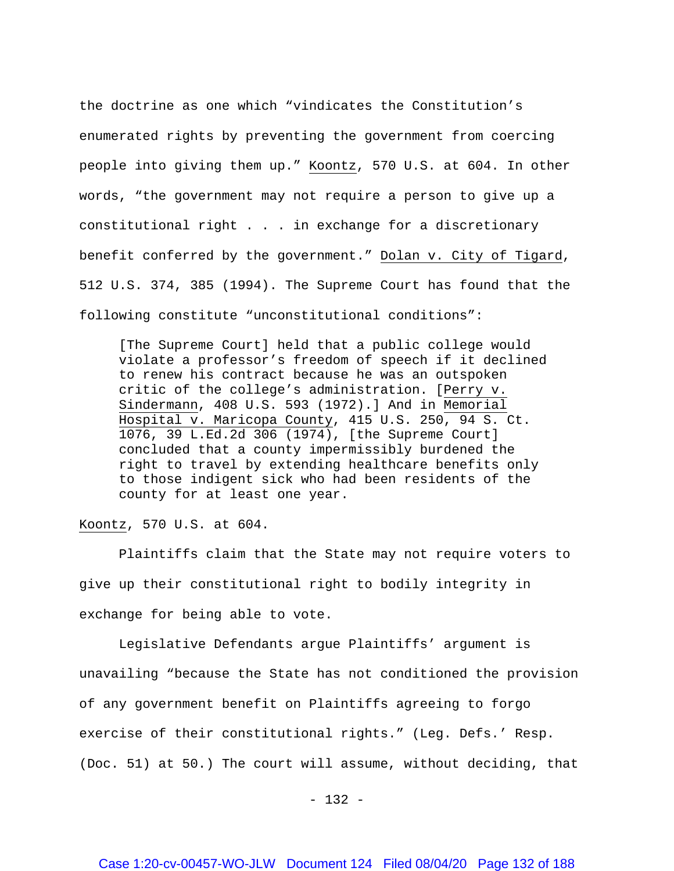the doctrine as one which "vindicates the Constitution's enumerated rights by preventing the government from coercing people into giving them up." Koontz, 570 U.S. at 604. In other words, "the government may not require a person to give up a constitutional right . . . in exchange for a discretionary benefit conferred by the government." Dolan v. City of Tigard, 512 U.S. 374, 385 (1994). The Supreme Court has found that the following constitute "unconstitutional conditions":

[The Supreme Court] held that a public college would violate a professor's freedom of speech if it declined to renew his contract because he was an outspoken critic of the college's administration. [Perry v. Sindermann, 408 U.S. 593 (1972).] And in Memorial Hospital v. Maricopa County, 415 U.S. 250, 94 S. Ct. 1076, 39 L.Ed.2d 306 (1974), [the Supreme Court] concluded that a county impermissibly burdened the right to travel by extending healthcare benefits only to those indigent sick who had been residents of the county for at least one year.

Koontz, 570 U.S. at 604.

Plaintiffs claim that the State may not require voters to give up their constitutional right to bodily integrity in exchange for being able to vote.

Legislative Defendants argue Plaintiffs' argument is unavailing "because the State has not conditioned the provision of any government benefit on Plaintiffs agreeing to forgo exercise of their constitutional rights." (Leg. Defs.' Resp. (Doc. 51) at 50.) The court will assume, without deciding, that

 $- 132 -$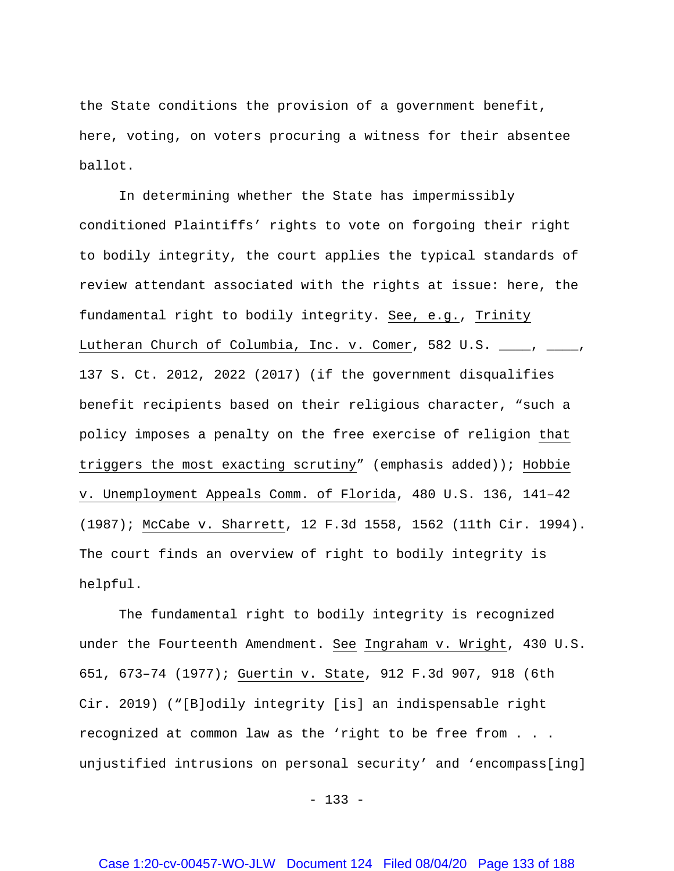the State conditions the provision of a government benefit, here, voting, on voters procuring a witness for their absentee ballot.

In determining whether the State has impermissibly conditioned Plaintiffs' rights to vote on forgoing their right to bodily integrity, the court applies the typical standards of review attendant associated with the rights at issue: here, the fundamental right to bodily integrity. See, e.g., Trinity Lutheran Church of Columbia, Inc. v. Comer, 582 U.S. \_\_\_\_, \_\_\_\_, 137 S. Ct. 2012, 2022 (2017) (if the government disqualifies benefit recipients based on their religious character, "such a policy imposes a penalty on the free exercise of religion that triggers the most exacting scrutiny" (emphasis added)); Hobbie v. Unemployment Appeals Comm. of Florida, 480 U.S. 136, 141–42 (1987); McCabe v. Sharrett, 12 F.3d 1558, 1562 (11th Cir. 1994). The court finds an overview of right to bodily integrity is helpful.

The fundamental right to bodily integrity is recognized under the Fourteenth Amendment. See Ingraham v. Wright, 430 U.S. 651, 673–74 (1977); Guertin v. State, 912 F.3d 907, 918 (6th Cir. 2019) ("[B]odily integrity [is] an indispensable right recognized at common law as the 'right to be free from . . . unjustified intrusions on personal security' and 'encompass[ing]

 $- 133 -$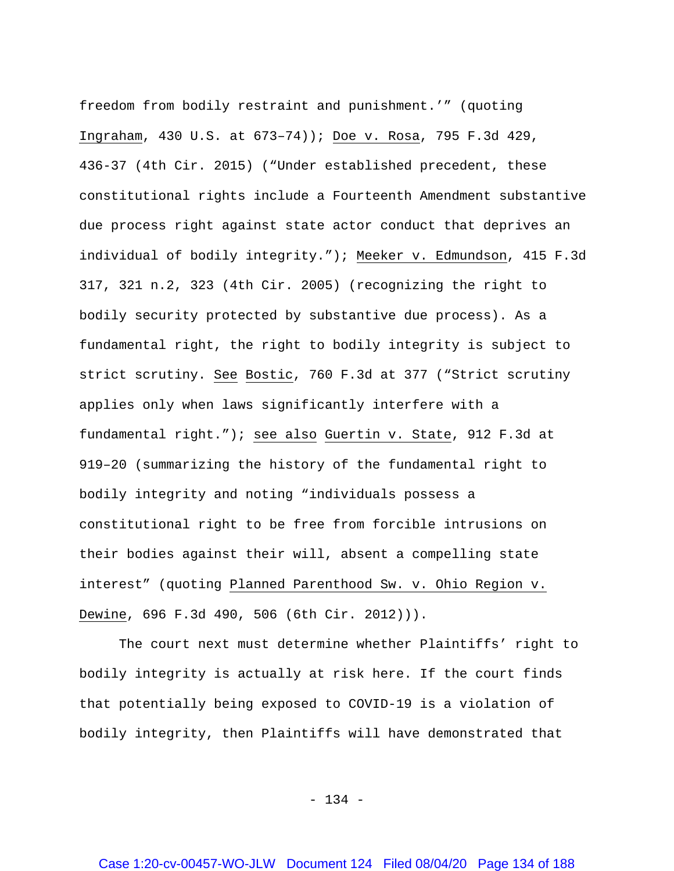freedom from bodily restraint and punishment.'" (quoting Ingraham, 430 U.S. at 673–74)); Doe v. Rosa, 795 F.3d 429, 436-37 (4th Cir. 2015) ("Under established precedent, these constitutional rights include a Fourteenth Amendment substantive due process right against state actor conduct that deprives an individual of bodily integrity."); Meeker v. Edmundson, 415 F.3d 317, 321 n.2, 323 (4th Cir. 2005) (recognizing the right to bodily security protected by substantive due process). As a fundamental right, the right to bodily integrity is subject to strict scrutiny. See Bostic, 760 F.3d at 377 ("Strict scrutiny applies only when laws significantly interfere with a fundamental right."); see also Guertin v. State, 912 F.3d at 919–20 (summarizing the history of the fundamental right to bodily integrity and noting "individuals possess a constitutional right to be free from forcible intrusions on their bodies against their will, absent a compelling state interest" (quoting Planned Parenthood Sw. v. Ohio Region v. Dewine, 696 F.3d 490, 506 (6th Cir. 2012))).

The court next must determine whether Plaintiffs' right to bodily integrity is actually at risk here. If the court finds that potentially being exposed to COVID-19 is a violation of bodily integrity, then Plaintiffs will have demonstrated that

- 134 -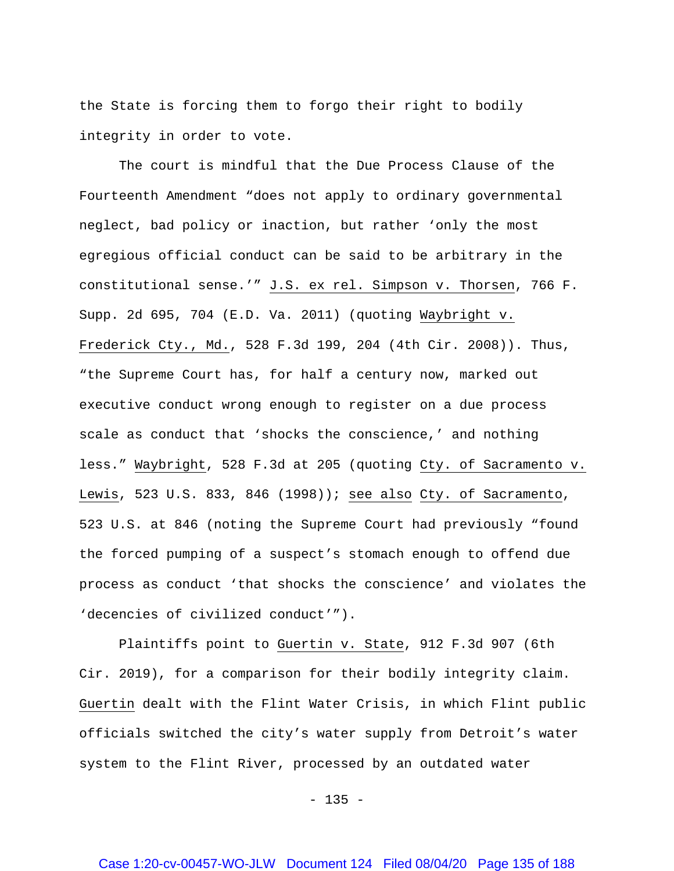the State is forcing them to forgo their right to bodily integrity in order to vote.

The court is mindful that the Due Process Clause of the Fourteenth Amendment "does not apply to ordinary governmental neglect, bad policy or inaction, but rather 'only the most egregious official conduct can be said to be arbitrary in the constitutional sense.'" J.S. ex rel. Simpson v. Thorsen, 766 F. Supp. 2d 695, 704 (E.D. Va. 2011) (quoting Waybright v. Frederick Cty., Md., 528 F.3d 199, 204 (4th Cir. 2008)). Thus, "the Supreme Court has, for half a century now, marked out executive conduct wrong enough to register on a due process scale as conduct that 'shocks the conscience,' and nothing less." Waybright, 528 F.3d at 205 (quoting Cty. of Sacramento v. Lewis, 523 U.S. 833, 846 (1998)); see also Cty. of Sacramento, 523 U.S. at 846 (noting the Supreme Court had previously "found the forced pumping of a suspect's stomach enough to offend due process as conduct 'that shocks the conscience' and violates the 'decencies of civilized conduct'").

Plaintiffs point to Guertin v. State, 912 F.3d 907 (6th Cir. 2019), for a comparison for their bodily integrity claim. Guertin dealt with the Flint Water Crisis, in which Flint public officials switched the city's water supply from Detroit's water system to the Flint River, processed by an outdated water

 $- 135 -$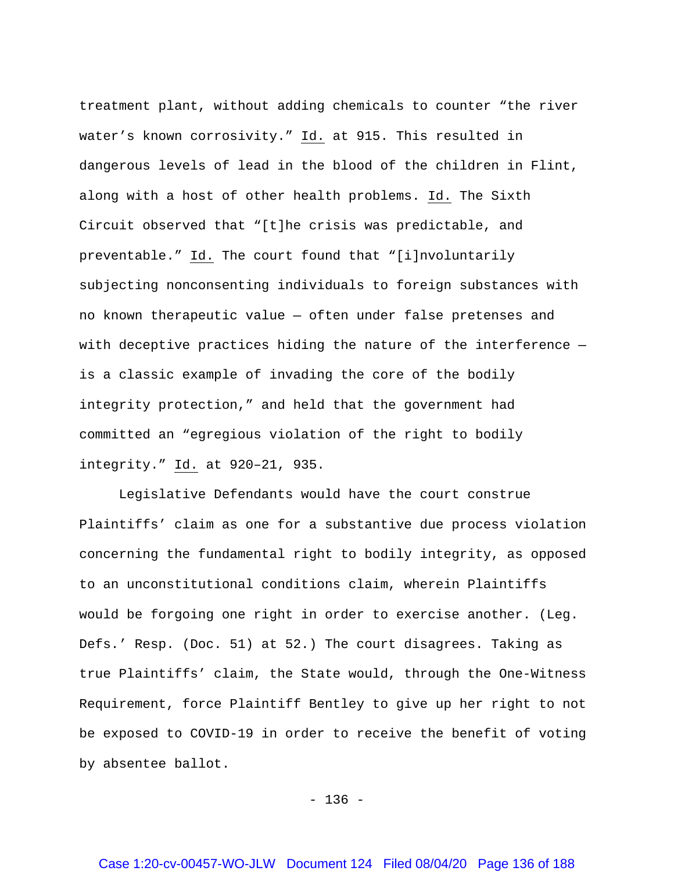treatment plant, without adding chemicals to counter "the river water's known corrosivity." Id. at 915. This resulted in dangerous levels of lead in the blood of the children in Flint, along with a host of other health problems. Id. The Sixth Circuit observed that "[t]he crisis was predictable, and preventable." Id. The court found that "[i]nvoluntarily subjecting nonconsenting individuals to foreign substances with no known therapeutic value — often under false pretenses and with deceptive practices hiding the nature of the interference is a classic example of invading the core of the bodily integrity protection," and held that the government had committed an "egregious violation of the right to bodily integrity." Id. at 920–21, 935.

Legislative Defendants would have the court construe Plaintiffs' claim as one for a substantive due process violation concerning the fundamental right to bodily integrity, as opposed to an unconstitutional conditions claim, wherein Plaintiffs would be forgoing one right in order to exercise another. (Leg. Defs.' Resp. (Doc. 51) at 52.) The court disagrees. Taking as true Plaintiffs' claim, the State would, through the One-Witness Requirement, force Plaintiff Bentley to give up her right to not be exposed to COVID-19 in order to receive the benefit of voting by absentee ballot.

 $- 136 -$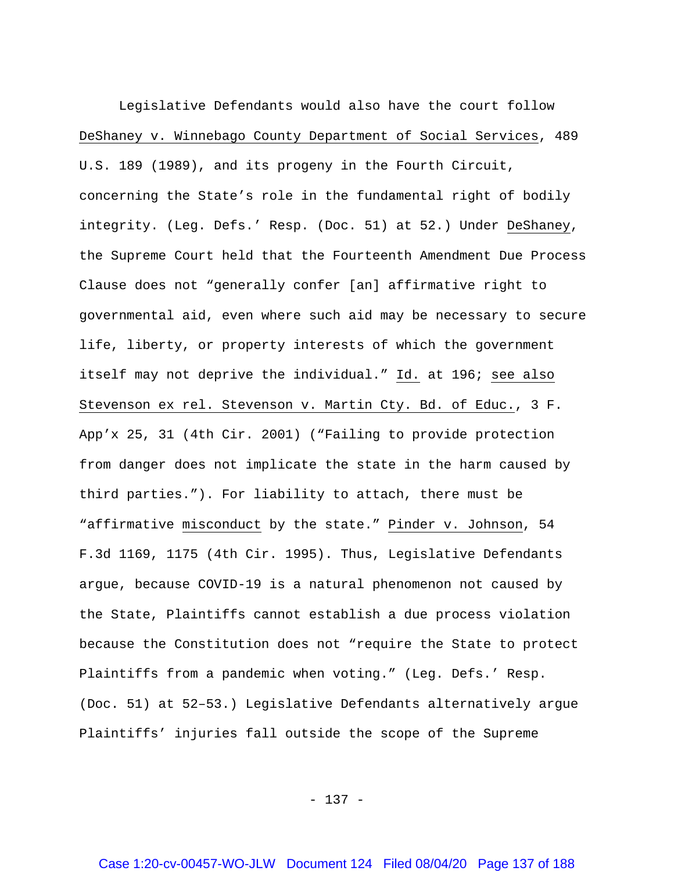Legislative Defendants would also have the court follow DeShaney v. Winnebago County Department of Social Services, 489 U.S. 189 (1989), and its progeny in the Fourth Circuit, concerning the State's role in the fundamental right of bodily integrity. (Leg. Defs.' Resp. (Doc. 51) at 52.) Under DeShaney, the Supreme Court held that the Fourteenth Amendment Due Process Clause does not "generally confer [an] affirmative right to governmental aid, even where such aid may be necessary to secure life, liberty, or property interests of which the government itself may not deprive the individual." Id. at 196; see also Stevenson ex rel. Stevenson v. Martin Cty. Bd. of Educ., 3 F. App'x 25, 31 (4th Cir. 2001) ("Failing to provide protection from danger does not implicate the state in the harm caused by third parties."). For liability to attach, there must be "affirmative misconduct by the state." Pinder v. Johnson, 54 F.3d 1169, 1175 (4th Cir. 1995). Thus, Legislative Defendants argue, because COVID-19 is a natural phenomenon not caused by the State, Plaintiffs cannot establish a due process violation because the Constitution does not "require the State to protect Plaintiffs from a pandemic when voting." (Leg. Defs.' Resp. (Doc. 51) at 52–53.) Legislative Defendants alternatively argue Plaintiffs' injuries fall outside the scope of the Supreme

- 137 -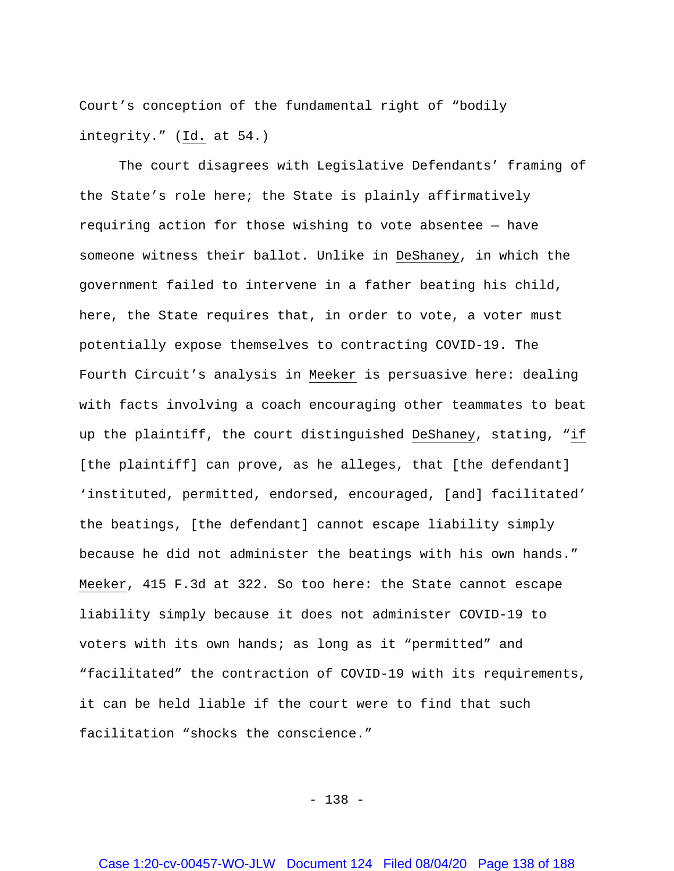Court's conception of the fundamental right of "bodily integrity." (Id. at 54.)

The court disagrees with Legislative Defendants' framing of the State's role here; the State is plainly affirmatively requiring action for those wishing to vote absentee — have someone witness their ballot. Unlike in DeShaney, in which the government failed to intervene in a father beating his child, here, the State requires that, in order to vote, a voter must potentially expose themselves to contracting COVID-19. The Fourth Circuit's analysis in Meeker is persuasive here: dealing with facts involving a coach encouraging other teammates to beat up the plaintiff, the court distinguished DeShaney, stating, "if [the plaintiff] can prove, as he alleges, that [the defendant] 'instituted, permitted, endorsed, encouraged, [and] facilitated' the beatings, [the defendant] cannot escape liability simply because he did not administer the beatings with his own hands." Meeker, 415 F.3d at 322. So too here: the State cannot escape liability simply because it does not administer COVID-19 to voters with its own hands; as long as it "permitted" and "facilitated" the contraction of COVID-19 with its requirements, it can be held liable if the court were to find that such facilitation "shocks the conscience."

- 138 -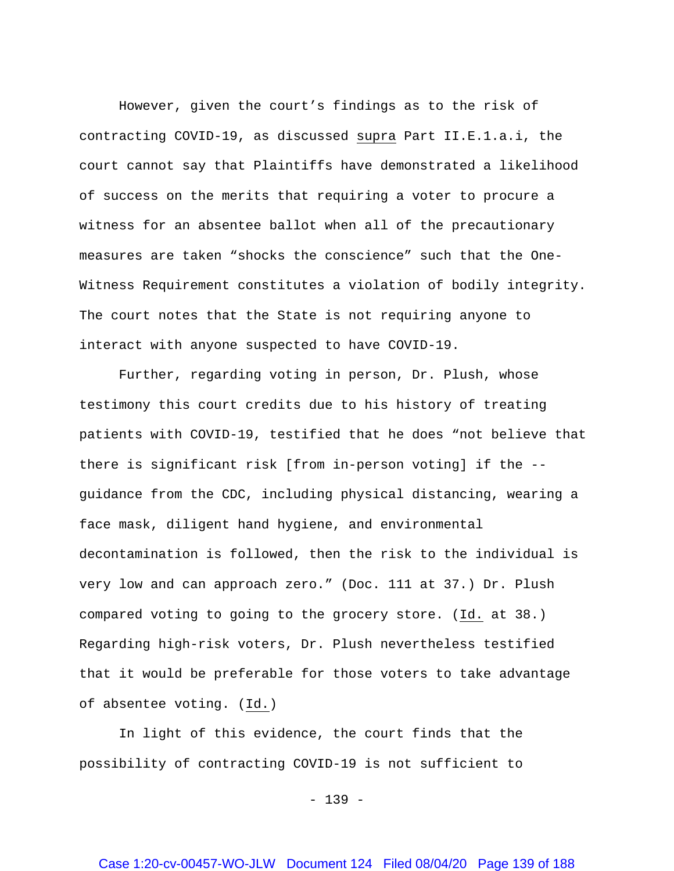However, given the court's findings as to the risk of contracting COVID-19, as discussed supra Part II.E.1.a.i, the court cannot say that Plaintiffs have demonstrated a likelihood of success on the merits that requiring a voter to procure a witness for an absentee ballot when all of the precautionary measures are taken "shocks the conscience" such that the One-Witness Requirement constitutes a violation of bodily integrity. The court notes that the State is not requiring anyone to interact with anyone suspected to have COVID-19.

Further, regarding voting in person, Dr. Plush, whose testimony this court credits due to his history of treating patients with COVID-19, testified that he does "not believe that there is significant risk [from in-person voting] if the - guidance from the CDC, including physical distancing, wearing a face mask, diligent hand hygiene, and environmental decontamination is followed, then the risk to the individual is very low and can approach zero." (Doc. 111 at 37.) Dr. Plush compared voting to going to the grocery store. (Id. at 38.) Regarding high-risk voters, Dr. Plush nevertheless testified that it would be preferable for those voters to take advantage of absentee voting. (Id.)

In light of this evidence, the court finds that the possibility of contracting COVID-19 is not sufficient to

 $- 139 -$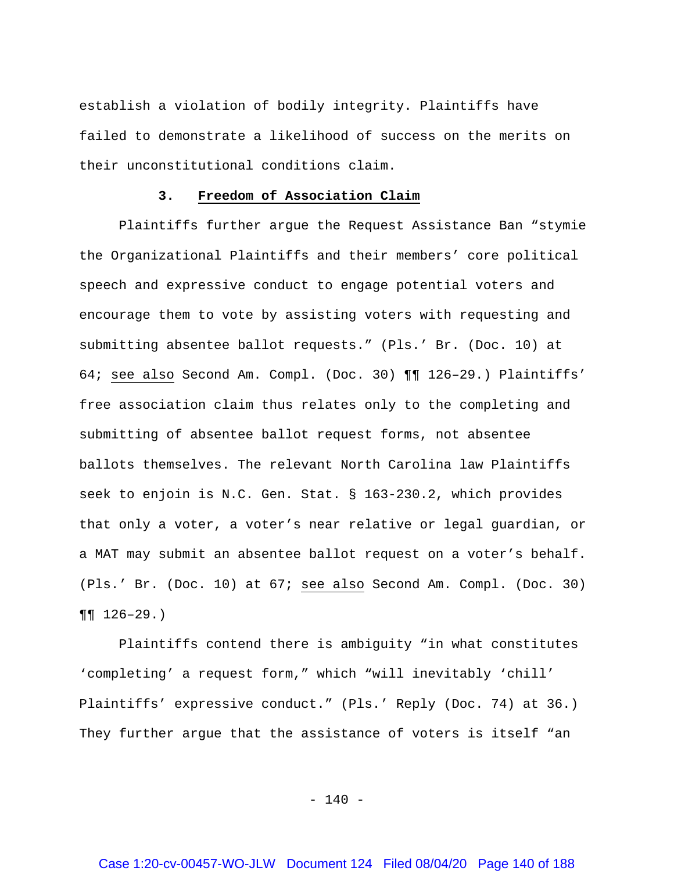establish a violation of bodily integrity. Plaintiffs have failed to demonstrate a likelihood of success on the merits on their unconstitutional conditions claim.

### **3. Freedom of Association Claim**

Plaintiffs further argue the Request Assistance Ban "stymie the Organizational Plaintiffs and their members' core political speech and expressive conduct to engage potential voters and encourage them to vote by assisting voters with requesting and submitting absentee ballot requests." (Pls.' Br. (Doc. 10) at 64; see also Second Am. Compl. (Doc. 30) ¶¶ 126–29.) Plaintiffs' free association claim thus relates only to the completing and submitting of absentee ballot request forms, not absentee ballots themselves. The relevant North Carolina law Plaintiffs seek to enjoin is N.C. Gen. Stat. § 163-230.2, which provides that only a voter, a voter's near relative or legal guardian, or a MAT may submit an absentee ballot request on a voter's behalf. (Pls.' Br. (Doc. 10) at 67; see also Second Am. Compl. (Doc. 30)  $\P\P$  126-29.)

Plaintiffs contend there is ambiguity "in what constitutes 'completing' a request form," which "will inevitably 'chill' Plaintiffs' expressive conduct." (Pls.' Reply (Doc. 74) at 36.) They further argue that the assistance of voters is itself "an

 $- 140 -$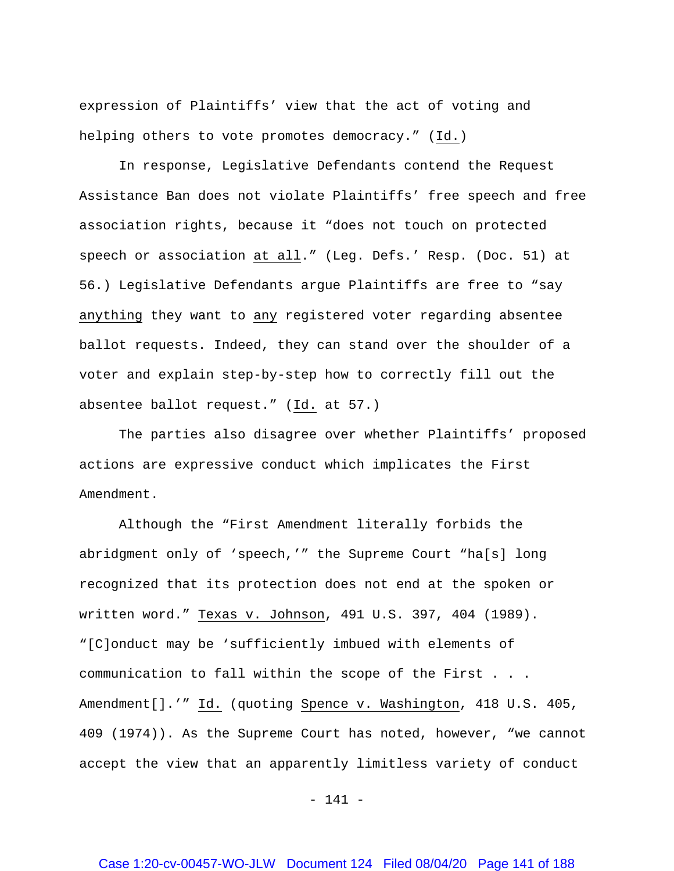expression of Plaintiffs' view that the act of voting and helping others to vote promotes democracy." (Id.)

In response, Legislative Defendants contend the Request Assistance Ban does not violate Plaintiffs' free speech and free association rights, because it "does not touch on protected speech or association at all." (Leg. Defs.' Resp. (Doc. 51) at 56.) Legislative Defendants argue Plaintiffs are free to "say anything they want to any registered voter regarding absentee ballot requests. Indeed, they can stand over the shoulder of a voter and explain step-by-step how to correctly fill out the absentee ballot request." (Id. at 57.)

The parties also disagree over whether Plaintiffs' proposed actions are expressive conduct which implicates the First Amendment.

Although the "First Amendment literally forbids the abridgment only of 'speech,'" the Supreme Court "ha[s] long recognized that its protection does not end at the spoken or written word." Texas v. Johnson, 491 U.S. 397, 404 (1989). "[C]onduct may be 'sufficiently imbued with elements of communication to fall within the scope of the First . . . Amendment[].'" Id. (quoting Spence v. Washington, 418 U.S. 405, 409 (1974)). As the Supreme Court has noted, however, "we cannot accept the view that an apparently limitless variety of conduct

- 141 -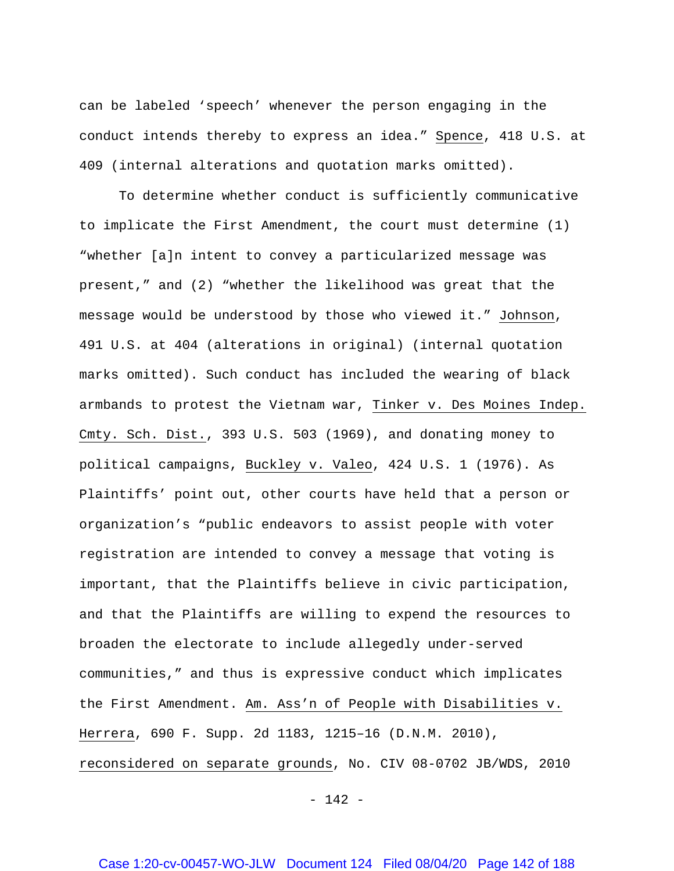can be labeled 'speech' whenever the person engaging in the conduct intends thereby to express an idea." Spence, 418 U.S. at 409 (internal alterations and quotation marks omitted).

To determine whether conduct is sufficiently communicative to implicate the First Amendment, the court must determine (1) "whether [a]n intent to convey a particularized message was present," and (2) "whether the likelihood was great that the message would be understood by those who viewed it." Johnson, 491 U.S. at 404 (alterations in original) (internal quotation marks omitted). Such conduct has included the wearing of black armbands to protest the Vietnam war, Tinker v. Des Moines Indep. Cmty. Sch. Dist., 393 U.S. 503 (1969), and donating money to political campaigns, Buckley v. Valeo, 424 U.S. 1 (1976). As Plaintiffs' point out, other courts have held that a person or organization's "public endeavors to assist people with voter registration are intended to convey a message that voting is important, that the Plaintiffs believe in civic participation, and that the Plaintiffs are willing to expend the resources to broaden the electorate to include allegedly under-served communities," and thus is expressive conduct which implicates the First Amendment. Am. Ass'n of People with Disabilities v. Herrera, 690 F. Supp. 2d 1183, 1215–16 (D.N.M. 2010), reconsidered on separate grounds, No. CIV 08-0702 JB/WDS, 2010

 $- 142 -$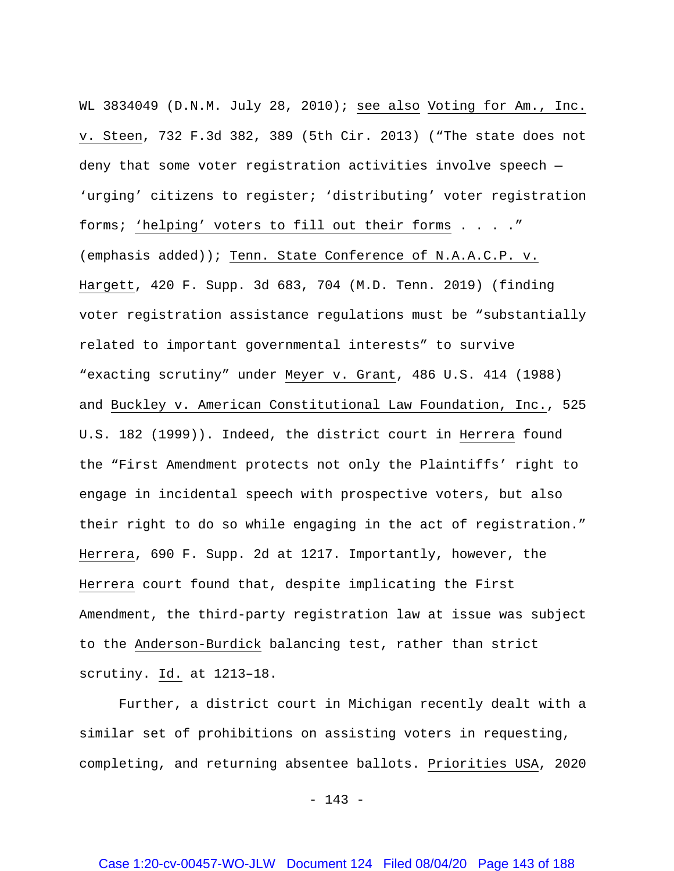WL 3834049 (D.N.M. July 28, 2010); see also Voting for Am., Inc. v. Steen, 732 F.3d 382, 389 (5th Cir. 2013) ("The state does not deny that some voter registration activities involve speech — 'urging' citizens to register; 'distributing' voter registration forms; 'helping' voters to fill out their forms . . . ." (emphasis added)); Tenn. State Conference of N.A.A.C.P. v. Hargett, 420 F. Supp. 3d 683, 704 (M.D. Tenn. 2019) (finding voter registration assistance regulations must be "substantially related to important governmental interests" to survive "exacting scrutiny" under Meyer v. Grant, 486 U.S. 414 (1988) and Buckley v. American Constitutional Law Foundation, Inc., 525 U.S. 182 (1999)). Indeed, the district court in Herrera found the "First Amendment protects not only the Plaintiffs' right to engage in incidental speech with prospective voters, but also their right to do so while engaging in the act of registration." Herrera, 690 F. Supp. 2d at 1217. Importantly, however, the Herrera court found that, despite implicating the First Amendment, the third-party registration law at issue was subject to the Anderson-Burdick balancing test, rather than strict scrutiny. Id. at 1213–18.

Further, a district court in Michigan recently dealt with a similar set of prohibitions on assisting voters in requesting, completing, and returning absentee ballots. Priorities USA, 2020

 $- 143 -$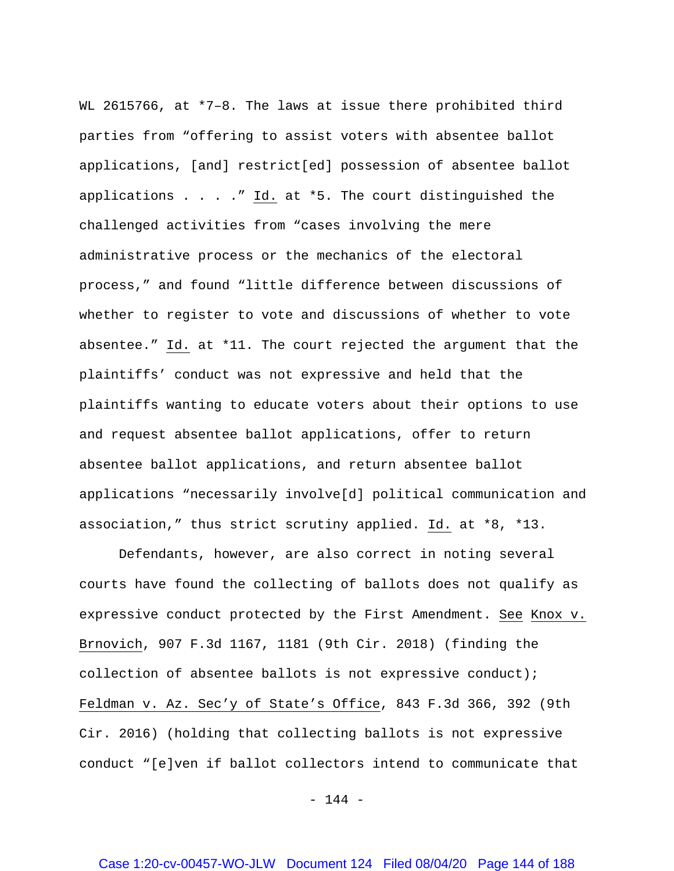WL 2615766, at \*7-8. The laws at issue there prohibited third parties from "offering to assist voters with absentee ballot applications, [and] restrict[ed] possession of absentee ballot applications . . . ." Id. at \*5. The court distinguished the challenged activities from "cases involving the mere administrative process or the mechanics of the electoral process," and found "little difference between discussions of whether to register to vote and discussions of whether to vote absentee." Id. at \*11. The court rejected the argument that the plaintiffs' conduct was not expressive and held that the plaintiffs wanting to educate voters about their options to use and request absentee ballot applications, offer to return absentee ballot applications, and return absentee ballot applications "necessarily involve[d] political communication and association," thus strict scrutiny applied. Id. at \*8, \*13.

Defendants, however, are also correct in noting several courts have found the collecting of ballots does not qualify as expressive conduct protected by the First Amendment. See Knox v. Brnovich, 907 F.3d 1167, 1181 (9th Cir. 2018) (finding the collection of absentee ballots is not expressive conduct); Feldman v. Az. Sec'y of State's Office, 843 F.3d 366, 392 (9th Cir. 2016) (holding that collecting ballots is not expressive conduct "[e]ven if ballot collectors intend to communicate that

- 144 -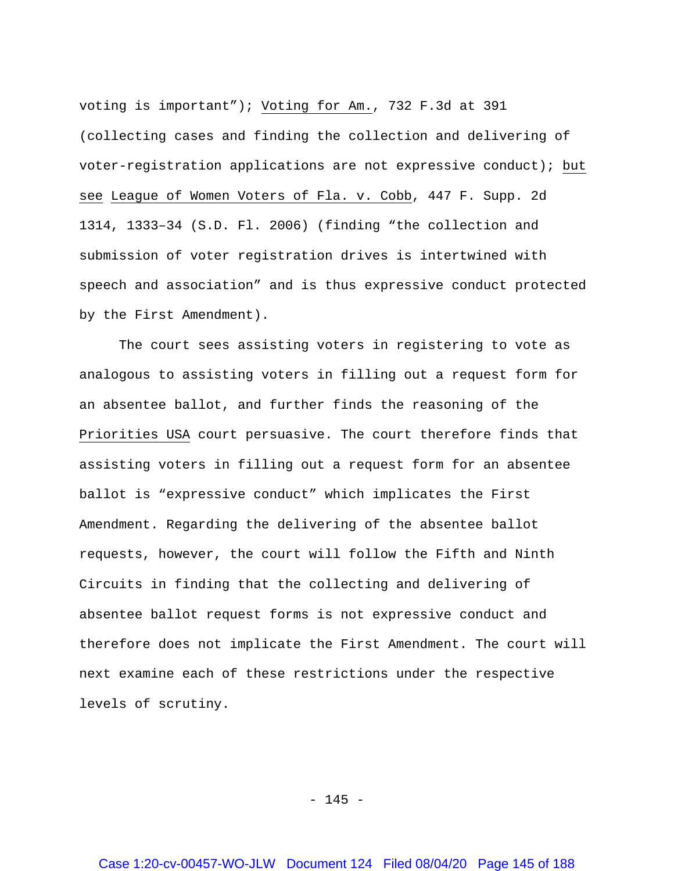voting is important"); Voting for Am., 732 F.3d at 391 (collecting cases and finding the collection and delivering of voter-registration applications are not expressive conduct); but see League of Women Voters of Fla. v. Cobb, 447 F. Supp. 2d 1314, 1333–34 (S.D. Fl. 2006) (finding "the collection and submission of voter registration drives is intertwined with speech and association" and is thus expressive conduct protected by the First Amendment).

The court sees assisting voters in registering to vote as analogous to assisting voters in filling out a request form for an absentee ballot, and further finds the reasoning of the Priorities USA court persuasive. The court therefore finds that assisting voters in filling out a request form for an absentee ballot is "expressive conduct" which implicates the First Amendment. Regarding the delivering of the absentee ballot requests, however, the court will follow the Fifth and Ninth Circuits in finding that the collecting and delivering of absentee ballot request forms is not expressive conduct and therefore does not implicate the First Amendment. The court will next examine each of these restrictions under the respective levels of scrutiny.

 $- 145 -$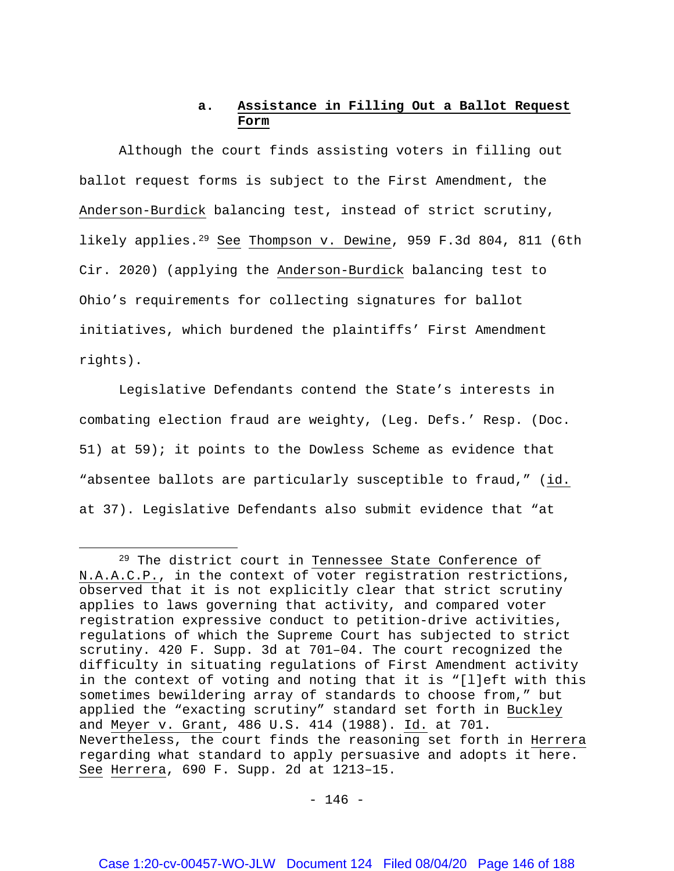## **a. Assistance in Filling Out a Ballot Request Form**

Although the court finds assisting voters in filling out ballot request forms is subject to the First Amendment, the Anderson-Burdick balancing test, instead of strict scrutiny, likely applies.[29](#page-145-0) See Thompson v. Dewine, 959 F.3d 804, 811 (6th Cir. 2020) (applying the Anderson-Burdick balancing test to Ohio's requirements for collecting signatures for ballot initiatives, which burdened the plaintiffs' First Amendment rights).

Legislative Defendants contend the State's interests in combating election fraud are weighty, (Leg. Defs.' Resp. (Doc. 51) at 59); it points to the Dowless Scheme as evidence that "absentee ballots are particularly susceptible to fraud," (id. at 37). Legislative Defendants also submit evidence that "at

 $\overline{\phantom{a}}$ 

<span id="page-145-0"></span><sup>&</sup>lt;sup>29</sup> The district court in Tennessee State Conference of N.A.A.C.P., in the context of voter registration restrictions, observed that it is not explicitly clear that strict scrutiny applies to laws governing that activity, and compared voter registration expressive conduct to petition-drive activities, regulations of which the Supreme Court has subjected to strict scrutiny. 420 F. Supp. 3d at 701–04. The court recognized the difficulty in situating regulations of First Amendment activity in the context of voting and noting that it is "[l]eft with this sometimes bewildering array of standards to choose from," but applied the "exacting scrutiny" standard set forth in Buckley and Meyer v. Grant, 486 U.S. 414 (1988). Id. at 701. Nevertheless, the court finds the reasoning set forth in Herrera regarding what standard to apply persuasive and adopts it here. See Herrera, 690 F. Supp. 2d at 1213–15.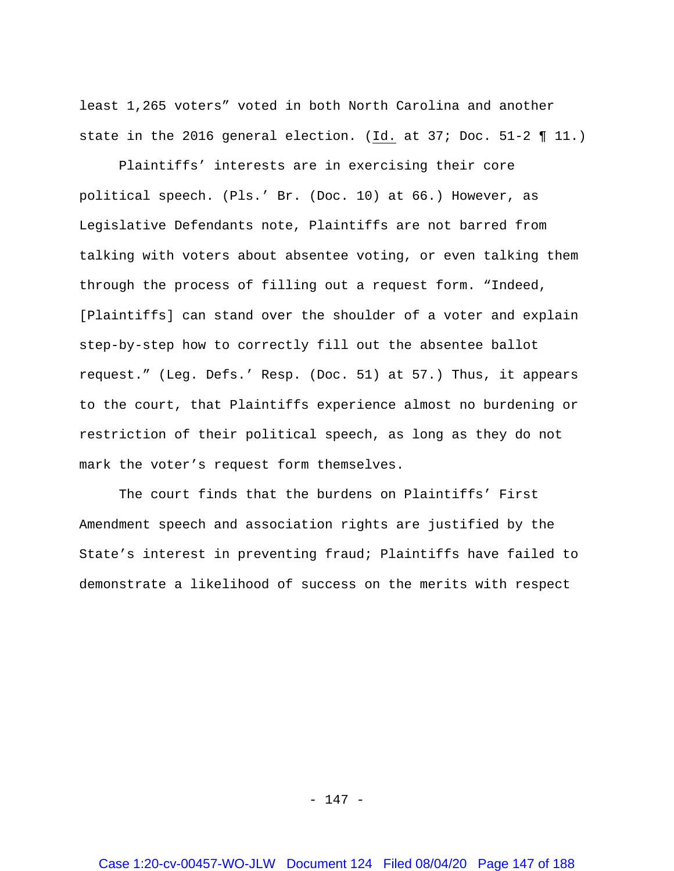least 1,265 voters" voted in both North Carolina and another state in the 2016 general election. (Id. at 37; Doc. 51-2 ¶ 11.)

Plaintiffs' interests are in exercising their core political speech. (Pls.' Br. (Doc. 10) at 66.) However, as Legislative Defendants note, Plaintiffs are not barred from talking with voters about absentee voting, or even talking them through the process of filling out a request form. "Indeed, [Plaintiffs] can stand over the shoulder of a voter and explain step-by-step how to correctly fill out the absentee ballot request." (Leg. Defs.' Resp. (Doc. 51) at 57.) Thus, it appears to the court, that Plaintiffs experience almost no burdening or restriction of their political speech, as long as they do not mark the voter's request form themselves.

The court finds that the burdens on Plaintiffs' First Amendment speech and association rights are justified by the State's interest in preventing fraud; Plaintiffs have failed to demonstrate a likelihood of success on the merits with respect

- 147 -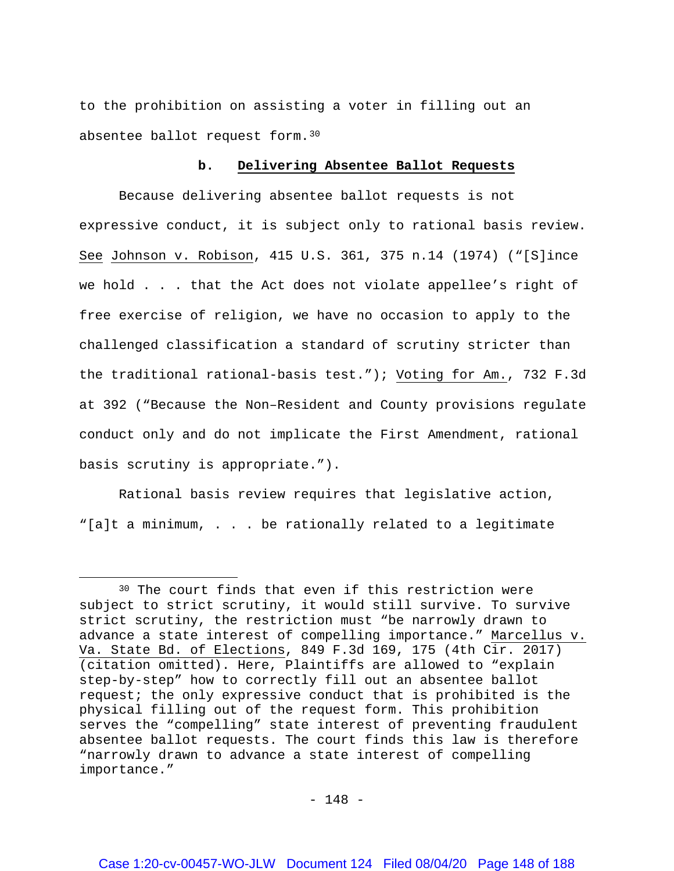to the prohibition on assisting a voter in filling out an absentee ballot request form.[30](#page-147-0)

### **b. Delivering Absentee Ballot Requests**

Because delivering absentee ballot requests is not expressive conduct, it is subject only to rational basis review. See Johnson v. Robison, 415 U.S. 361, 375 n.14 (1974) ("[S]ince we hold . . . that the Act does not violate appellee's right of free exercise of religion, we have no occasion to apply to the challenged classification a standard of scrutiny stricter than the traditional rational-basis test."); Voting for Am., 732 F.3d at 392 ("Because the Non–Resident and County provisions regulate conduct only and do not implicate the First Amendment, rational basis scrutiny is appropriate.").

Rational basis review requires that legislative action, "[a]t a minimum, . . . be rationally related to a legitimate

 $\overline{a}$ 

<span id="page-147-0"></span><sup>30</sup> The court finds that even if this restriction were subject to strict scrutiny, it would still survive. To survive strict scrutiny, the restriction must "be narrowly drawn to advance a state interest of compelling importance." Marcellus v. Va. State Bd. of Elections, 849 F.3d 169, 175 (4th Cir. 2017) (citation omitted). Here, Plaintiffs are allowed to "explain step-by-step" how to correctly fill out an absentee ballot request; the only expressive conduct that is prohibited is the physical filling out of the request form. This prohibition serves the "compelling" state interest of preventing fraudulent absentee ballot requests. The court finds this law is therefore "narrowly drawn to advance a state interest of compelling importance."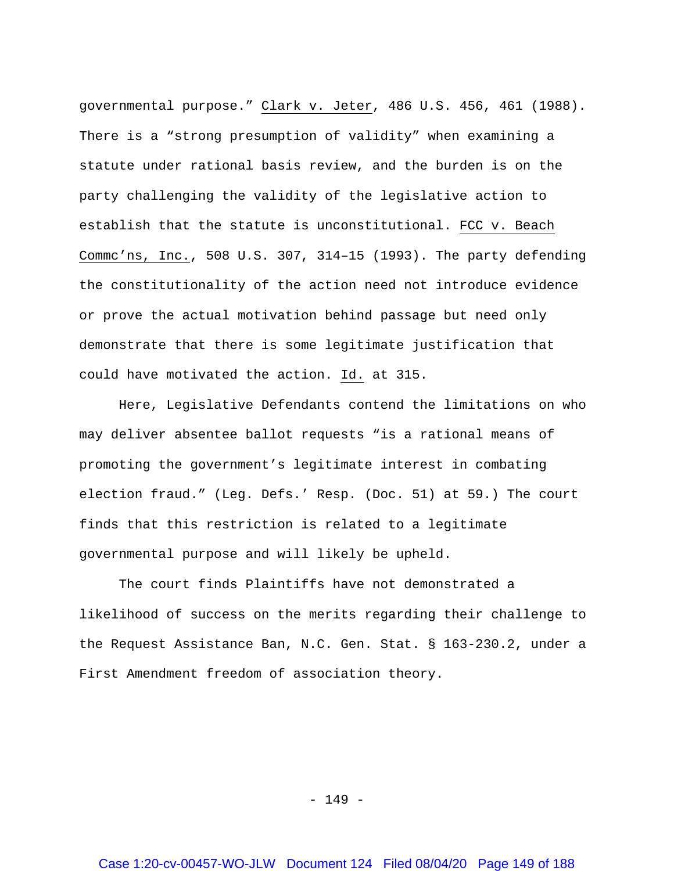governmental purpose." Clark v. Jeter, 486 U.S. 456, 461 (1988). There is a "strong presumption of validity" when examining a statute under rational basis review, and the burden is on the party challenging the validity of the legislative action to establish that the statute is unconstitutional. FCC v. Beach Commc'ns, Inc., 508 U.S. 307, 314–15 (1993). The party defending the constitutionality of the action need not introduce evidence or prove the actual motivation behind passage but need only demonstrate that there is some legitimate justification that could have motivated the action. Id. at 315.

Here, Legislative Defendants contend the limitations on who may deliver absentee ballot requests "is a rational means of promoting the government's legitimate interest in combating election fraud." (Leg. Defs.' Resp. (Doc. 51) at 59.) The court finds that this restriction is related to a legitimate governmental purpose and will likely be upheld.

The court finds Plaintiffs have not demonstrated a likelihood of success on the merits regarding their challenge to the Request Assistance Ban, N.C. Gen. Stat. § 163-230.2, under a First Amendment freedom of association theory.

- 149 -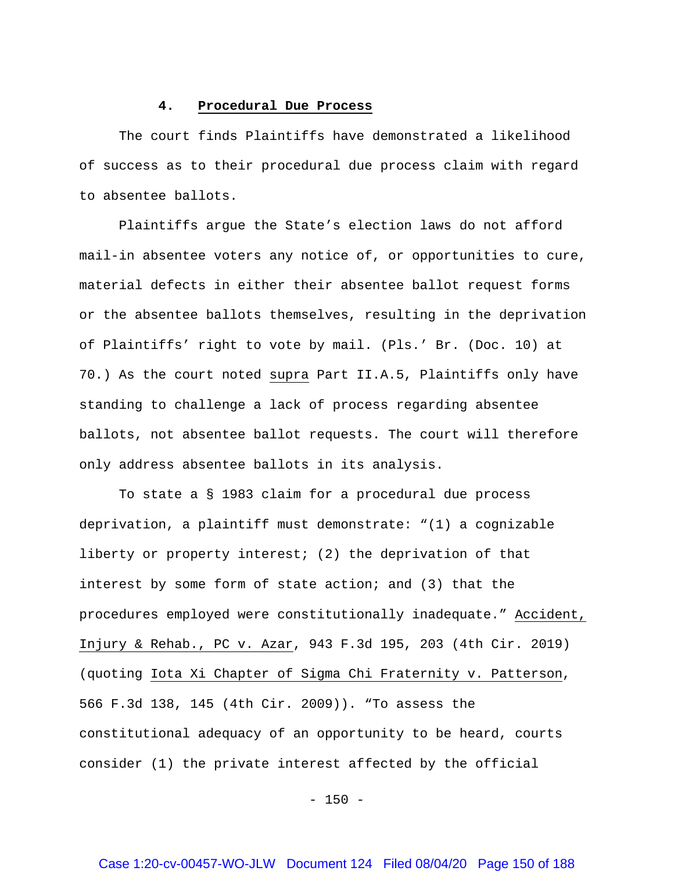### **4. Procedural Due Process**

The court finds Plaintiffs have demonstrated a likelihood of success as to their procedural due process claim with regard to absentee ballots.

Plaintiffs argue the State's election laws do not afford mail-in absentee voters any notice of, or opportunities to cure, material defects in either their absentee ballot request forms or the absentee ballots themselves, resulting in the deprivation of Plaintiffs' right to vote by mail. (Pls.' Br. (Doc. 10) at 70.) As the court noted supra Part II.A.5, Plaintiffs only have standing to challenge a lack of process regarding absentee ballots, not absentee ballot requests. The court will therefore only address absentee ballots in its analysis.

To state a § 1983 claim for a procedural due process deprivation, a plaintiff must demonstrate: "(1) a cognizable liberty or property interest; (2) the deprivation of that interest by some form of state action; and (3) that the procedures employed were constitutionally inadequate." Accident, Injury & Rehab., PC v. Azar, 943 F.3d 195, 203 (4th Cir. 2019) (quoting Iota Xi Chapter of Sigma Chi Fraternity v. Patterson, 566 F.3d 138, 145 (4th Cir. 2009)). "To assess the constitutional adequacy of an opportunity to be heard, courts consider (1) the private interest affected by the official

 $- 150 -$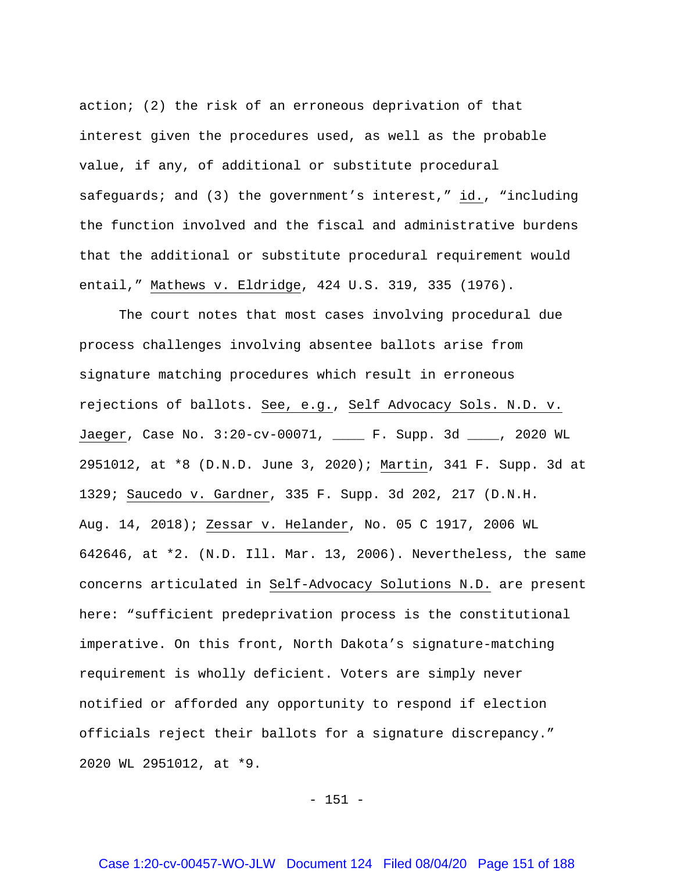action; (2) the risk of an erroneous deprivation of that interest given the procedures used, as well as the probable value, if any, of additional or substitute procedural safeguards; and (3) the government's interest," id., "including the function involved and the fiscal and administrative burdens that the additional or substitute procedural requirement would entail," Mathews v. Eldridge, 424 U.S. 319, 335 (1976).

The court notes that most cases involving procedural due process challenges involving absentee ballots arise from signature matching procedures which result in erroneous rejections of ballots. See, e.g., Self Advocacy Sols. N.D. v. Jaeger, Case No. 3:20-cv-00071, \_\_\_\_ F. Supp. 3d \_\_\_\_, 2020 WL 2951012, at \*8 (D.N.D. June 3, 2020); Martin, 341 F. Supp. 3d at 1329; Saucedo v. Gardner, 335 F. Supp. 3d 202, 217 (D.N.H. Aug. 14, 2018); Zessar v. Helander, No. 05 C 1917, 2006 WL 642646, at \*2. (N.D. Ill. Mar. 13, 2006). Nevertheless, the same concerns articulated in Self-Advocacy Solutions N.D. are present here: "sufficient predeprivation process is the constitutional imperative. On this front, North Dakota's signature-matching requirement is wholly deficient. Voters are simply never notified or afforded any opportunity to respond if election officials reject their ballots for a signature discrepancy." 2020 WL 2951012, at \*9.

 $- 151 -$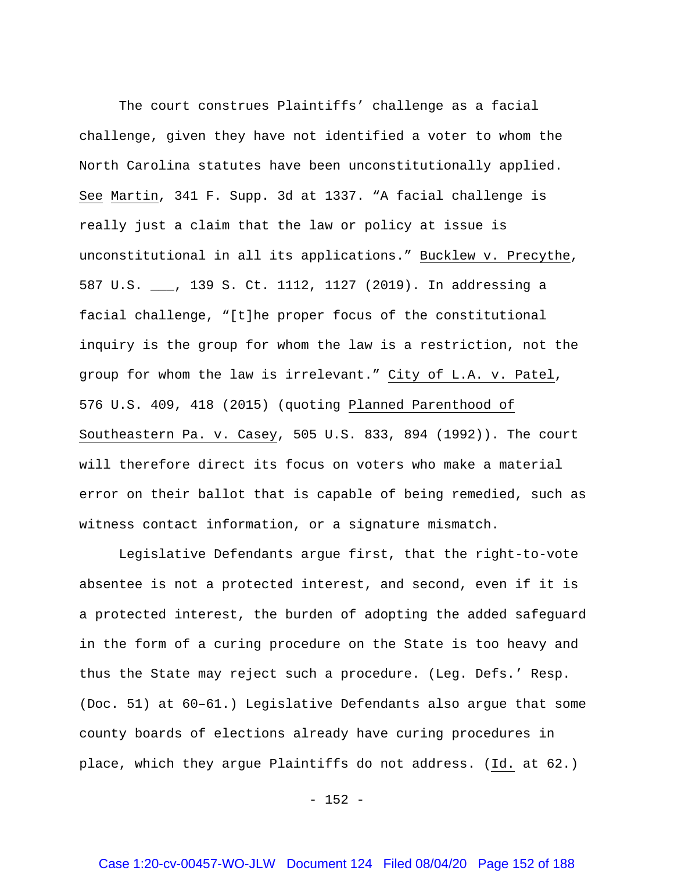The court construes Plaintiffs' challenge as a facial challenge, given they have not identified a voter to whom the North Carolina statutes have been unconstitutionally applied. See Martin, 341 F. Supp. 3d at 1337. "A facial challenge is really just a claim that the law or policy at issue is unconstitutional in all its applications." Bucklew v. Precythe, 587 U.S. \_\_\_, 139 S. Ct. 1112, 1127 (2019). In addressing a facial challenge, "[t]he proper focus of the constitutional inquiry is the group for whom the law is a restriction, not the group for whom the law is irrelevant." City of L.A. v. Patel, 576 U.S. 409, 418 (2015) (quoting Planned Parenthood of Southeastern Pa. v. Casey, 505 U.S. 833, 894 (1992)). The court will therefore direct its focus on voters who make a material error on their ballot that is capable of being remedied, such as witness contact information, or a signature mismatch.

Legislative Defendants argue first, that the right-to-vote absentee is not a protected interest, and second, even if it is a protected interest, the burden of adopting the added safeguard in the form of a curing procedure on the State is too heavy and thus the State may reject such a procedure. (Leg. Defs.' Resp. (Doc. 51) at 60–61.) Legislative Defendants also argue that some county boards of elections already have curing procedures in place, which they argue Plaintiffs do not address. (Id. at 62.)

 $- 152 -$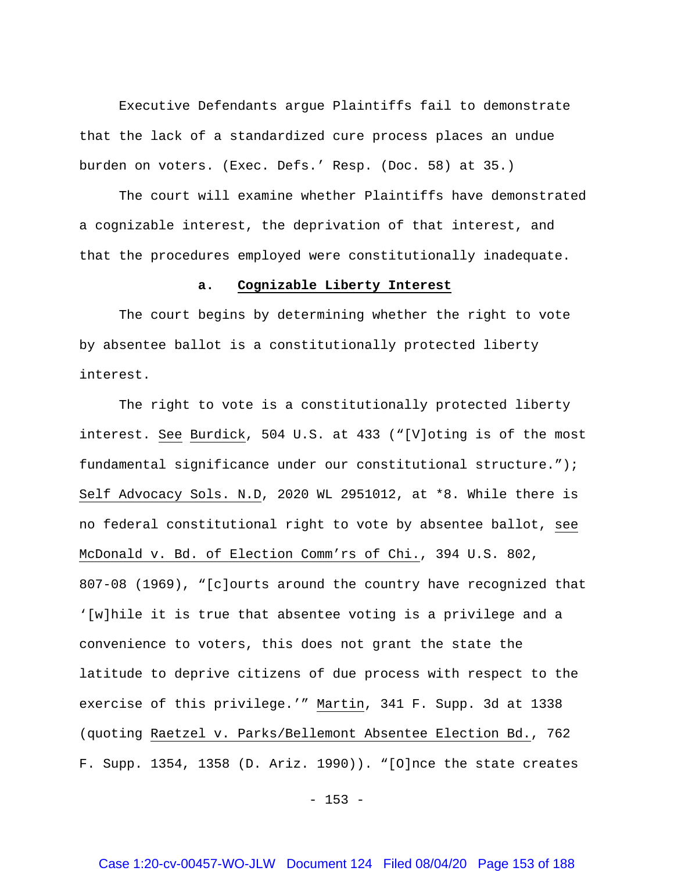Executive Defendants argue Plaintiffs fail to demonstrate that the lack of a standardized cure process places an undue burden on voters. (Exec. Defs.' Resp. (Doc. 58) at 35.)

The court will examine whether Plaintiffs have demonstrated a cognizable interest, the deprivation of that interest, and that the procedures employed were constitutionally inadequate.

### **a. Cognizable Liberty Interest**

The court begins by determining whether the right to vote by absentee ballot is a constitutionally protected liberty interest.

The right to vote is a constitutionally protected liberty interest. See Burdick, 504 U.S. at 433 ("[V]oting is of the most fundamental significance under our constitutional structure."); Self Advocacy Sols. N.D, 2020 WL 2951012, at \*8. While there is no federal constitutional right to vote by absentee ballot, see McDonald v. Bd. of Election Comm'rs of Chi., 394 U.S. 802, 807-08 (1969), "[c]ourts around the country have recognized that '[w]hile it is true that absentee voting is a privilege and a convenience to voters, this does not grant the state the latitude to deprive citizens of due process with respect to the exercise of this privilege.'" Martin, 341 F. Supp. 3d at 1338 (quoting Raetzel v. Parks/Bellemont Absentee Election Bd., 762 F. Supp. 1354, 1358 (D. Ariz. 1990)). "[O]nce the state creates

 $- 153 -$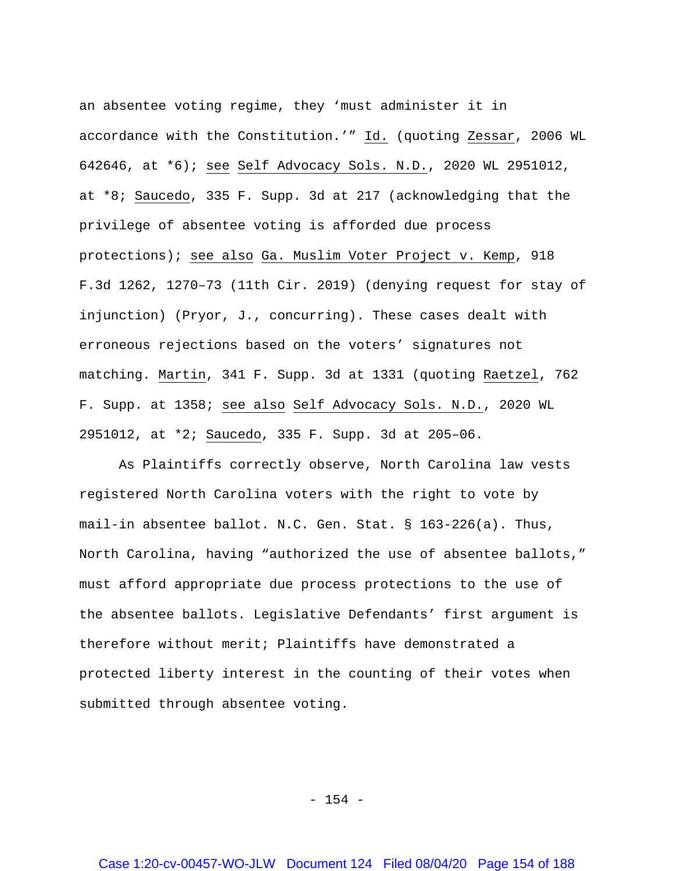an absentee voting regime, they 'must administer it in accordance with the Constitution.'" Id. (quoting Zessar, 2006 WL 642646, at \*6); see Self Advocacy Sols. N.D., 2020 WL 2951012, at \*8; Saucedo, 335 F. Supp. 3d at 217 (acknowledging that the privilege of absentee voting is afforded due process protections); see also Ga. Muslim Voter Project v. Kemp, 918 F.3d 1262, 1270–73 (11th Cir. 2019) (denying request for stay of injunction) (Pryor, J., concurring). These cases dealt with erroneous rejections based on the voters' signatures not matching. Martin, 341 F. Supp. 3d at 1331 (quoting Raetzel, 762 F. Supp. at 1358; see also Self Advocacy Sols. N.D., 2020 WL 2951012, at \*2; Saucedo, 335 F. Supp. 3d at 205–06.

As Plaintiffs correctly observe, North Carolina law vests registered North Carolina voters with the right to vote by mail-in absentee ballot. N.C. Gen. Stat. § 163-226(a). Thus, North Carolina, having "authorized the use of absentee ballots," must afford appropriate due process protections to the use of the absentee ballots. Legislative Defendants' first argument is therefore without merit; Plaintiffs have demonstrated a protected liberty interest in the counting of their votes when submitted through absentee voting.

- 154 -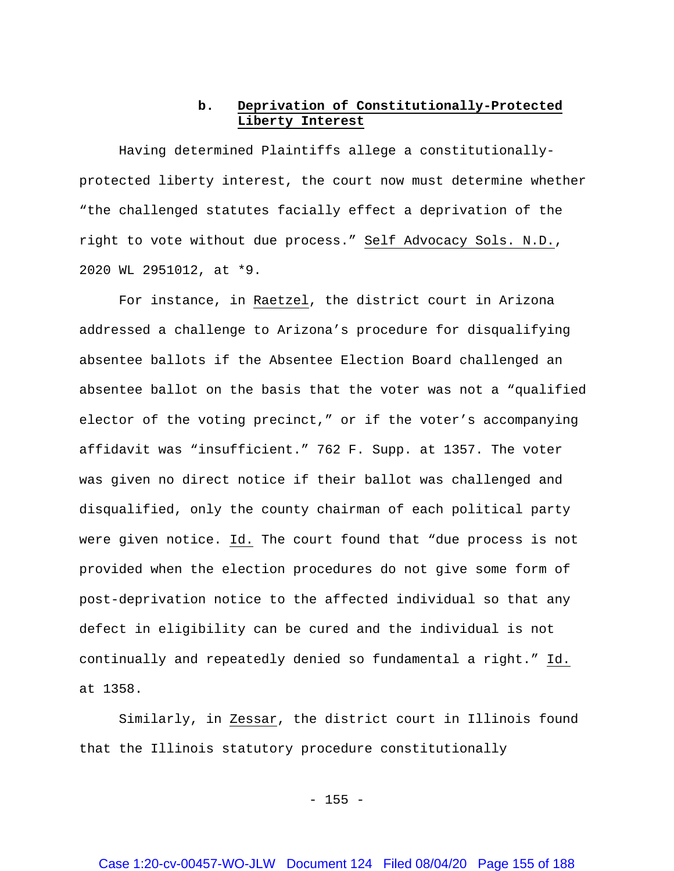## **b. Deprivation of Constitutionally-Protected Liberty Interest**

Having determined Plaintiffs allege a constitutionallyprotected liberty interest, the court now must determine whether "the challenged statutes facially effect a deprivation of the right to vote without due process." Self Advocacy Sols. N.D., 2020 WL 2951012, at \*9.

For instance, in Raetzel, the district court in Arizona addressed a challenge to Arizona's procedure for disqualifying absentee ballots if the Absentee Election Board challenged an absentee ballot on the basis that the voter was not a "qualified elector of the voting precinct," or if the voter's accompanying affidavit was "insufficient." 762 F. Supp. at 1357. The voter was given no direct notice if their ballot was challenged and disqualified, only the county chairman of each political party were given notice. Id. The court found that "due process is not provided when the election procedures do not give some form of post-deprivation notice to the affected individual so that any defect in eligibility can be cured and the individual is not continually and repeatedly denied so fundamental a right." Id. at 1358.

Similarly, in Zessar, the district court in Illinois found that the Illinois statutory procedure constitutionally

 $- 155 -$ 

### Case 1:20-cv-00457-WO-JLW Document 124 Filed 08/04/20 Page 155 of 188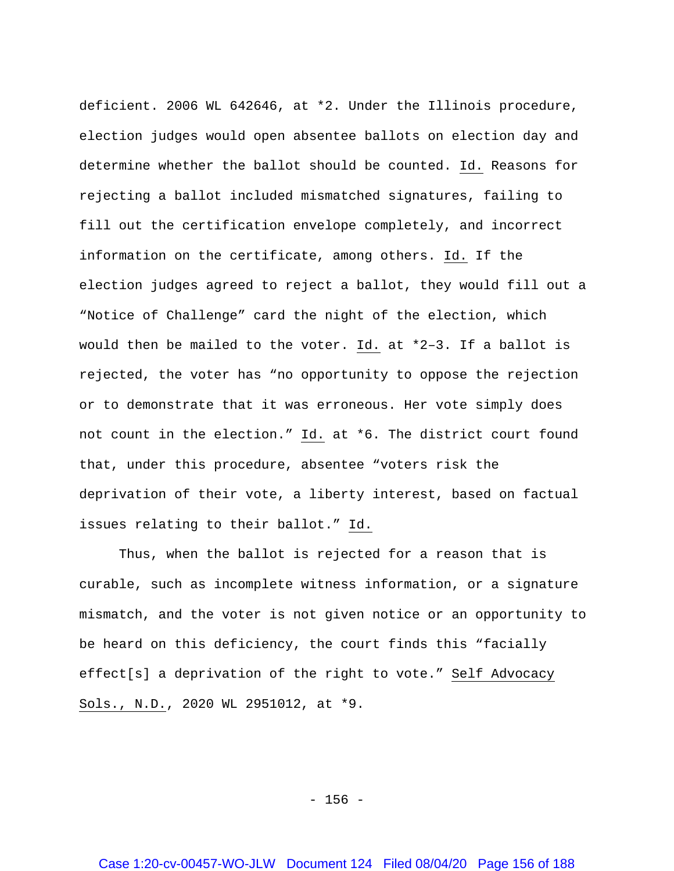deficient. 2006 WL 642646, at \*2. Under the Illinois procedure, election judges would open absentee ballots on election day and determine whether the ballot should be counted. Id. Reasons for rejecting a ballot included mismatched signatures, failing to fill out the certification envelope completely, and incorrect information on the certificate, among others. Id. If the election judges agreed to reject a ballot, they would fill out a "Notice of Challenge" card the night of the election, which would then be mailed to the voter. Id. at \*2–3. If a ballot is rejected, the voter has "no opportunity to oppose the rejection or to demonstrate that it was erroneous. Her vote simply does not count in the election." Id. at \*6. The district court found that, under this procedure, absentee "voters risk the deprivation of their vote, a liberty interest, based on factual issues relating to their ballot." Id.

Thus, when the ballot is rejected for a reason that is curable, such as incomplete witness information, or a signature mismatch, and the voter is not given notice or an opportunity to be heard on this deficiency, the court finds this "facially effect[s] a deprivation of the right to vote." Self Advocacy Sols., N.D., 2020 WL 2951012, at \*9.

- 156 -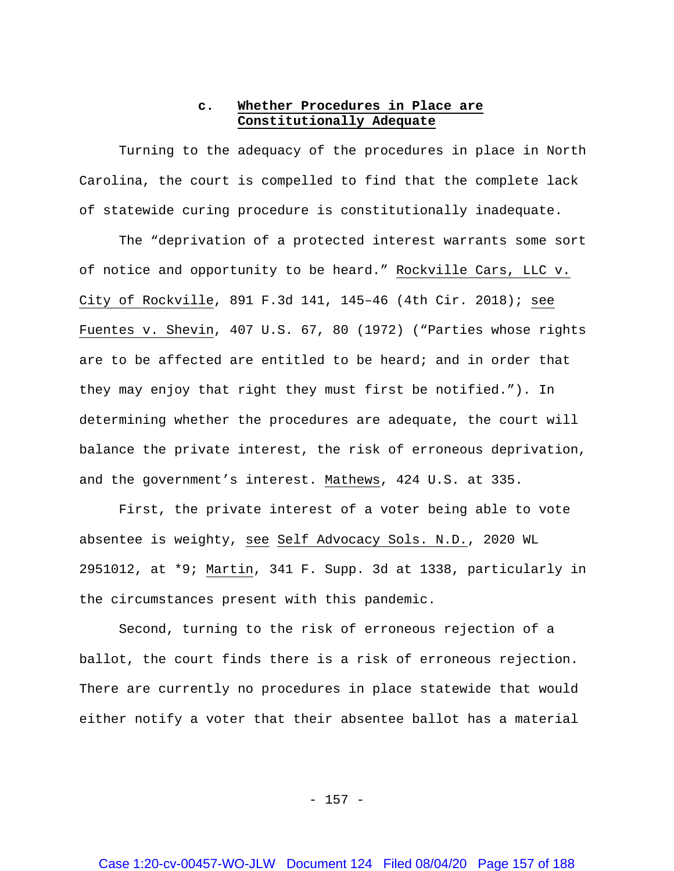## **c. Whether Procedures in Place are Constitutionally Adequate**

Turning to the adequacy of the procedures in place in North Carolina, the court is compelled to find that the complete lack of statewide curing procedure is constitutionally inadequate.

The "deprivation of a protected interest warrants some sort of notice and opportunity to be heard." Rockville Cars, LLC v. City of Rockville, 891 F.3d 141, 145–46 (4th Cir. 2018); see Fuentes v. Shevin, 407 U.S. 67, 80 (1972) ("Parties whose rights are to be affected are entitled to be heard; and in order that they may enjoy that right they must first be notified."). In determining whether the procedures are adequate, the court will balance the private interest, the risk of erroneous deprivation, and the government's interest. Mathews, 424 U.S. at 335.

First, the private interest of a voter being able to vote absentee is weighty, see Self Advocacy Sols. N.D., 2020 WL 2951012, at \*9; Martin, 341 F. Supp. 3d at 1338, particularly in the circumstances present with this pandemic.

Second, turning to the risk of erroneous rejection of a ballot, the court finds there is a risk of erroneous rejection. There are currently no procedures in place statewide that would either notify a voter that their absentee ballot has a material

- 157 -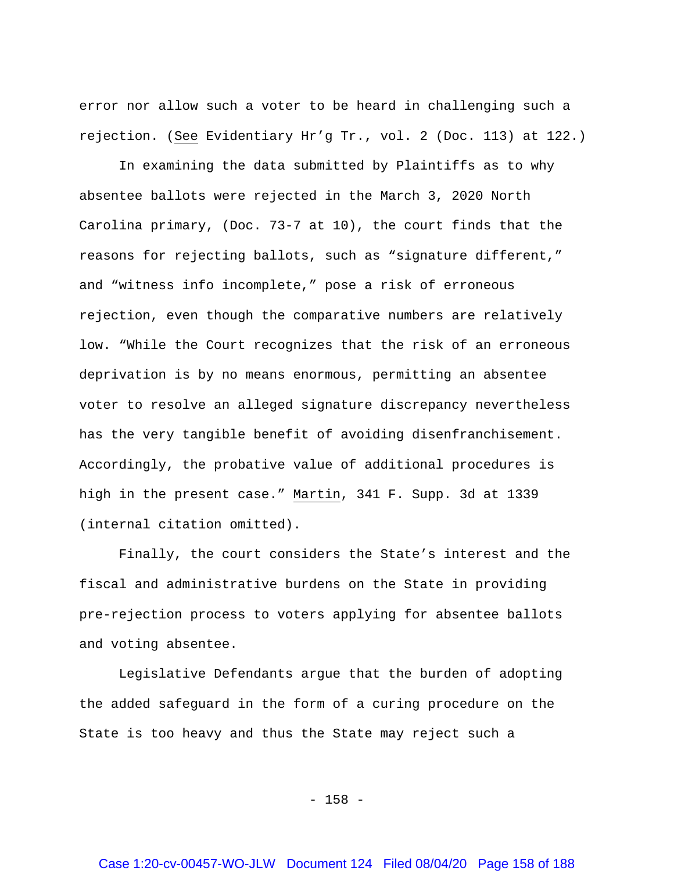error nor allow such a voter to be heard in challenging such a rejection. (See Evidentiary Hr'g Tr., vol. 2 (Doc. 113) at 122.)

In examining the data submitted by Plaintiffs as to why absentee ballots were rejected in the March 3, 2020 North Carolina primary, (Doc. 73-7 at 10), the court finds that the reasons for rejecting ballots, such as "signature different," and "witness info incomplete," pose a risk of erroneous rejection, even though the comparative numbers are relatively low. "While the Court recognizes that the risk of an erroneous deprivation is by no means enormous, permitting an absentee voter to resolve an alleged signature discrepancy nevertheless has the very tangible benefit of avoiding disenfranchisement. Accordingly, the probative value of additional procedures is high in the present case." Martin, 341 F. Supp. 3d at 1339 (internal citation omitted).

Finally, the court considers the State's interest and the fiscal and administrative burdens on the State in providing pre-rejection process to voters applying for absentee ballots and voting absentee.

Legislative Defendants argue that the burden of adopting the added safeguard in the form of a curing procedure on the State is too heavy and thus the State may reject such a

- 158 -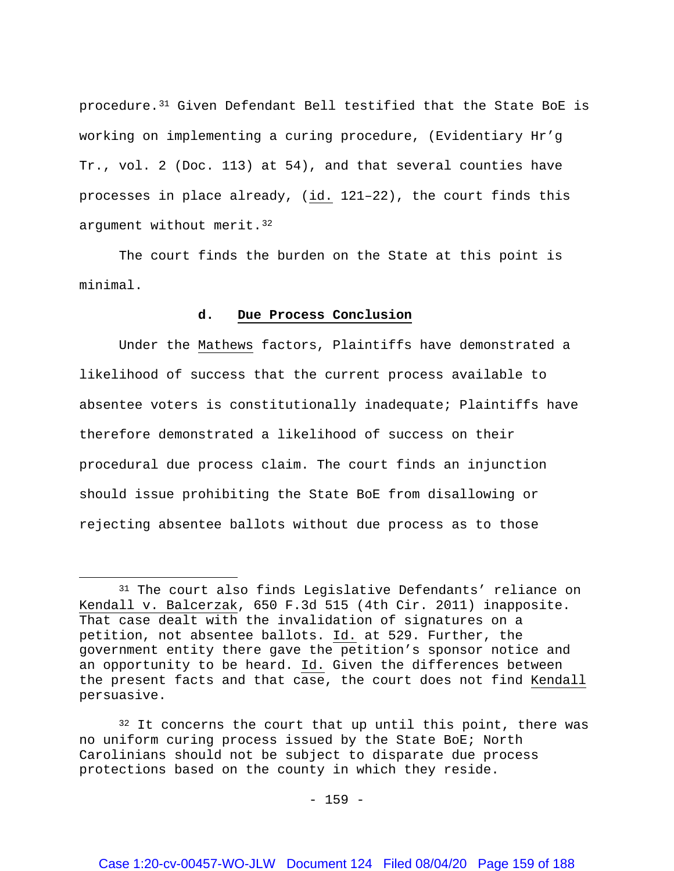procedure.[31](#page-158-0) Given Defendant Bell testified that the State BoE is working on implementing a curing procedure, (Evidentiary Hr'g Tr., vol. 2 (Doc. 113) at 54), and that several counties have processes in place already, (id. 121–22), the court finds this argument without merit.<sup>[32](#page-158-1)</sup>

The court finds the burden on the State at this point is minimal.

### **d. Due Process Conclusion**

Under the Mathews factors, Plaintiffs have demonstrated a likelihood of success that the current process available to absentee voters is constitutionally inadequate; Plaintiffs have therefore demonstrated a likelihood of success on their procedural due process claim. The court finds an injunction should issue prohibiting the State BoE from disallowing or rejecting absentee ballots without due process as to those

 $\overline{a}$ 

<span id="page-158-1"></span> $32$  It concerns the court that up until this point, there was no uniform curing process issued by the State BoE; North Carolinians should not be subject to disparate due process protections based on the county in which they reside.

<span id="page-158-0"></span><sup>31</sup> The court also finds Legislative Defendants' reliance on Kendall v. Balcerzak, 650 F.3d 515 (4th Cir. 2011) inapposite. That case dealt with the invalidation of signatures on a petition, not absentee ballots. Id. at 529. Further, the government entity there gave the petition's sponsor notice and an opportunity to be heard. Id. Given the differences between the present facts and that case, the court does not find Kendall persuasive.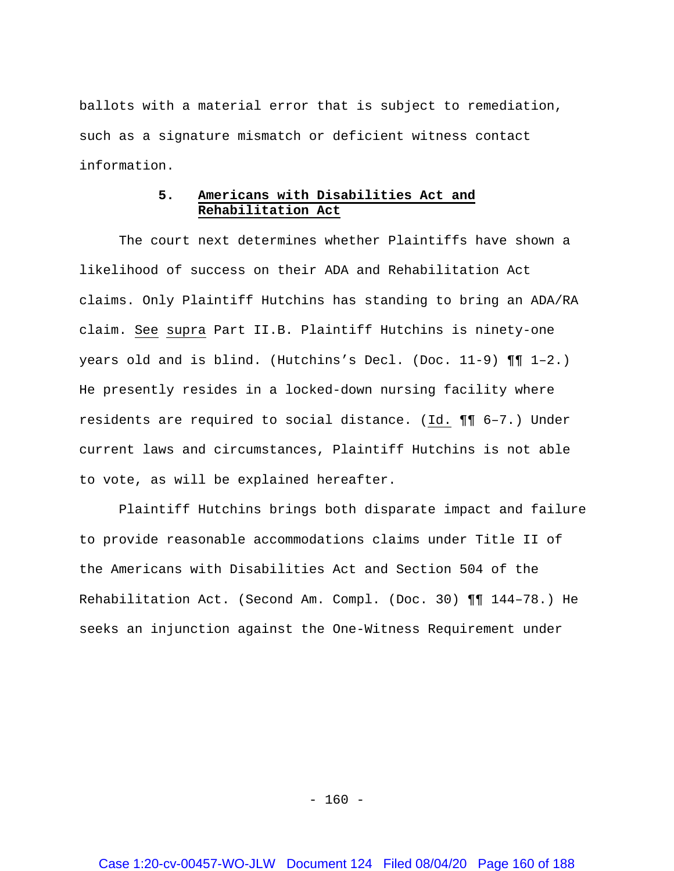ballots with a material error that is subject to remediation, such as a signature mismatch or deficient witness contact information.

# **5. Americans with Disabilities Act and Rehabilitation Act**

The court next determines whether Plaintiffs have shown a likelihood of success on their ADA and Rehabilitation Act claims. Only Plaintiff Hutchins has standing to bring an ADA/RA claim. See supra Part II.B. Plaintiff Hutchins is ninety-one years old and is blind. (Hutchins's Decl. (Doc. 11-9) ¶¶ 1–2.) He presently resides in a locked-down nursing facility where residents are required to social distance. (Id. ¶¶ 6–7.) Under current laws and circumstances, Plaintiff Hutchins is not able to vote, as will be explained hereafter.

Plaintiff Hutchins brings both disparate impact and failure to provide reasonable accommodations claims under Title II of the Americans with Disabilities Act and Section 504 of the Rehabilitation Act. (Second Am. Compl. (Doc. 30) ¶¶ 144–78.) He seeks an injunction against the One-Witness Requirement under

 $- 160 -$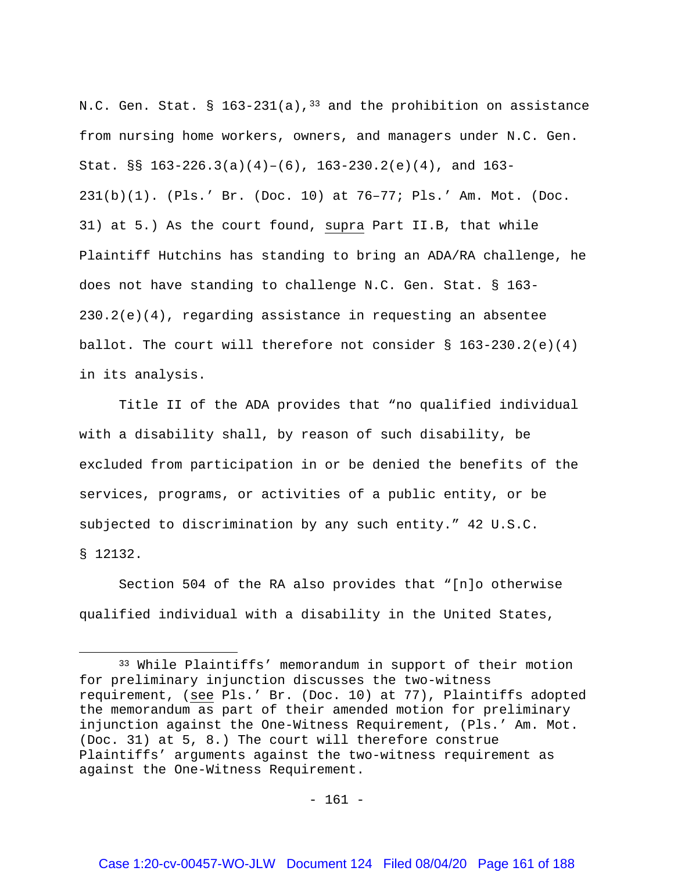N.C. Gen. Stat. §  $163-231(a)$ , <sup>[33](#page-160-0)</sup> and the prohibition on assistance from nursing home workers, owners, and managers under N.C. Gen. Stat. §§  $163-226.3(a)(4)-(6)$ ,  $163-230.2(e)(4)$ , and  $163-$ 231(b)(1). (Pls.' Br. (Doc. 10) at 76–77; Pls.' Am. Mot. (Doc. 31) at 5.) As the court found, supra Part II.B, that while Plaintiff Hutchins has standing to bring an ADA/RA challenge, he does not have standing to challenge N.C. Gen. Stat. § 163- 230.2(e)(4), regarding assistance in requesting an absentee ballot. The court will therefore not consider  $\S$  163-230.2(e)(4) in its analysis.

Title II of the ADA provides that "no qualified individual with a disability shall, by reason of such disability, be excluded from participation in or be denied the benefits of the services, programs, or activities of a public entity, or be subjected to discrimination by any such entity." 42 U.S.C. § 12132.

Section 504 of the RA also provides that "[n]o otherwise qualified individual with a disability in the United States,

l

<span id="page-160-0"></span><sup>33</sup> While Plaintiffs' memorandum in support of their motion for preliminary injunction discusses the two-witness requirement, (see Pls.' Br. (Doc. 10) at 77), Plaintiffs adopted the memorandum as part of their amended motion for preliminary injunction against the One-Witness Requirement, (Pls.' Am. Mot. (Doc. 31) at 5, 8.) The court will therefore construe Plaintiffs' arguments against the two-witness requirement as against the One-Witness Requirement.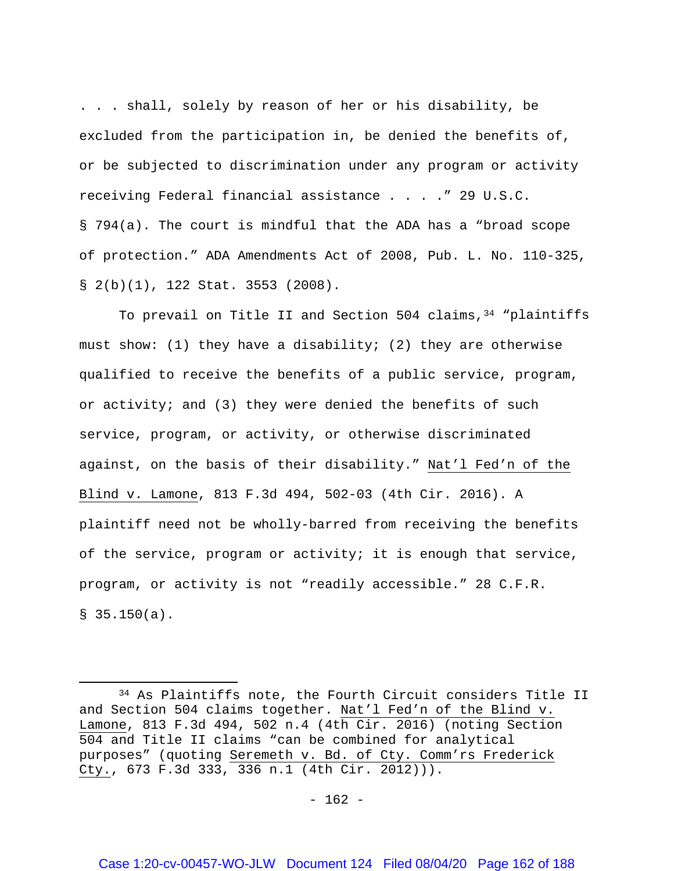. . . shall, solely by reason of her or his disability, be excluded from the participation in, be denied the benefits of, or be subjected to discrimination under any program or activity receiving Federal financial assistance . . . ." 29 U.S.C. § 794(a). The court is mindful that the ADA has a "broad scope of protection." ADA Amendments Act of 2008, Pub. L. No. 110-325, § 2(b)(1), 122 Stat. 3553 (2008).

To prevail on Title II and Section 504 claims,  $34$  "plaintiffs must show: (1) they have a disability; (2) they are otherwise qualified to receive the benefits of a public service, program, or activity; and (3) they were denied the benefits of such service, program, or activity, or otherwise discriminated against, on the basis of their disability." Nat'l Fed'n of the Blind v. Lamone, 813 F.3d 494, 502-03 (4th Cir. 2016). A plaintiff need not be wholly-barred from receiving the benefits of the service, program or activity; it is enough that service, program, or activity is not "readily accessible." 28 C.F.R.  $$35.150(a).$ 

 $\overline{\phantom{a}}$ 

<span id="page-161-0"></span><sup>34</sup> As Plaintiffs note, the Fourth Circuit considers Title II and Section 504 claims together. Nat'l Fed'n of the Blind v. Lamone, 813 F.3d 494, 502 n.4 (4th Cir. 2016) (noting Section 504 and Title II claims "can be combined for analytical purposes" (quoting Seremeth v. Bd. of Cty. Comm'rs Frederick Cty., 673 F.3d 333, 336 n.1 (4th Cir. 2012))).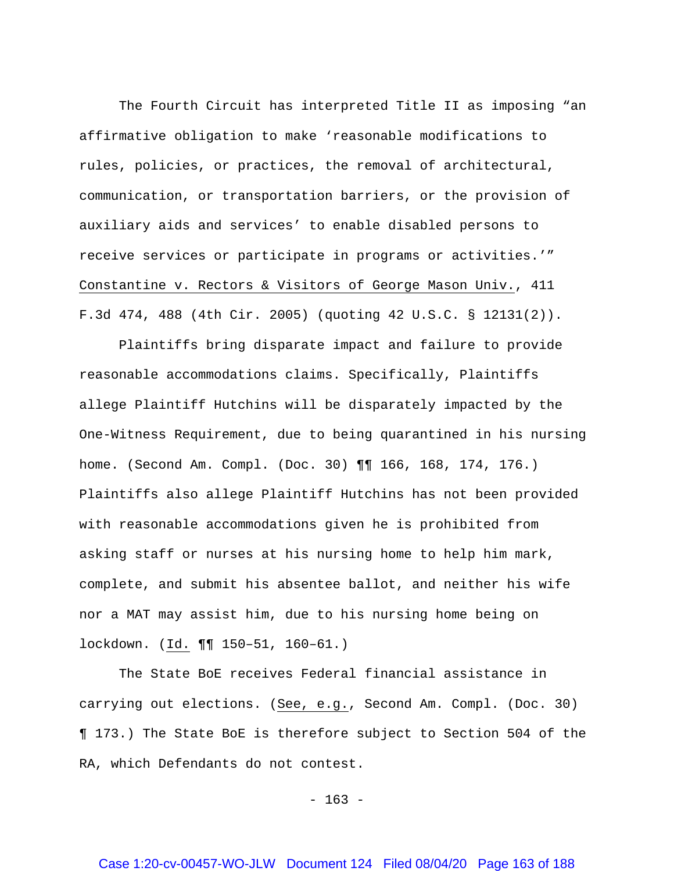The Fourth Circuit has interpreted Title II as imposing "an affirmative obligation to make 'reasonable modifications to rules, policies, or practices, the removal of architectural, communication, or transportation barriers, or the provision of auxiliary aids and services' to enable disabled persons to receive services or participate in programs or activities.'" Constantine v. Rectors & Visitors of George Mason Univ., 411 F.3d 474, 488 (4th Cir. 2005) (quoting 42 U.S.C. § 12131(2)).

Plaintiffs bring disparate impact and failure to provide reasonable accommodations claims. Specifically, Plaintiffs allege Plaintiff Hutchins will be disparately impacted by the One-Witness Requirement, due to being quarantined in his nursing home. (Second Am. Compl. (Doc. 30) ¶¶ 166, 168, 174, 176.) Plaintiffs also allege Plaintiff Hutchins has not been provided with reasonable accommodations given he is prohibited from asking staff or nurses at his nursing home to help him mark, complete, and submit his absentee ballot, and neither his wife nor a MAT may assist him, due to his nursing home being on lockdown. (Id. ¶¶ 150–51, 160–61.)

The State BoE receives Federal financial assistance in carrying out elections. (See, e.g., Second Am. Compl. (Doc. 30) ¶ 173.) The State BoE is therefore subject to Section 504 of the RA, which Defendants do not contest.

 $- 163 -$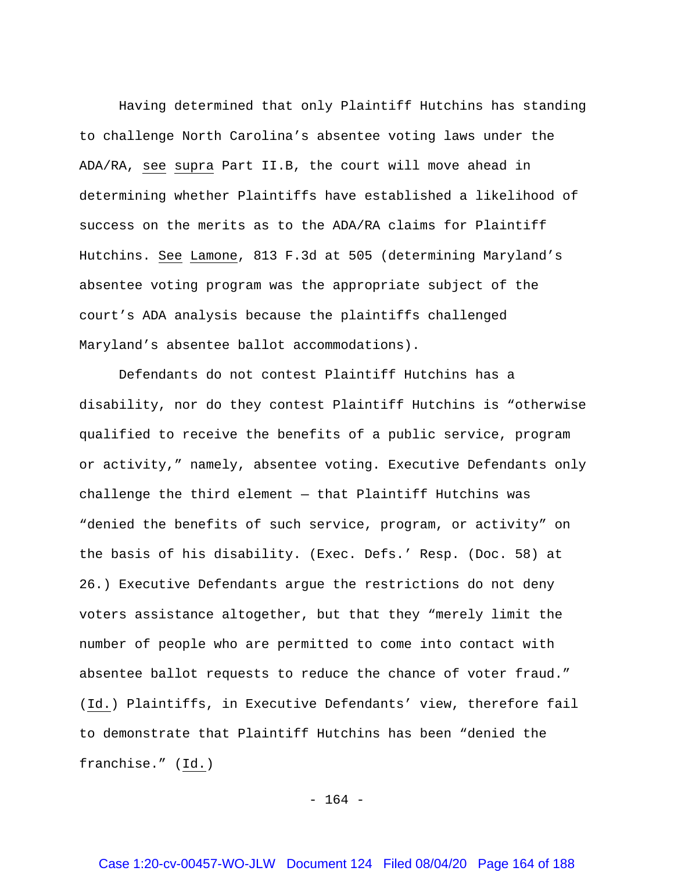Having determined that only Plaintiff Hutchins has standing to challenge North Carolina's absentee voting laws under the ADA/RA, see supra Part II.B, the court will move ahead in determining whether Plaintiffs have established a likelihood of success on the merits as to the ADA/RA claims for Plaintiff Hutchins. See Lamone, 813 F.3d at 505 (determining Maryland's absentee voting program was the appropriate subject of the court's ADA analysis because the plaintiffs challenged Maryland's absentee ballot accommodations).

Defendants do not contest Plaintiff Hutchins has a disability, nor do they contest Plaintiff Hutchins is "otherwise qualified to receive the benefits of a public service, program or activity," namely, absentee voting. Executive Defendants only challenge the third element — that Plaintiff Hutchins was "denied the benefits of such service, program, or activity" on the basis of his disability. (Exec. Defs.' Resp. (Doc. 58) at 26.) Executive Defendants argue the restrictions do not deny voters assistance altogether, but that they "merely limit the number of people who are permitted to come into contact with absentee ballot requests to reduce the chance of voter fraud." (Id.) Plaintiffs, in Executive Defendants' view, therefore fail to demonstrate that Plaintiff Hutchins has been "denied the franchise." (Id.)

 $- 164 -$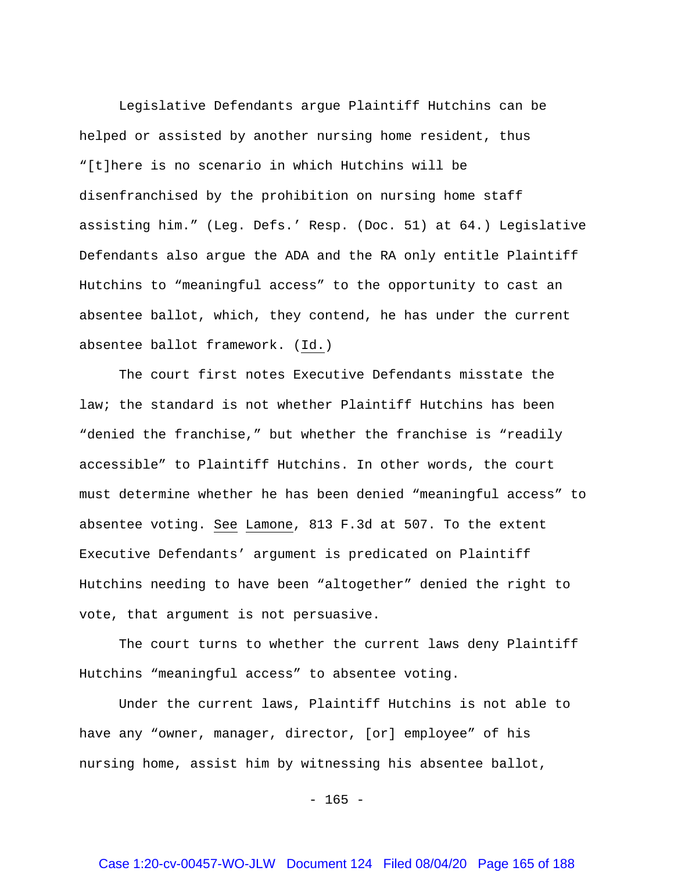Legislative Defendants argue Plaintiff Hutchins can be helped or assisted by another nursing home resident, thus "[t]here is no scenario in which Hutchins will be disenfranchised by the prohibition on nursing home staff assisting him." (Leg. Defs.' Resp. (Doc. 51) at 64.) Legislative Defendants also argue the ADA and the RA only entitle Plaintiff Hutchins to "meaningful access" to the opportunity to cast an absentee ballot, which, they contend, he has under the current absentee ballot framework. (Id.)

The court first notes Executive Defendants misstate the law; the standard is not whether Plaintiff Hutchins has been "denied the franchise," but whether the franchise is "readily accessible" to Plaintiff Hutchins. In other words, the court must determine whether he has been denied "meaningful access" to absentee voting. See Lamone, 813 F.3d at 507. To the extent Executive Defendants' argument is predicated on Plaintiff Hutchins needing to have been "altogether" denied the right to vote, that argument is not persuasive.

The court turns to whether the current laws deny Plaintiff Hutchins "meaningful access" to absentee voting.

Under the current laws, Plaintiff Hutchins is not able to have any "owner, manager, director, [or] employee" of his nursing home, assist him by witnessing his absentee ballot,

 $- 165 -$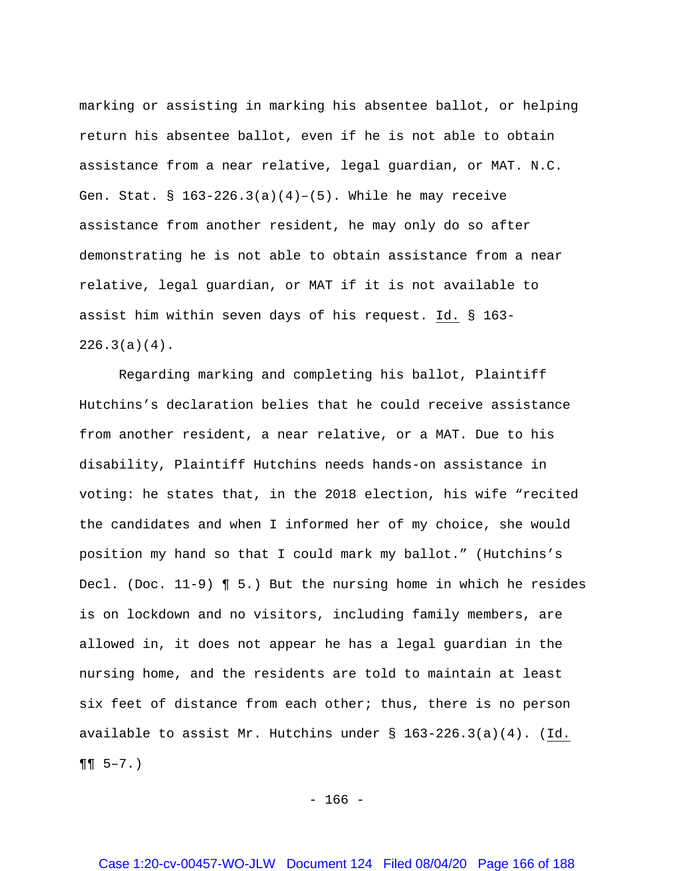marking or assisting in marking his absentee ballot, or helping return his absentee ballot, even if he is not able to obtain assistance from a near relative, legal guardian, or MAT. N.C. Gen. Stat. §  $163-226.3(a)(4)-(5)$ . While he may receive assistance from another resident, he may only do so after demonstrating he is not able to obtain assistance from a near relative, legal guardian, or MAT if it is not available to assist him within seven days of his request. Id. § 163-  $226.3(a)(4)$ .

Regarding marking and completing his ballot, Plaintiff Hutchins's declaration belies that he could receive assistance from another resident, a near relative, or a MAT. Due to his disability, Plaintiff Hutchins needs hands-on assistance in voting: he states that, in the 2018 election, his wife "recited the candidates and when I informed her of my choice, she would position my hand so that I could mark my ballot." (Hutchins's Decl. (Doc. 11-9) ¶ 5.) But the nursing home in which he resides is on lockdown and no visitors, including family members, are allowed in, it does not appear he has a legal guardian in the nursing home, and the residents are told to maintain at least six feet of distance from each other; thus, there is no person available to assist Mr. Hutchins under  $\S$  163-226.3(a)(4). (Id.  $\P\P$  5–7.)

 $- 166 -$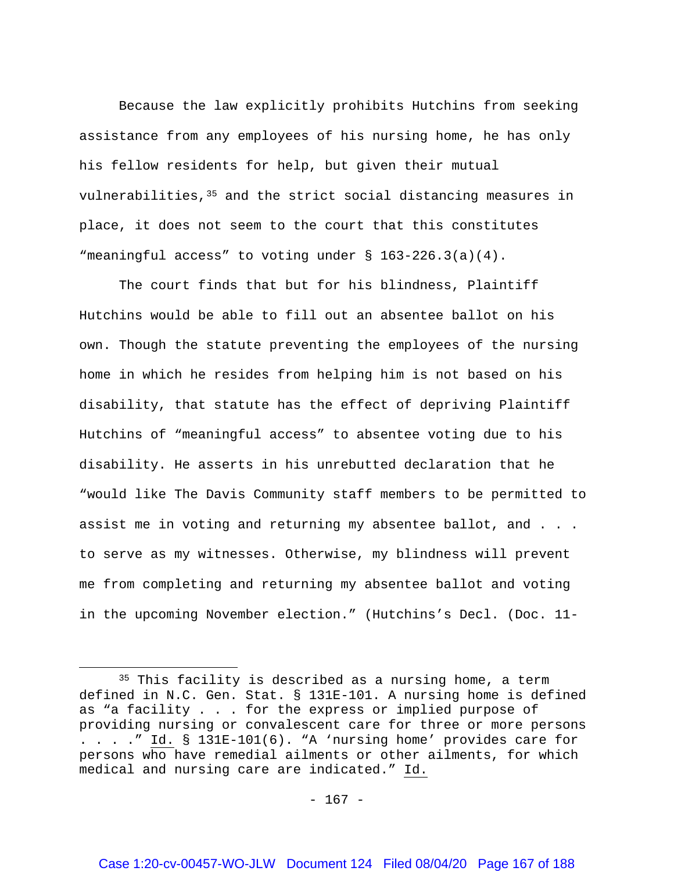Because the law explicitly prohibits Hutchins from seeking assistance from any employees of his nursing home, he has only his fellow residents for help, but given their mutual vulnerabilities, $35$  and the strict social distancing measures in place, it does not seem to the court that this constitutes "meaningful access" to voting under § 163-226.3(a)(4).

The court finds that but for his blindness, Plaintiff Hutchins would be able to fill out an absentee ballot on his own. Though the statute preventing the employees of the nursing home in which he resides from helping him is not based on his disability, that statute has the effect of depriving Plaintiff Hutchins of "meaningful access" to absentee voting due to his disability. He asserts in his unrebutted declaration that he "would like The Davis Community staff members to be permitted to assist me in voting and returning my absentee ballot, and . . . to serve as my witnesses. Otherwise, my blindness will prevent me from completing and returning my absentee ballot and voting in the upcoming November election." (Hutchins's Decl. (Doc. 11-

 $\overline{\phantom{a}}$ 

<span id="page-166-0"></span><sup>&</sup>lt;sup>35</sup> This facility is described as a nursing home, a term defined in N.C. Gen. Stat. § 131E-101. A nursing home is defined as "a facility . . . for the express or implied purpose of providing nursing or convalescent care for three or more persons . . . ." Id. § 131E-101(6). "A 'nursing home' provides care for persons who have remedial ailments or other ailments, for which medical and nursing care are indicated." Id.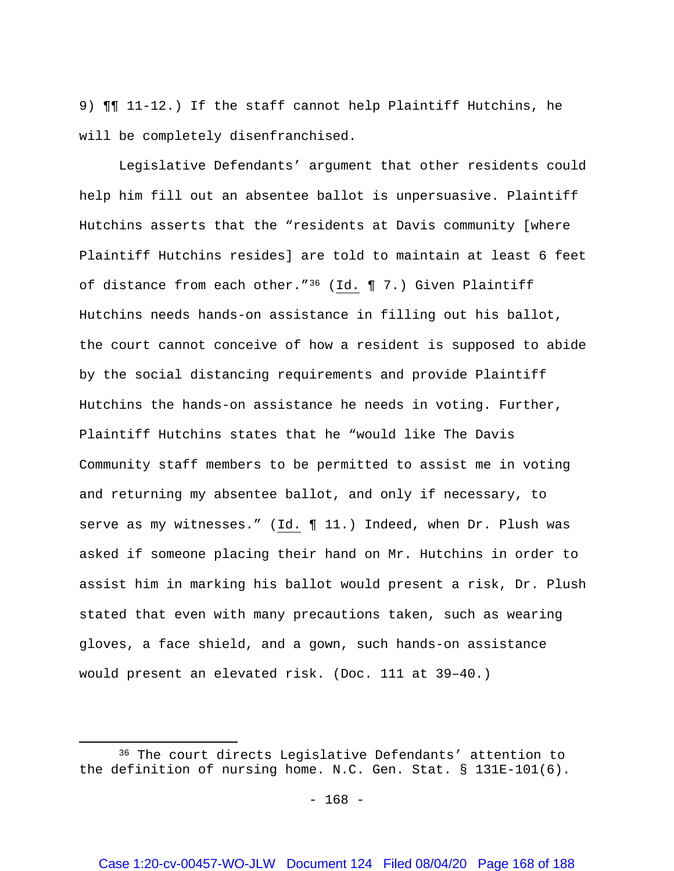9) ¶¶ 11-12.) If the staff cannot help Plaintiff Hutchins, he will be completely disenfranchised.

Legislative Defendants' argument that other residents could help him fill out an absentee ballot is unpersuasive. Plaintiff Hutchins asserts that the "residents at Davis community [where Plaintiff Hutchins resides] are told to maintain at least 6 feet of distance from each other."[36](#page-167-0) (Id. ¶ 7.) Given Plaintiff Hutchins needs hands-on assistance in filling out his ballot, the court cannot conceive of how a resident is supposed to abide by the social distancing requirements and provide Plaintiff Hutchins the hands-on assistance he needs in voting. Further, Plaintiff Hutchins states that he "would like The Davis Community staff members to be permitted to assist me in voting and returning my absentee ballot, and only if necessary, to serve as my witnesses." (Id. 11.) Indeed, when Dr. Plush was asked if someone placing their hand on Mr. Hutchins in order to assist him in marking his ballot would present a risk, Dr. Plush stated that even with many precautions taken, such as wearing gloves, a face shield, and a gown, such hands-on assistance would present an elevated risk. (Doc. 111 at 39–40.)

 $\overline{\phantom{a}}$ 

<span id="page-167-0"></span><sup>36</sup> The court directs Legislative Defendants' attention to the definition of nursing home. N.C. Gen. Stat. § 131E-101(6).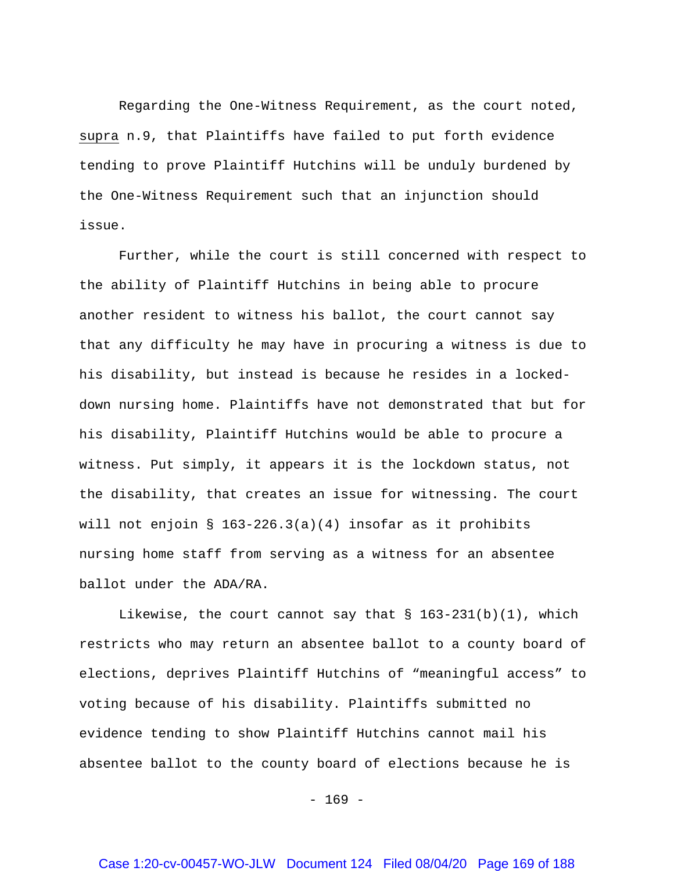Regarding the One-Witness Requirement, as the court noted, supra n.9, that Plaintiffs have failed to put forth evidence tending to prove Plaintiff Hutchins will be unduly burdened by the One-Witness Requirement such that an injunction should issue.

Further, while the court is still concerned with respect to the ability of Plaintiff Hutchins in being able to procure another resident to witness his ballot, the court cannot say that any difficulty he may have in procuring a witness is due to his disability, but instead is because he resides in a lockeddown nursing home. Plaintiffs have not demonstrated that but for his disability, Plaintiff Hutchins would be able to procure a witness. Put simply, it appears it is the lockdown status, not the disability, that creates an issue for witnessing. The court will not enjoin § 163-226.3(a)(4) insofar as it prohibits nursing home staff from serving as a witness for an absentee ballot under the ADA/RA.

Likewise, the court cannot say that  $\S$  163-231(b)(1), which restricts who may return an absentee ballot to a county board of elections, deprives Plaintiff Hutchins of "meaningful access" to voting because of his disability. Plaintiffs submitted no evidence tending to show Plaintiff Hutchins cannot mail his absentee ballot to the county board of elections because he is

 $- 169 -$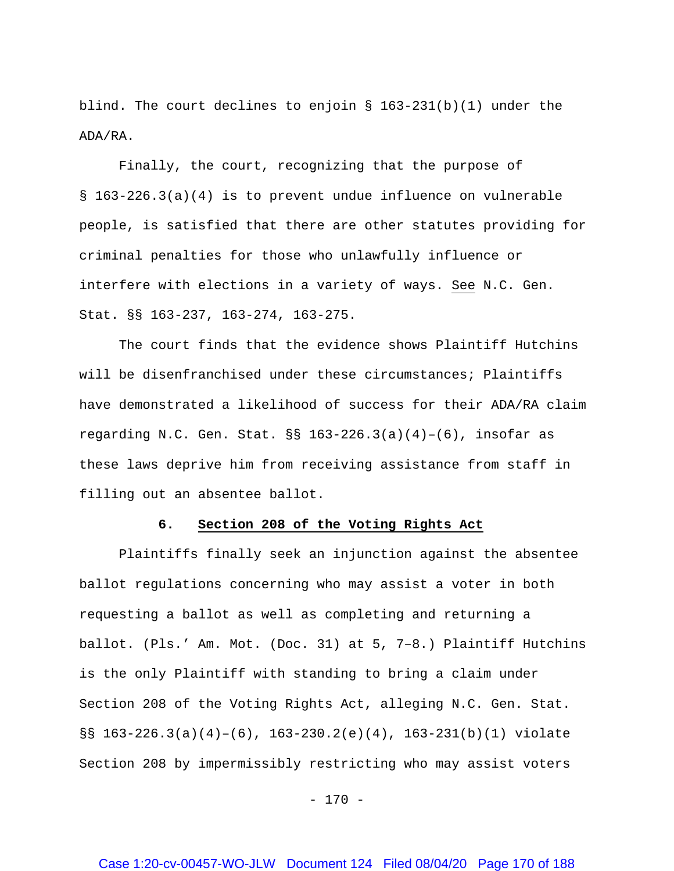blind. The court declines to enjoin  $\S$  163-231(b)(1) under the ADA/RA.

Finally, the court, recognizing that the purpose of § 163-226.3(a)(4) is to prevent undue influence on vulnerable people, is satisfied that there are other statutes providing for criminal penalties for those who unlawfully influence or interfere with elections in a variety of ways. See N.C. Gen. Stat. §§ 163-237, 163-274, 163-275.

The court finds that the evidence shows Plaintiff Hutchins will be disenfranchised under these circumstances; Plaintiffs have demonstrated a likelihood of success for their ADA/RA claim regarding N.C. Gen. Stat.  $\S$ § 163-226.3(a)(4)-(6), insofar as these laws deprive him from receiving assistance from staff in filling out an absentee ballot.

### **6. Section 208 of the Voting Rights Act**

Plaintiffs finally seek an injunction against the absentee ballot regulations concerning who may assist a voter in both requesting a ballot as well as completing and returning a ballot. (Pls.' Am. Mot. (Doc. 31) at 5, 7–8.) Plaintiff Hutchins is the only Plaintiff with standing to bring a claim under Section 208 of the Voting Rights Act, alleging N.C. Gen. Stat.  $\S$ § 163-226.3(a)(4)-(6), 163-230.2(e)(4), 163-231(b)(1) violate Section 208 by impermissibly restricting who may assist voters

 $- 170 -$ 

## Case 1:20-cv-00457-WO-JLW Document 124 Filed 08/04/20 Page 170 of 188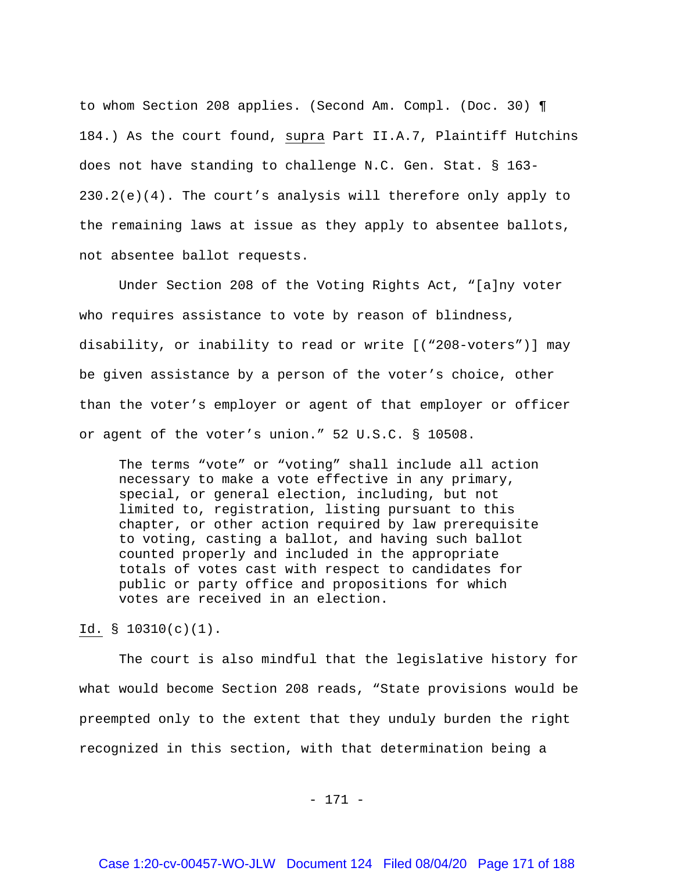to whom Section 208 applies. (Second Am. Compl. (Doc. 30) ¶ 184.) As the court found, supra Part II.A.7, Plaintiff Hutchins does not have standing to challenge N.C. Gen. Stat. § 163- 230.2(e)(4). The court's analysis will therefore only apply to the remaining laws at issue as they apply to absentee ballots, not absentee ballot requests.

Under Section 208 of the Voting Rights Act, "[a]ny voter who requires assistance to vote by reason of blindness, disability, or inability to read or write [("208-voters")] may be given assistance by a person of the voter's choice, other than the voter's employer or agent of that employer or officer or agent of the voter's union." 52 U.S.C. § 10508.

The terms "vote" or "voting" shall include all action necessary to make a vote effective in any primary, special, or general election, including, but not limited to, registration, listing pursuant to this chapter, or other action required by law prerequisite to voting, casting a ballot, and having such ballot counted properly and included in the appropriate totals of votes cast with respect to candidates for public or party office and propositions for which votes are received in an election.

Id. § 10310(c)(1).

The court is also mindful that the legislative history for what would become Section 208 reads, "State provisions would be preempted only to the extent that they unduly burden the right recognized in this section, with that determination being a

- 171 -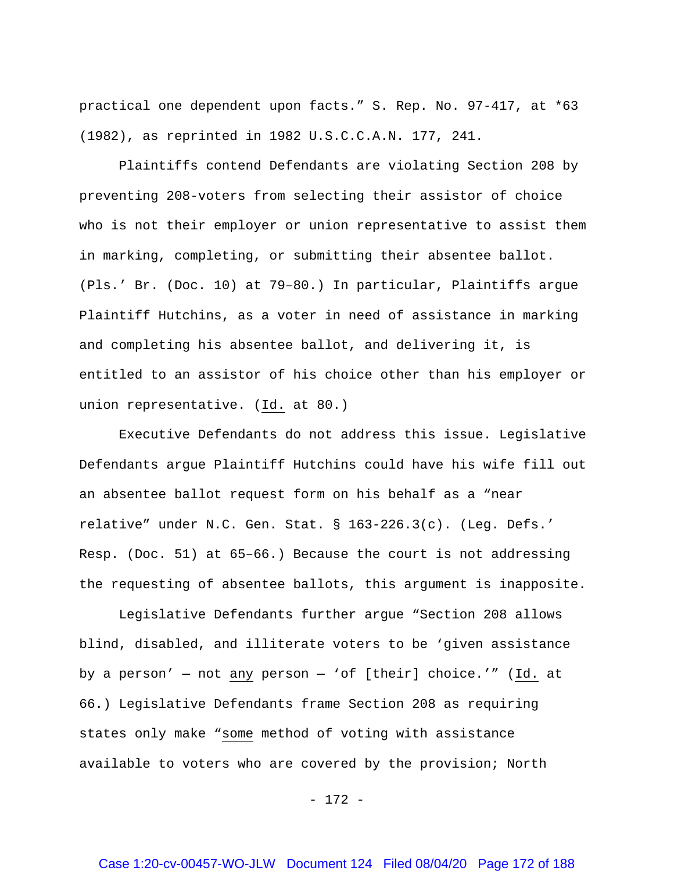practical one dependent upon facts." S. Rep. No. 97-417, at \*63 (1982), as reprinted in 1982 U.S.C.C.A.N. 177, 241.

Plaintiffs contend Defendants are violating Section 208 by preventing 208-voters from selecting their assistor of choice who is not their employer or union representative to assist them in marking, completing, or submitting their absentee ballot. (Pls.' Br. (Doc. 10) at 79–80.) In particular, Plaintiffs argue Plaintiff Hutchins, as a voter in need of assistance in marking and completing his absentee ballot, and delivering it, is entitled to an assistor of his choice other than his employer or union representative. (Id. at 80.)

Executive Defendants do not address this issue. Legislative Defendants argue Plaintiff Hutchins could have his wife fill out an absentee ballot request form on his behalf as a "near relative" under N.C. Gen. Stat. § 163-226.3(c). (Leg. Defs.' Resp. (Doc. 51) at 65–66.) Because the court is not addressing the requesting of absentee ballots, this argument is inapposite.

Legislative Defendants further argue "Section 208 allows blind, disabled, and illiterate voters to be 'given assistance by a person' — not any person — 'of [their] choice.'" (Id. at 66.) Legislative Defendants frame Section 208 as requiring states only make "some method of voting with assistance available to voters who are covered by the provision; North

- 172 -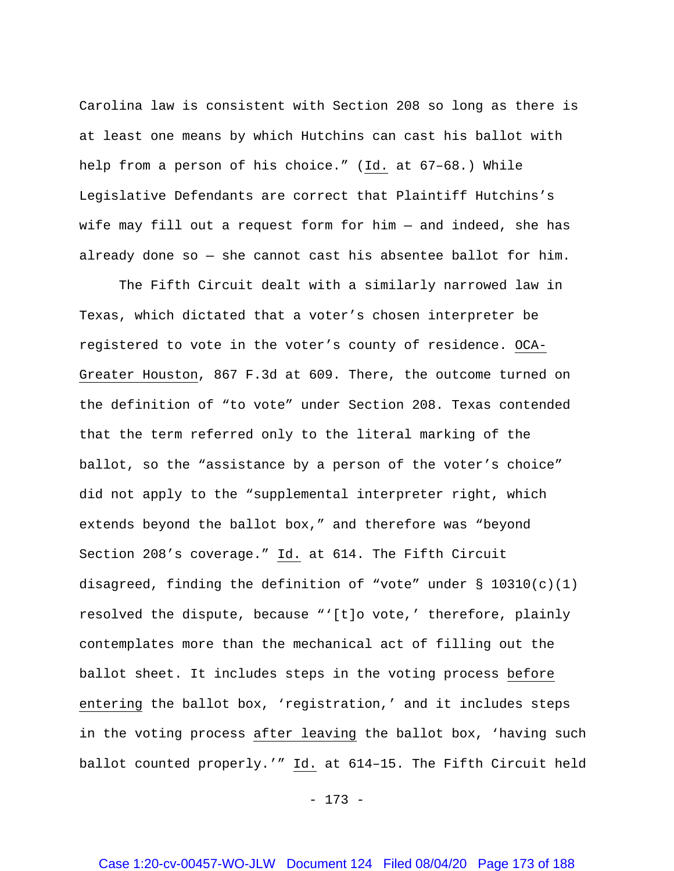Carolina law is consistent with Section 208 so long as there is at least one means by which Hutchins can cast his ballot with help from a person of his choice." (Id. at 67–68.) While Legislative Defendants are correct that Plaintiff Hutchins's wife may fill out a request form for him — and indeed, she has already done so — she cannot cast his absentee ballot for him.

The Fifth Circuit dealt with a similarly narrowed law in Texas, which dictated that a voter's chosen interpreter be registered to vote in the voter's county of residence. OCA-Greater Houston, 867 F.3d at 609. There, the outcome turned on the definition of "to vote" under Section 208. Texas contended that the term referred only to the literal marking of the ballot, so the "assistance by a person of the voter's choice" did not apply to the "supplemental interpreter right, which extends beyond the ballot box," and therefore was "beyond Section 208's coverage." Id. at 614. The Fifth Circuit disagreed, finding the definition of "vote" under  $\S$  10310(c)(1) resolved the dispute, because "'[t]o vote,' therefore, plainly contemplates more than the mechanical act of filling out the ballot sheet. It includes steps in the voting process before entering the ballot box, 'registration,' and it includes steps in the voting process after leaving the ballot box, 'having such ballot counted properly.'" Id. at 614–15. The Fifth Circuit held

- 173 -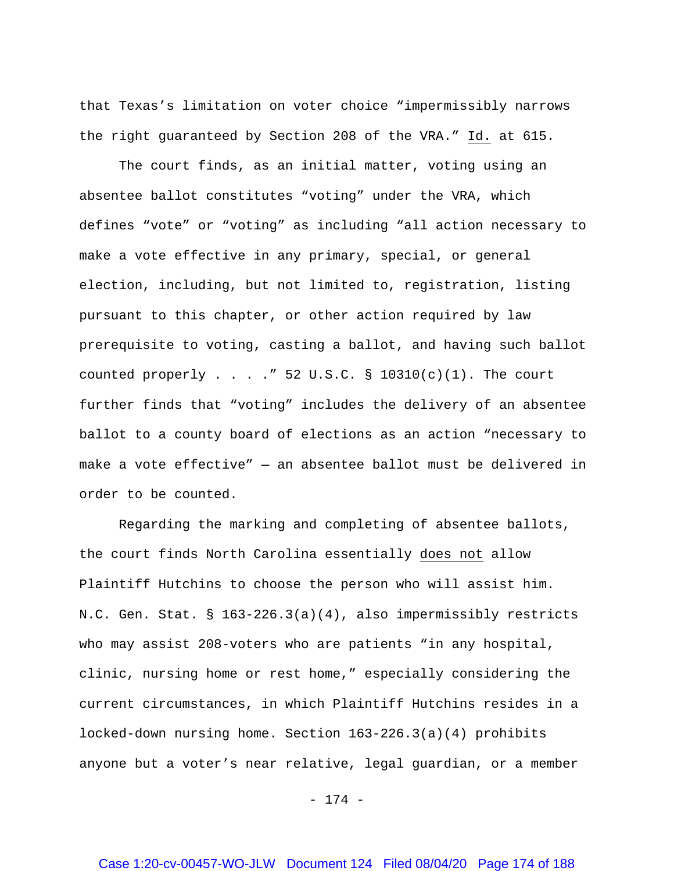that Texas's limitation on voter choice "impermissibly narrows the right guaranteed by Section 208 of the VRA." Id. at 615.

The court finds, as an initial matter, voting using an absentee ballot constitutes "voting" under the VRA, which defines "vote" or "voting" as including "all action necessary to make a vote effective in any primary, special, or general election, including, but not limited to, registration, listing pursuant to this chapter, or other action required by law prerequisite to voting, casting a ballot, and having such ballot counted properly  $\ldots$  . . . " 52 U.S.C. § 10310(c)(1). The court further finds that "voting" includes the delivery of an absentee ballot to a county board of elections as an action "necessary to make a vote effective" — an absentee ballot must be delivered in order to be counted.

Regarding the marking and completing of absentee ballots, the court finds North Carolina essentially does not allow Plaintiff Hutchins to choose the person who will assist him. N.C. Gen. Stat. § 163-226.3(a)(4), also impermissibly restricts who may assist 208-voters who are patients "in any hospital, clinic, nursing home or rest home," especially considering the current circumstances, in which Plaintiff Hutchins resides in a locked-down nursing home. Section 163-226.3(a)(4) prohibits anyone but a voter's near relative, legal guardian, or a member

- 174 -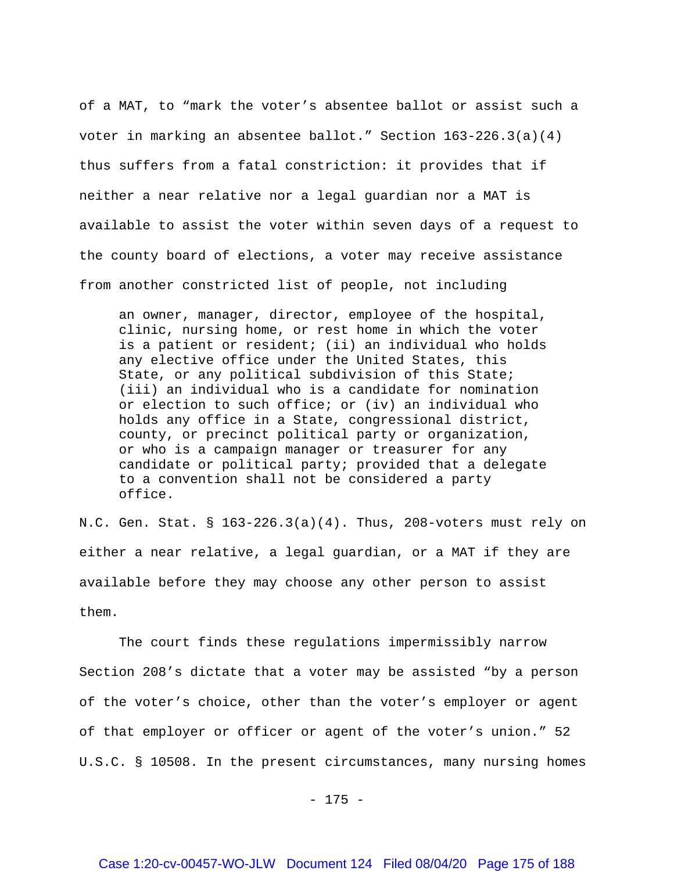of a MAT, to "mark the voter's absentee ballot or assist such a voter in marking an absentee ballot." Section  $163-226.3(a)(4)$ thus suffers from a fatal constriction: it provides that if neither a near relative nor a legal guardian nor a MAT is available to assist the voter within seven days of a request to the county board of elections, a voter may receive assistance from another constricted list of people, not including

an owner, manager, director, employee of the hospital, clinic, nursing home, or rest home in which the voter is a patient or resident; (ii) an individual who holds any elective office under the United States, this State, or any political subdivision of this State; (iii) an individual who is a candidate for nomination or election to such office; or (iv) an individual who holds any office in a State, congressional district, county, or precinct political party or organization, or who is a campaign manager or treasurer for any candidate or political party; provided that a delegate to a convention shall not be considered a party office.

N.C. Gen. Stat. § 163-226.3(a)(4). Thus, 208-voters must rely on either a near relative, a legal guardian, or a MAT if they are available before they may choose any other person to assist them.

The court finds these regulations impermissibly narrow Section 208's dictate that a voter may be assisted "by a person of the voter's choice, other than the voter's employer or agent of that employer or officer or agent of the voter's union." 52 U.S.C. § 10508. In the present circumstances, many nursing homes

- 175 -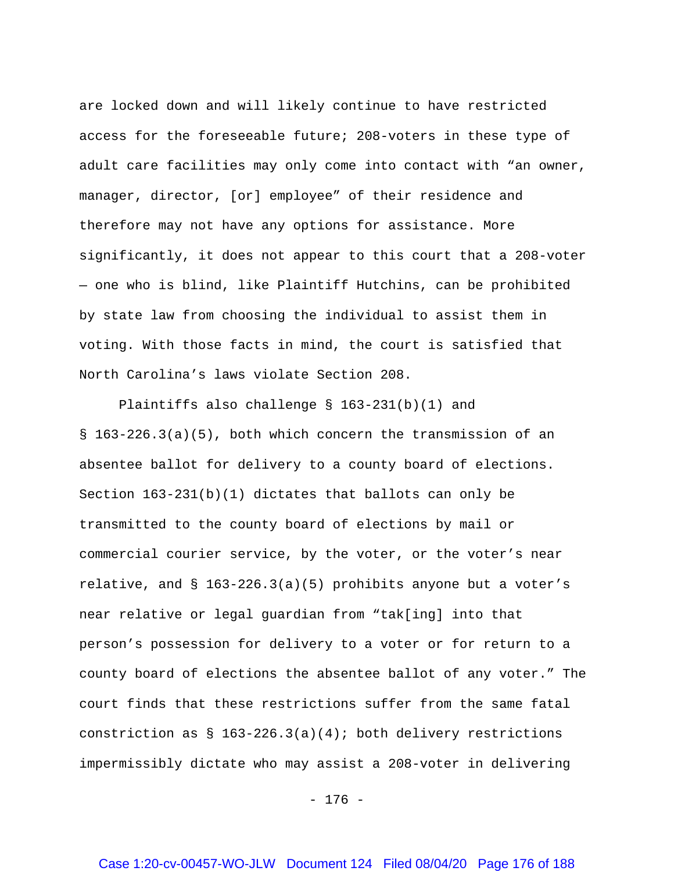are locked down and will likely continue to have restricted access for the foreseeable future; 208-voters in these type of adult care facilities may only come into contact with "an owner, manager, director, [or] employee" of their residence and therefore may not have any options for assistance. More significantly, it does not appear to this court that a 208-voter — one who is blind, like Plaintiff Hutchins, can be prohibited by state law from choosing the individual to assist them in voting. With those facts in mind, the court is satisfied that North Carolina's laws violate Section 208.

Plaintiffs also challenge § 163-231(b)(1) and § 163-226.3(a)(5), both which concern the transmission of an absentee ballot for delivery to a county board of elections. Section  $163-231(b)(1)$  dictates that ballots can only be transmitted to the county board of elections by mail or commercial courier service, by the voter, or the voter's near relative, and  $\S$  163-226.3(a)(5) prohibits anyone but a voter's near relative or legal guardian from "tak[ing] into that person's possession for delivery to a voter or for return to a county board of elections the absentee ballot of any voter." The court finds that these restrictions suffer from the same fatal constriction as  $\S$  163-226.3(a)(4); both delivery restrictions impermissibly dictate who may assist a 208-voter in delivering

- 176 -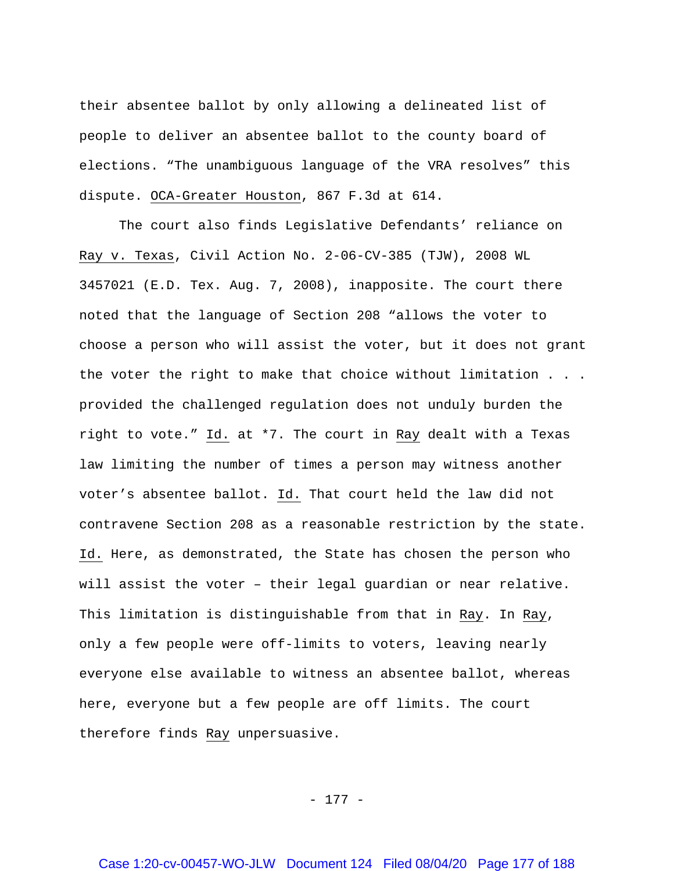their absentee ballot by only allowing a delineated list of people to deliver an absentee ballot to the county board of elections. "The unambiguous language of the VRA resolves" this dispute. OCA-Greater Houston, 867 F.3d at 614.

The court also finds Legislative Defendants' reliance on Ray v. Texas, Civil Action No. 2-06-CV-385 (TJW), 2008 WL 3457021 (E.D. Tex. Aug. 7, 2008), inapposite. The court there noted that the language of Section 208 "allows the voter to choose a person who will assist the voter, but it does not grant the voter the right to make that choice without limitation . . . provided the challenged regulation does not unduly burden the right to vote." Id. at \*7. The court in Ray dealt with a Texas law limiting the number of times a person may witness another voter's absentee ballot. Id. That court held the law did not contravene Section 208 as a reasonable restriction by the state. Id. Here, as demonstrated, the State has chosen the person who will assist the voter – their legal guardian or near relative. This limitation is distinguishable from that in Ray. In Ray, only a few people were off-limits to voters, leaving nearly everyone else available to witness an absentee ballot, whereas here, everyone but a few people are off limits. The court therefore finds Ray unpersuasive.

- 177 -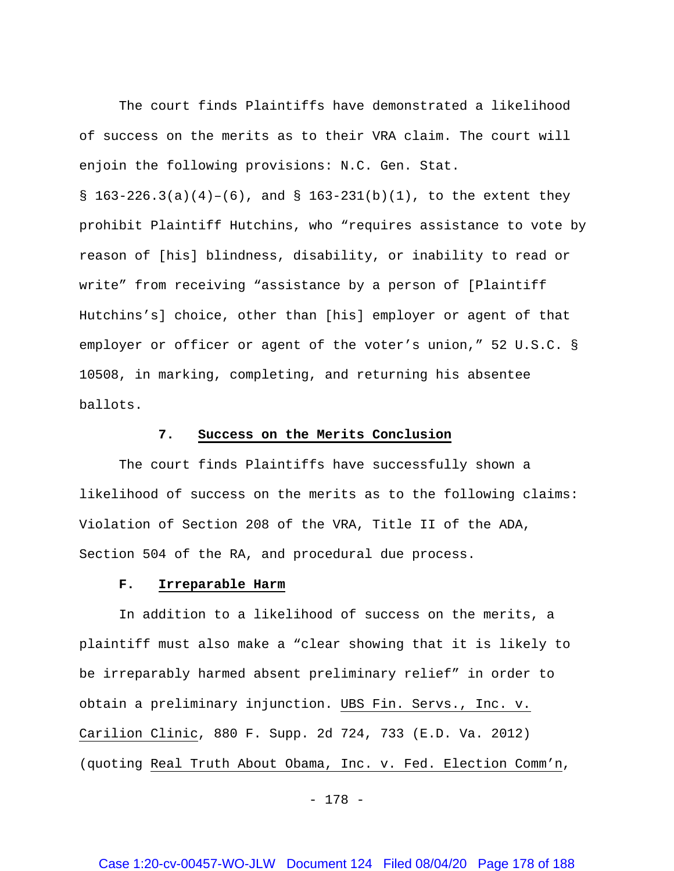The court finds Plaintiffs have demonstrated a likelihood of success on the merits as to their VRA claim. The court will enjoin the following provisions: N.C. Gen. Stat.

§  $163-226.3(a)(4)-(6)$ , and §  $163-231(b)(1)$ , to the extent they prohibit Plaintiff Hutchins, who "requires assistance to vote by reason of [his] blindness, disability, or inability to read or write" from receiving "assistance by a person of [Plaintiff Hutchins's] choice, other than [his] employer or agent of that employer or officer or agent of the voter's union," 52 U.S.C. § 10508, in marking, completing, and returning his absentee ballots.

### **7. Success on the Merits Conclusion**

The court finds Plaintiffs have successfully shown a likelihood of success on the merits as to the following claims: Violation of Section 208 of the VRA, Title II of the ADA, Section 504 of the RA, and procedural due process.

#### **F. Irreparable Harm**

In addition to a likelihood of success on the merits, a plaintiff must also make a "clear showing that it is likely to be irreparably harmed absent preliminary relief" in order to obtain a preliminary injunction. UBS Fin. Servs., Inc. v. Carilion Clinic, 880 F. Supp. 2d 724, 733 (E.D. Va. 2012) (quoting Real Truth About Obama, Inc. v. Fed. Election Comm'n,

- 178 -

## Case 1:20-cv-00457-WO-JLW Document 124 Filed 08/04/20 Page 178 of 188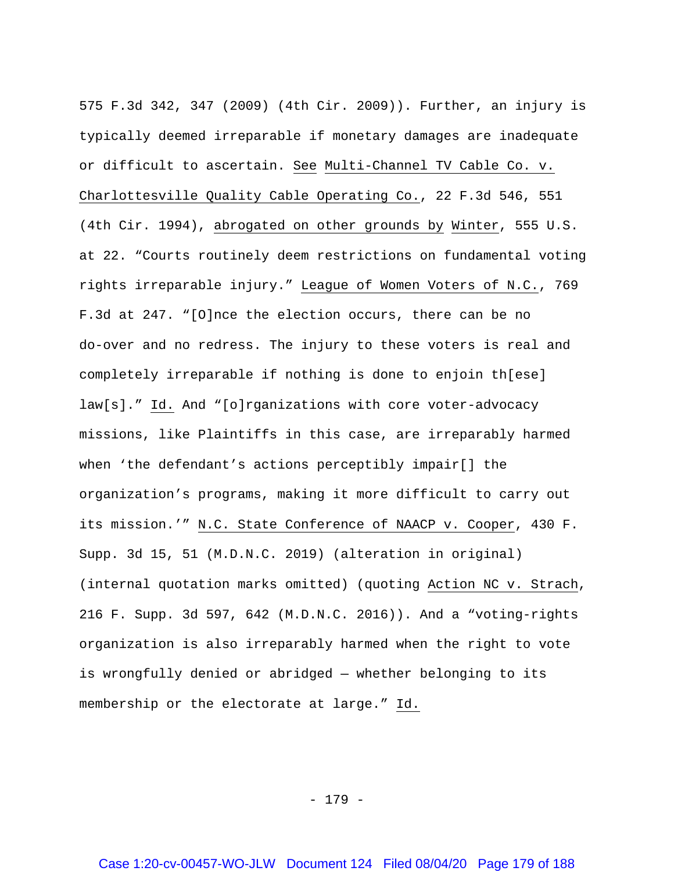575 F.3d 342, 347 (2009) (4th Cir. 2009)). Further, an injury is typically deemed irreparable if monetary damages are inadequate or difficult to ascertain. See Multi-Channel TV Cable Co. v. Charlottesville Quality Cable Operating Co., 22 F.3d 546, 551 (4th Cir. 1994), abrogated on other grounds by Winter, 555 U.S. at 22. "Courts routinely deem restrictions on fundamental voting rights irreparable injury." League of Women Voters of N.C., 769 F.3d at 247. "[O]nce the election occurs, there can be no do-over and no redress. The injury to these voters is real and completely irreparable if nothing is done to enjoin th[ese] law[s]." Id. And "[o]rganizations with core voter-advocacy missions, like Plaintiffs in this case, are irreparably harmed when 'the defendant's actions perceptibly impair[] the organization's programs, making it more difficult to carry out its mission.'" N.C. State Conference of NAACP v. Cooper, 430 F. Supp. 3d 15, 51 (M.D.N.C. 2019) (alteration in original) (internal quotation marks omitted) (quoting Action NC v. Strach, 216 F. Supp. 3d 597, 642 (M.D.N.C. 2016)). And a "voting-rights organization is also irreparably harmed when the right to vote is wrongfully denied or abridged — whether belonging to its membership or the electorate at large." Id.

- 179 -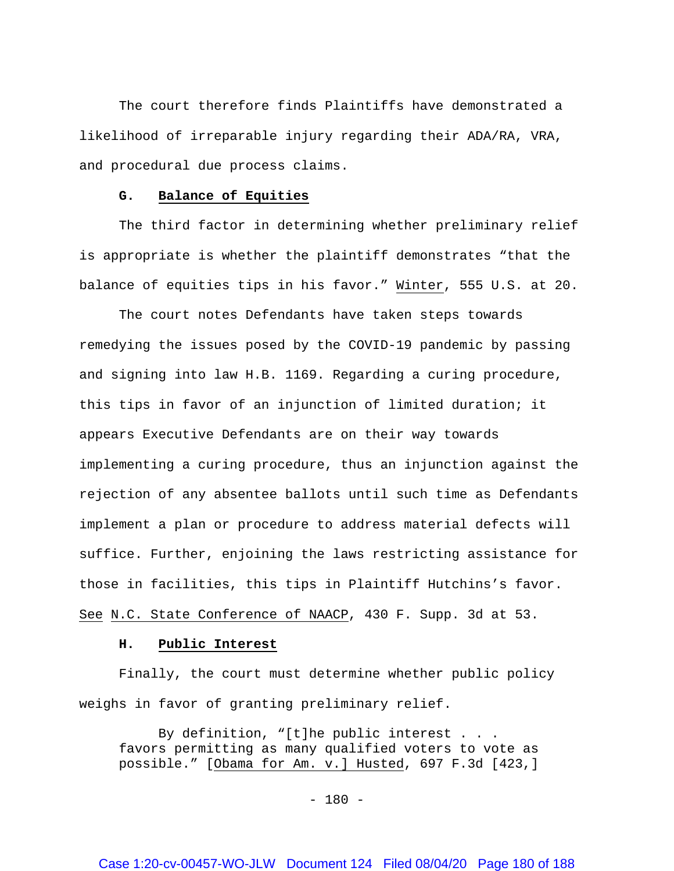The court therefore finds Plaintiffs have demonstrated a likelihood of irreparable injury regarding their ADA/RA, VRA, and procedural due process claims.

### **G. Balance of Equities**

The third factor in determining whether preliminary relief is appropriate is whether the plaintiff demonstrates "that the balance of equities tips in his favor." Winter, 555 U.S. at 20.

The court notes Defendants have taken steps towards remedying the issues posed by the COVID-19 pandemic by passing and signing into law H.B. 1169. Regarding a curing procedure, this tips in favor of an injunction of limited duration; it appears Executive Defendants are on their way towards implementing a curing procedure, thus an injunction against the rejection of any absentee ballots until such time as Defendants implement a plan or procedure to address material defects will suffice. Further, enjoining the laws restricting assistance for those in facilities, this tips in Plaintiff Hutchins's favor. See N.C. State Conference of NAACP, 430 F. Supp. 3d at 53.

#### **H. Public Interest**

Finally, the court must determine whether public policy weighs in favor of granting preliminary relief.

By definition, "[t]he public interest . . . favors permitting as many qualified voters to vote as possible." [Obama for Am. v.] Husted, 697 F.3d [423,]

 $- 180 -$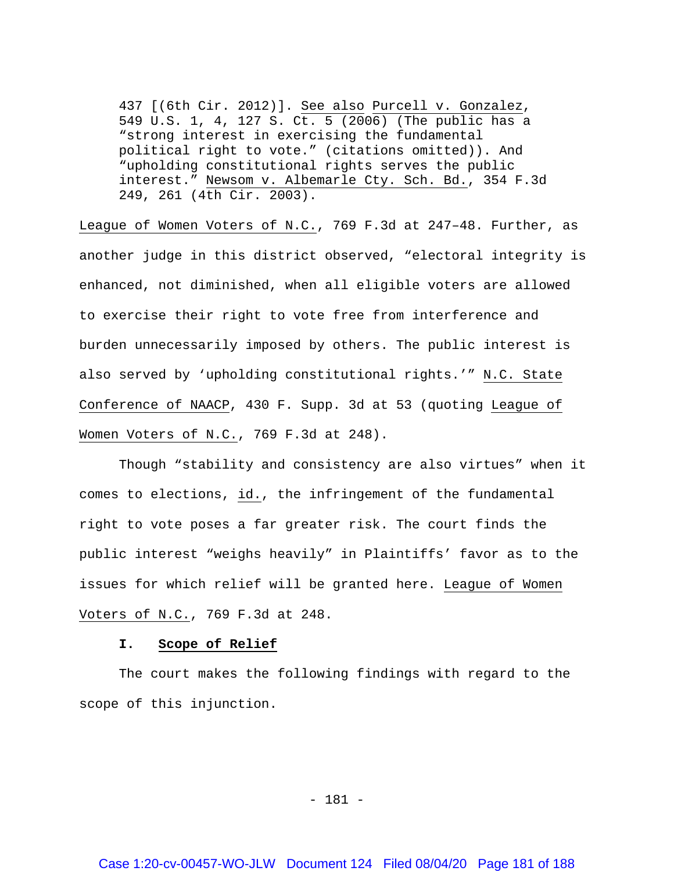437 [(6th Cir. 2012)]. See also Purcell v. Gonzalez, 549 U.S. 1, 4, 127 S. Ct. 5 (2006) (The public has a "strong interest in exercising the fundamental political right to vote." (citations omitted)). And "upholding constitutional rights serves the public interest." Newsom v. Albemarle Cty. Sch. Bd., 354 F.3d 249, 261 (4th Cir. 2003).

League of Women Voters of N.C., 769 F.3d at 247–48. Further, as another judge in this district observed, "electoral integrity is enhanced, not diminished, when all eligible voters are allowed to exercise their right to vote free from interference and burden unnecessarily imposed by others. The public interest is also served by 'upholding constitutional rights.'" N.C. State Conference of NAACP, 430 F. Supp. 3d at 53 (quoting League of Women Voters of N.C., 769 F.3d at 248).

Though "stability and consistency are also virtues" when it comes to elections, id., the infringement of the fundamental right to vote poses a far greater risk. The court finds the public interest "weighs heavily" in Plaintiffs' favor as to the issues for which relief will be granted here. League of Women Voters of N.C., 769 F.3d at 248.

## **I. Scope of Relief**

The court makes the following findings with regard to the scope of this injunction.

- 181 -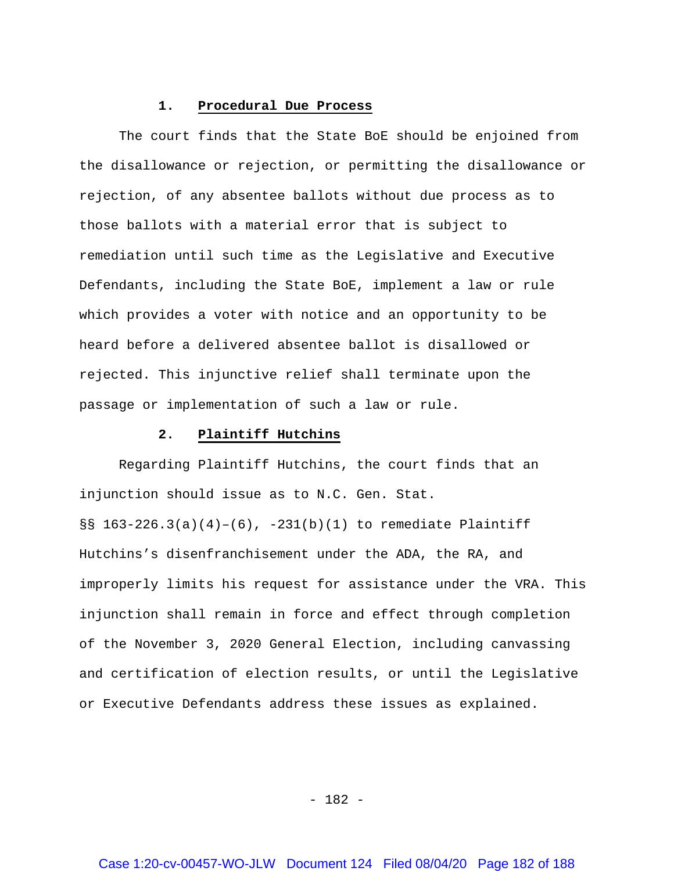## **1. Procedural Due Process**

The court finds that the State BoE should be enjoined from the disallowance or rejection, or permitting the disallowance or rejection, of any absentee ballots without due process as to those ballots with a material error that is subject to remediation until such time as the Legislative and Executive Defendants, including the State BoE, implement a law or rule which provides a voter with notice and an opportunity to be heard before a delivered absentee ballot is disallowed or rejected. This injunctive relief shall terminate upon the passage or implementation of such a law or rule.

# **2. Plaintiff Hutchins**

Regarding Plaintiff Hutchins, the court finds that an injunction should issue as to N.C. Gen. Stat. §§  $163-226.3(a)(4)-(6)$ ,  $-231(b)(1)$  to remediate Plaintiff Hutchins's disenfranchisement under the ADA, the RA, and improperly limits his request for assistance under the VRA. This injunction shall remain in force and effect through completion of the November 3, 2020 General Election, including canvassing and certification of election results, or until the Legislative or Executive Defendants address these issues as explained.

- 182 -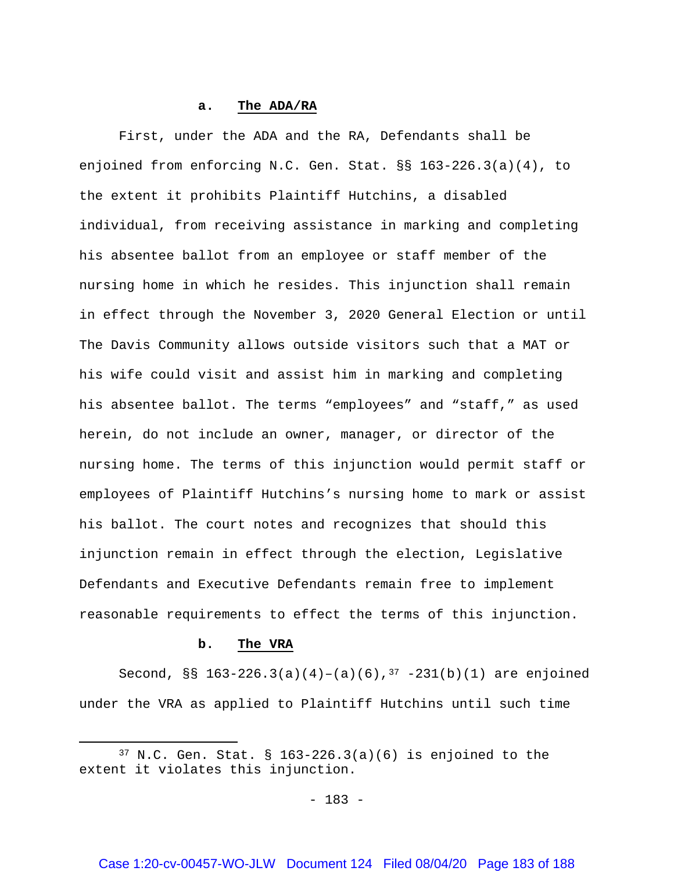#### **a. The ADA/RA**

First, under the ADA and the RA, Defendants shall be enjoined from enforcing N.C. Gen. Stat. §§ 163-226.3(a)(4), to the extent it prohibits Plaintiff Hutchins, a disabled individual, from receiving assistance in marking and completing his absentee ballot from an employee or staff member of the nursing home in which he resides. This injunction shall remain in effect through the November 3, 2020 General Election or until The Davis Community allows outside visitors such that a MAT or his wife could visit and assist him in marking and completing his absentee ballot. The terms "employees" and "staff," as used herein, do not include an owner, manager, or director of the nursing home. The terms of this injunction would permit staff or employees of Plaintiff Hutchins's nursing home to mark or assist his ballot. The court notes and recognizes that should this injunction remain in effect through the election, Legislative Defendants and Executive Defendants remain free to implement reasonable requirements to effect the terms of this injunction.

## **b. The VRA**

 $\overline{\phantom{a}}$ 

Second, §§ 163-226.3(a)(4)-(a)(6), $3^7$  -231(b)(1) are enjoined under the VRA as applied to Plaintiff Hutchins until such time

<span id="page-182-0"></span> $37$  N.C. Gen. Stat. § 163-226.3(a)(6) is enjoined to the extent it violates this injunction.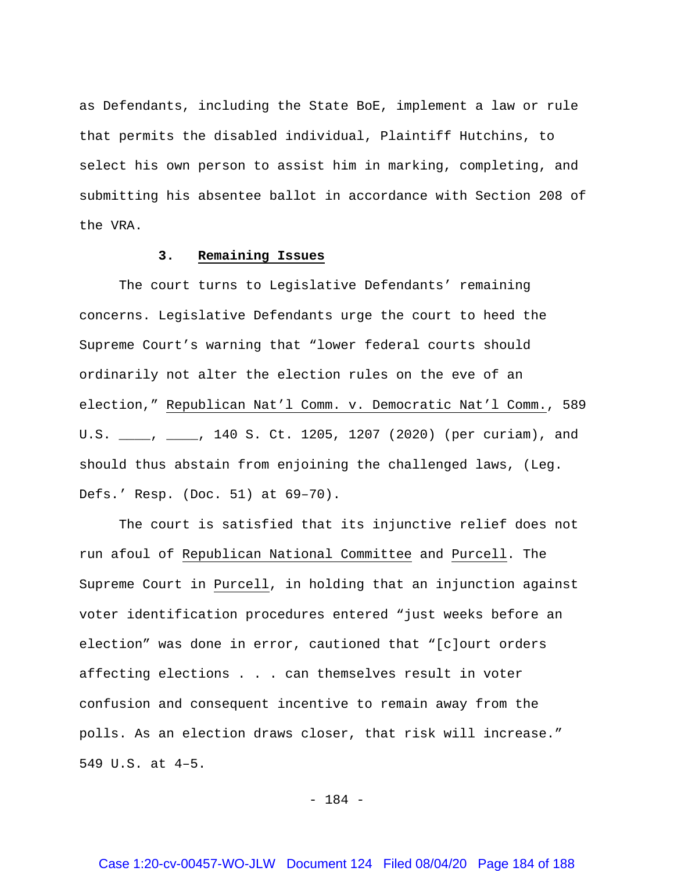as Defendants, including the State BoE, implement a law or rule that permits the disabled individual, Plaintiff Hutchins, to select his own person to assist him in marking, completing, and submitting his absentee ballot in accordance with Section 208 of the VRA.

# **3. Remaining Issues**

The court turns to Legislative Defendants' remaining concerns. Legislative Defendants urge the court to heed the Supreme Court's warning that "lower federal courts should ordinarily not alter the election rules on the eve of an election," Republican Nat'l Comm. v. Democratic Nat'l Comm., 589 U.S. \_\_\_\_, \_\_\_\_, 140 S. Ct. 1205, 1207 (2020) (per curiam), and should thus abstain from enjoining the challenged laws, (Leg. Defs.' Resp. (Doc. 51) at 69–70).

The court is satisfied that its injunctive relief does not run afoul of Republican National Committee and Purcell. The Supreme Court in Purcell, in holding that an injunction against voter identification procedures entered "just weeks before an election" was done in error, cautioned that "[c]ourt orders affecting elections . . . can themselves result in voter confusion and consequent incentive to remain away from the polls. As an election draws closer, that risk will increase." 549 U.S. at 4–5.

- 184 -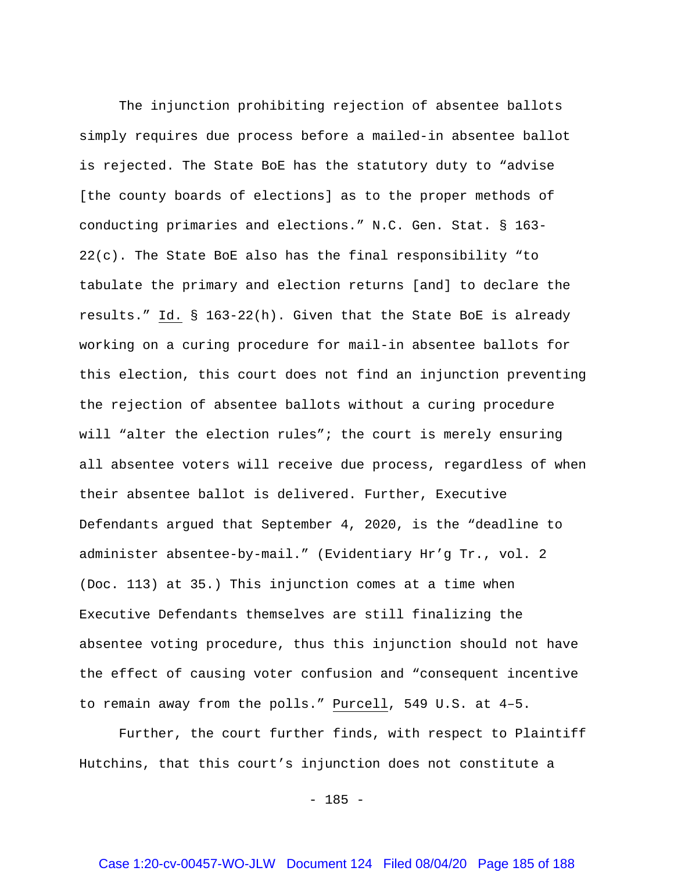The injunction prohibiting rejection of absentee ballots simply requires due process before a mailed-in absentee ballot is rejected. The State BoE has the statutory duty to "advise [the county boards of elections] as to the proper methods of conducting primaries and elections." N.C. Gen. Stat. § 163- 22(c). The State BoE also has the final responsibility "to tabulate the primary and election returns [and] to declare the results." Id. § 163-22(h). Given that the State BoE is already working on a curing procedure for mail-in absentee ballots for this election, this court does not find an injunction preventing the rejection of absentee ballots without a curing procedure will "alter the election rules"; the court is merely ensuring all absentee voters will receive due process, regardless of when their absentee ballot is delivered. Further, Executive Defendants argued that September 4, 2020, is the "deadline to administer absentee-by-mail." (Evidentiary Hr'g Tr., vol. 2 (Doc. 113) at 35.) This injunction comes at a time when Executive Defendants themselves are still finalizing the absentee voting procedure, thus this injunction should not have the effect of causing voter confusion and "consequent incentive to remain away from the polls." Purcell, 549 U.S. at 4–5.

Further, the court further finds, with respect to Plaintiff Hutchins, that this court's injunction does not constitute a

 $- 185 -$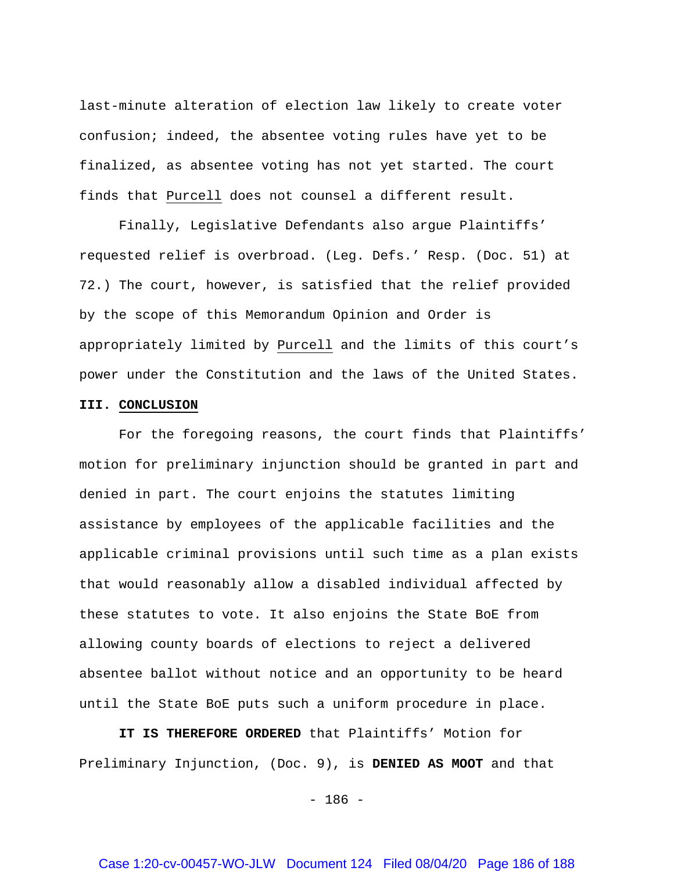last-minute alteration of election law likely to create voter confusion; indeed, the absentee voting rules have yet to be finalized, as absentee voting has not yet started. The court finds that Purcell does not counsel a different result.

Finally, Legislative Defendants also argue Plaintiffs' requested relief is overbroad. (Leg. Defs.' Resp. (Doc. 51) at 72.) The court, however, is satisfied that the relief provided by the scope of this Memorandum Opinion and Order is appropriately limited by Purcell and the limits of this court's power under the Constitution and the laws of the United States.

# **III. CONCLUSION**

For the foregoing reasons, the court finds that Plaintiffs' motion for preliminary injunction should be granted in part and denied in part. The court enjoins the statutes limiting assistance by employees of the applicable facilities and the applicable criminal provisions until such time as a plan exists that would reasonably allow a disabled individual affected by these statutes to vote. It also enjoins the State BoE from allowing county boards of elections to reject a delivered absentee ballot without notice and an opportunity to be heard until the State BoE puts such a uniform procedure in place.

**IT IS THEREFORE ORDERED** that Plaintiffs' Motion for Preliminary Injunction, (Doc. 9), is **DENIED AS MOOT** and that

 $- 186 -$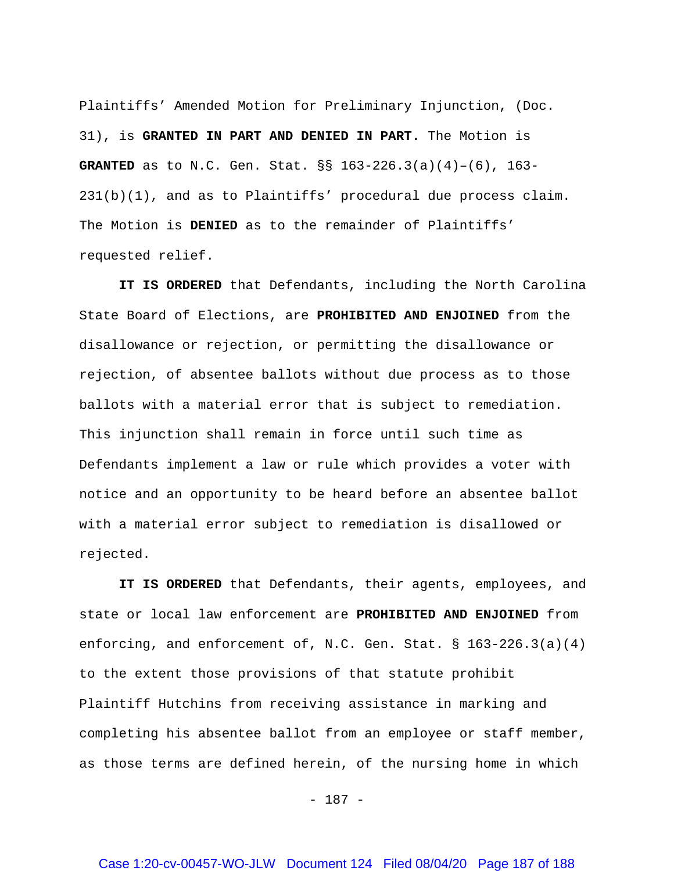Plaintiffs' Amended Motion for Preliminary Injunction, (Doc. 31), is **GRANTED IN PART AND DENIED IN PART.** The Motion is **GRANTED** as to N.C. Gen. Stat. §§ 163-226.3(a)(4)–(6), 163- 231(b)(1), and as to Plaintiffs' procedural due process claim. The Motion is **DENIED** as to the remainder of Plaintiffs' requested relief.

**IT IS ORDERED** that Defendants, including the North Carolina State Board of Elections, are **PROHIBITED AND ENJOINED** from the disallowance or rejection, or permitting the disallowance or rejection, of absentee ballots without due process as to those ballots with a material error that is subject to remediation. This injunction shall remain in force until such time as Defendants implement a law or rule which provides a voter with notice and an opportunity to be heard before an absentee ballot with a material error subject to remediation is disallowed or rejected.

**IT IS ORDERED** that Defendants, their agents, employees, and state or local law enforcement are **PROHIBITED AND ENJOINED** from enforcing, and enforcement of, N.C. Gen. Stat. § 163-226.3(a)(4) to the extent those provisions of that statute prohibit Plaintiff Hutchins from receiving assistance in marking and completing his absentee ballot from an employee or staff member, as those terms are defined herein, of the nursing home in which

- 187 -